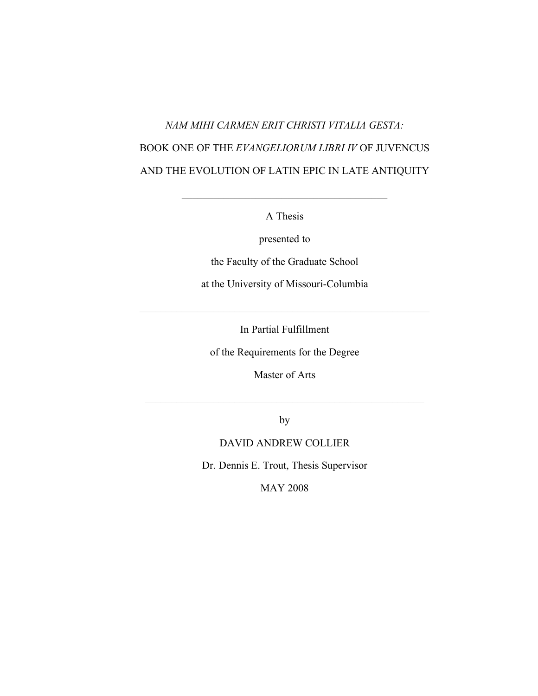# *NAM MIHI CARMEN ERIT CHRISTI VITALIA GESTA:* BOOK ONE OF THE *EVANGELIORUM LIBRI IV* OF JUVENCUS AND THE EVOLUTION OF LATIN EPIC IN LATE ANTIQUITY

A Thesis

 $\mathcal{L}_\text{max}$  and  $\mathcal{L}_\text{max}$  and  $\mathcal{L}_\text{max}$  and  $\mathcal{L}_\text{max}$ 

presented to

the Faculty of the Graduate School

at the University of Missouri-Columbia

In Partial Fulfillment

 $\mathcal{L}_\text{max}$  and the contract of the contract of the contract of the contract of the contract of the contract of the contract of the contract of the contract of the contract of the contract of the contract of the contrac

of the Requirements for the Degree

Master of Arts

 $\mathcal{L}_\text{max}$  , and the contract of the contract of the contract of the contract of the contract of the contract of the contract of the contract of the contract of the contract of the contract of the contract of the contr

by

### DAVID ANDREW COLLIER

Dr. Dennis E. Trout, Thesis Supervisor

MAY 2008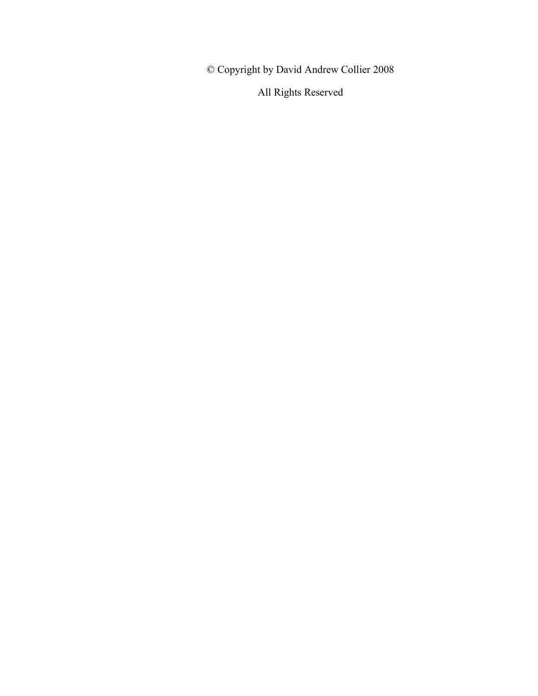© Copyright by David Andrew Collier 2008

All Rights Reserved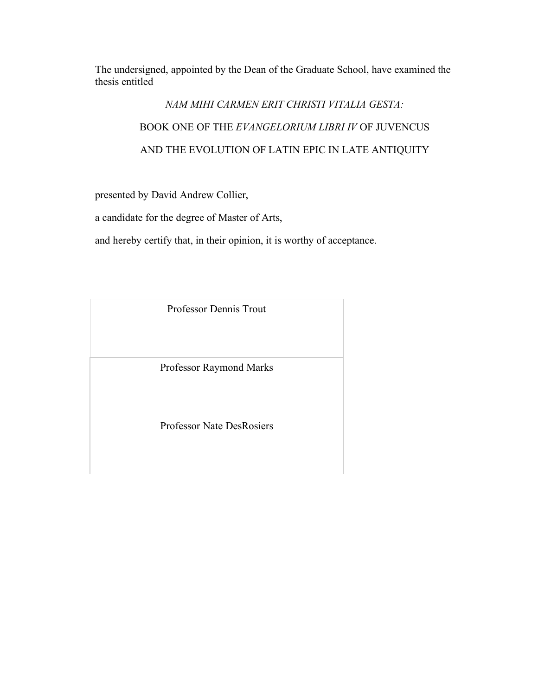The undersigned, appointed by the Dean of the Graduate School, have examined the thesis entitled

# *NAM MIHI CARMEN ERIT CHRISTI VITALIA GESTA:* BOOK ONE OF THE *EVANGELORIUM LIBRI IV* OF JUVENCUS AND THE EVOLUTION OF LATIN EPIC IN LATE ANTIQUITY

presented by David Andrew Collier,

a candidate for the degree of Master of Arts,

and hereby certify that, in their opinion, it is worthy of acceptance.

| <b>Professor Dennis Trout</b>    |
|----------------------------------|
| Professor Raymond Marks          |
| <b>Professor Nate DesRosiers</b> |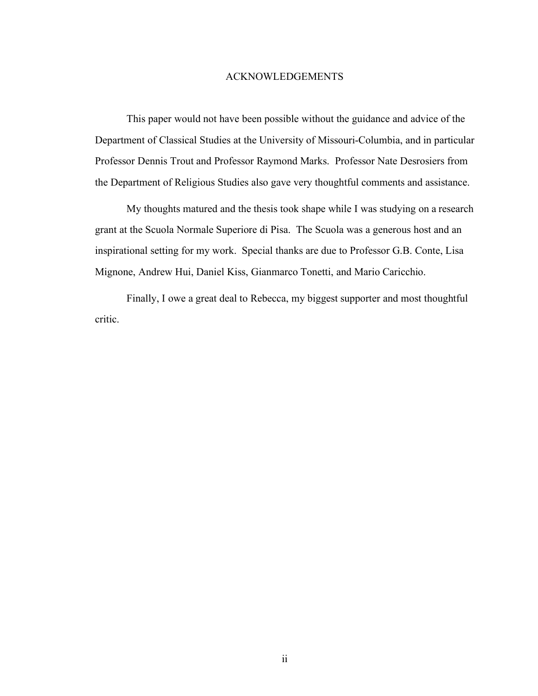#### ACKNOWLEDGEMENTS

This paper would not have been possible without the guidance and advice of the Department of Classical Studies at the University of Missouri-Columbia, and in particular Professor Dennis Trout and Professor Raymond Marks. Professor Nate Desrosiers from the Department of Religious Studies also gave very thoughtful comments and assistance.

My thoughts matured and the thesis took shape while I was studying on a research grant at the Scuola Normale Superiore di Pisa. The Scuola was a generous host and an inspirational setting for my work. Special thanks are due to Professor G.B. Conte, Lisa Mignone, Andrew Hui, Daniel Kiss, Gianmarco Tonetti, and Mario Caricchio.

Finally, I owe a great deal to Rebecca, my biggest supporter and most thoughtful critic.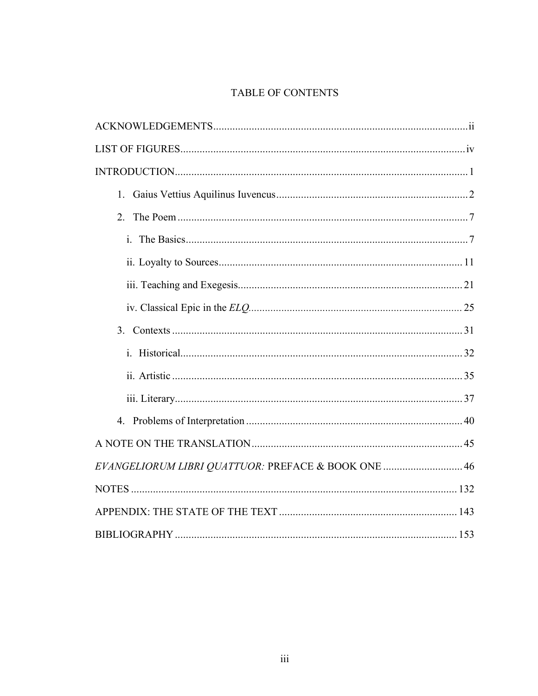## TABLE OF CONTENTS

| 4.                                                  |  |
|-----------------------------------------------------|--|
|                                                     |  |
| EVANGELIORUM LIBRI QUATTUOR: PREFACE & BOOK ONE  46 |  |
|                                                     |  |
|                                                     |  |
|                                                     |  |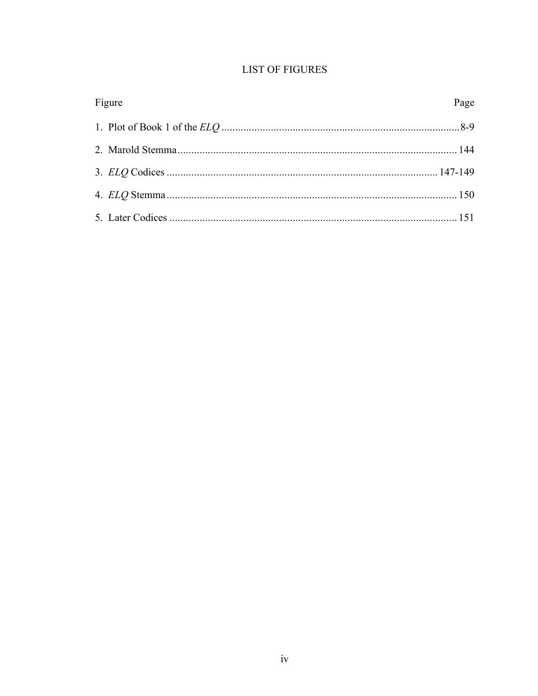|  |  |  | <b>LIST OF FIGURES</b> |
|--|--|--|------------------------|
|--|--|--|------------------------|

| Figure | Page |
|--------|------|
|        |      |
|        |      |
|        |      |
|        |      |
|        |      |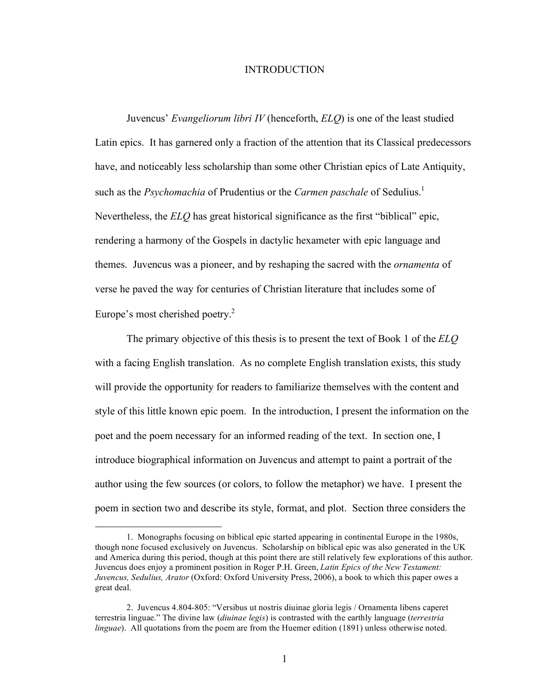#### INTRODUCTION

Juvencus' *Evangeliorum libri IV* (henceforth, *ELQ*) is one of the least studied Latin epics. It has garnered only a fraction of the attention that its Classical predecessors have, and noticeably less scholarship than some other Christian epics of Late Antiquity, such as the *Psychomachia* of Prudentius or the *Carmen paschale* of Sedulius.<sup>1</sup> Nevertheless, the *ELQ* has great historical significance as the first "biblical" epic, rendering a harmony of the Gospels in dactylic hexameter with epic language and themes. Juvencus was a pioneer, and by reshaping the sacred with the *ornamenta* of verse he paved the way for centuries of Christian literature that includes some of Europe's most cherished poetry.<sup>2</sup>

The primary objective of this thesis is to present the text of Book 1 of the *ELQ* with a facing English translation. As no complete English translation exists, this study will provide the opportunity for readers to familiarize themselves with the content and style of this little known epic poem. In the introduction, I present the information on the poet and the poem necessary for an informed reading of the text. In section one, I introduce biographical information on Juvencus and attempt to paint a portrait of the author using the few sources (or colors, to follow the metaphor) we have. I present the poem in section two and describe its style, format, and plot. Section three considers the

 $\overline{a}$ 

<sup>1.</sup> Monographs focusing on biblical epic started appearing in continental Europe in the 1980s, though none focused exclusively on Juvencus. Scholarship on biblical epic was also generated in the UK and America during this period, though at this point there are still relatively few explorations of this author. Juvencus does enjoy a prominent position in Roger P.H. Green, *Latin Epics of the New Testament: Juvencus, Sedulius, Arator* (Oxford: Oxford University Press, 2006), a book to which this paper owes a great deal.

<sup>2.</sup> Juvencus 4.804-805: "Versibus ut nostris diuinae gloria legis / Ornamenta libens caperet terrestria linguae." The divine law (*diuinae legis*) is contrasted with the earthly language (*terrestria linguae*). All quotations from the poem are from the Huemer edition (1891) unless otherwise noted.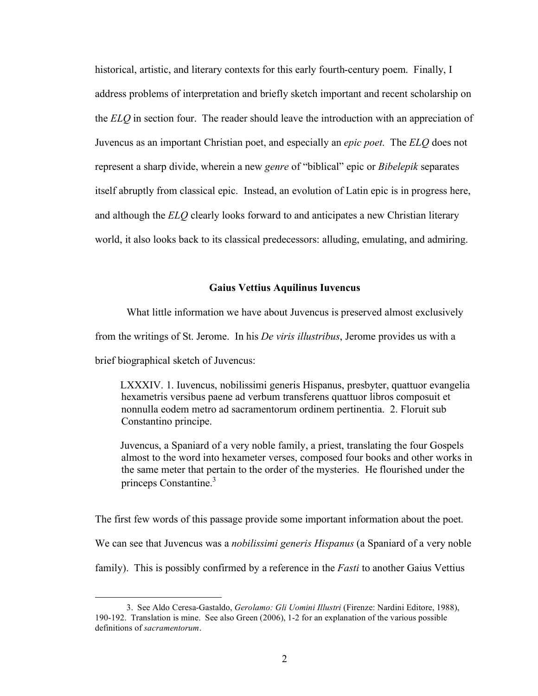historical, artistic, and literary contexts for this early fourth-century poem. Finally, I address problems of interpretation and briefly sketch important and recent scholarship on the *ELQ* in section four. The reader should leave the introduction with an appreciation of Juvencus as an important Christian poet, and especially an *epic poet*. The *ELQ* does not represent a sharp divide, wherein a new *genre* of "biblical" epic or *Bibelepik* separates itself abruptly from classical epic. Instead, an evolution of Latin epic is in progress here, and although the *ELQ* clearly looks forward to and anticipates a new Christian literary world, it also looks back to its classical predecessors: alluding, emulating, and admiring.

#### **Gaius Vettius Aquilinus Iuvencus**

What little information we have about Juvencus is preserved almost exclusively from the writings of St. Jerome. In his *De viris illustribus*, Jerome provides us with a brief biographical sketch of Juvencus:

LXXXIV. 1. Iuvencus, nobilissimi generis Hispanus, presbyter, quattuor evangelia hexametris versibus paene ad verbum transferens quattuor libros composuit et nonnulla eodem metro ad sacramentorum ordinem pertinentia. 2. Floruit sub Constantino principe.

Juvencus, a Spaniard of a very noble family, a priest, translating the four Gospels almost to the word into hexameter verses, composed four books and other works in the same meter that pertain to the order of the mysteries. He flourished under the princeps Constantine.<sup>3</sup>

The first few words of this passage provide some important information about the poet. We can see that Juvencus was a *nobilissimi generis Hispanus* (a Spaniard of a very noble

family). This is possibly confirmed by a reference in the *Fasti* to another Gaius Vettius

 <sup>3.</sup> See Aldo Ceresa-Gastaldo, *Gerolamo: Gli Uomini Illustri* (Firenze: Nardini Editore, 1988), 190-192.Translation is mine. See also Green (2006), 1-2 for an explanation of the various possible definitions of *sacramentorum*.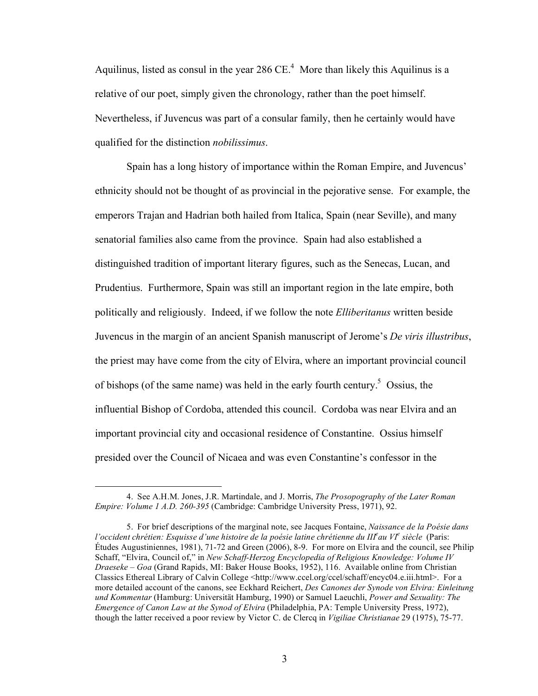Aquilinus, listed as consul in the year  $286 \text{ CE}^4$ . More than likely this Aquilinus is a relative of our poet, simply given the chronology, rather than the poet himself. Nevertheless, if Juvencus was part of a consular family, then he certainly would have qualified for the distinction *nobilissimus*.

Spain has a long history of importance within the Roman Empire, and Juvencus' ethnicity should not be thought of as provincial in the pejorative sense. For example, the emperors Trajan and Hadrian both hailed from Italica, Spain (near Seville), and many senatorial families also came from the province. Spain had also established a distinguished tradition of important literary figures, such as the Senecas, Lucan, and Prudentius. Furthermore, Spain was still an important region in the late empire, both politically and religiously. Indeed, if we follow the note *Elliberitanus* written beside Juvencus in the margin of an ancient Spanish manuscript of Jerome's *De viris illustribus*, the priest may have come from the city of Elvira, where an important provincial council of bishops (of the same name) was held in the early fourth century.<sup>5</sup> Ossius, the influential Bishop of Cordoba, attended this council. Cordoba was near Elvira and an important provincial city and occasional residence of Constantine. Ossius himself presided over the Council of Nicaea and was even Constantine's confessor in the

 <sup>4.</sup> See A.H.M. Jones, J.R. Martindale, and J. Morris, *The Prosopography of the Later Roman Empire: Volume 1 A.D. 260-395* (Cambridge: Cambridge University Press, 1971), 92.

<sup>5.</sup> For brief descriptions of the marginal note, see Jacques Fontaine, *Naissance de la Poésie dans l'occident chrétien: Esquisse d'une histoire de la poésie latine chrétienne du III<sup>e</sup>au VI<sup>e</sup> siècle (Paris:* Études Augustiniennes, 1981), 71-72 and Green (2006), 8-9. For more on Elvira and the council, see Philip Schaff, "Elvira, Council of," in *New Schaff-Herzog Encyclopedia of Religious Knowledge: Volume IV Draeseke – Goa* (Grand Rapids, MI: Baker House Books, 1952), 116. Available online from Christian Classics Ethereal Library of Calvin College <http://www.ccel.org/ccel/schaff/encyc04.e.iii.html>. For a more detailed account of the canons, see Eckhard Reichert, *Des Canones der Synode von Elvira: Einleitung und Kommentar* (Hamburg: Universität Hamburg, 1990) or Samuel Laeuchli, *Power and Sexuality: The Emergence of Canon Law at the Synod of Elvira* (Philadelphia, PA: Temple University Press, 1972), though the latter received a poor review by Victor C. de Clercq in *Vigiliae Christianae* 29 (1975), 75-77.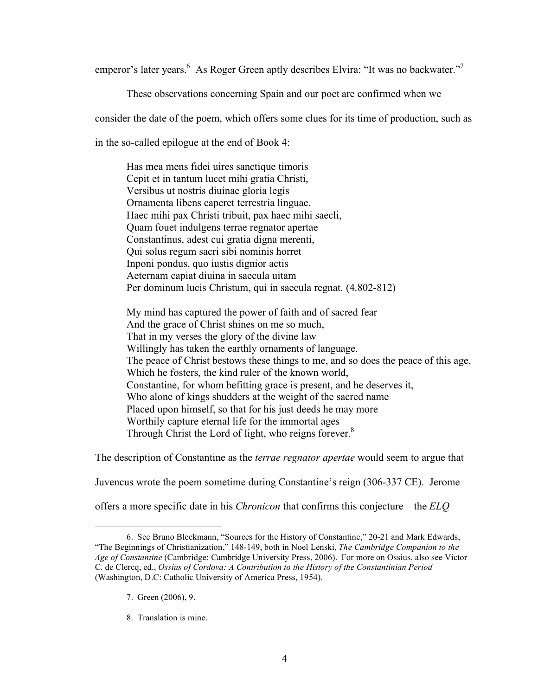emperor's later years. <sup>6</sup> As Roger Green aptly describes Elvira: "It was no backwater."<sup>7</sup>

These observations concerning Spain and our poet are confirmed when we

consider the date of the poem, which offers some clues for its time of production, such as

in the so-called epilogue at the end of Book 4:

Has mea mens fidei uires sanctique timoris Cepit et in tantum lucet mihi gratia Christi, Versibus ut nostris diuinae gloria legis Ornamenta libens caperet terrestria linguae. Haec mihi pax Christi tribuit, pax haec mihi saecli, Quam fouet indulgens terrae regnator apertae Constantinus, adest cui gratia digna merenti, Qui solus regum sacri sibi nominis horret Inponi pondus, quo iustis dignior actis Aeternam capiat diuina in saecula uitam Per dominum lucis Christum, qui in saecula regnat. (4.802-812)

My mind has captured the power of faith and of sacred fear And the grace of Christ shines on me so much, That in my verses the glory of the divine law Willingly has taken the earthly ornaments of language. The peace of Christ bestows these things to me, and so does the peace of this age, Which he fosters, the kind ruler of the known world, Constantine, for whom befitting grace is present, and he deserves it, Who alone of kings shudders at the weight of the sacred name Placed upon himself, so that for his just deeds he may more Worthily capture eternal life for the immortal ages Through Christ the Lord of light, who reigns forever.<sup>8</sup>

The description of Constantine as the *terrae regnator apertae* would seem to argue that

Juvencus wrote the poem sometime during Constantine's reign (306-337 CE). Jerome

offers a more specific date in his *Chronicon* that confirms this conjecture – the *ELQ*

 $\overline{a}$ 

8. Translation is mine.

<sup>6.</sup> See Bruno Bleckmann, "Sources for the History of Constantine," 20-21 and Mark Edwards, "The Beginnings of Christianization," 148-149, both in Noel Lenski, *The Cambridge Companion to the Age of Constantine* (Cambridge: Cambridge University Press, 2006). For more on Ossius, also see Victor C. de Clercq, ed., *Ossius of Cordova: A Contribution to the History of the Constantinian Period* (Washington, D.C: Catholic University of America Press, 1954).

<sup>7.</sup> Green (2006), 9.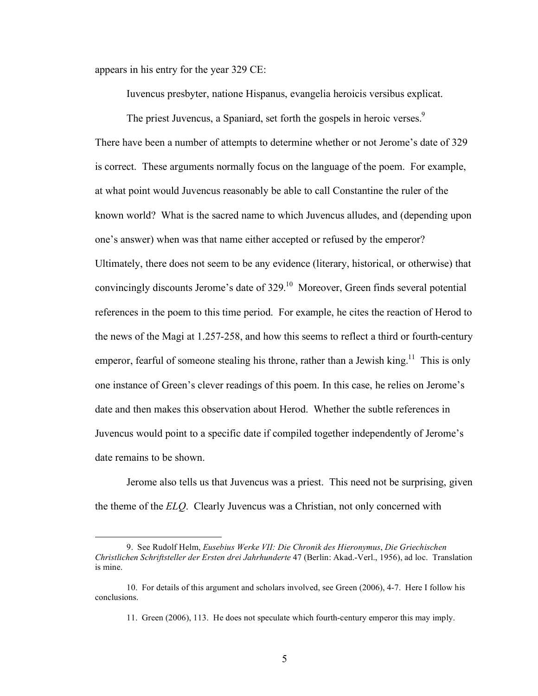appears in his entry for the year 329 CE:

 $\overline{a}$ 

Iuvencus presbyter, natione Hispanus, evangelia heroicis versibus explicat.

The priest Juvencus, a Spaniard, set forth the gospels in heroic verses.<sup>9</sup> There have been a number of attempts to determine whether or not Jerome's date of 329 is correct. These arguments normally focus on the language of the poem. For example, at what point would Juvencus reasonably be able to call Constantine the ruler of the known world? What is the sacred name to which Juvencus alludes, and (depending upon one's answer) when was that name either accepted or refused by the emperor? Ultimately, there does not seem to be any evidence (literary, historical, or otherwise) that convincingly discounts Jerome's date of 329.<sup>10</sup> Moreover, Green finds several potential references in the poem to this time period. For example, he cites the reaction of Herod to the news of the Magi at 1.257-258, and how this seems to reflect a third or fourth-century emperor, fearful of someone stealing his throne, rather than a Jewish king.<sup>11</sup> This is only one instance of Green's clever readings of this poem. In this case, he relies on Jerome's date and then makes this observation about Herod. Whether the subtle references in Juvencus would point to a specific date if compiled together independently of Jerome's date remains to be shown.

Jerome also tells us that Juvencus was a priest. This need not be surprising, given the theme of the *ELQ*. Clearly Juvencus was a Christian, not only concerned with

<sup>9.</sup> See Rudolf Helm, *Eusebius Werke VII: Die Chronik des Hieronymus*, *Die Griechischen Christlichen Schriftsteller der Ersten drei Jahrhunderte* 47 (Berlin: Akad.-Verl., 1956), ad loc. Translation is mine.

<sup>10.</sup> For details of this argument and scholars involved, see Green (2006), 4-7. Here I follow his conclusions.

<sup>11.</sup> Green (2006), 113. He does not speculate which fourth-century emperor this may imply.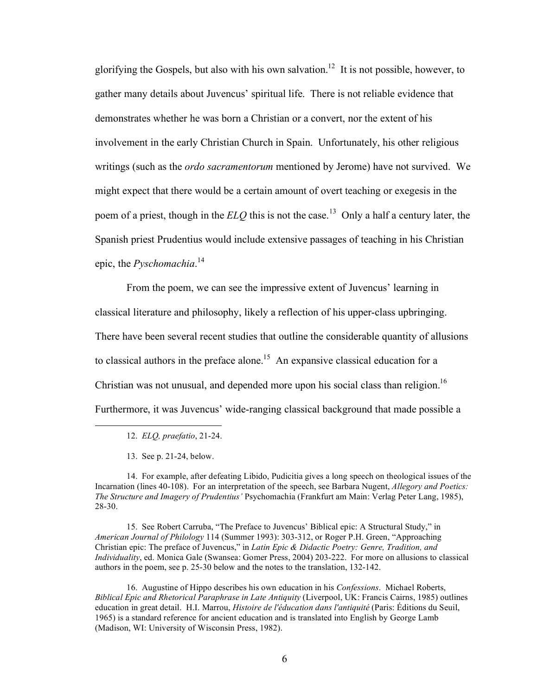glorifying the Gospels, but also with his own salvation.<sup>12</sup> It is not possible, however, to gather many details about Juvencus' spiritual life. There is not reliable evidence that demonstrates whether he was born a Christian or a convert, nor the extent of his involvement in the early Christian Church in Spain. Unfortunately, his other religious writings (such as the *ordo sacramentorum* mentioned by Jerome) have not survived. We might expect that there would be a certain amount of overt teaching or exegesis in the poem of a priest, though in the *ELQ* this is not the case.<sup>13</sup> Only a half a century later, the Spanish priest Prudentius would include extensive passages of teaching in his Christian epic, the *Pyschomachia*. 14

From the poem, we can see the impressive extent of Juvencus' learning in classical literature and philosophy, likely a reflection of his upper-class upbringing. There have been several recent studies that outline the considerable quantity of allusions to classical authors in the preface alone.<sup>15</sup> An expansive classical education for a Christian was not unusual, and depended more upon his social class than religion.<sup>16</sup> Furthermore, it was Juvencus' wide-ranging classical background that made possible a

 $\overline{a}$ 

15. See Robert Carruba, "The Preface to Juvencus' Biblical epic: A Structural Study," in *American Journal of Philology* 114 (Summer 1993): 303-312, or Roger P.H. Green, "Approaching Christian epic: The preface of Juvencus," in *Latin Epic & Didactic Poetry: Genre, Tradition, and Individuality*, ed. Monica Gale (Swansea: Gomer Press, 2004) 203-222. For more on allusions to classical authors in the poem, see p. 25-30 below and the notes to the translation, 132-142.

16. Augustine of Hippo describes his own education in his *Confessions*. Michael Roberts, *Biblical Epic and Rhetorical Paraphrase in Late Antiquity* (Liverpool, UK: Francis Cairns, 1985) outlines education in great detail. H.I. Marrou, *Histoire de l'éducation dans l'antiquité* (Paris: Éditions du Seuil, 1965) is a standard reference for ancient education and is translated into English by George Lamb (Madison, WI: University of Wisconsin Press, 1982).

<sup>12.</sup> *ELQ, praefatio*, 21-24.

<sup>13.</sup> See p. 21-24, below.

<sup>14.</sup> For example, after defeating Libido, Pudicitia gives a long speech on theological issues of the Incarnation (lines 40-108). For an interpretation of the speech, see Barbara Nugent, *Allegory and Poetics: The Structure and Imagery of Prudentius'* Psychomachia (Frankfurt am Main: Verlag Peter Lang, 1985), 28-30.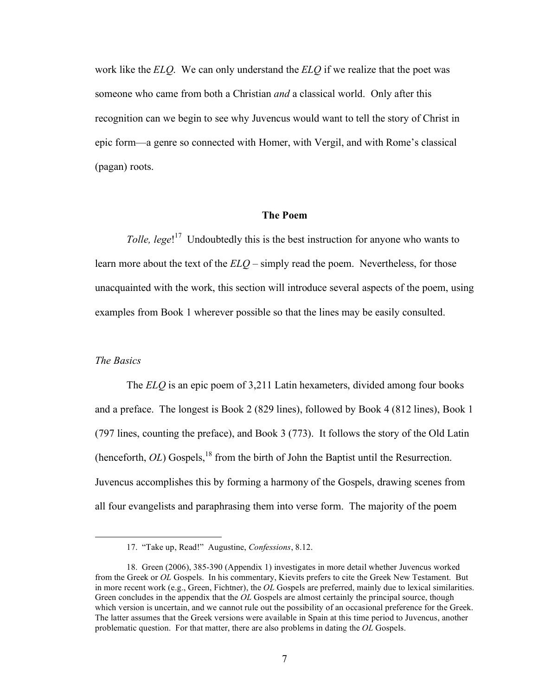work like the *ELQ*. We can only understand the *ELQ* if we realize that the poet was someone who came from both a Christian *and* a classical world. Only after this recognition can we begin to see why Juvencus would want to tell the story of Christ in epic form—a genre so connected with Homer, with Vergil, and with Rome's classical (pagan) roots.

#### **The Poem**

Tolle, lege!<sup>17</sup> Undoubtedly this is the best instruction for anyone who wants to learn more about the text of the *ELQ* – simply read the poem. Nevertheless, for those unacquainted with the work, this section will introduce several aspects of the poem, using examples from Book 1 wherever possible so that the lines may be easily consulted.

#### *The Basics*

 $\overline{a}$ 

The *ELQ* is an epic poem of 3,211 Latin hexameters, divided among four books and a preface. The longest is Book 2 (829 lines), followed by Book 4 (812 lines), Book 1 (797 lines, counting the preface), and Book 3 (773). It follows the story of the Old Latin (henceforth,  $OL$ ) Gospels,<sup>18</sup> from the birth of John the Baptist until the Resurrection. Juvencus accomplishes this by forming a harmony of the Gospels, drawing scenes from all four evangelists and paraphrasing them into verse form. The majority of the poem

<sup>17. &</sup>quot;Take up, Read!" Augustine, *Confessions*, 8.12.

<sup>18.</sup> Green (2006), 385-390 (Appendix 1) investigates in more detail whether Juvencus worked from the Greek or *OL* Gospels. In his commentary, Kievits prefers to cite the Greek New Testament. But in more recent work (e.g., Green, Fichtner), the *OL* Gospels are preferred, mainly due to lexical similarities. Green concludes in the appendix that the *OL* Gospels are almost certainly the principal source, though which version is uncertain, and we cannot rule out the possibility of an occasional preference for the Greek. The latter assumes that the Greek versions were available in Spain at this time period to Juvencus, another problematic question. For that matter, there are also problems in dating the *OL* Gospels.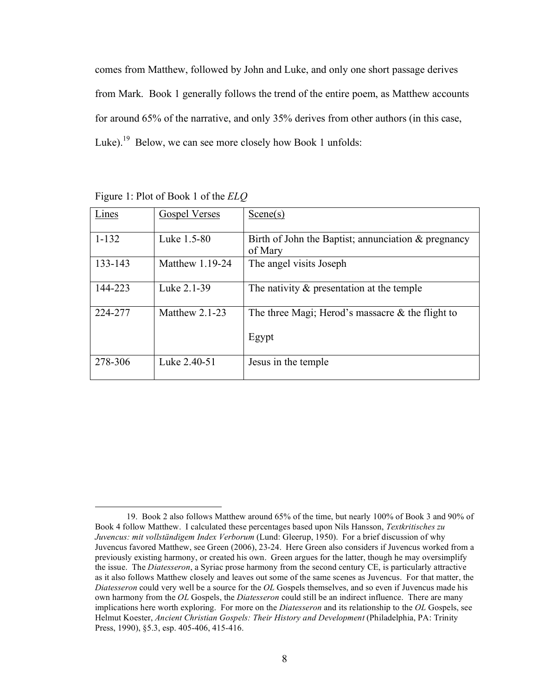comes from Matthew, followed by John and Luke, and only one short passage derives from Mark. Book 1 generally follows the trend of the entire poem, as Matthew accounts for around 65% of the narrative, and only 35% derives from other authors (in this case, Luke).<sup>19</sup> Below, we can see more closely how Book 1 unfolds:

| Lines     | <b>Gospel Verses</b> | Scence(s)                                              |
|-----------|----------------------|--------------------------------------------------------|
|           |                      |                                                        |
| $1 - 132$ | Luke 1.5-80          | Birth of John the Baptist; annunciation $\&$ pregnancy |
|           |                      | of Mary                                                |
| 133-143   | Matthew $1.19-24$    | The angel visits Joseph                                |
|           |                      |                                                        |
| 144-223   | Luke 2.1-39          | The nativity $\&$ presentation at the temple           |
|           |                      |                                                        |
| 224-277   | Matthew $2.1-23$     | The three Magi; Herod's massacre $\&$ the flight to    |
|           |                      |                                                        |
|           |                      | Egypt                                                  |
|           |                      |                                                        |
| 278-306   | Luke 2.40-51         | Jesus in the temple.                                   |
|           |                      |                                                        |

Figure 1: Plot of Book 1 of the *ELQ*

 <sup>19.</sup> Book 2 also follows Matthew around 65% of the time, but nearly 100% of Book 3 and 90% of Book 4 follow Matthew. I calculated these percentages based upon Nils Hansson, *Textkritisches zu Juvencus: mit vollständigem Index Verborum* (Lund: Gleerup, 1950). For a brief discussion of why Juvencus favored Matthew, see Green (2006), 23-24. Here Green also considers if Juvencus worked from a previously existing harmony, or created his own. Green argues for the latter, though he may oversimplify the issue. The *Diatesseron*, a Syriac prose harmony from the second century CE, is particularly attractive as it also follows Matthew closely and leaves out some of the same scenes as Juvencus. For that matter, the *Diatesseron* could very well be a source for the *OL* Gospels themselves, and so even if Juvencus made his own harmony from the *OL* Gospels, the *Diatesseron* could still be an indirect influence. There are many implications here worth exploring. For more on the *Diatesseron* and its relationship to the *OL* Gospels, see Helmut Koester, *Ancient Christian Gospels: Their History and Development* (Philadelphia, PA: Trinity Press, 1990), §5.3, esp. 405-406, 415-416.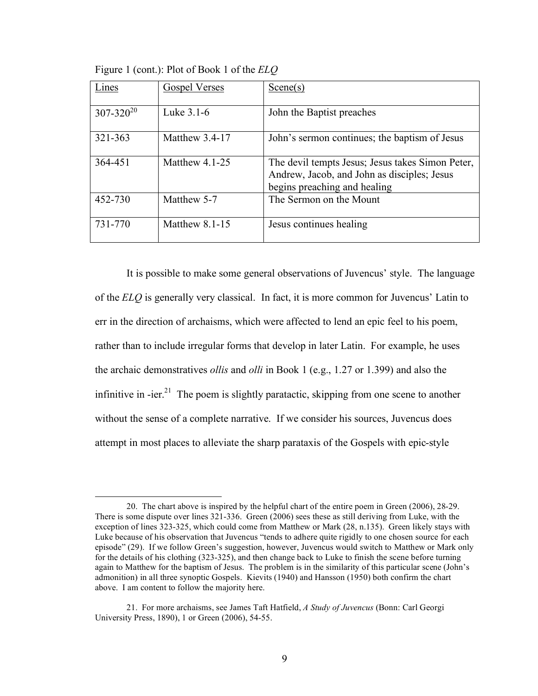| Lines            | <b>Gospel Verses</b> | Scene(s)                                                                                                                        |
|------------------|----------------------|---------------------------------------------------------------------------------------------------------------------------------|
| $307 - 320^{20}$ | Luke 3.1-6           | John the Baptist preaches                                                                                                       |
| 321-363          | Matthew 3.4-17       | John's sermon continues; the baptism of Jesus                                                                                   |
| 364-451          | Matthew $4.1-25$     | The devil tempts Jesus; Jesus takes Simon Peter,<br>Andrew, Jacob, and John as disciples; Jesus<br>begins preaching and healing |
| 452-730          | Matthew 5-7          | The Sermon on the Mount                                                                                                         |
| 731-770          | Matthew 8.1-15       | Jesus continues healing                                                                                                         |

Figure 1 (cont.): Plot of Book 1 of the *ELQ*

It is possible to make some general observations of Juvencus' style. The language of the *ELQ* is generally very classical. In fact, it is more common for Juvencus' Latin to err in the direction of archaisms, which were affected to lend an epic feel to his poem, rather than to include irregular forms that develop in later Latin. For example, he uses the archaic demonstratives *ollis* and *olli* in Book 1 (e.g., 1.27 or 1.399) and also the infinitive in -ier.<sup>21</sup> The poem is slightly paratactic, skipping from one scene to another without the sense of a complete narrative. If we consider his sources, Juvencus does attempt in most places to alleviate the sharp parataxis of the Gospels with epic-style

 <sup>20.</sup> The chart above is inspired by the helpful chart of the entire poem in Green (2006), 28-29. There is some dispute over lines 321-336. Green (2006) sees these as still deriving from Luke, with the exception of lines 323-325, which could come from Matthew or Mark (28, n.135). Green likely stays with Luke because of his observation that Juvencus "tends to adhere quite rigidly to one chosen source for each episode" (29). If we follow Green's suggestion, however, Juvencus would switch to Matthew or Mark only for the details of his clothing (323-325), and then change back to Luke to finish the scene before turning again to Matthew for the baptism of Jesus. The problem is in the similarity of this particular scene (John's admonition) in all three synoptic Gospels. Kievits (1940) and Hansson (1950) both confirm the chart above. I am content to follow the majority here.

<sup>21.</sup> For more archaisms, see James Taft Hatfield, *A Study of Juvencus* (Bonn: Carl Georgi University Press, 1890), 1 or Green (2006), 54-55.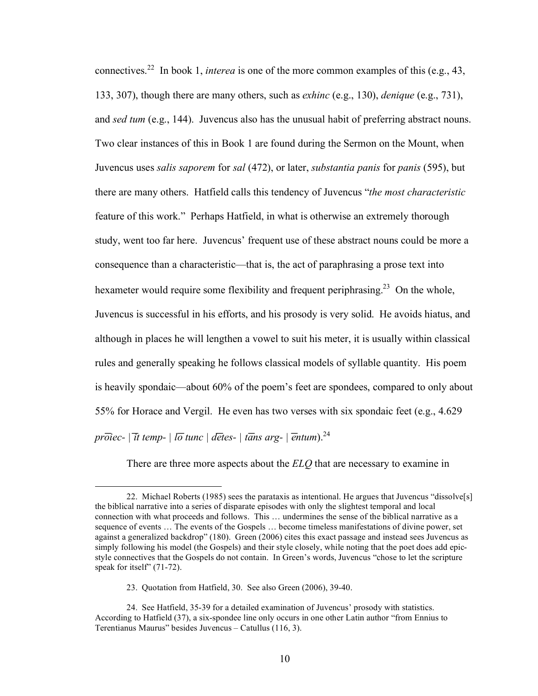connectives.<sup>22</sup> In book 1, *interea* is one of the more common examples of this (e.g., 43, 133, 307), though there are many others, such as *exhinc* (e.g., 130), *denique* (e.g., 731), and *sed tum* (e.g., 144). Juvencus also has the unusual habit of preferring abstract nouns. Two clear instances of this in Book 1 are found during the Sermon on the Mount, when Juvencus uses *salis saporem* for *sal* (472), or later, *substantia panis* for *panis* (595), but there are many others. Hatfield calls this tendency of Juvencus "*the most characteristic* feature of this work." Perhaps Hatfield, in what is otherwise an extremely thorough study, went too far here. Juvencus' frequent use of these abstract nouns could be more a consequence than a characteristic—that is, the act of paraphrasing a prose text into hexameter would require some flexibility and frequent periphrasing.<sup>23</sup> On the whole, Juvencus is successful in his efforts, and his prosody is very solid. He avoids hiatus, and although in places he will lengthen a vowel to suit his meter, it is usually within classical rules and generally speaking he follows classical models of syllable quantity. His poem is heavily spondaic—about 60% of the poem's feet are spondees, compared to only about 55% for Horace and Vergil. He even has two verses with six spondaic feet (e.g., 4.629 *proiec-* | *it temp-* | *lō tunc* | *detes-* | *tans arg-* | *entum*).<sup>24</sup>

There are three more aspects about the *ELQ* that are necessary to examine in

 <sup>22.</sup> Michael Roberts (1985) sees the parataxis as intentional. He argues that Juvencus "dissolve[s] the biblical narrative into a series of disparate episodes with only the slightest temporal and local connection with what proceeds and follows. This … undermines the sense of the biblical narrative as a sequence of events … The events of the Gospels … become timeless manifestations of divine power, set against a generalized backdrop" (180). Green (2006) cites this exact passage and instead sees Juvencus as simply following his model (the Gospels) and their style closely, while noting that the poet does add epicstyle connectives that the Gospels do not contain. In Green's words, Juvencus "chose to let the scripture speak for itself" (71-72).

<sup>23.</sup> Quotation from Hatfield, 30. See also Green (2006), 39-40.

<sup>24.</sup> See Hatfield, 35-39 for a detailed examination of Juvencus' prosody with statistics. According to Hatfield (37), a six-spondee line only occurs in one other Latin author "from Ennius to Terentianus Maurus" besides Juvencus – Catullus (116, 3).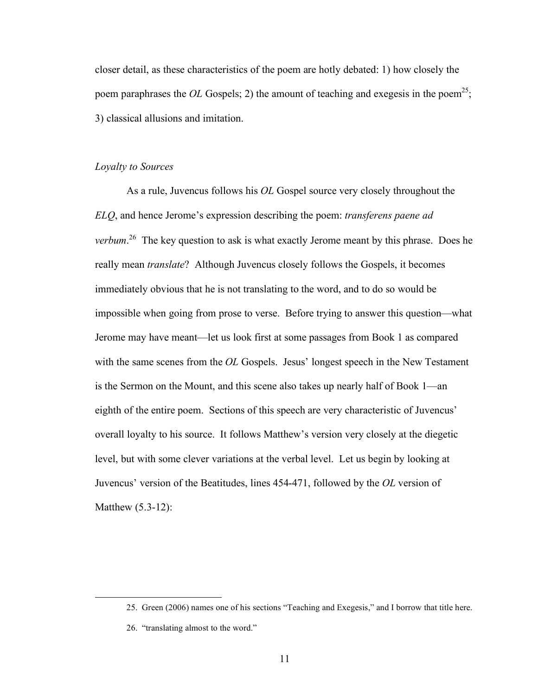closer detail, as these characteristics of the poem are hotly debated: 1) how closely the poem paraphrases the *OL* Gospels; 2) the amount of teaching and exegesis in the poem<sup>25</sup>; 3) classical allusions and imitation.

#### *Loyalty to Sources*

As a rule, Juvencus follows his *OL* Gospel source very closely throughout the *ELQ*, and hence Jerome's expression describing the poem: *transferens paene ad verbum*. 26 The key question to ask is what exactly Jerome meant by this phrase. Does he really mean *translate*? Although Juvencus closely follows the Gospels, it becomes immediately obvious that he is not translating to the word, and to do so would be impossible when going from prose to verse. Before trying to answer this question—what Jerome may have meant—let us look first at some passages from Book 1 as compared with the same scenes from the *OL* Gospels. Jesus' longest speech in the New Testament is the Sermon on the Mount, and this scene also takes up nearly half of Book 1—an eighth of the entire poem. Sections of this speech are very characteristic of Juvencus' overall loyalty to his source. It follows Matthew's version very closely at the diegetic level, but with some clever variations at the verbal level. Let us begin by looking at Juvencus' version of the Beatitudes, lines 454-471, followed by the *OL* version of Matthew (5.3-12):

 <sup>25.</sup> Green (2006) names one of his sections "Teaching and Exegesis," and I borrow that title here.

<sup>26. &</sup>quot;translating almost to the word."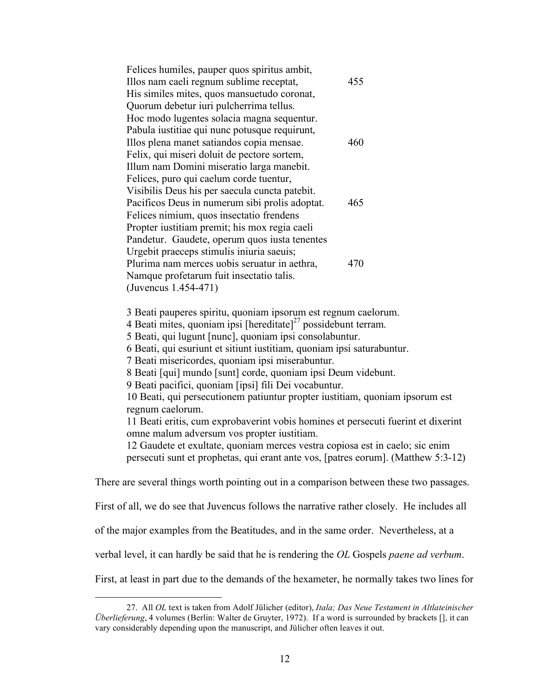| Felices humiles, pauper quos spiritus ambit,   |     |
|------------------------------------------------|-----|
| Illos nam caeli regnum sublime receptat,       | 455 |
| His similes mites, quos mansuetudo coronat,    |     |
| Quorum debetur iuri pulcherrima tellus.        |     |
| Hoc modo lugentes solacia magna sequentur.     |     |
| Pabula iustitiae qui nunc potusque requirunt,  |     |
| Illos plena manet satiandos copia mensae.      | 460 |
| Felix, qui miseri doluit de pectore sortem,    |     |
| Illum nam Domini miseratio larga manebit.      |     |
| Felices, puro qui caelum corde tuentur,        |     |
| Visibilis Deus his per saecula cuncta patebit. |     |
| Pacificos Deus in numerum sibi prolis adoptat. | 465 |
| Felices nimium, quos insectatio frendens       |     |
| Propter iustitiam premit; his mox regia caeli  |     |
| Pandetur. Gaudete, operum quos iusta tenentes  |     |
| Urgebit praeceps stimulis iniuria saeuis;      |     |
| Plurima nam merces uobis seruatur in aethra,   | 470 |
| Namque profetarum fuit insectatio talis.       |     |
| (Juvencus 1.454-471)                           |     |

3 Beati pauperes spiritu, quoniam ipsorum est regnum caelorum.

4 Beati mites, quoniam ipsi  $[hereditate]^2$ <sup>7</sup> possidebunt terram.

5 Beati, qui lugunt [nunc], quoniam ipsi consolabuntur.

6 Beati, qui esuriunt et sitiunt iustitiam, quoniam ipsi saturabuntur.

7 Beati misericordes, quoniam ipsi miserabuntur.

8 Beati [qui] mundo [sunt] corde, quoniam ipsi Deum videbunt.

9 Beati pacifici, quoniam [ipsi] fili Dei vocabuntur.

10 Beati, qui persecutionem patiuntur propter iustitiam, quoniam ipsorum est regnum caelorum.

11 Beati eritis, cum exprobaverint vobis homines et persecuti fuerint et dixerint omne malum adversum vos propter iustitiam.

12 Gaudete et exultate, quoniam merces vestra copiosa est in caelo; sic enim persecuti sunt et prophetas, qui erant ante vos, [patres eorum]. (Matthew 5:3-12)

There are several things worth pointing out in a comparison between these two passages.

First of all, we do see that Juvencus follows the narrative rather closely. He includes all

of the major examples from the Beatitudes, and in the same order. Nevertheless, at a

verbal level, it can hardly be said that he is rendering the *OL* Gospels *paene ad verbum*.

First, at least in part due to the demands of the hexameter, he normally takes two lines for

 <sup>27.</sup> All *OL* text is taken from Adolf Jülicher (editor), *Itala; Das Neue Testament in Altlateinischer Überlieferung*, 4 volumes (Berlin: Walter de Gruyter, 1972). If a word is surrounded by brackets [], it can vary considerably depending upon the manuscript, and Jülicher often leaves it out.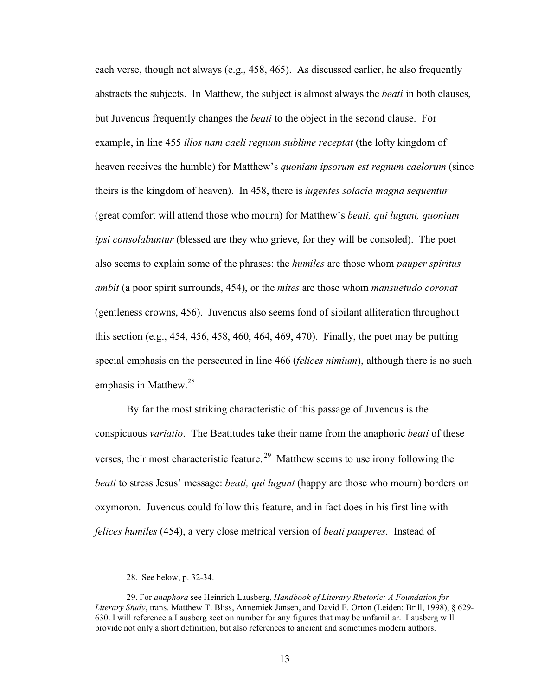each verse, though not always (e.g., 458, 465). As discussed earlier, he also frequently abstracts the subjects. In Matthew, the subject is almost always the *beati* in both clauses, but Juvencus frequently changes the *beati* to the object in the second clause. For example, in line 455 *illos nam caeli regnum sublime receptat* (the lofty kingdom of heaven receives the humble) for Matthew's *quoniam ipsorum est regnum caelorum* (since theirs is the kingdom of heaven). In 458, there is *lugentes solacia magna sequentur* (great comfort will attend those who mourn) for Matthew's *beati, qui lugunt, quoniam ipsi consolabuntur* (blessed are they who grieve, for they will be consoled). The poet also seems to explain some of the phrases: the *humiles* are those whom *pauper spiritus ambit* (a poor spirit surrounds, 454), or the *mites* are those whom *mansuetudo coronat* (gentleness crowns, 456). Juvencus also seems fond of sibilant alliteration throughout this section (e.g., 454, 456, 458, 460, 464, 469, 470). Finally, the poet may be putting special emphasis on the persecuted in line 466 (*felices nimium*), although there is no such emphasis in Matthew.<sup>28</sup>

By far the most striking characteristic of this passage of Juvencus is the conspicuous *variatio*. The Beatitudes take their name from the anaphoric *beati* of these verses, their most characteristic feature.<sup>29</sup> Matthew seems to use irony following the *beati* to stress Jesus' message: *beati, qui lugunt* (happy are those who mourn) borders on oxymoron. Juvencus could follow this feature, and in fact does in his first line with *felices humiles* (454), a very close metrical version of *beati pauperes*. Instead of

 <sup>28.</sup> See below, p. 32-34.

<sup>29.</sup> For *anaphora* see Heinrich Lausberg, *Handbook of Literary Rhetoric: A Foundation for Literary Study*, trans. Matthew T. Bliss, Annemiek Jansen, and David E. Orton (Leiden: Brill, 1998), § 629- 630. I will reference a Lausberg section number for any figures that may be unfamiliar. Lausberg will provide not only a short definition, but also references to ancient and sometimes modern authors.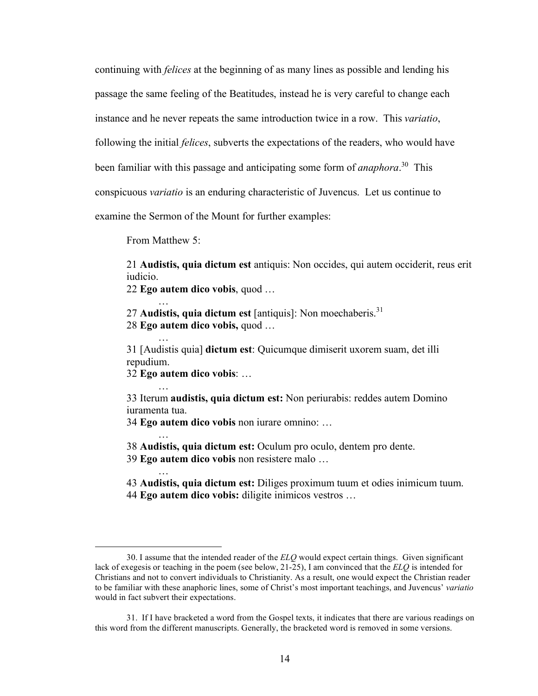continuing with *felices* at the beginning of as many lines as possible and lending his

passage the same feeling of the Beatitudes, instead he is very careful to change each

instance and he never repeats the same introduction twice in a row. This *variatio*,

following the initial *felices*, subverts the expectations of the readers, who would have

been familiar with this passage and anticipating some form of *anaphora*. 30 This

conspicuous *variatio* is an enduring characteristic of Juvencus. Let us continue to

examine the Sermon of the Mount for further examples:

From Matthew 5:

…

…

…

…

 $\overline{a}$ 

21 **Audistis, quia dictum est** antiquis: Non occides, qui autem occiderit, reus erit iudicio.

22 **Ego autem dico vobis**, quod … …

27 **Audistis, quia dictum est** [antiquis]: Non moechaberis.<sup>31</sup> 28 **Ego autem dico vobis,** quod …

31 [Audistis quia] **dictum est**: Quicumque dimiserit uxorem suam, det illi repudium.

32 **Ego autem dico vobis**: …

33 Iterum **audistis, quia dictum est:** Non periurabis: reddes autem Domino iuramenta tua.

34 **Ego autem dico vobis** non iurare omnino: …

38 **Audistis, quia dictum est:** Oculum pro oculo, dentem pro dente. 39 **Ego autem dico vobis** non resistere malo …

43 **Audistis, quia dictum est:** Diliges proximum tuum et odies inimicum tuum. 44 **Ego autem dico vobis:** diligite inimicos vestros …

<sup>30.</sup> I assume that the intended reader of the *ELQ* would expect certain things. Given significant lack of exegesis or teaching in the poem (see below, 21-25), I am convinced that the *ELQ* is intended for Christians and not to convert individuals to Christianity. As a result, one would expect the Christian reader to be familiar with these anaphoric lines, some of Christ's most important teachings, and Juvencus' *variatio* would in fact subvert their expectations.

<sup>31.</sup> If I have bracketed a word from the Gospel texts, it indicates that there are various readings on this word from the different manuscripts. Generally, the bracketed word is removed in some versions.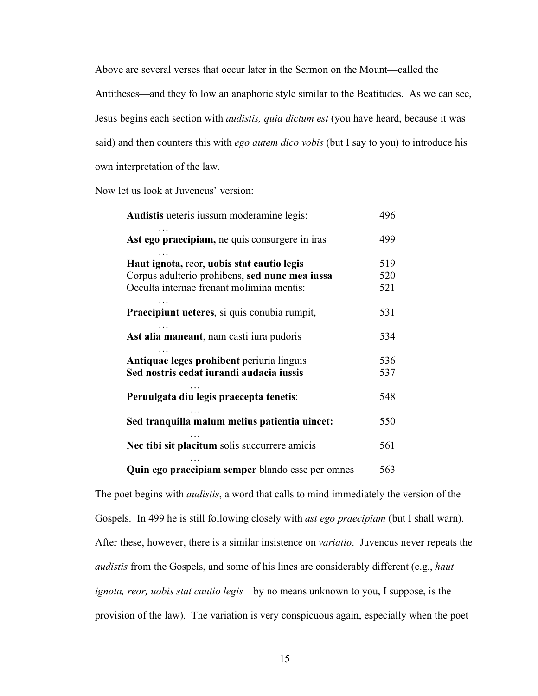Above are several verses that occur later in the Sermon on the Mount—called the Antitheses—and they follow an anaphoric style similar to the Beatitudes. As we can see, Jesus begins each section with *audistis, quia dictum est* (you have heard, because it was said) and then counters this with *ego autem dico vobis* (but I say to you) to introduce his own interpretation of the law.

Now let us look at Juvencus' version:

| Audistis ueteris iussum moderamine legis:                                                                                                 |                   |
|-------------------------------------------------------------------------------------------------------------------------------------------|-------------------|
| Ast ego praecipiam, ne quis consurgere in iras                                                                                            | 499               |
| Haut ignota, reor, uobis stat cautio legis<br>Corpus adulterio prohibens, sed nunc mea iussa<br>Occulta internae frenant molimina mentis: | 519<br>520<br>521 |
| Praecipiunt ueteres, si quis conubia rumpit,                                                                                              | 531               |
| Ast alia maneant, nam casti iura pudoris                                                                                                  | 534               |
| Antiquae leges prohibent periuria linguis<br>Sed nostris cedat iurandi audacia iussis                                                     | 536<br>537        |
| Peruulgata diu legis praecepta tenetis:                                                                                                   | 548               |
| Sed tranquilla malum melius patientia uincet:                                                                                             | 550               |
| Nec tibi sit placitum solis succurrere amicis                                                                                             | 561               |
| Quin ego praecipiam semper blando esse per omnes                                                                                          | 563               |

The poet begins with *audistis*, a word that calls to mind immediately the version of the Gospels. In 499 he is still following closely with *ast ego praecipiam* (but I shall warn). After these, however, there is a similar insistence on *variatio*. Juvencus never repeats the *audistis* from the Gospels, and some of his lines are considerably different (e.g., *haut ignota, reor, uobis stat cautio legis –* by no means unknown to you, I suppose, is the provision of the law). The variation is very conspicuous again, especially when the poet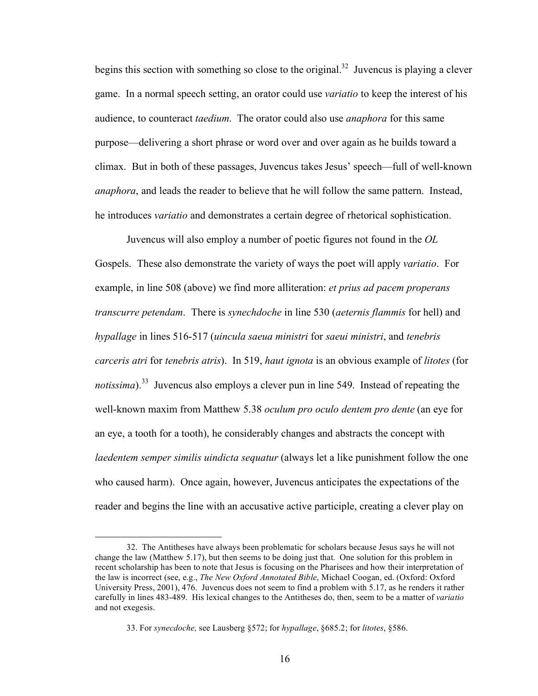begins this section with something so close to the original.<sup>32</sup> Juvencus is playing a clever game. In a normal speech setting, an orator could use *variatio* to keep the interest of his audience, to counteract *taedium*. The orator could also use *anaphora* for this same purpose—delivering a short phrase or word over and over again as he builds toward a climax. But in both of these passages, Juvencus takes Jesus' speech—full of well-known *anaphora*, and leads the reader to believe that he will follow the same pattern. Instead, he introduces *variatio* and demonstrates a certain degree of rhetorical sophistication.

Juvencus will also employ a number of poetic figures not found in the *OL*  Gospels. These also demonstrate the variety of ways the poet will apply *variatio*. For example, in line 508 (above) we find more alliteration: *et prius ad pacem properans transcurre petendam*. There is *synechdoche* in line 530 (*aeternis flammis* for hell) and *hypallage* in lines 516-517 (*uincula saeua ministri* for *saeui ministri*, and *tenebris carceris atri* for *tenebris atris*). In 519, *haut ignota* is an obvious example of *litotes* (for *notissima*).<sup>33</sup> Juvencus also employs a clever pun in line 549. Instead of repeating the well-known maxim from Matthew 5.38 *oculum pro oculo dentem pro dente* (an eye for an eye, a tooth for a tooth), he considerably changes and abstracts the concept with *laedentem semper similis uindicta sequatur* (always let a like punishment follow the one who caused harm). Once again, however, Juvencus anticipates the expectations of the reader and begins the line with an accusative active participle, creating a clever play on

 $\overline{a}$ 

<sup>32.</sup> The Antitheses have always been problematic for scholars because Jesus says he will not change the law (Matthew 5.17), but then seems to be doing just that. One solution for this problem in recent scholarship has been to note that Jesus is focusing on the Pharisees and how their interpretation of the law is incorrect (see, e.g., *The New Oxford Annotated Bible*, Michael Coogan, ed. (Oxford: Oxford University Press, 2001), 476. Juvencus does not seem to find a problem with 5.17, as he renders it rather carefully in lines 483-489. His lexical changes to the Antitheses do, then, seem to be a matter of *variatio* and not exegesis.

<sup>33.</sup> For *synecdoche,* see Lausberg §572; for *hypallage*, §685.2; for *litotes*, §586.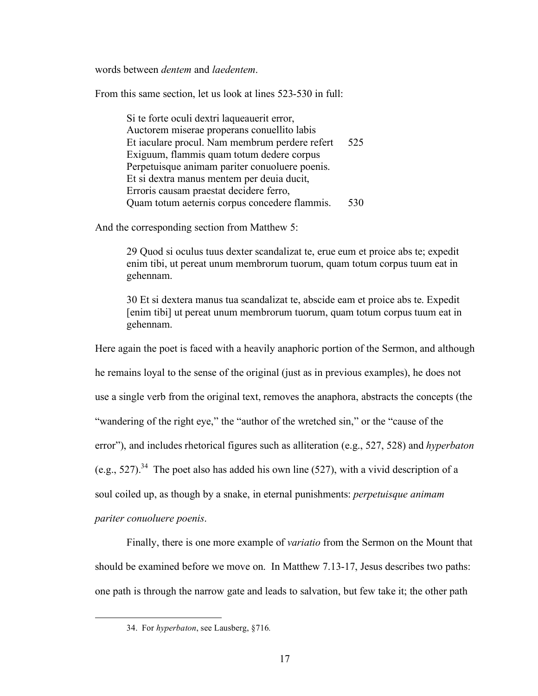words between *dentem* and *laedentem*.

From this same section, let us look at lines 523-530 in full:

Si te forte oculi dextri laqueauerit error, Auctorem miserae properans conuellito labis Et iaculare procul. Nam membrum perdere refert 525 Exiguum, flammis quam totum dedere corpus Perpetuisque animam pariter conuoluere poenis. Et si dextra manus mentem per deuia ducit, Erroris causam praestat decidere ferro, Quam totum aeternis corpus concedere flammis. 530

And the corresponding section from Matthew 5:

29 Quod si oculus tuus dexter scandalizat te, erue eum et proice abs te; expedit enim tibi, ut pereat unum membrorum tuorum, quam totum corpus tuum eat in gehennam.

30 Et si dextera manus tua scandalizat te, abscide eam et proice abs te. Expedit [enim tibi] ut pereat unum membrorum tuorum, quam totum corpus tuum eat in gehennam.

Here again the poet is faced with a heavily anaphoric portion of the Sermon, and although he remains loyal to the sense of the original (just as in previous examples), he does not use a single verb from the original text, removes the anaphora, abstracts the concepts (the "wandering of the right eye," the "author of the wretched sin," or the "cause of the error"), and includes rhetorical figures such as alliteration (e.g., 527, 528) and *hyperbaton* (e.g., 527).<sup>34</sup> The poet also has added his own line (527), with a vivid description of a soul coiled up, as though by a snake, in eternal punishments: *perpetuisque animam* 

*pariter conuoluere poenis*.

Finally, there is one more example of *variatio* from the Sermon on the Mount that should be examined before we move on. In Matthew 7.13-17, Jesus describes two paths: one path is through the narrow gate and leads to salvation, but few take it; the other path

 <sup>34.</sup> For *hyperbaton*, see Lausberg, §716*.*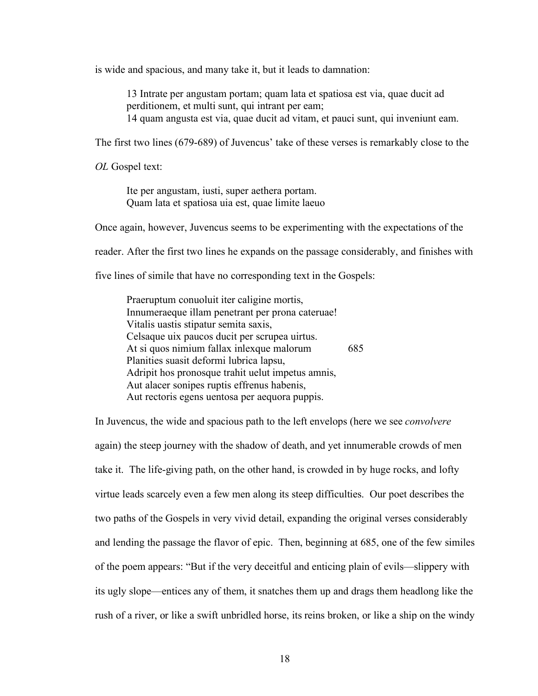is wide and spacious, and many take it, but it leads to damnation:

13 Intrate per angustam portam; quam lata et spatiosa est via, quae ducit ad perditionem, et multi sunt, qui intrant per eam; 14 quam angusta est via, quae ducit ad vitam, et pauci sunt, qui inveniunt eam.

The first two lines (679-689) of Juvencus' take of these verses is remarkably close to the

*OL* Gospel text:

Ite per angustam, iusti, super aethera portam. Quam lata et spatiosa uia est, quae limite laeuo

Once again, however, Juvencus seems to be experimenting with the expectations of the

reader. After the first two lines he expands on the passage considerably, and finishes with

five lines of simile that have no corresponding text in the Gospels:

Praeruptum conuoluit iter caligine mortis, Innumeraeque illam penetrant per prona cateruae! Vitalis uastis stipatur semita saxis, Celsaque uix paucos ducit per scrupea uirtus. At si quos nimium fallax inlexque malorum 685 Planities suasit deformi lubrica lapsu, Adripit hos pronosque trahit uelut impetus amnis, Aut alacer sonipes ruptis effrenus habenis, Aut rectoris egens uentosa per aequora puppis.

In Juvencus, the wide and spacious path to the left envelops (here we see *convolvere*  again) the steep journey with the shadow of death, and yet innumerable crowds of men take it. The life-giving path, on the other hand, is crowded in by huge rocks, and lofty virtue leads scarcely even a few men along its steep difficulties. Our poet describes the two paths of the Gospels in very vivid detail, expanding the original verses considerably and lending the passage the flavor of epic. Then, beginning at 685, one of the few similes of the poem appears: "But if the very deceitful and enticing plain of evils—slippery with its ugly slope—entices any of them, it snatches them up and drags them headlong like the rush of a river, or like a swift unbridled horse, its reins broken, or like a ship on the windy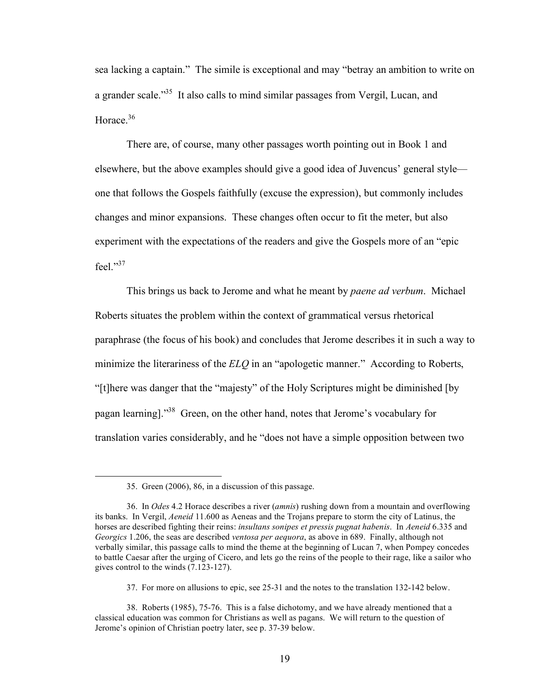sea lacking a captain." The simile is exceptional and may "betray an ambition to write on a grander scale.<sup>35</sup> It also calls to mind similar passages from Vergil, Lucan, and Horace.<sup>36</sup>

There are, of course, many other passages worth pointing out in Book 1 and elsewhere, but the above examples should give a good idea of Juvencus' general style one that follows the Gospels faithfully (excuse the expression), but commonly includes changes and minor expansions. These changes often occur to fit the meter, but also experiment with the expectations of the readers and give the Gospels more of an "epic feel."37

This brings us back to Jerome and what he meant by *paene ad verbum*. Michael Roberts situates the problem within the context of grammatical versus rhetorical paraphrase (the focus of his book) and concludes that Jerome describes it in such a way to minimize the literariness of the *ELQ* in an "apologetic manner." According to Roberts, "[t]here was danger that the "majesty" of the Holy Scriptures might be diminished [by pagan learning]."38 Green, on the other hand, notes that Jerome's vocabulary for translation varies considerably, and he "does not have a simple opposition between two

 <sup>35.</sup> Green (2006), 86, in a discussion of this passage.

<sup>36.</sup> In *Odes* 4.2 Horace describes a river (*amnis*) rushing down from a mountain and overflowing its banks. In Vergil, *Aeneid* 11.600 as Aeneas and the Trojans prepare to storm the city of Latinus, the horses are described fighting their reins: *insultans sonipes et pressis pugnat habenis*. In *Aeneid* 6.335 and *Georgics* 1.206, the seas are described *ventosa per aequora*, as above in 689. Finally, although not verbally similar, this passage calls to mind the theme at the beginning of Lucan 7, when Pompey concedes to battle Caesar after the urging of Cicero, and lets go the reins of the people to their rage, like a sailor who gives control to the winds (7.123-127).

<sup>37.</sup> For more on allusions to epic, see 25-31 and the notes to the translation 132-142 below.

<sup>38.</sup> Roberts (1985), 75-76. This is a false dichotomy, and we have already mentioned that a classical education was common for Christians as well as pagans. We will return to the question of Jerome's opinion of Christian poetry later, see p. 37-39 below.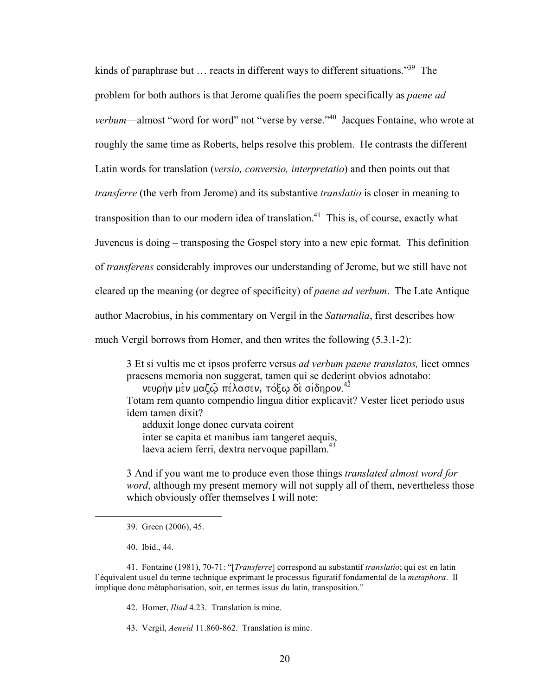kinds of paraphrase but  $\ldots$  reacts in different ways to different situations.<sup>39</sup> The problem for both authors is that Jerome qualifies the poem specifically as *paene ad verbum*—almost "word for word" not "verse by verse."<sup>40</sup> Jacques Fontaine, who wrote at roughly the same time as Roberts, helps resolve this problem. He contrasts the different Latin words for translation (*versio, conversio, interpretatio*) and then points out that *transferre* (the verb from Jerome) and its substantive *translatio* is closer in meaning to transposition than to our modern idea of translation.<sup>41</sup> This is, of course, exactly what Juvencus is doing – transposing the Gospel story into a new epic format. This definition of *transferens* considerably improves our understanding of Jerome, but we still have not cleared up the meaning (or degree of specificity) of *paene ad verbum*. The Late Antique author Macrobius, in his commentary on Vergil in the *Saturnalia*, first describes how much Vergil borrows from Homer, and then writes the following (5.3.1-2):

3 Et si vultis me et ipsos proferre versus *ad verbum paene translatos,* licet omnes praesens memoria non suggerat, tamen qui se dederint obvios adnotabo:

νευρὴν μὲν μαζῷ πέλασεν, τόξῳ δὲ σίδηρον. $^{42}$ 

Totam rem quanto compendio lingua ditior explicavit? Vester licet periodo usus idem tamen dixit?

adduxit longe donec curvata coirent

inter se capita et manibus iam tangeret aequis,

laeva aciem ferri, dextra nervoque papillam.<sup>43</sup>

3 And if you want me to produce even those things *translated almost word for word*, although my present memory will not supply all of them, nevertheless those which obviously offer themselves I will note:

40. Ibid., 44.

41. Fontaine (1981), 70-71: "[*Transferre*] correspond au substantif *translatio*; qui est en latin l'équivalent usuel du terme technique exprimant le processus figuratif fondamental de la *metaphora*. Il implique donc métaphorisation, soit, en termes issus du latin, transposition."

42. Homer, *Iliad* 4.23. Translation is mine.

43. Vergil, *Aeneid* 11.860-862. Translation is mine.

 <sup>39.</sup> Green (2006), 45.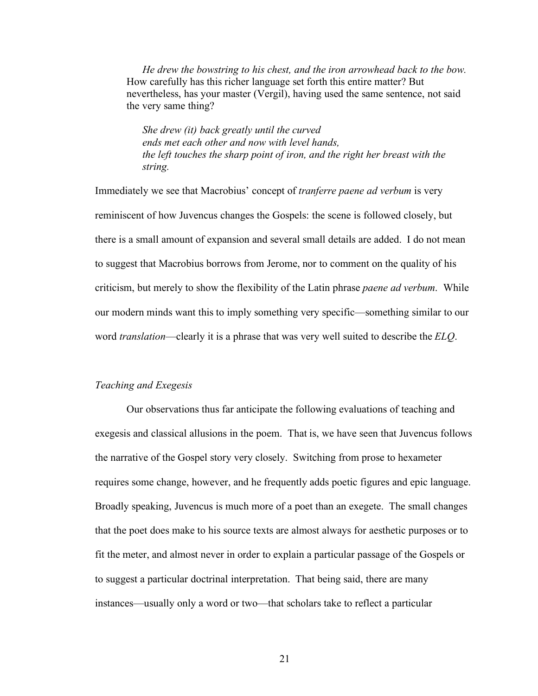*He drew the bowstring to his chest, and the iron arrowhead back to the bow.* How carefully has this richer language set forth this entire matter? But nevertheless, has your master (Vergil), having used the same sentence, not said the very same thing?

*She drew (it) back greatly until the curved ends met each other and now with level hands, the left touches the sharp point of iron, and the right her breast with the string.*

Immediately we see that Macrobius' concept of *tranferre paene ad verbum* is very reminiscent of how Juvencus changes the Gospels: the scene is followed closely, but there is a small amount of expansion and several small details are added. I do not mean to suggest that Macrobius borrows from Jerome, nor to comment on the quality of his criticism, but merely to show the flexibility of the Latin phrase *paene ad verbum*. While our modern minds want this to imply something very specific—something similar to our word *translation*—clearly it is a phrase that was very well suited to describe the *ELQ*.

#### *Teaching and Exegesis*

Our observations thus far anticipate the following evaluations of teaching and exegesis and classical allusions in the poem. That is, we have seen that Juvencus follows the narrative of the Gospel story very closely. Switching from prose to hexameter requires some change, however, and he frequently adds poetic figures and epic language. Broadly speaking, Juvencus is much more of a poet than an exegete. The small changes that the poet does make to his source texts are almost always for aesthetic purposes or to fit the meter, and almost never in order to explain a particular passage of the Gospels or to suggest a particular doctrinal interpretation. That being said, there are many instances—usually only a word or two—that scholars take to reflect a particular

21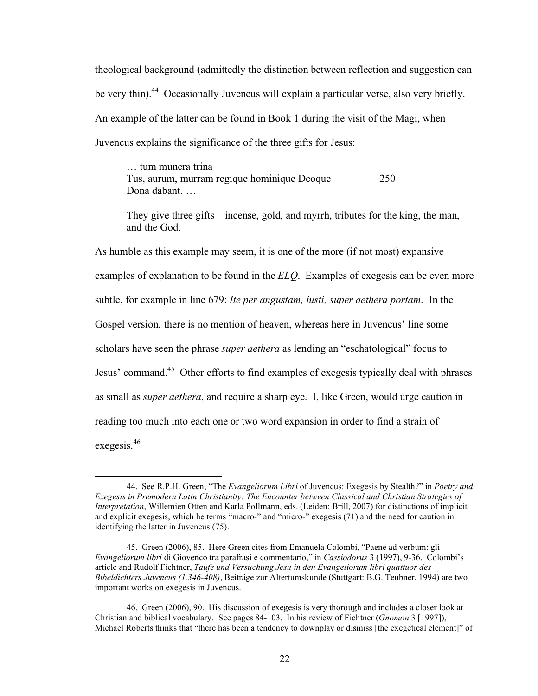theological background (admittedly the distinction between reflection and suggestion can be very thin).<sup>44</sup> Occasionally Juvencus will explain a particular verse, also very briefly. An example of the latter can be found in Book 1 during the visit of the Magi, when Juvencus explains the significance of the three gifts for Jesus:

… tum munera trina Tus, aurum, murram regique hominique Deoque 250 Dona dabant. …

They give three gifts—incense, gold, and myrrh, tributes for the king, the man, and the God.

As humble as this example may seem, it is one of the more (if not most) expansive examples of explanation to be found in the *ELQ*. Examples of exegesis can be even more subtle, for example in line 679: *Ite per angustam, iusti, super aethera portam*. In the Gospel version, there is no mention of heaven, whereas here in Juvencus' line some scholars have seen the phrase *super aethera* as lending an "eschatological" focus to Jesus' command.<sup>45</sup> Other efforts to find examples of exegesis typically deal with phrases as small as *super aethera*, and require a sharp eye. I, like Green, would urge caution in reading too much into each one or two word expansion in order to find a strain of exegesis.<sup>46</sup>

 <sup>44.</sup> See R.P.H. Green, "The *Evangeliorum Libri* of Juvencus: Exegesis by Stealth?" in *Poetry and Exegesis in Premodern Latin Christianity: The Encounter between Classical and Christian Strategies of Interpretation*, Willemien Otten and Karla Pollmann, eds. (Leiden: Brill, 2007) for distinctions of implicit and explicit exegesis, which he terms "macro-" and "micro-" exegesis (71) and the need for caution in identifying the latter in Juvencus (75).

<sup>45.</sup> Green (2006), 85. Here Green cites from Emanuela Colombi, "Paene ad verbum: gli *Evangeliorum libri* di Giovenco tra parafrasi e commentario," in *Cassiodorus* 3 (1997), 9-36. Colombi's article and Rudolf Fichtner, *Taufe und Versuchung Jesu in den Evangeliorum libri quattuor des Bibeldichters Juvencus (1.346-408)*, Beiträge zur Altertumskunde (Stuttgart: B.G. Teubner, 1994) are two important works on exegesis in Juvencus.

<sup>46.</sup> Green (2006), 90. His discussion of exegesis is very thorough and includes a closer look at Christian and biblical vocabulary. See pages 84-103. In his review of Fichtner (*Gnomon* 3 [1997]), Michael Roberts thinks that "there has been a tendency to downplay or dismiss [the exegetical element]" of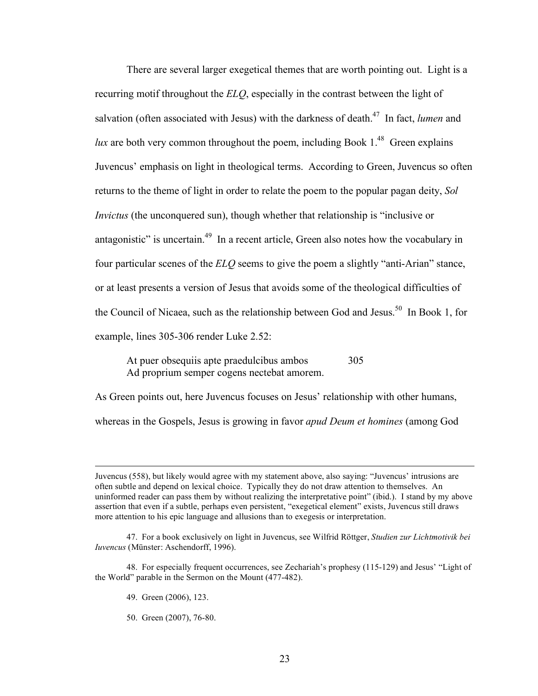There are several larger exegetical themes that are worth pointing out. Light is a recurring motif throughout the *ELQ*, especially in the contrast between the light of salvation (often associated with Jesus) with the darkness of death.<sup>47</sup> In fact, *lumen* and *lux* are both very common throughout the poem, including Book  $1^{48}$  Green explains Juvencus' emphasis on light in theological terms. According to Green, Juvencus so often returns to the theme of light in order to relate the poem to the popular pagan deity, *Sol Invictus* (the unconquered sun), though whether that relationship is "inclusive or antagonistic" is uncertain. $49$  In a recent article, Green also notes how the vocabulary in four particular scenes of the *ELQ* seems to give the poem a slightly "anti-Arian" stance, or at least presents a version of Jesus that avoids some of the theological difficulties of the Council of Nicaea, such as the relationship between God and Jesus.<sup>50</sup> In Book 1, for example, lines 305-306 render Luke 2.52:

At puer obsequiis apte praedulcibus ambos 305 Ad proprium semper cogens nectebat amorem.

As Green points out, here Juvencus focuses on Jesus' relationship with other humans, whereas in the Gospels, Jesus is growing in favor *apud Deum et homines* (among God

50. Green (2007), 76-80.

Juvencus (558), but likely would agree with my statement above, also saying: "Juvencus' intrusions are often subtle and depend on lexical choice. Typically they do not draw attention to themselves. An uninformed reader can pass them by without realizing the interpretative point" (ibid.). I stand by my above assertion that even if a subtle, perhaps even persistent, "exegetical element" exists, Juvencus still draws more attention to his epic language and allusions than to exegesis or interpretation.

<sup>47.</sup> For a book exclusively on light in Juvencus, see Wilfrid Röttger, *Studien zur Lichtmotivik bei Iuvencus* (Münster: Aschendorff, 1996).

<sup>48.</sup> For especially frequent occurrences, see Zechariah's prophesy (115-129) and Jesus' "Light of the World" parable in the Sermon on the Mount (477-482).

<sup>49.</sup> Green (2006), 123.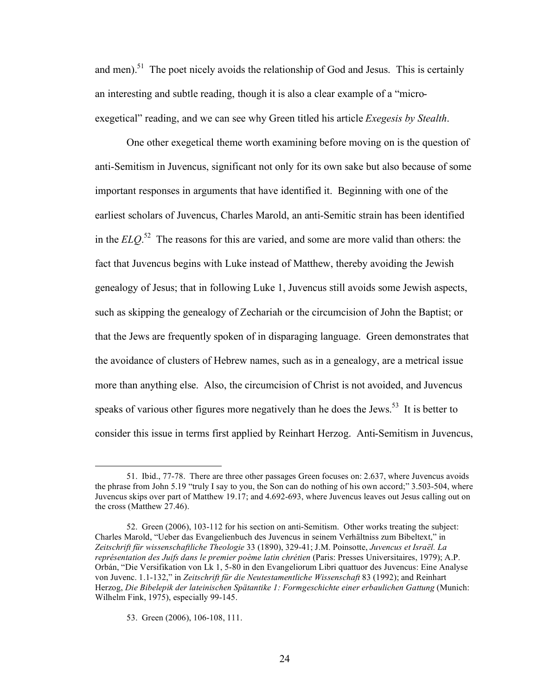and men).<sup>51</sup> The poet nicely avoids the relationship of God and Jesus. This is certainly an interesting and subtle reading, though it is also a clear example of a "microexegetical" reading, and we can see why Green titled his article *Exegesis by Stealth*.

One other exegetical theme worth examining before moving on is the question of anti-Semitism in Juvencus, significant not only for its own sake but also because of some important responses in arguments that have identified it. Beginning with one of the earliest scholars of Juvencus, Charles Marold, an anti-Semitic strain has been identified in the *ELQ*. 52 The reasons for this are varied, and some are more valid than others: the fact that Juvencus begins with Luke instead of Matthew, thereby avoiding the Jewish genealogy of Jesus; that in following Luke 1, Juvencus still avoids some Jewish aspects, such as skipping the genealogy of Zechariah or the circumcision of John the Baptist; or that the Jews are frequently spoken of in disparaging language. Green demonstrates that the avoidance of clusters of Hebrew names, such as in a genealogy, are a metrical issue more than anything else. Also, the circumcision of Christ is not avoided, and Juvencus speaks of various other figures more negatively than he does the Jews.<sup>53</sup> It is better to consider this issue in terms first applied by Reinhart Herzog. Anti-Semitism in Juvencus,

 <sup>51.</sup> Ibid., 77-78. There are three other passages Green focuses on: 2.637, where Juvencus avoids the phrase from John 5.19 "truly I say to you, the Son can do nothing of his own accord;" 3.503-504, where Juvencus skips over part of Matthew 19.17; and 4.692-693, where Juvencus leaves out Jesus calling out on the cross (Matthew 27.46).

<sup>52.</sup> Green (2006), 103-112 for his section on anti-Semitism. Other works treating the subject: Charles Marold, "Ueber das Evangelienbuch des Juvencus in seinem Verhältniss zum Bibeltext," in *Zeitschrift für wissenschaftliche Theologie* 33 (1890), 329-41; J.M. Poinsotte, *Juvencus et Israël. La représentation des Juifs dans le premier poème latin chrétien* (Paris: Presses Universitaires, 1979); A.P. Orbán, "Die Versifikation von Lk 1, 5-80 in den Evangeliorum Libri quattuor des Juvencus: Eine Analyse von Juvenc. 1.1-132," in *Zeitschrift für die Neutestamentliche Wissenschaft* 83 (1992); and Reinhart Herzog, *Die Bibelepik der lateinischen Spätantike 1: Formgeschichte einer erbaulichen Gattung* (Munich: Wilhelm Fink, 1975), especially 99-145.

<sup>53.</sup> Green (2006), 106-108, 111.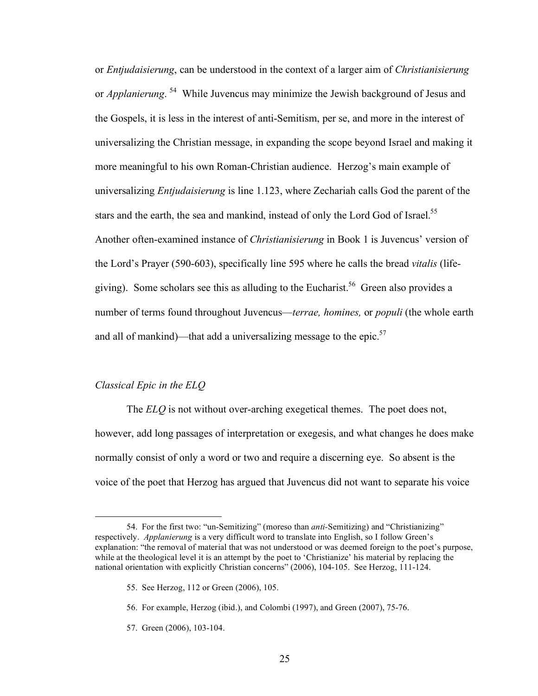or *Entjudaisierung*, can be understood in the context of a larger aim of *Christianisierung*  or *Applanierung*. 54 While Juvencus may minimize the Jewish background of Jesus and the Gospels, it is less in the interest of anti-Semitism, per se, and more in the interest of universalizing the Christian message, in expanding the scope beyond Israel and making it more meaningful to his own Roman-Christian audience. Herzog's main example of universalizing *Entjudaisierung* is line 1.123, where Zechariah calls God the parent of the stars and the earth, the sea and mankind, instead of only the Lord God of Israel.<sup>55</sup> Another often-examined instance of *Christianisierung* in Book 1 is Juvencus' version of the Lord's Prayer (590-603), specifically line 595 where he calls the bread *vitalis* (lifegiving). Some scholars see this as alluding to the Eucharist.<sup>56</sup> Green also provides a number of terms found throughout Juvencus—*terrae, homines,* or *populi* (the whole earth and all of mankind)—that add a universalizing message to the epic. $57$ 

### *Classical Epic in the ELQ*

The *ELQ* is not without over-arching exegetical themes. The poet does not, however, add long passages of interpretation or exegesis, and what changes he does make normally consist of only a word or two and require a discerning eye. So absent is the voice of the poet that Herzog has argued that Juvencus did not want to separate his voice

57. Green (2006), 103-104.

 <sup>54.</sup> For the first two: "un-Semitizing" (moreso than *anti-*Semitizing) and "Christianizing" respectively. *Applanierung* is a very difficult word to translate into English, so I follow Green's explanation: "the removal of material that was not understood or was deemed foreign to the poet's purpose, while at the theological level it is an attempt by the poet to 'Christianize' his material by replacing the national orientation with explicitly Christian concerns" (2006), 104-105. See Herzog, 111-124.

<sup>55.</sup> See Herzog, 112 or Green (2006), 105.

<sup>56.</sup> For example, Herzog (ibid.), and Colombi (1997), and Green (2007), 75-76.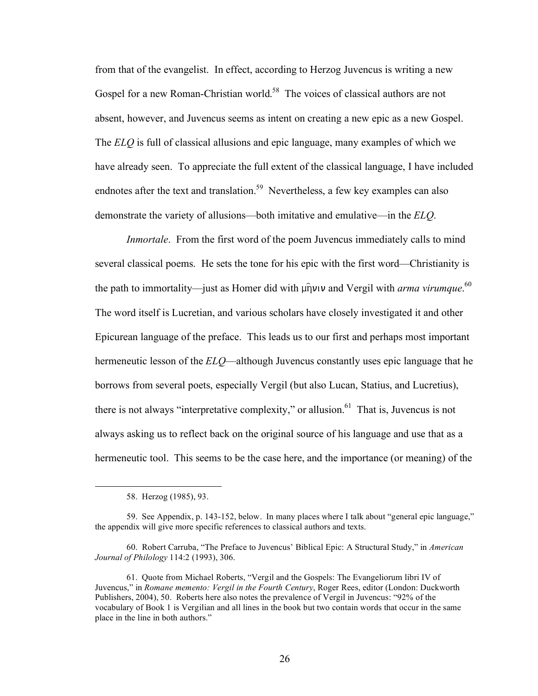from that of the evangelist. In effect, according to Herzog Juvencus is writing a new Gospel for a new Roman-Christian world.<sup>58</sup> The voices of classical authors are not absent, however, and Juvencus seems as intent on creating a new epic as a new Gospel. The *ELQ* is full of classical allusions and epic language, many examples of which we have already seen. To appreciate the full extent of the classical language, I have included endnotes after the text and translation.<sup>59</sup> Nevertheless, a few key examples can also demonstrate the variety of allusions—both imitative and emulative—in the *ELQ*.

*Inmortale*. From the first word of the poem Juvencus immediately calls to mind several classical poems. He sets the tone for his epic with the first word—Christianity is the path to immortality—just as Homer did with  $\mu \hat{\eta} \nu \nu$  and Vergil with *arma virumque*.<sup>60</sup> The word itself is Lucretian, and various scholars have closely investigated it and other Epicurean language of the preface. This leads us to our first and perhaps most important hermeneutic lesson of the *ELQ*—although Juvencus constantly uses epic language that he borrows from several poets, especially Vergil (but also Lucan, Statius, and Lucretius), there is not always "interpretative complexity," or allusion.<sup>61</sup> That is, Juvencus is not always asking us to reflect back on the original source of his language and use that as a hermeneutic tool. This seems to be the case here, and the importance (or meaning) of the

 <sup>58.</sup> Herzog (1985), 93.

<sup>59.</sup> See Appendix, p. 143-152, below. In many places where I talk about "general epic language," the appendix will give more specific references to classical authors and texts.

<sup>60.</sup> Robert Carruba, "The Preface to Juvencus' Biblical Epic: A Structural Study," in *American Journal of Philology* 114:2 (1993), 306.

<sup>61.</sup> Quote from Michael Roberts, "Vergil and the Gospels: The Evangeliorum libri IV of Juvencus," in *Romane memento: Vergil in the Fourth Century*, Roger Rees, editor (London: Duckworth Publishers, 2004), 50. Roberts here also notes the prevalence of Vergil in Juvencus: "92% of the vocabulary of Book 1 is Vergilian and all lines in the book but two contain words that occur in the same place in the line in both authors."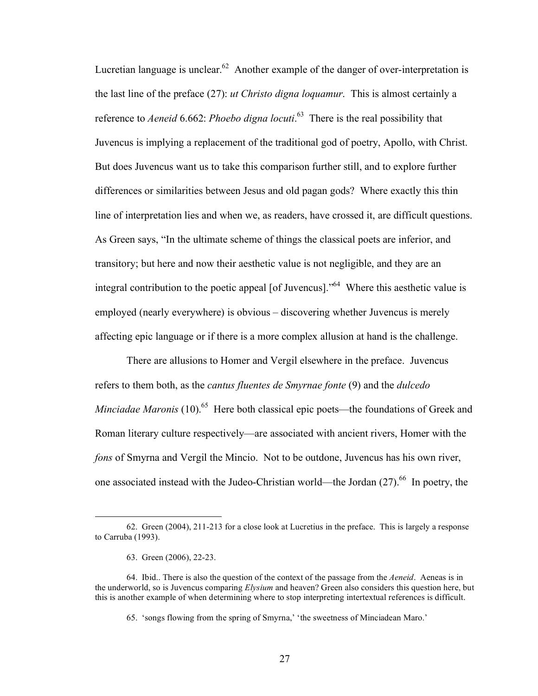Lucretian language is unclear. $62$  Another example of the danger of over-interpretation is the last line of the preface (27): *ut Christo digna loquamur*. This is almost certainly a reference to *Aeneid* 6.662: *Phoebo digna locuti*. 63 There is the real possibility that Juvencus is implying a replacement of the traditional god of poetry, Apollo, with Christ. But does Juvencus want us to take this comparison further still, and to explore further differences or similarities between Jesus and old pagan gods? Where exactly this thin line of interpretation lies and when we, as readers, have crossed it, are difficult questions. As Green says, "In the ultimate scheme of things the classical poets are inferior, and transitory; but here and now their aesthetic value is not negligible, and they are an integral contribution to the poetic appeal [of Juvencus]."64 Where this aesthetic value is employed (nearly everywhere) is obvious – discovering whether Juvencus is merely affecting epic language or if there is a more complex allusion at hand is the challenge.

There are allusions to Homer and Vergil elsewhere in the preface. Juvencus refers to them both, as the *cantus fluentes de Smyrnae fonte* (9) and the *dulcedo Minciadae Maronis* (10).<sup>65</sup> Here both classical epic poets—the foundations of Greek and Roman literary culture respectively—are associated with ancient rivers, Homer with the *fons* of Smyrna and Vergil the Mincio. Not to be outdone, Juvencus has his own river, one associated instead with the Judeo-Christian world—the Jordan  $(27)$ .<sup>66</sup> In poetry, the

 <sup>62.</sup> Green (2004), 211-213 for a close look at Lucretius in the preface. This is largely a response to Carruba (1993).

<sup>63.</sup> Green (2006), 22-23.

<sup>64.</sup> Ibid.. There is also the question of the context of the passage from the *Aeneid*. Aeneas is in the underworld, so is Juvencus comparing *Elysium* and heaven? Green also considers this question here, but this is another example of when determining where to stop interpreting intertextual references is difficult.

<sup>65. &#</sup>x27;songs flowing from the spring of Smyrna,' 'the sweetness of Minciadean Maro.'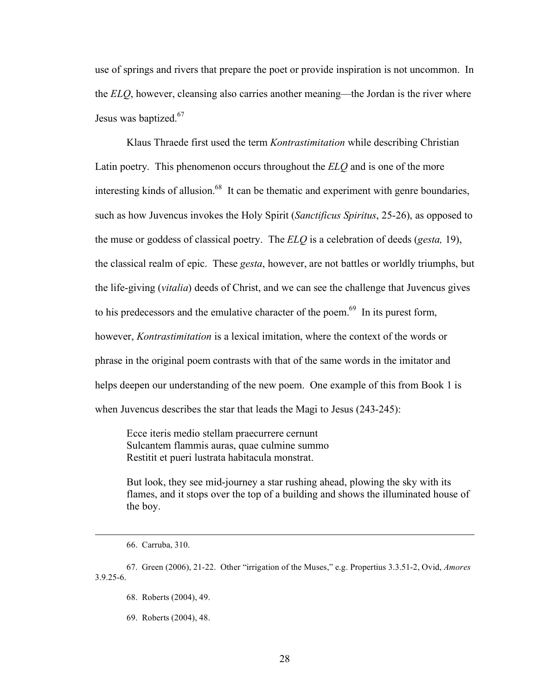use of springs and rivers that prepare the poet or provide inspiration is not uncommon. In the *ELQ*, however, cleansing also carries another meaning—the Jordan is the river where Jesus was baptized.<sup>67</sup>

Klaus Thraede first used the term *Kontrastimitation* while describing Christian Latin poetry. This phenomenon occurs throughout the *ELQ* and is one of the more interesting kinds of allusion. $68$  It can be thematic and experiment with genre boundaries, such as how Juvencus invokes the Holy Spirit (*Sanctificus Spiritus*, 25-26), as opposed to the muse or goddess of classical poetry. The *ELQ* is a celebration of deeds (*gesta,* 19), the classical realm of epic. These *gesta*, however, are not battles or worldly triumphs, but the life-giving (*vitalia*) deeds of Christ, and we can see the challenge that Juvencus gives to his predecessors and the emulative character of the poem.<sup>69</sup> In its purest form, however, *Kontrastimitation* is a lexical imitation, where the context of the words or phrase in the original poem contrasts with that of the same words in the imitator and helps deepen our understanding of the new poem. One example of this from Book 1 is when Juvencus describes the star that leads the Magi to Jesus (243-245):

Ecce iteris medio stellam praecurrere cernunt Sulcantem flammis auras, quae culmine summo Restitit et pueri lustrata habitacula monstrat.

But look, they see mid-journey a star rushing ahead, plowing the sky with its flames, and it stops over the top of a building and shows the illuminated house of the boy.

 <sup>66.</sup> Carruba, 310.

<sup>67.</sup> Green (2006), 21-22. Other "irrigation of the Muses," e.g. Propertius 3.3.51-2, Ovid, *Amores* 3.9.25-6.

<sup>68.</sup> Roberts (2004), 49.

<sup>69.</sup> Roberts (2004), 48.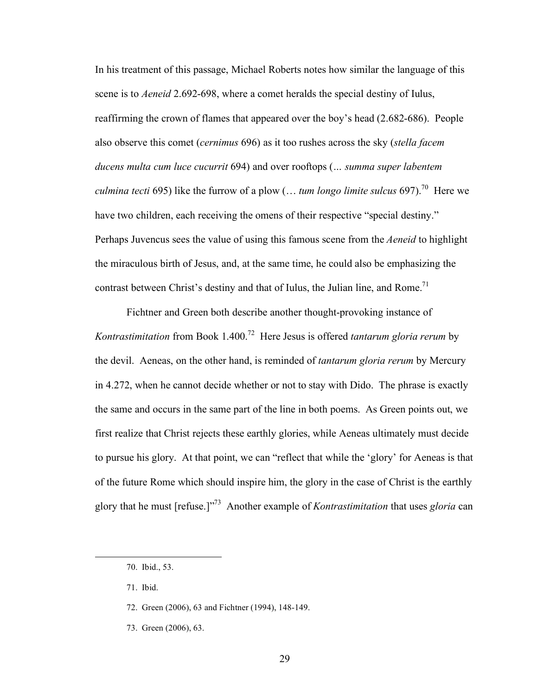In his treatment of this passage, Michael Roberts notes how similar the language of this scene is to *Aeneid* 2.692-698, where a comet heralds the special destiny of Iulus, reaffirming the crown of flames that appeared over the boy's head (2.682-686). People also observe this comet (*cernimus* 696) as it too rushes across the sky (*stella facem ducens multa cum luce cucurrit* 694) and over rooftops (*… summa super labentem culmina tecti* 695) like the furrow of a plow (... *tum longo limite sulcus* 697).<sup>70</sup> Here we have two children, each receiving the omens of their respective "special destiny." Perhaps Juvencus sees the value of using this famous scene from the *Aeneid* to highlight the miraculous birth of Jesus, and, at the same time, he could also be emphasizing the contrast between Christ's destiny and that of Iulus, the Julian line, and Rome.<sup>71</sup>

Fichtner and Green both describe another thought-provoking instance of *Kontrastimitation* from Book 1.400.72 Here Jesus is offered *tantarum gloria rerum* by the devil. Aeneas, on the other hand, is reminded of *tantarum gloria rerum* by Mercury in 4.272, when he cannot decide whether or not to stay with Dido. The phrase is exactly the same and occurs in the same part of the line in both poems. As Green points out, we first realize that Christ rejects these earthly glories, while Aeneas ultimately must decide to pursue his glory. At that point, we can "reflect that while the 'glory' for Aeneas is that of the future Rome which should inspire him, the glory in the case of Christ is the earthly glory that he must [refuse.]"73 Another example of *Kontrastimitation* that uses *gloria* can

71. Ibid.

 $\overline{a}$ 

- 72. Green (2006), 63 and Fichtner (1994), 148-149.
- 73. Green (2006), 63.

<sup>70.</sup> Ibid., 53.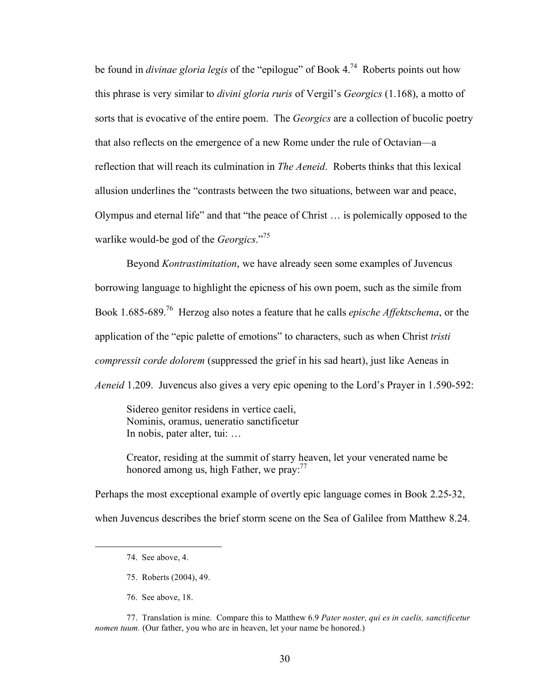be found in *divinae gloria legis* of the "epilogue" of Book 4.74 Roberts points out how this phrase is very similar to *divini gloria ruris* of Vergil's *Georgics* (1.168), a motto of sorts that is evocative of the entire poem. The *Georgics* are a collection of bucolic poetry that also reflects on the emergence of a new Rome under the rule of Octavian—a reflection that will reach its culmination in *The Aeneid*. Roberts thinks that this lexical allusion underlines the "contrasts between the two situations, between war and peace, Olympus and eternal life" and that "the peace of Christ … is polemically opposed to the warlike would-be god of the *Georgics*."75

Beyond *Kontrastimitation*, we have already seen some examples of Juvencus borrowing language to highlight the epicness of his own poem, such as the simile from Book 1.685-689.76 Herzog also notes a feature that he calls *epische Affektschema*, or the application of the "epic palette of emotions" to characters, such as when Christ *tristi compressit corde dolorem* (suppressed the grief in his sad heart), just like Aeneas in *Aeneid* 1.209. Juvencus also gives a very epic opening to the Lord's Prayer in 1.590-592:

Sidereo genitor residens in vertice caeli, Nominis, oramus, ueneratio sanctificetur In nobis, pater alter, tui: …

Creator, residing at the summit of starry heaven, let your venerated name be honored among us, high Father, we pray: $77$ 

Perhaps the most exceptional example of overtly epic language comes in Book 2.25-32, when Juvencus describes the brief storm scene on the Sea of Galilee from Matthew 8.24.

 $\overline{a}$ 

76. See above, 18.

77. Translation is mine. Compare this to Matthew 6.9 *Pater noster, qui es in caelis, sanctificetur nomen tuum.* (Our father, you who are in heaven, let your name be honored.)

<sup>74.</sup> See above, 4.

<sup>75.</sup> Roberts (2004), 49.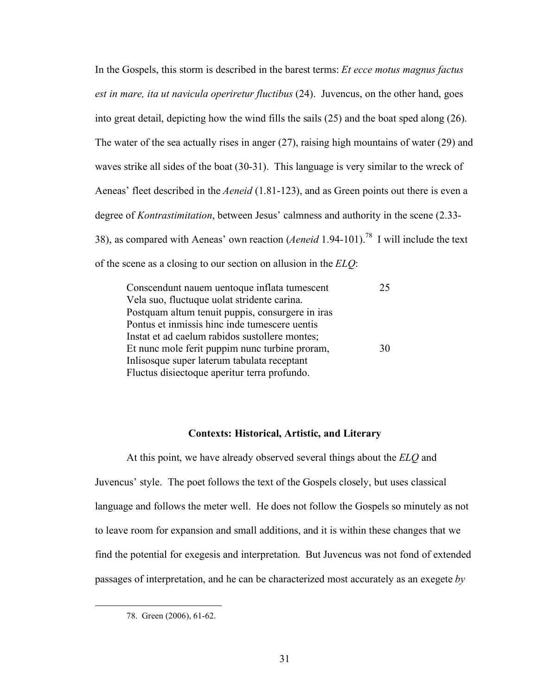In the Gospels, this storm is described in the barest terms: *Et ecce motus magnus factus est in mare, ita ut navicula operiretur fluctibus* (24). Juvencus, on the other hand, goes into great detail, depicting how the wind fills the sails (25) and the boat sped along (26). The water of the sea actually rises in anger (27), raising high mountains of water (29) and waves strike all sides of the boat (30-31). This language is very similar to the wreck of Aeneas' fleet described in the *Aeneid* (1.81-123), and as Green points out there is even a degree of *Kontrastimitation*, between Jesus' calmness and authority in the scene (2.33- 38), as compared with Aeneas' own reaction (*Aeneid* 1.94-101).78 I will include the text of the scene as a closing to our section on allusion in the *ELQ*:

| Conscendunt nauem uentoque inflata tumescent     | 25 |
|--------------------------------------------------|----|
| Vela suo, fluctuque uolat stridente carina.      |    |
| Postquam altum tenuit puppis, consurgere in iras |    |
| Pontus et inmissis hinc inde tumescere uentis    |    |
| Instat et ad caelum rabidos sustollere montes;   |    |
| Et nunc mole ferit puppim nunc turbine proram,   | 30 |
| Inlisosque super laterum tabulata receptant      |    |
| Fluctus disiectoque aperitur terra profundo.     |    |

#### **Contexts: Historical, Artistic, and Literary**

At this point, we have already observed several things about the *ELQ* and Juvencus' style. The poet follows the text of the Gospels closely, but uses classical language and follows the meter well. He does not follow the Gospels so minutely as not to leave room for expansion and small additions, and it is within these changes that we find the potential for exegesis and interpretation. But Juvencus was not fond of extended passages of interpretation, and he can be characterized most accurately as an exegete *by* 

 <sup>78.</sup> Green (2006), 61-62.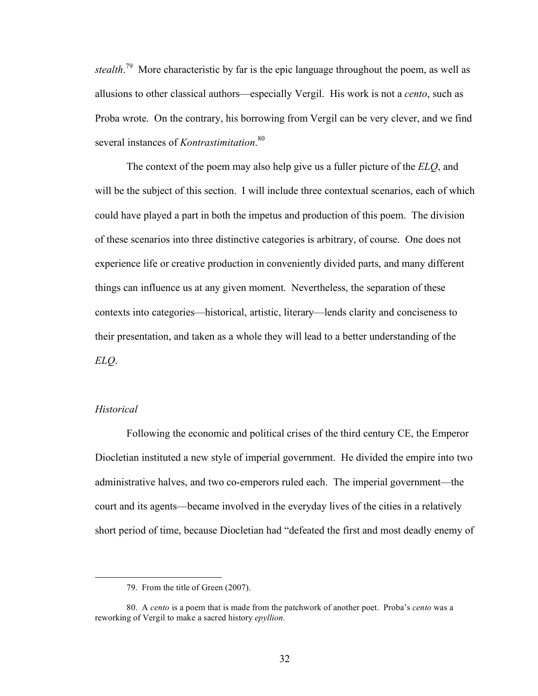*stealth*. 79 More characteristic by far is the epic language throughout the poem, as well as allusions to other classical authors—especially Vergil. His work is not a *cento*, such as Proba wrote. On the contrary, his borrowing from Vergil can be very clever, and we find several instances of *Kontrastimitation*. 80

The context of the poem may also help give us a fuller picture of the *ELQ*, and will be the subject of this section. I will include three contextual scenarios, each of which could have played a part in both the impetus and production of this poem. The division of these scenarios into three distinctive categories is arbitrary, of course. One does not experience life or creative production in conveniently divided parts, and many different things can influence us at any given moment. Nevertheless, the separation of these contexts into categories—historical, artistic, literary—lends clarity and conciseness to their presentation, and taken as a whole they will lead to a better understanding of the *ELQ*.

# *Historical*

Following the economic and political crises of the third century CE, the Emperor Diocletian instituted a new style of imperial government. He divided the empire into two administrative halves, and two co-emperors ruled each. The imperial government—the court and its agents—became involved in the everyday lives of the cities in a relatively short period of time, because Diocletian had "defeated the first and most deadly enemy of

 <sup>79.</sup> From the title of Green (2007).

<sup>80.</sup> A *cento* is a poem that is made from the patchwork of another poet. Proba's *cento* was a reworking of Vergil to make a sacred history *epyllion.*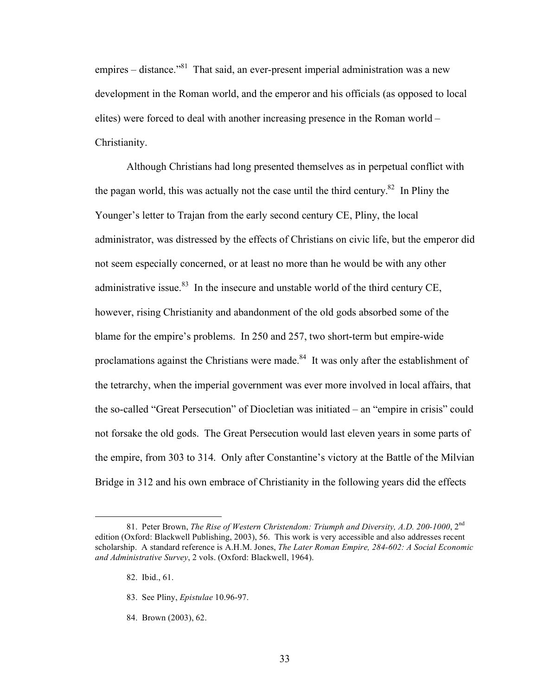empires – distance. $181$  That said, an ever-present imperial administration was a new development in the Roman world, and the emperor and his officials (as opposed to local elites) were forced to deal with another increasing presence in the Roman world – Christianity.

Although Christians had long presented themselves as in perpetual conflict with the pagan world, this was actually not the case until the third century.<sup>82</sup> In Pliny the Younger's letter to Trajan from the early second century CE, Pliny, the local administrator, was distressed by the effects of Christians on civic life, but the emperor did not seem especially concerned, or at least no more than he would be with any other administrative issue.<sup>83</sup> In the insecure and unstable world of the third century CE, however, rising Christianity and abandonment of the old gods absorbed some of the blame for the empire's problems. In 250 and 257, two short-term but empire-wide proclamations against the Christians were made.<sup>84</sup> It was only after the establishment of the tetrarchy, when the imperial government was ever more involved in local affairs, that the so-called "Great Persecution" of Diocletian was initiated – an "empire in crisis" could not forsake the old gods. The Great Persecution would last eleven years in some parts of the empire, from 303 to 314. Only after Constantine's victory at the Battle of the Milvian Bridge in 312 and his own embrace of Christianity in the following years did the effects

- 83. See Pliny, *Epistulae* 10.96-97.
- 84. Brown (2003), 62.

 <sup>81.</sup> Peter Brown, *The Rise of Western Christendom: Triumph and Diversity, A.D. 200-1000*, 2nd edition (Oxford: Blackwell Publishing, 2003), 56. This work is very accessible and also addresses recent scholarship. A standard reference is A.H.M. Jones, *The Later Roman Empire, 284-602: A Social Economic and Administrative Survey*, 2 vols. (Oxford: Blackwell, 1964).

<sup>82.</sup> Ibid., 61.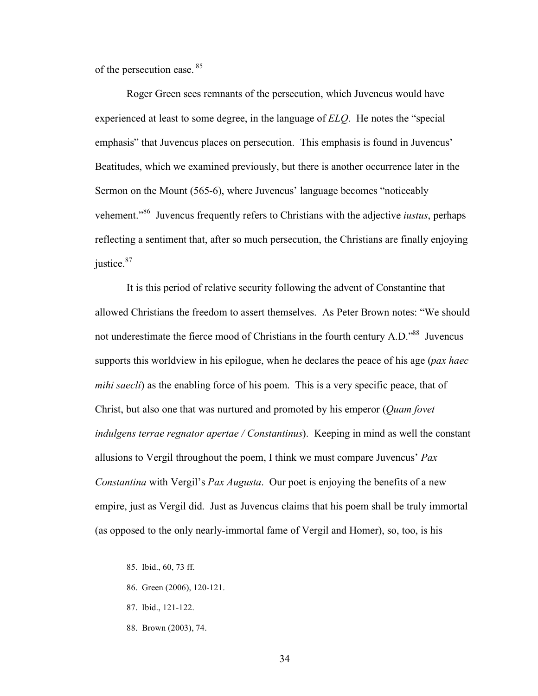of the persecution ease.<sup>85</sup>

Roger Green sees remnants of the persecution, which Juvencus would have experienced at least to some degree, in the language of *ELQ*. He notes the "special emphasis" that Juvencus places on persecution. This emphasis is found in Juvencus' Beatitudes, which we examined previously, but there is another occurrence later in the Sermon on the Mount (565-6), where Juvencus' language becomes "noticeably vehement."86 Juvencus frequently refers to Christians with the adjective *iustus*, perhaps reflecting a sentiment that, after so much persecution, the Christians are finally enjoying justice.<sup>87</sup>

It is this period of relative security following the advent of Constantine that allowed Christians the freedom to assert themselves. As Peter Brown notes: "We should not underestimate the fierce mood of Christians in the fourth century A.D.<sup>588</sup> Juvencus supports this worldview in his epilogue, when he declares the peace of his age (*pax haec mihi saecli*) as the enabling force of his poem. This is a very specific peace, that of Christ, but also one that was nurtured and promoted by his emperor (*Quam fovet indulgens terrae regnator apertae / Constantinus*). Keeping in mind as well the constant allusions to Vergil throughout the poem, I think we must compare Juvencus' *Pax Constantina* with Vergil's *Pax Augusta*. Our poet is enjoying the benefits of a new empire, just as Vergil did. Just as Juvencus claims that his poem shall be truly immortal (as opposed to the only nearly-immortal fame of Vergil and Homer), so, too, is his

- 86. Green (2006), 120-121.
- 87. Ibid., 121-122.
- 88. Brown (2003), 74.

<sup>85.</sup> Ibid., 60, 73 ff.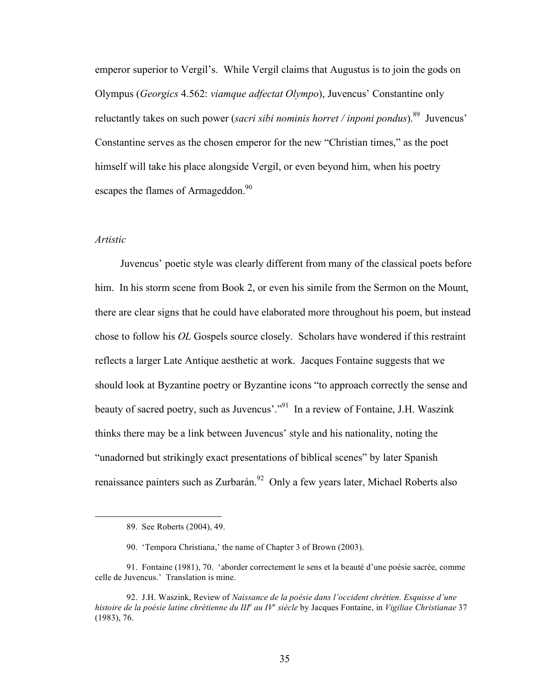emperor superior to Vergil's. While Vergil claims that Augustus is to join the gods on Olympus (*Georgics* 4.562: *viamque adfectat Olympo*), Juvencus' Constantine only reluctantly takes on such power (*sacri sibi nominis horret / inponi pondus*).<sup>89</sup> Juvencus' Constantine serves as the chosen emperor for the new "Christian times," as the poet himself will take his place alongside Vergil, or even beyond him, when his poetry escapes the flames of Armageddon.<sup>90</sup>

#### *Artistic*

Juvencus' poetic style was clearly different from many of the classical poets before him. In his storm scene from Book 2, or even his simile from the Sermon on the Mount, there are clear signs that he could have elaborated more throughout his poem, but instead chose to follow his *OL* Gospels source closely. Scholars have wondered if this restraint reflects a larger Late Antique aesthetic at work. Jacques Fontaine suggests that we should look at Byzantine poetry or Byzantine icons "to approach correctly the sense and beauty of sacred poetry, such as Juvencus'."<sup>91</sup> In a review of Fontaine, J.H. Waszink thinks there may be a link between Juvencus' style and his nationality, noting the "unadorned but strikingly exact presentations of biblical scenes" by later Spanish renaissance painters such as Zurbarán.<sup>92</sup> Only a few years later, Michael Roberts also

 <sup>89.</sup> See Roberts (2004), 49.

<sup>90. &#</sup>x27;Tempora Christiana,' the name of Chapter 3 of Brown (2003).

<sup>91.</sup> Fontaine (1981), 70. 'aborder correctement le sens et la beauté d'une poésie sacrée, comme celle de Juvencus.' Translation is mine.

<sup>92.</sup> J.H. Waszink, Review of *Naissance de la poésie dans l'occident chrétien. Esquisse d'une*  histoire de la poésie latine chrétienne du III<sup>e</sup> au IV<sup>e</sup> siècle by Jacques Fontaine, in *Vigiliae Christianae* 37 (1983), 76.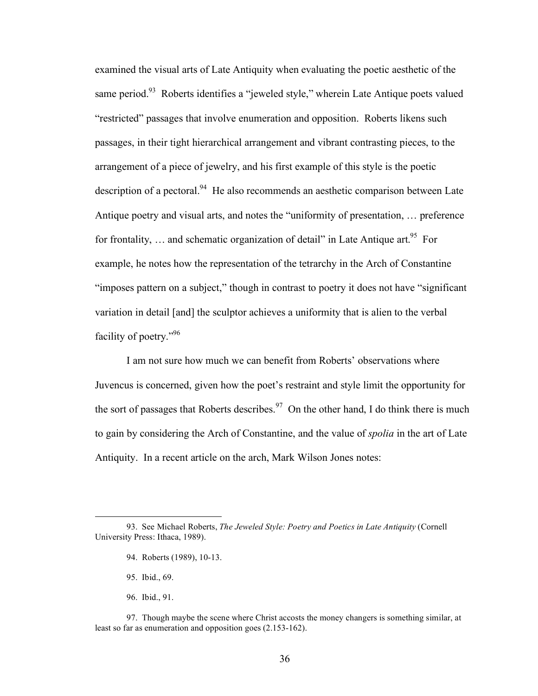examined the visual arts of Late Antiquity when evaluating the poetic aesthetic of the same period.<sup>93</sup> Roberts identifies a "jeweled style," wherein Late Antique poets valued "restricted" passages that involve enumeration and opposition. Roberts likens such passages, in their tight hierarchical arrangement and vibrant contrasting pieces, to the arrangement of a piece of jewelry, and his first example of this style is the poetic description of a pectoral.<sup>94</sup> He also recommends an aesthetic comparison between Late Antique poetry and visual arts, and notes the "uniformity of presentation, … preference for frontality, ... and schematic organization of detail" in Late Antique art.  $95$  For example, he notes how the representation of the tetrarchy in the Arch of Constantine "imposes pattern on a subject," though in contrast to poetry it does not have "significant variation in detail [and] the sculptor achieves a uniformity that is alien to the verbal facility of poetry."96

I am not sure how much we can benefit from Roberts' observations where Juvencus is concerned, given how the poet's restraint and style limit the opportunity for the sort of passages that Roberts describes.<sup>97</sup> On the other hand, I do think there is much to gain by considering the Arch of Constantine, and the value of *spolia* in the art of Late Antiquity. In a recent article on the arch, Mark Wilson Jones notes:

- 94. Roberts (1989), 10-13.
- 95. Ibid., 69.
- 96. Ibid., 91.

 <sup>93.</sup> See Michael Roberts, *The Jeweled Style: Poetry and Poetics in Late Antiquity* (Cornell University Press: Ithaca, 1989).

<sup>97.</sup> Though maybe the scene where Christ accosts the money changers is something similar, at least so far as enumeration and opposition goes (2.153-162).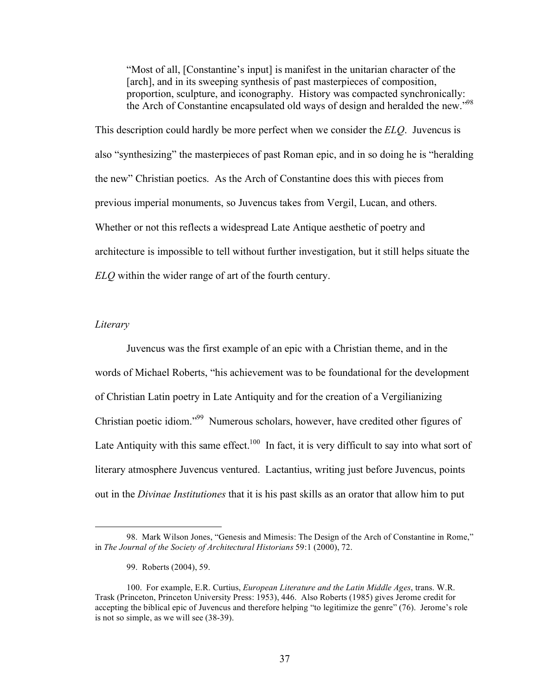"Most of all, [Constantine's input] is manifest in the unitarian character of the [arch], and in its sweeping synthesis of past masterpieces of composition, proportion, sculpture, and iconography. History was compacted synchronically: the Arch of Constantine encapsulated old ways of design and heralded the new."<sup>98</sup>

This description could hardly be more perfect when we consider the *ELQ*. Juvencus is also "synthesizing" the masterpieces of past Roman epic, and in so doing he is "heralding the new" Christian poetics. As the Arch of Constantine does this with pieces from previous imperial monuments, so Juvencus takes from Vergil, Lucan, and others. Whether or not this reflects a widespread Late Antique aesthetic of poetry and architecture is impossible to tell without further investigation, but it still helps situate the *ELQ* within the wider range of art of the fourth century.

### *Literary*

 $\overline{a}$ 

Juvencus was the first example of an epic with a Christian theme, and in the words of Michael Roberts, "his achievement was to be foundational for the development of Christian Latin poetry in Late Antiquity and for the creation of a Vergilianizing Christian poetic idiom."99 Numerous scholars, however, have credited other figures of Late Antiquity with this same effect.<sup>100</sup> In fact, it is very difficult to say into what sort of literary atmosphere Juvencus ventured. Lactantius, writing just before Juvencus, points out in the *Divinae Institutiones* that it is his past skills as an orator that allow him to put

<sup>98.</sup> Mark Wilson Jones, "Genesis and Mimesis: The Design of the Arch of Constantine in Rome," in *The Journal of the Society of Architectural Historians* 59:1 (2000), 72.

<sup>99.</sup> Roberts (2004), 59.

<sup>100.</sup> For example, E.R. Curtius, *European Literature and the Latin Middle Ages*, trans. W.R. Trask (Princeton, Princeton University Press: 1953), 446. Also Roberts (1985) gives Jerome credit for accepting the biblical epic of Juvencus and therefore helping "to legitimize the genre" (76). Jerome's role is not so simple, as we will see (38-39).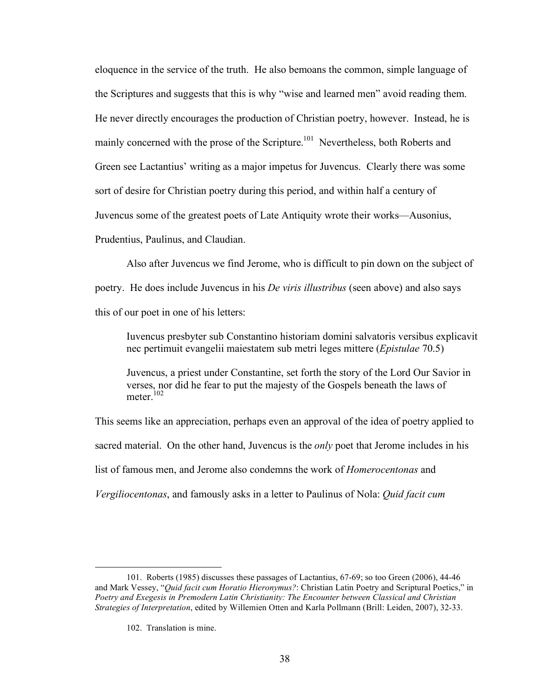eloquence in the service of the truth. He also bemoans the common, simple language of the Scriptures and suggests that this is why "wise and learned men" avoid reading them. He never directly encourages the production of Christian poetry, however. Instead, he is mainly concerned with the prose of the Scripture.<sup>101</sup> Nevertheless, both Roberts and Green see Lactantius' writing as a major impetus for Juvencus. Clearly there was some sort of desire for Christian poetry during this period, and within half a century of Juvencus some of the greatest poets of Late Antiquity wrote their works—Ausonius, Prudentius, Paulinus, and Claudian.

Also after Juvencus we find Jerome, who is difficult to pin down on the subject of poetry. He does include Juvencus in his *De viris illustribus* (seen above) and also says this of our poet in one of his letters:

Iuvencus presbyter sub Constantino historiam domini salvatoris versibus explicavit nec pertimuit evangelii maiestatem sub metri leges mittere (*Epistulae* 70.5)

Juvencus, a priest under Constantine, set forth the story of the Lord Our Savior in verses, nor did he fear to put the majesty of the Gospels beneath the laws of meter $102$ 

This seems like an appreciation, perhaps even an approval of the idea of poetry applied to sacred material. On the other hand, Juvencus is the *only* poet that Jerome includes in his list of famous men, and Jerome also condemns the work of *Homerocentonas* and

*Vergiliocentonas*, and famously asks in a letter to Paulinus of Nola: *Quid facit cum* 

 <sup>101.</sup> Roberts (1985) discusses these passages of Lactantius, 67-69; so too Green (2006), 44-46 and Mark Vessey, "*Quid facit cum Horatio Hieronymus?*: Christian Latin Poetry and Scriptural Poetics," in *Poetry and Exegesis in Premodern Latin Christianity: The Encounter between Classical and Christian Strategies of Interpretation*, edited by Willemien Otten and Karla Pollmann (Brill: Leiden, 2007), 32-33.

<sup>102.</sup> Translation is mine.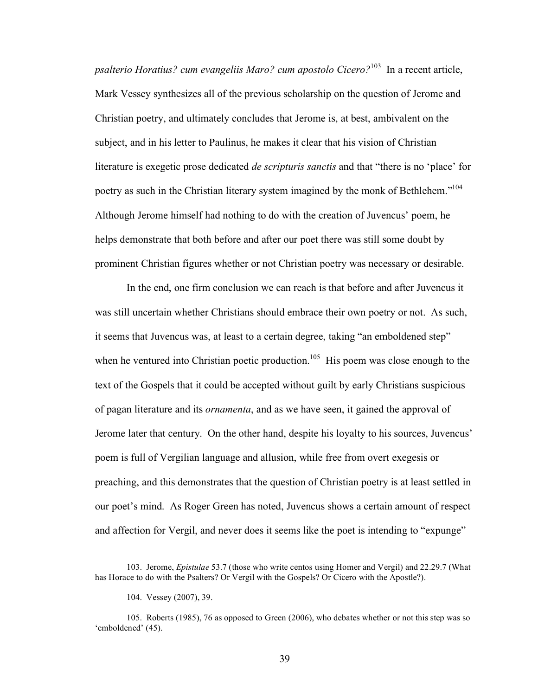*psalterio Horatius? cum evangeliis Maro? cum apostolo Cicero?*103 In a recent article, Mark Vessey synthesizes all of the previous scholarship on the question of Jerome and Christian poetry, and ultimately concludes that Jerome is, at best, ambivalent on the subject, and in his letter to Paulinus, he makes it clear that his vision of Christian literature is exegetic prose dedicated *de scripturis sanctis* and that "there is no 'place' for poetry as such in the Christian literary system imagined by the monk of Bethlehem."<sup>104</sup> Although Jerome himself had nothing to do with the creation of Juvencus' poem, he helps demonstrate that both before and after our poet there was still some doubt by prominent Christian figures whether or not Christian poetry was necessary or desirable.

In the end, one firm conclusion we can reach is that before and after Juvencus it was still uncertain whether Christians should embrace their own poetry or not. As such, it seems that Juvencus was, at least to a certain degree, taking "an emboldened step" when he ventured into Christian poetic production.<sup>105</sup> His poem was close enough to the text of the Gospels that it could be accepted without guilt by early Christians suspicious of pagan literature and its *ornamenta*, and as we have seen, it gained the approval of Jerome later that century. On the other hand, despite his loyalty to his sources, Juvencus' poem is full of Vergilian language and allusion, while free from overt exegesis or preaching, and this demonstrates that the question of Christian poetry is at least settled in our poet's mind. As Roger Green has noted, Juvencus shows a certain amount of respect and affection for Vergil, and never does it seems like the poet is intending to "expunge"

<sup>103.</sup> Jerome, *Epistulae* 53.7 (those who write centos using Homer and Vergil) and 22.29.7 (What has Horace to do with the Psalters? Or Vergil with the Gospels? Or Cicero with the Apostle?).

<sup>104.</sup> Vessey (2007), 39.

<sup>105.</sup> Roberts (1985), 76 as opposed to Green (2006), who debates whether or not this step was so 'emboldened' (45).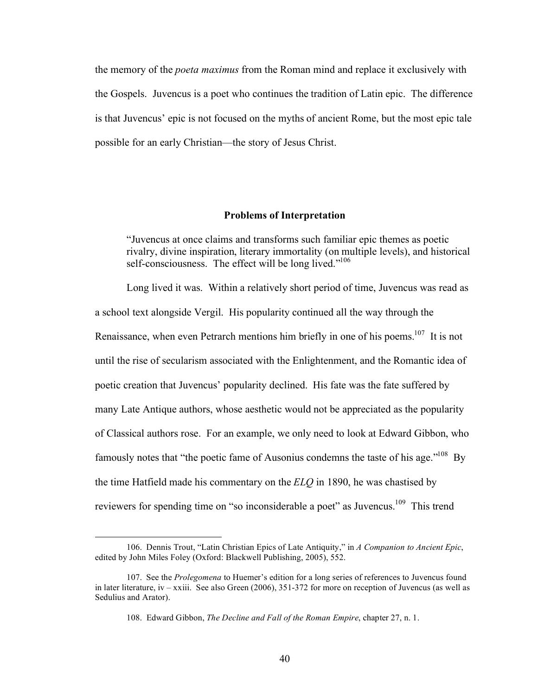the memory of the *poeta maximus* from the Roman mind and replace it exclusively with the Gospels. Juvencus is a poet who continues the tradition of Latin epic. The difference is that Juvencus' epic is not focused on the myths of ancient Rome, but the most epic tale possible for an early Christian—the story of Jesus Christ.

## **Problems of Interpretation**

"Juvencus at once claims and transforms such familiar epic themes as poetic rivalry, divine inspiration, literary immortality (on multiple levels), and historical self-consciousness. The effect will be long lived."<sup>106</sup>

Long lived it was. Within a relatively short period of time, Juvencus was read as a school text alongside Vergil. His popularity continued all the way through the Renaissance, when even Petrarch mentions him briefly in one of his poems.<sup>107</sup> It is not until the rise of secularism associated with the Enlightenment, and the Romantic idea of poetic creation that Juvencus' popularity declined. His fate was the fate suffered by many Late Antique authors, whose aesthetic would not be appreciated as the popularity of Classical authors rose. For an example, we only need to look at Edward Gibbon, who famously notes that "the poetic fame of Ausonius condemns the taste of his age."<sup>108</sup> By the time Hatfield made his commentary on the *ELQ* in 1890, he was chastised by reviewers for spending time on "so inconsiderable a poet" as Juvencus.<sup>109</sup> This trend

<sup>106.</sup> Dennis Trout, "Latin Christian Epics of Late Antiquity," in *A Companion to Ancient Epic*, edited by John Miles Foley (Oxford: Blackwell Publishing, 2005), 552.

<sup>107.</sup> See the *Prolegomena* to Huemer's edition for a long series of references to Juvencus found in later literature, iv – xxiii. See also Green (2006), 351-372 for more on reception of Juvencus (as well as Sedulius and Arator).

<sup>108.</sup> Edward Gibbon, *The Decline and Fall of the Roman Empire*, chapter 27, n. 1.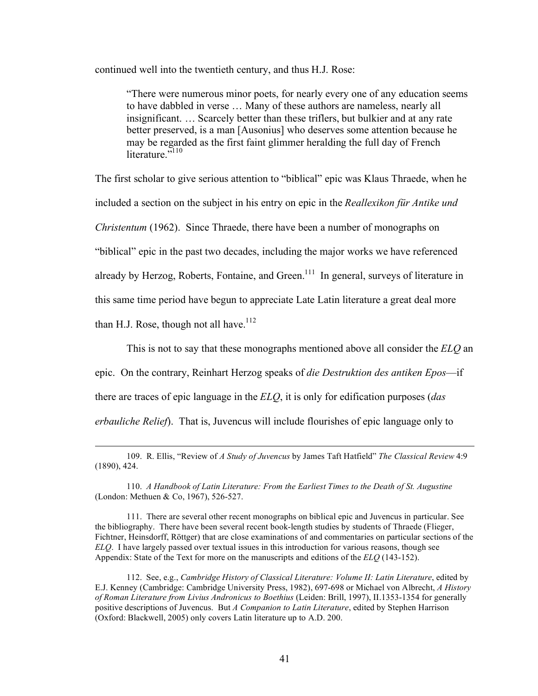continued well into the twentieth century, and thus H.J. Rose:

"There were numerous minor poets, for nearly every one of any education seems to have dabbled in verse … Many of these authors are nameless, nearly all insignificant. … Scarcely better than these triflers, but bulkier and at any rate better preserved, is a man [Ausonius] who deserves some attention because he may be regarded as the first faint glimmer heralding the full day of French literature $.5110$ 

The first scholar to give serious attention to "biblical" epic was Klaus Thraede, when he included a section on the subject in his entry on epic in the *Reallexikon für Antike und Christentum* (1962). Since Thraede, there have been a number of monographs on "biblical" epic in the past two decades, including the major works we have referenced already by Herzog, Roberts, Fontaine, and Green.<sup>111</sup> In general, surveys of literature in this same time period have begun to appreciate Late Latin literature a great deal more than H.J. Rose, though not all have.<sup>112</sup>

This is not to say that these monographs mentioned above all consider the *ELQ* an epic. On the contrary, Reinhart Herzog speaks of *die Destruktion des antiken Epos*—if there are traces of epic language in the *ELQ*, it is only for edification purposes (*das erbauliche Relief*). That is, Juvencus will include flourishes of epic language only to

110. *A Handbook of Latin Literature: From the Earliest Times to the Death of St. Augustine* (London: Methuen & Co, 1967), 526-527.

111. There are several other recent monographs on biblical epic and Juvencus in particular. See the bibliography. There have been several recent book-length studies by students of Thraede (Flieger, Fichtner, Heinsdorff, Röttger) that are close examinations of and commentaries on particular sections of the *ELQ*. I have largely passed over textual issues in this introduction for various reasons, though see Appendix: State of the Text for more on the manuscripts and editions of the *ELQ* (143-152).

112. See, e.g., *Cambridge History of Classical Literature: Volume II: Latin Literature*, edited by E.J. Kenney (Cambridge: Cambridge University Press, 1982), 697-698 or Michael von Albrecht, *A History of Roman Literature from Livius Andronicus to Boethius* (Leiden: Brill, 1997), II.1353-1354 for generally positive descriptions of Juvencus. But *A Companion to Latin Literature*, edited by Stephen Harrison (Oxford: Blackwell, 2005) only covers Latin literature up to A.D. 200.

 <sup>109.</sup> R. Ellis, "Review of *A Study of Juvencus* by James Taft Hatfield" *The Classical Review* 4:9 (1890), 424.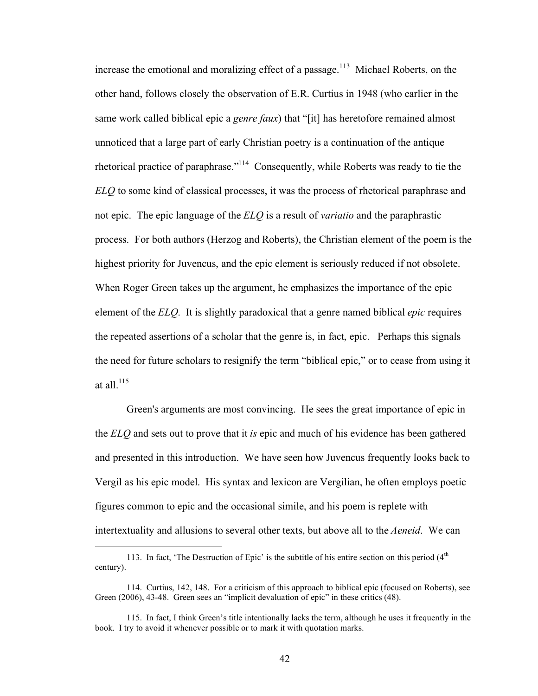increase the emotional and moralizing effect of a passage.<sup>113</sup> Michael Roberts, on the other hand, follows closely the observation of E.R. Curtius in 1948 (who earlier in the same work called biblical epic a *genre faux*) that "[it] has heretofore remained almost unnoticed that a large part of early Christian poetry is a continuation of the antique rhetorical practice of paraphrase."<sup>114</sup> Consequently, while Roberts was ready to tie the *ELQ* to some kind of classical processes, it was the process of rhetorical paraphrase and not epic. The epic language of the *ELQ* is a result of *variatio* and the paraphrastic process. For both authors (Herzog and Roberts), the Christian element of the poem is the highest priority for Juvencus, and the epic element is seriously reduced if not obsolete. When Roger Green takes up the argument, he emphasizes the importance of the epic element of the *ELQ*. It is slightly paradoxical that a genre named biblical *epic* requires the repeated assertions of a scholar that the genre is, in fact, epic. Perhaps this signals the need for future scholars to resignify the term "biblical epic," or to cease from using it at all  $^{115}$ 

Green's arguments are most convincing. He sees the great importance of epic in the *ELQ* and sets out to prove that it *is* epic and much of his evidence has been gathered and presented in this introduction. We have seen how Juvencus frequently looks back to Vergil as his epic model. His syntax and lexicon are Vergilian, he often employs poetic figures common to epic and the occasional simile, and his poem is replete with intertextuality and allusions to several other texts, but above all to the *Aeneid*. We can

<sup>113.</sup> In fact, 'The Destruction of Epic' is the subtitle of his entire section on this period  $(4<sup>th</sup>$ century).

<sup>114.</sup> Curtius, 142, 148. For a criticism of this approach to biblical epic (focused on Roberts), see Green (2006), 43-48. Green sees an "implicit devaluation of epic" in these critics (48).

<sup>115.</sup> In fact, I think Green's title intentionally lacks the term, although he uses it frequently in the book. I try to avoid it whenever possible or to mark it with quotation marks.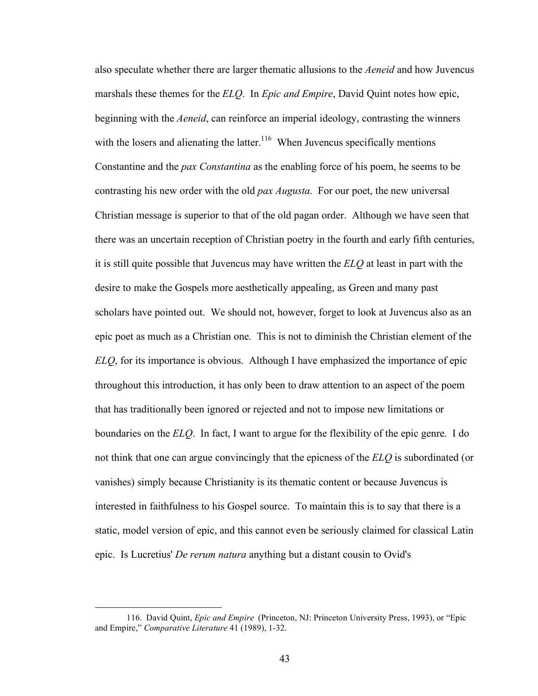also speculate whether there are larger thematic allusions to the *Aeneid* and how Juvencus marshals these themes for the *ELQ*. In *Epic and Empire*, David Quint notes how epic, beginning with the *Aeneid*, can reinforce an imperial ideology, contrasting the winners with the losers and alienating the latter.<sup>116</sup> When Juvencus specifically mentions Constantine and the *pax Constantina* as the enabling force of his poem, he seems to be contrasting his new order with the old *pax Augusta*. For our poet, the new universal Christian message is superior to that of the old pagan order. Although we have seen that there was an uncertain reception of Christian poetry in the fourth and early fifth centuries, it is still quite possible that Juvencus may have written the *ELQ* at least in part with the desire to make the Gospels more aesthetically appealing, as Green and many past scholars have pointed out. We should not, however, forget to look at Juvencus also as an epic poet as much as a Christian one. This is not to diminish the Christian element of the *ELQ*, for its importance is obvious. Although I have emphasized the importance of epic throughout this introduction, it has only been to draw attention to an aspect of the poem that has traditionally been ignored or rejected and not to impose new limitations or boundaries on the *ELQ*. In fact, I want to argue for the flexibility of the epic genre. I do not think that one can argue convincingly that the epicness of the *ELQ* is subordinated (or vanishes) simply because Christianity is its thematic content or because Juvencus is interested in faithfulness to his Gospel source. To maintain this is to say that there is a static, model version of epic, and this cannot even be seriously claimed for classical Latin epic. Is Lucretius' *De rerum natura* anything but a distant cousin to Ovid's

 <sup>116.</sup> David Quint, *Epic and Empire* (Princeton, NJ: Princeton University Press, 1993), or "Epic and Empire," *Comparative Literature* 41 (1989), 1-32.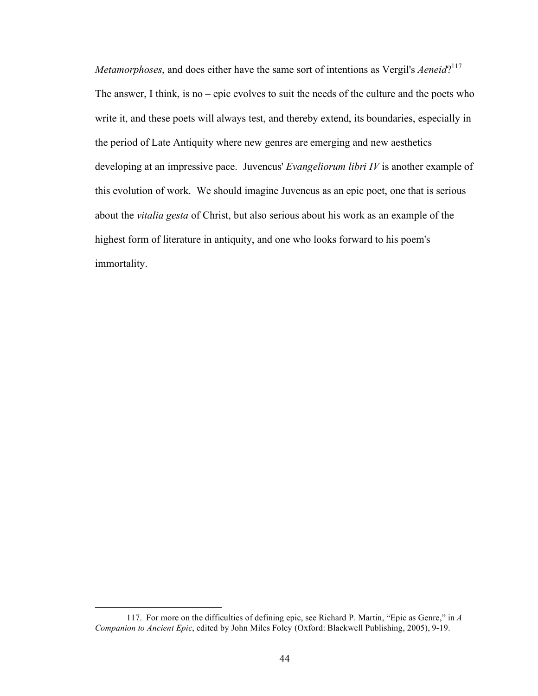*Metamorphoses*, and does either have the same sort of intentions as Vergil's *Aeneid*?<sup>117</sup> The answer, I think, is no – epic evolves to suit the needs of the culture and the poets who write it, and these poets will always test, and thereby extend, its boundaries, especially in the period of Late Antiquity where new genres are emerging and new aesthetics developing at an impressive pace. Juvencus' *Evangeliorum libri IV* is another example of this evolution of work. We should imagine Juvencus as an epic poet, one that is serious about the *vitalia gesta* of Christ, but also serious about his work as an example of the highest form of literature in antiquity, and one who looks forward to his poem's immortality.

 <sup>117.</sup> For more on the difficulties of defining epic, see Richard P. Martin, "Epic as Genre," in *<sup>A</sup> Companion to Ancient Epic*, edited by John Miles Foley (Oxford: Blackwell Publishing, 2005), 9-19.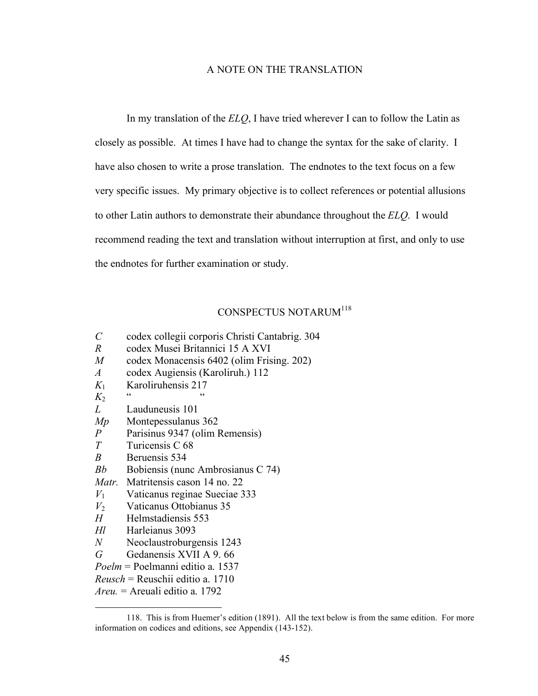### A NOTE ON THE TRANSLATION

In my translation of the *ELQ*, I have tried wherever I can to follow the Latin as closely as possible. At times I have had to change the syntax for the sake of clarity. I have also chosen to write a prose translation. The endnotes to the text focus on a few very specific issues. My primary objective is to collect references or potential allusions to other Latin authors to demonstrate their abundance throughout the *ELQ*. I would recommend reading the text and translation without interruption at first, and only to use the endnotes for further examination or study.

# CONSPECTUS NOTARUM118

- *C* codex collegii corporis Christi Cantabrig. 304
- *R* codex Musei Britannici 15 A XVI
- *M* codex Monacensis 6402 (olim Frising. 202)
- *A* codex Augiensis (Karoliruh.) 112
- *K*<sup>1</sup> Karoliruhensis 217
- $K_2$  " "
- *L* Lauduneusis 101
- *Mp* Montepessulanus 362
- *P* Parisinus 9347 (olim Remensis)
- *T* Turicensis C 68
- *B* Beruensis 534
- *Bb* Bobiensis (nunc Ambrosianus C 74)
- *Matr.* Matritensis cason 14 no. 22
- *V*<sup>1</sup> Vaticanus reginae Sueciae 333
- *V*<sup>2</sup> Vaticanus Ottobianus 35
- *H* Helmstadiensis 553
- *Hl* Harleianus 3093
- *N* Neoclaustroburgensis 1243
- *G* Gedanensis XVII A 9. 66
- *Poelm* = Poelmanni editio a. 1537
- *Reusch* = Reuschii editio a. 1710
- *Areu.* = Areuali editio a. 1792

 <sup>118.</sup> This is from Huemer's edition (1891). All the text below is from the same edition. For more information on codices and editions, see Appendix (143-152).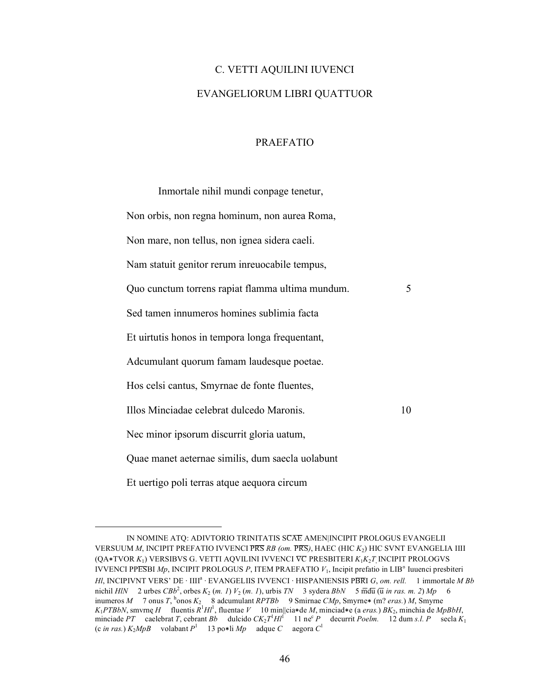# C. VETTI AQUILINI IUVENCI EVANGELIORUM LIBRI QUATTUOR

## PRAEFATIO

Inmortale nihil mundi conpage tenetur, Non orbis, non regna hominum, non aurea Roma, Non mare, non tellus, non ignea sidera caeli. Nam statuit genitor rerum inreuocabile tempus, Quo cunctum torrens rapiat flamma ultima mundum. 5 Sed tamen innumeros homines sublimia facta Et uirtutis honos in tempora longa frequentant, Adcumulant quorum famam laudesque poetae. Hos celsi cantus, Smyrnae de fonte fluentes, Illos Minciadae celebrat dulcedo Maronis. 10 Nec minor ipsorum discurrit gloria uatum, Quae manet aeternae similis, dum saecla uolabunt Et uertigo poli terras atque aequora circum

IN NOMINE ATO: ADIVTORIO TRINITATIS SCAE AMEN|INCIPIT PROLOGUS EVANGELII VERSUUM *M*, INCIPIT PREFATIO IVVENCI P̅R̅S̅*RB (om.* P̅R̅S̅*)*, HAEC (HIC *K*2) HIC SVNT EVANGELIA IIII (QA∗TVOR *K*1) VERSIBVS G. VETTI AQVILINI IVVENCI V̅C̅ PRESBITERI *K*1*K*2*T*, INCIPIT PROLOGVS IVVENCI PPE̅S̅BI *Mp*, INCIPIT PROLOGUS *P*, ITEM PRAEFATIO *V*1, Incipit prefatio in LIB° Iuuenci presbiteri *HI*, INCIPIVNT VERS' DE · IIII<sup>a</sup> · EVANGELIIS IVVENCI · HISPANIENSIS PBRI *G*, *om. rell.* 1 immortale *M Bb* nichil  $H/N$  2 urbes  $CBB^2$ , orbes  $K_2$  (*m. 1*)  $V_2$  (*m. 1*), urbis  $TN$  3 sydera  $BbN$  5  $\overline{m}d\overline{u}$  ( $\overline{u}$  *in ras. m. 2*)  $Mp$  6 inumeros *M* 7 onus *T*, h onos *K*2 8 adcumulant *RPTBb* 9 Smirnae *CMp*, Smyrne∗ (m? *eras.*) *M*, Smyrne *K*<sub>1</sub>*PTBbN*, smvrnę *H* fluentis  $R^1 H l^1$ , fluentae *V* 10 min||cia\*de *M*, minciad\*e (a *eras.*) *BK*<sub>2</sub>, minchia de *MpBbH*, minciade *PT* caelebrat *T*, cebrant *Bb* dulcido  $CK_2T^1H^1$  11 ne<sup>c</sup> *P* decurrit *Poelm.* 12 dum *s.l. P* secla  $K_1$ (c *in ras.*) *K*2*MpB* volabant *P*<sup>1</sup> 13 po∗li *Mp* adque *C* aegora *C*<sup>1</sup>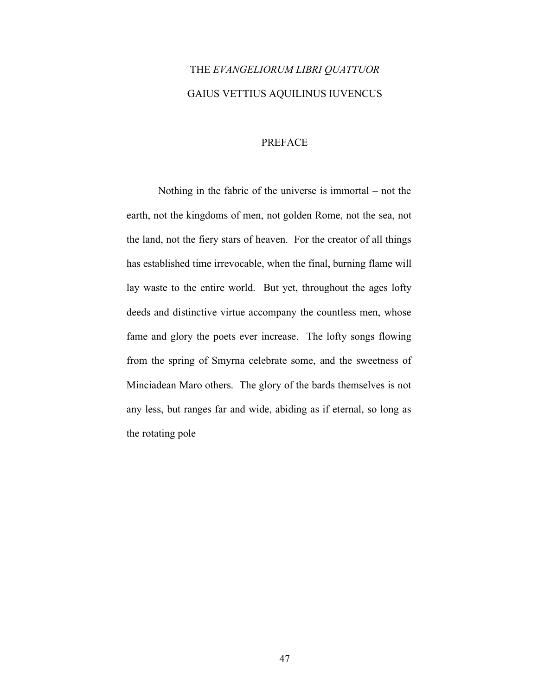# THE *EVANGELIORUM LIBRI QUATTUOR* GAIUS VETTIUS AQUILINUS IUVENCUS

### PREFACE

Nothing in the fabric of the universe is immortal – not the earth, not the kingdoms of men, not golden Rome, not the sea, not the land, not the fiery stars of heaven. For the creator of all things has established time irrevocable, when the final, burning flame will lay waste to the entire world. But yet, throughout the ages lofty deeds and distinctive virtue accompany the countless men, whose fame and glory the poets ever increase. The lofty songs flowing from the spring of Smyrna celebrate some, and the sweetness of Minciadean Maro others. The glory of the bards themselves is not any less, but ranges far and wide, abiding as if eternal, so long as the rotating pole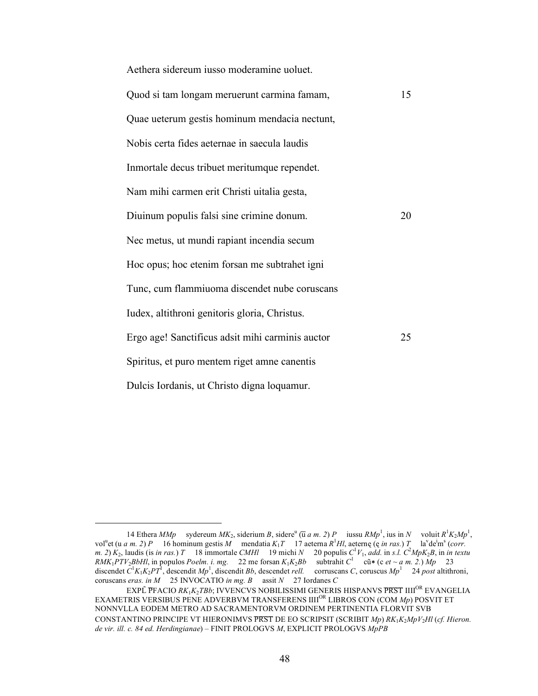| Aethera sidereum iusso moderamine uoluet.        |    |
|--------------------------------------------------|----|
| Quod si tam longam meruerunt carmina famam,      | 15 |
| Quae ueterum gestis hominum mendacia nectunt,    |    |
| Nobis certa fides aeternae in saecula laudis     |    |
| Inmortale decus tribuet meritumque rependet.     |    |
| Nam mihi carmen erit Christi uitalia gesta,      |    |
| Diuinum populis falsi sine crimine donum.        | 20 |
| Nec metus, ut mundi rapiant incendia secum       |    |
| Hoc opus; hoc etenim forsan me subtrahet igni    |    |
| Tunc, cum flammiuoma discendet nube coruscans    |    |
| Iudex, altithroni genitoris gloria, Christus.    |    |
| Ergo age! Sanctificus adsit mihi carminis auctor | 25 |
| Spiritus, et puro mentem riget amne canentis     |    |
| Dulcis Iordanis, ut Christo digna loquamur.      |    |

<sup>14</sup> Ethera *MMp* sydereum  $MK_2$ , siderium *B*, sidere<sup>u</sup> ( $\overline{u}$  *a m. 2*) *P* iussu  $RMp^1$ , ius in *N* voluit  $R^1K_2Mp^1$ , vol<sup>u</sup>et (u *a m. 2) P* 16 hominum gestis *M* mendatia  $K_1T$  17 aeterna  $R^1HI$ , aeternę (ę *in ras.*) *T* la<sup>v</sup>de<sup>i</sup>m<sup>s</sup> (corr. *m.* 2)  $K_2$ , laudis (is *in ras.*) *T* 18 immortale *CMHl* 19 michi *N* 20 populis  $C^1V_1$ , *add.* in *s.l.*  $C^2MpK_2B$ , in *in textu*  $RMK_1PTV_2BbHI$ , in populos *Poelm. i. mg.* 22 me forsan  $K_1K_2Bb$  subtrahit  $C^1$  cũ $*$  (c *et* ~ *a m. 2.*)  $Mp$  23 discendet *C*<sup>1</sup> *K*1*K*2*PT*<sup>1</sup> , descendit *Mp*<sup>1</sup> , discendit *Bb*, descendet *rell.* corruscans *C*, coruscus *Mp*<sup>1</sup> 24 *post* altithroni, coruscans *eras. in M* 25 INVOCATIO *in mg. B* assit *N* 27 Iordanes *C*

EXPL̃ PFACIO *RK*<sub>1</sub>*K*<sub>2</sub>*TBb*; IVVENCVS NOBILISSIMI GENERIS HISPANVS PRST IIII<sup>OR</sup> EVANGELIA EXAMETRIS VERSIBUS PENE ADVERBVM TRANSFERENS IIIIOR LIBROS CON (COM *Mp*) POSVIT ET NONNVLLA EODEM METRO AD SACRAMENTORVM ORDINEM PERTINENTIA FLORVIT SVB CONSTANTINO PRINCIPE VT HIERONIMVS PRST DE EO SCRIPSIT (SCRIBIT *Mp*)  $RK_1K_2MpV_2H$ l (cf. Hieron. *de vir. ill. c. 84 ed. Herdingianae*) – FINIT PROLOGVS *M*, EXPLICIT PROLOGVS *MpPB*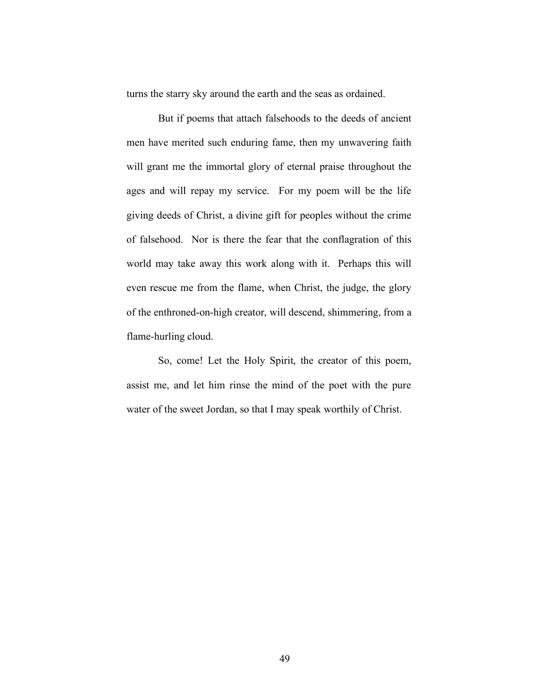turns the starry sky around the earth and the seas as ordained.

But if poems that attach falsehoods to the deeds of ancient men have merited such enduring fame, then my unwavering faith will grant me the immortal glory of eternal praise throughout the ages and will repay my service. For my poem will be the life giving deeds of Christ, a divine gift for peoples without the crime of falsehood. Nor is there the fear that the conflagration of this world may take away this work along with it. Perhaps this will even rescue me from the flame, when Christ, the judge, the glory of the enthroned-on-high creator, will descend, shimmering, from a flame-hurling cloud.

So, come! Let the Holy Spirit, the creator of this poem, assist me, and let him rinse the mind of the poet with the pure water of the sweet Jordan, so that I may speak worthily of Christ.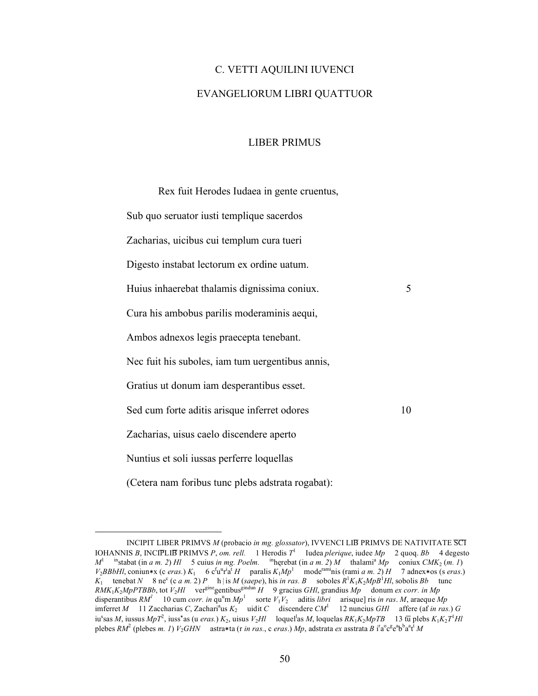# C. VETTI AQUILINI IUVENCI EVANGELIORUM LIBRI QUATTUOR

### LIBER PRIMUS

Rex fuit Herodes Iudaea in gente cruentus, Sub quo seruator iusti templique sacerdos Zacharias, uicibus cui templum cura tueri Digesto instabat lectorum ex ordine uatum. Huius inhaerebat thalamis dignissima coniux. 5 Cura his ambobus parilis moderaminis aequi, Ambos adnexos legis praecepta tenebant. Nec fuit his suboles, iam tum uergentibus annis, Gratius ut donum iam desperantibus esset. Sed cum forte aditis arisque inferret odores 10 Zacharias, uisus caelo discendere aperto Nuntius et soli iussas perferre loquellas (Cetera nam foribus tunc plebs adstrata rogabat):

INCIPIT LIBER PRIMVS *M* (probacio *in mg. glossator*), IVVENCI LIB PRIMVS DE NATIVITATE SCI IOHANNIS *B*, INCIPLIB PRIMVS *P*, *om. rell.* 1 Herodis  $T^1$  Iudea *plerique*, iudee *Mp* 2 quoq. *Bb* 4 degesto  $M^1$  instabat (in *a m. 2*) *Hl* 5 cuius *in mg. Poelm.* inherebat (in *a m. 2*) *M* thalami<sup>a</sup> *Mp* coniux *CMK*<sub>2</sub> (*m. 1*)  $V_2$ *BBbHl*, coniun\*x (c *eras.*)  $K_1$  6 c<sup>f</sup>u"ra<sup>t</sup> *H* paralis  $K_1Mp^1$  mode<sup>rami</sup>nis (rami *a m. 2*) *H* 7 adnex\*os (s *eras.*) *K*<sub>1</sub> tenebat *N* 8 ne<sup>c</sup> (c *a m.* 2) *P* h is *M* (*saepe*), his *in ras. B* soboles  $R^1K_1K_2MpB^1Hl$ , sobolis *Bb* tunc  $RMK_1K_2MpPTBBb$ , tot  $V_2Hl$  ver<sup>gine</sup>gentibus<sup>gindun</sup>  $H$  9 gracius *GHl*, grandius  $Mp$  donum *ex corr. in Mp* disperantibus  $RM<sup>1</sup>$  10 cum *corr. in*  $qu<sup>u</sup>m Mp<sup>1</sup>$  sorte  $V_1V_2$  aditis *libri* arisque] ris *in ras. M*, araeque *Mp*  $\text{imferred } M = 11 \text{ Zaccharias } C, \text{Zachari}^{\text{a}} \text{us } K_2 \quad \text{uidit } C \quad \text{discenter } CM^1$  12 nuncius *GHl* affere (af *in ras.*) *G* iu<sup>s</sup>sas *M*, iussus *MpT*<sup>2</sup>, iuss\*as (u *eras.*) *K*<sub>2</sub>, uisus *V*<sub>2</sub>*Hl* loquel<sup>1</sup>as *M*, loquelas *RK*<sub>1</sub>*K*<sub>2</sub>*MpTB* 13 tu plebs *K*<sub>1</sub>*K*<sub>2</sub>*T*<sup>1</sup>*Hl* plebes *RM*<sup>2</sup> (plebes *m. 1*) *V*<sub>2</sub>*GHN* astra∗ta (r *in ras.*, c *eras.*) *Mp*, adstrata *ex* asstrata *B* i<sup>r</sup>a°c<sup>g</sup>e<sup>a</sup>b<sup>b</sup>a<sup>a</sup>t<sup>i</sup> *M*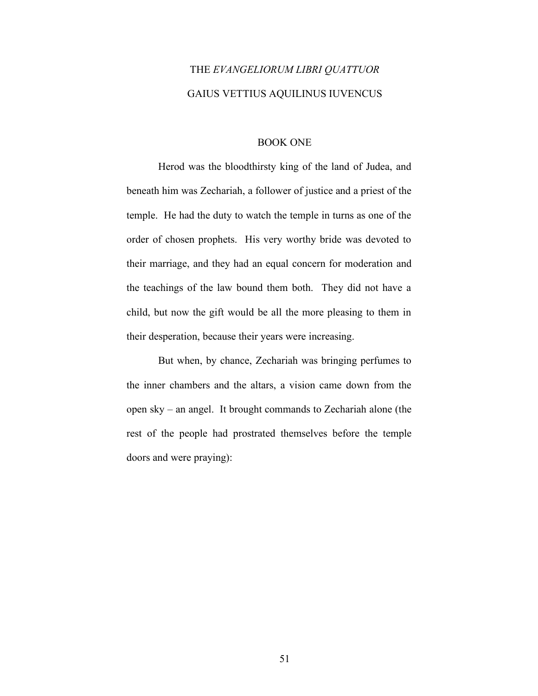# THE *EVANGELIORUM LIBRI QUATTUOR* GAIUS VETTIUS AQUILINUS IUVENCUS

#### BOOK ONE

Herod was the bloodthirsty king of the land of Judea, and beneath him was Zechariah, a follower of justice and a priest of the temple. He had the duty to watch the temple in turns as one of the order of chosen prophets. His very worthy bride was devoted to their marriage, and they had an equal concern for moderation and the teachings of the law bound them both. They did not have a child, but now the gift would be all the more pleasing to them in their desperation, because their years were increasing.

But when, by chance, Zechariah was bringing perfumes to the inner chambers and the altars, a vision came down from the open sky – an angel. It brought commands to Zechariah alone (the rest of the people had prostrated themselves before the temple doors and were praying):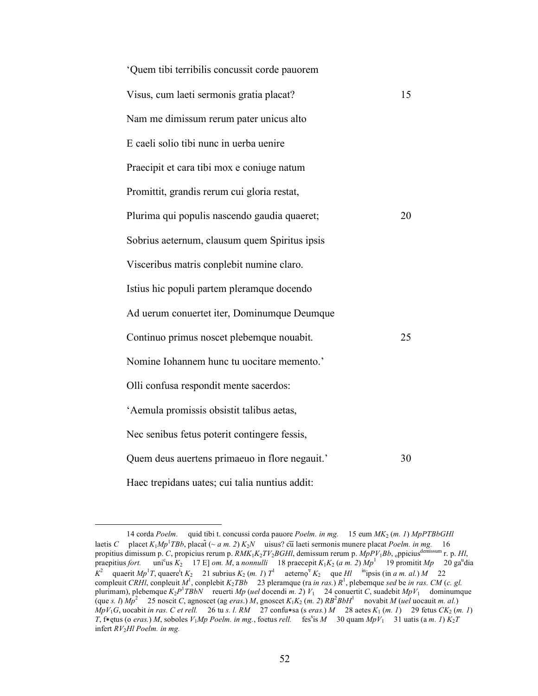| 'Quem tibi terribilis concussit corde pauorem  |    |
|------------------------------------------------|----|
| Visus, cum laeti sermonis gratia placat?       | 15 |
| Nam me dimissum rerum pater unicus alto        |    |
| E caeli solio tibi nunc in uerba uenire        |    |
| Praecipit et cara tibi mox e coniuge natum     |    |
| Promittit, grandis rerum cui gloria restat,    |    |
| Plurima qui populis nascendo gaudia quaeret;   | 20 |
| Sobrius aeternum, clausum quem Spiritus ipsis  |    |
| Visceribus matris conplebit numine claro.      |    |
| Istius hic populi partem pleramque docendo     |    |
| Ad uerum conuertet iter, Dominumque Deumque    |    |
| Continuo primus noscet plebemque nouabit.      | 25 |
| Nomine Iohannem hunc tu uocitare memento.'     |    |
| Olli confusa respondit mente sacerdos:         |    |
| 'Aemula promissis obsistit talibus aetas,      |    |
| Nec senibus fetus poterit contingere fessis,   |    |
| Quem deus auertens primaeuo in flore negauit.' | 30 |
| Haec trepidans uates; cui talia nuntius addit: |    |

 <sup>14</sup> corda *Poelm.* quid tibi t. concussi corda pauore *Poelm. in mg.* 15 eum *MK*2 (*m. 1*) *MpPTBbGHl* laetis *C* placet  $K_1Mp$ <sup>1</sup> *TBb*, placat̃ (~ *a m. 2*)  $K_2N$  uisus? cū laeti sermonis munere placat *Poelm. in mg.* 16 propitius dimissum p. *C*, propicius rerum p. *RMK*1*K*2*TV*2*BGHl*, demissum rerum p. *MpPV*1*Bb*, oppiciusdemissum r. p. *Hl*, praepitius *fort*. us  $K_2$  17 E] *om. M*, a *nonnulli* 18 praecepit  $K_1K_2$  (*a m. 2*)  $Mp^1$  19 promitit  $Mp$  20 ga<sup>n</sup>dia  $K^2$  quaerit *Mp*<sup>1</sup>T, quaere<sup>i</sup>t  $K_2$  21 subrius  $K_2$  (*m. 1*)  $T^1$  aeterno<sup>v</sup>  $K_2$  que *Hl* <sup>in</sup>ipsis (in *a m. al.*) *M* 22 compleuit *CRHI*, conpleuit  $M^1$ , conplebit  $K_2TBb$  23 pleramque (ra *in ras.*)  $R^1$ , plebemque *sed* be *in ras. CM* (*c. gl.*) plurimam), plebemque  $K_2P^1T\nBbN$  reuerti *Mp* (*uel* docendi *m.* 2)  $V_1$  24 conuertit *C*, suadebit *MpV*<sub>1</sub> dominumque (que *s. l*)  $Mp^2$ 25 noscit *C*, agnoscet (ag *eras*.) *M*, gnoscet  $K_1K_2$  (*m. 2*)  $RB^2BbH^1$  novabit *M* (*uel* uocauit *m. al.*)  $MpV_1G$ , uocabit *in ras. C et rell.* 26 tu *s. l. RM* 27 confu $*$ sa (s *eras.*) *M* 28 aetes  $K_1$  (*m. 1*) 29 fetus  $CK_2$  (*m. 1*) *T*, f∗ętus (o *eras.*) *M*, soboles *V*<sub>1</sub>*Mp Poelm. in mg.*, foetus *rell.* fes<sup>s</sup>is *M* 30 quam *MpV*<sub>1</sub> 31 uatis (a *m. 1*) *K*<sub>2</sub>*T* infert *RV*2*Hl Poelm. in mg.*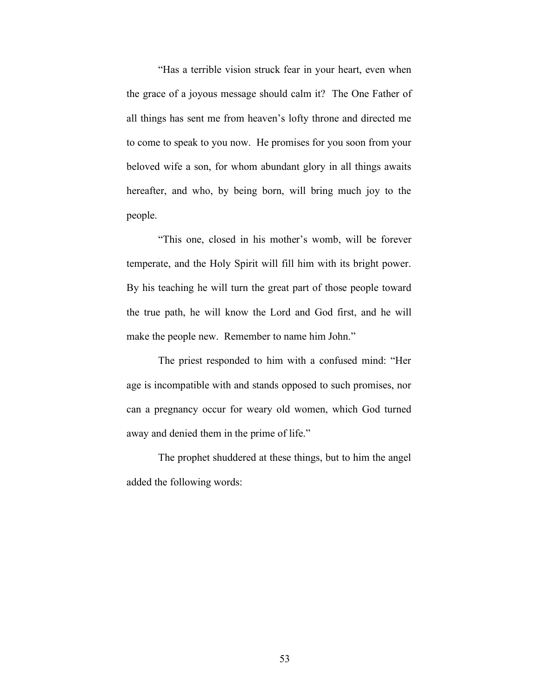"Has a terrible vision struck fear in your heart, even when the grace of a joyous message should calm it? The One Father of all things has sent me from heaven's lofty throne and directed me to come to speak to you now. He promises for you soon from your beloved wife a son, for whom abundant glory in all things awaits hereafter, and who, by being born, will bring much joy to the people.

"This one, closed in his mother's womb, will be forever temperate, and the Holy Spirit will fill him with its bright power. By his teaching he will turn the great part of those people toward the true path, he will know the Lord and God first, and he will make the people new. Remember to name him John."

The priest responded to him with a confused mind: "Her age is incompatible with and stands opposed to such promises, nor can a pregnancy occur for weary old women, which God turned away and denied them in the prime of life."

The prophet shuddered at these things, but to him the angel added the following words: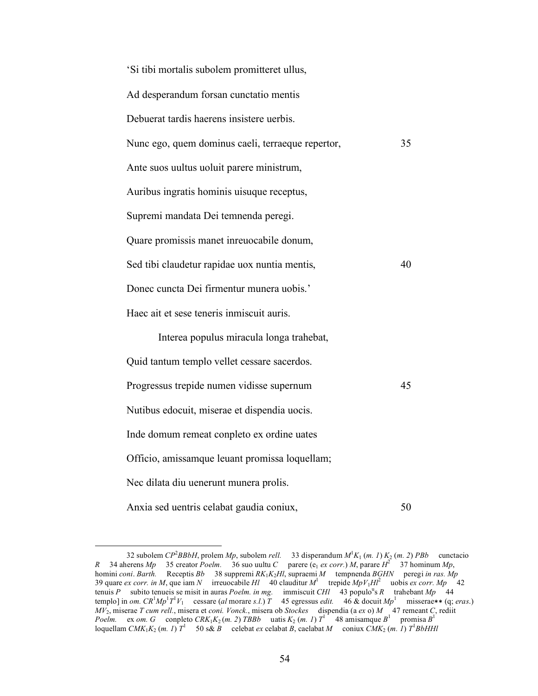| 'Si tibi mortalis subolem promitteret ullus,      |    |
|---------------------------------------------------|----|
| Ad desperandum forsan cunctatio mentis            |    |
| Debuerat tardis haerens insistere uerbis.         |    |
| Nunc ego, quem dominus caeli, terraeque repertor, | 35 |
| Ante suos uultus uoluit parere ministrum,         |    |
| Auribus ingratis hominis uisuque receptus,        |    |
| Supremi mandata Dei temnenda peregi.              |    |
| Quare promissis manet inreuocabile donum,         |    |
| Sed tibi claudetur rapidae uox nuntia mentis,     | 40 |
| Donec cuncta Dei firmentur munera uobis.'         |    |
| Haec ait et sese teneris inmiscuit auris.         |    |
| Interea populus miracula longa trahebat,          |    |
| Quid tantum templo vellet cessare sacerdos.       |    |
| Progressus trepide numen vidisse supernum         | 45 |
| Nutibus edocuit, miserae et dispendia uocis.      |    |
| Inde domum remeat conpleto ex ordine uates        |    |
| Officio, amissamque leuant promissa loquellam;    |    |
| Nec dilata diu uenerunt munera prolis.            |    |
| Anxia sed uentris celabat gaudia coniux,          | 50 |

 <sup>32</sup> subolem *CP*<sup>2</sup> *BBbH*, prolem *Mp*, subolem *rell.* 33 disperandum *M*<sup>1</sup> *K*1 (*m. 1*) *K*2 (*m. 2*) *PBb* cunctacio *R* 34 aherens *Mp* 35 creator *Poelm.* 36 suo uultu *C* parere (e<sub>1</sub> ex corr.) *M*, parare  $H^2$  37 hominum *Mp*, homini *coni*. *Barth.* Receptis *Bb* 38 suppremi *RK*1*K*2*Hl*, supraemi *M* tempnenda *BGHN* peregi *in ras. Mp* 39 quare *ex corr. in M*, que iam *N* irreuocabile *Hl* 40 clauditur  $M<sup>1</sup>$  trepide  $MpV<sub>1</sub>Hl<sup>2</sup>$  uobis *ex corr. Mp* 42 tenuis *P* subito tenueis se misit in auras *Poelm. in mg.* immiscuit *CHl*  $\left[43 \text{ populo} \right]$ <sup>6</sup> R trahebant *Mp*  $\left[44 \text{ mod } 44 \text{ mod } 44 \text{ mod } 44 \text{ mod } 44 \text{ mod } 44 \text{ mod } 44 \text{ mod } 44 \text{ mod } 44 \text{ mod } 44 \text{ mod } 44 \text{ mod } 44 \text{ mod } 44 \text{ mod }$ templo] in *om.*  $CR^1Mp^1T^1V_1$  cessare (*al* morare *s.l.*) *T* 45 egressus *edit.* 46 & docuit  $Mp^1$  misserae\*\* (q; *eras.*) *MV*2, miserae *T cum rell.*, misera et *coni. Vonck.*, misera ob *Stockes* dispendia (a *ex* o) *M* 47 remeant *C*, rediit *Poelm.* ex *om.* G conpleto  $CRK_1K_2(m. 2) TBBb$  uatis  $K_2(m. 1) T^1$  48 amisamque  $B^1$  promisa  $B^1$ loquellam  $CMK_1K_2$  (*m. 1*)  $T^1$  50 s& *B* celebat *ex* celabat *B*, caelabat *M* coniux  $CMK_2$  (*m. 1*)  $T^1BbHHl$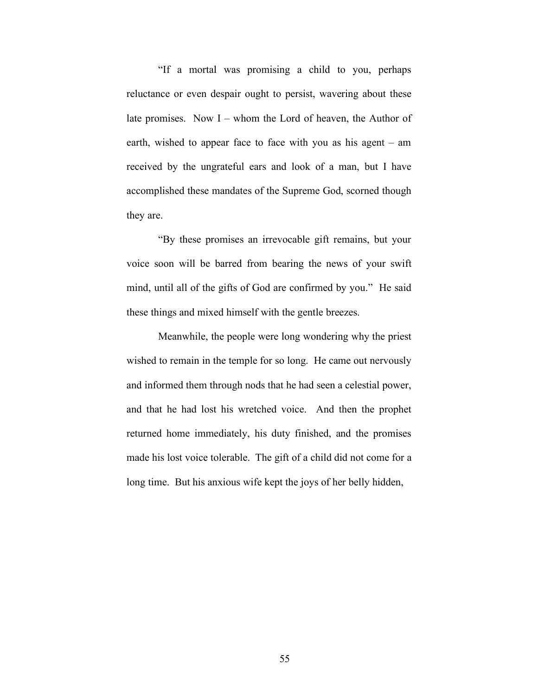"If a mortal was promising a child to you, perhaps reluctance or even despair ought to persist, wavering about these late promises. Now I – whom the Lord of heaven, the Author of earth, wished to appear face to face with you as his agent – am received by the ungrateful ears and look of a man, but I have accomplished these mandates of the Supreme God, scorned though they are.

"By these promises an irrevocable gift remains, but your voice soon will be barred from bearing the news of your swift mind, until all of the gifts of God are confirmed by you." He said these things and mixed himself with the gentle breezes.

Meanwhile, the people were long wondering why the priest wished to remain in the temple for so long. He came out nervously and informed them through nods that he had seen a celestial power, and that he had lost his wretched voice. And then the prophet returned home immediately, his duty finished, and the promises made his lost voice tolerable. The gift of a child did not come for a long time. But his anxious wife kept the joys of her belly hidden,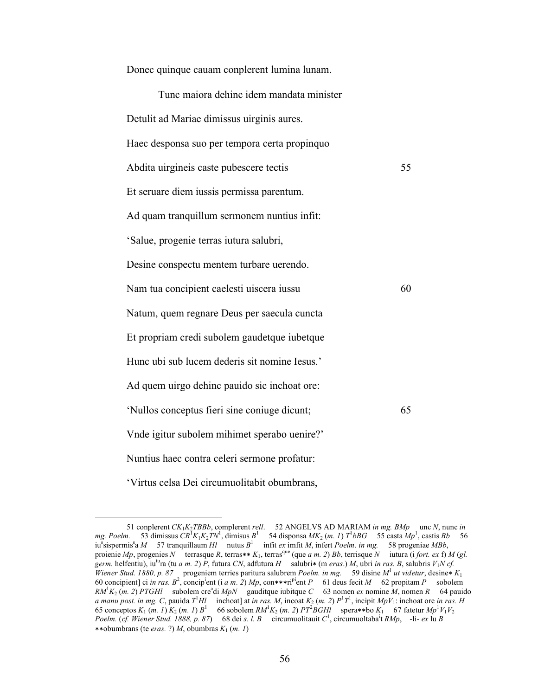| Tunc maiora dehinc idem mandata minister      |    |
|-----------------------------------------------|----|
| Detulit ad Mariae dimissus uirginis aures.    |    |
| Haec desponsa suo per tempora certa propinquo |    |
| Abdita uirgineis caste pubescere tectis       | 55 |
| Et seruare diem iussis permissa parentum.     |    |
| Ad quam tranquillum sermonem nuntius infit:   |    |
| 'Salue, progenie terras iutura salubri,       |    |
| Desine conspectu mentem turbare uerendo.      |    |
| Nam tua concipient caelesti uiscera iussu     | 60 |
| Natum, quem regnare Deus per saecula cuncta   |    |
| Et propriam credi subolem gaudetque iubetque  |    |
| Hunc ubi sub lucem dederis sit nomine Iesus.' |    |
| Ad quem uirgo dehinc pauido sic inchoat ore:  |    |
| 'Nullos conceptus fieri sine coniuge dicunt;  | 65 |
| Vnde igitur subolem mihimet sperabo uenire?'  |    |
| Nuntius haec contra celeri sermone profatur:  |    |
| 'Virtus celsa Dei circumuolitabit obumbrans,  |    |

Donec quinque cauam conplerent lumina lunam.

 <sup>51</sup> conplerent *CK*1*K*2*TBBb*, complerent *rell*. 52 ANGELVS AD MARIAM *in mg. BMp* unc *N*, nunc *in mg. Poelm.* 53 dimissus  $CR^T K_1 K_2 TN^1$ , dimisus  $B^1$  54 disponsa  $MK_2$  (*m. 1*)  $T^1 bBG$  55 casta  $Mp^1$ , castis  $Bb$  56 iu<sup>s</sup> sispermis<sup>s</sup> a *M* 57 tranquillaum *Hl* nutus  $B^1$  infit *ex* imfit *M*, infert *Poelm. in mg.* 58 progeniae *MBb*, proienie *Mp*, progenies *N* terrasque *R*, terras\*\*  $K_1$ , terras<sup>que</sup> (que *a m. 2) Bb*, terrisque *N* iutura (i *fort. ex f) M* (*gl. germ.* helfentiu), iutura (tu *a m. 2*) *P*, futura *CN*, adfutura *H* salubri<sup>∗</sup> (m *eras*.) *M*, ubri *in ras. B*, salubris *V*1*N cf. Wiener Stud. 1880, p. 87* progeniem terries paritura salubrem *Poelm. in mg.* 59 disine *M*<sup>1</sup> *ut videtur*, desine<sup>∗</sup> *K*1 60 concipient] ci *in ras.*  $B^2$ , concip<sup>i</sup>ent (i *a m. 2*) *Mp*, con\*\*\*ri<sup>pi</sup>ent *P* 61 deus fecit *M* 62 propitam *P* sobolem  $RM^1K_2$  (*m. 2*) *PTGHl* subolem cre<sup>a</sup>di *MpN* gauditque iubitque *C* 63 nomen *ex* nomine *M*, nomen *R* 64 pauido *a manu post. in mg. C*, pauida  $T$ <sup>1</sup> $H$ *l* inchoat] at *in ras. M*, incoat  $K_2$  (*m. 2*)  $P$ <sup>1</sup> $T$ <sup>1</sup>, incipit  $MpV_1$ : inchoat ore *in ras. H* 65 conceptos  $K_1$  (*m. 1*)  $K_2$  (*m. 1*)  $B^1$  66 sobolem  $RM^1K_2$  (*m. 2*)  $PT^2BGHI$  spera\*\*bo  $K_1$  67 fatetur  $Mp^1V_1V_2$ *Poelm.* (*cf. Wiener Stud. 1888, p. 87*) 68 dei *s. l. B* circumuolitauit *C*<sup>1</sup> , circumuoltabai t *RMp*, -li- *ex* lu *B* ∗∗obumbrans (te *eras.* ?) *M*, obumbras *K*1 (*m. 1*)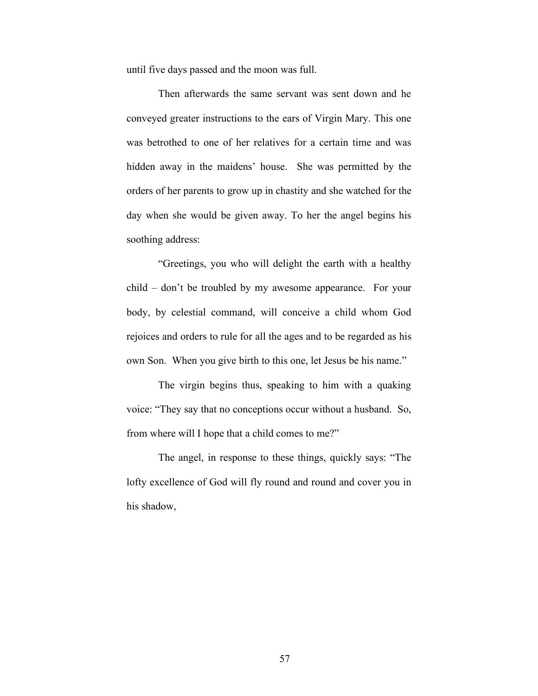until five days passed and the moon was full.

Then afterwards the same servant was sent down and he conveyed greater instructions to the ears of Virgin Mary. This one was betrothed to one of her relatives for a certain time and was hidden away in the maidens' house. She was permitted by the orders of her parents to grow up in chastity and she watched for the day when she would be given away. To her the angel begins his soothing address:

"Greetings, you who will delight the earth with a healthy child – don't be troubled by my awesome appearance. For your body, by celestial command, will conceive a child whom God rejoices and orders to rule for all the ages and to be regarded as his own Son. When you give birth to this one, let Jesus be his name."

The virgin begins thus, speaking to him with a quaking voice: "They say that no conceptions occur without a husband. So, from where will I hope that a child comes to me?"

The angel, in response to these things, quickly says: "The lofty excellence of God will fly round and round and cover you in his shadow,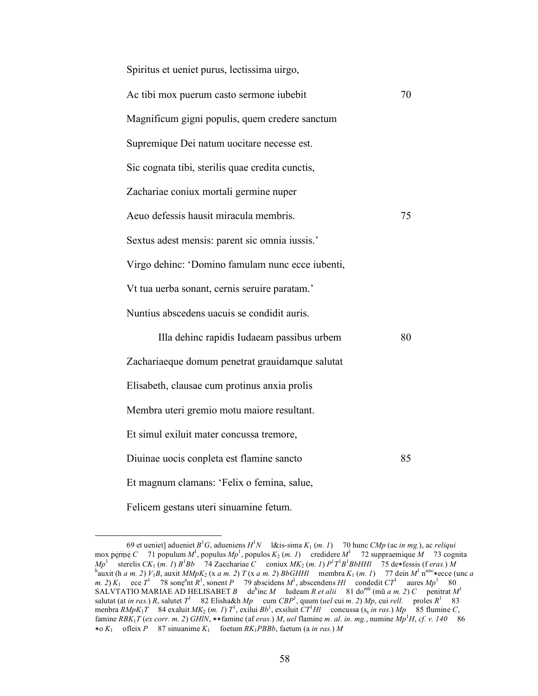| Spiritus et ueniet purus, lectissima uirgo,      |    |
|--------------------------------------------------|----|
| Ac tibi mox puerum casto sermone iubebit         | 70 |
| Magnificum gigni populis, quem credere sanctum   |    |
| Supremique Dei natum uocitare necesse est.       |    |
| Sic cognata tibi, sterilis quae credita cunctis, |    |
| Zachariae coniux mortali germine nuper           |    |
| Aeuo defessis hausit miracula membris.           | 75 |
| Sextus adest mensis: parent sic omnia iussis.'   |    |
| Virgo dehinc: 'Domino famulam nunc ecce iubenti, |    |
| Vt tua uerba sonant, cernis seruire paratam.'    |    |
| Nuntius abscedens uacuis se condidit auris.      |    |
| Illa dehinc rapidis Iudaeam passibus urbem       | 80 |
| Zachariaeque domum penetrat grauidamque salutat  |    |
| Elisabeth, clausae cum protinus anxia prolis     |    |
| Membra uteri gremio motu maiore resultant.       |    |
| Et simul exiluit mater concussa tremore,         |    |
| Diuinae uocis conpleta est flamine sancto        | 85 |
|                                                  |    |

Et magnum clamans: 'Felix o femina, salue,

Felicem gestans uteri sinuamine fetum.

 <sup>69</sup> et ueniet] adueniet *B*<sup>1</sup> *G*, adueniens *H*<sup>1</sup> *N* l&is-sima *K*1 (*m. 1*) 70 hunc *CMp* (ac *in mg.*), ac *reliqui* mox perme *C* 71 populum  $M^1$ , populus  $Mp^1$ , populos  $K_2$  (*m. 1*) credidere  $M^1$  72 suppraemique  $M$  73 cognita *Mp*<sup>1</sup> sterelis *CK*<sub>1</sub> (*m. 1*)  $B^1Bb$  74 Zacchariae *C* coniux  $MK_2(m, 1) P^1T^1B^1BbHH$  75 de∗fessis (f *eras.*)  $\overline{M}$ <br><sup>h</sup>ouvit (b, a, m, 2)  $\overline{V}$ ,  $\overline{P}$  any it  $M/MK$  (y, a, m, 2)  $T(x, a, m, 2)$   $BbCHH$  mombre  $K$ auxit (h *a m. 2*) *V*<sub>1</sub>*B*, auxit *MMpK*<sub>2</sub> (x *a m. 2*) *T* (x *a m. 2*) *BbGHHl* membra  $K_1$  (*m. 1*) 77 dein  $M^1$  n<sup>unc</sup> ∗ecce (unc *a m.* 2)  $K_1$  ece  $T^1$  78 sone<sup>a</sup>nt  $R^1$ , sonent *P* 79 abscidens  $M^1$ , abscendens  $Hl$  condedit  $CT^1$  aures  $Mp^1$  80 SALVTATIO MARIAE AD HELISABET *B* de<sup>h</sup>inc *M* Iudeam *R et alii* 81 do<sup>mū</sup> (mũ *a m. 2*) *C* penitrat  $M<sup>1</sup>$ salutat (at *in ras.*) *R*, salutet  $T^1$  82 Elisha&h *Mp* cum  $CBP^1$ , quum (*uel* cui *m.* 2) *Mp*, cui *rell.* proles  $R^1$  83 menbra  $RMpK_1T$  84 exaluit  $MK_2$  (*m. 1*)  $T^1$ , exilui  $Bb^1$ , exsiluit  $CT^1HI$  concussa (s<sub>s</sub> *in ras.*)  $Mp$  85 flumine *C*, famine *RBK*1*T* (*ex corr. m. 2*) *GHlN*, ∗∗famine (af *eras.*) *M*, *uel* flamine *m. al. in. mg.*, numine *Mp*<sup>1</sup> *H*, *cf. v. 140* 86 ∗o *K*1 ofleix *P* 87 sinuanime *K*1 foetum *RK*1*PBBb*, faetum (a *in ras.*) *M*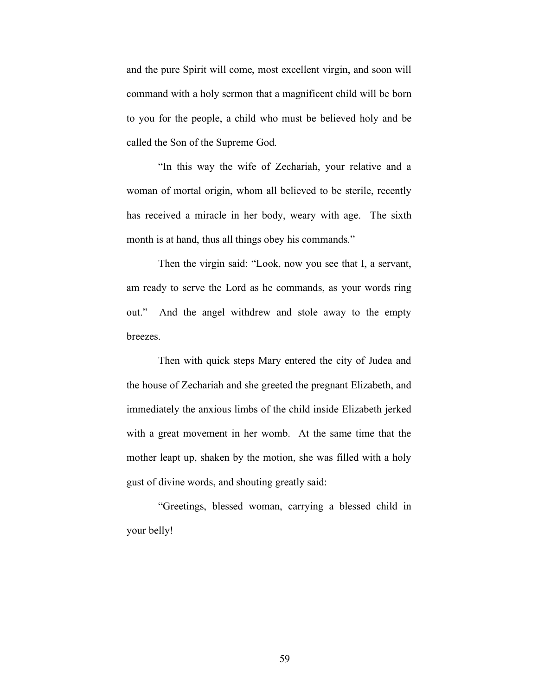and the pure Spirit will come, most excellent virgin, and soon will command with a holy sermon that a magnificent child will be born to you for the people, a child who must be believed holy and be called the Son of the Supreme God.

"In this way the wife of Zechariah, your relative and a woman of mortal origin, whom all believed to be sterile, recently has received a miracle in her body, weary with age. The sixth month is at hand, thus all things obey his commands."

Then the virgin said: "Look, now you see that I, a servant, am ready to serve the Lord as he commands, as your words ring out." And the angel withdrew and stole away to the empty breezes.

Then with quick steps Mary entered the city of Judea and the house of Zechariah and she greeted the pregnant Elizabeth, and immediately the anxious limbs of the child inside Elizabeth jerked with a great movement in her womb. At the same time that the mother leapt up, shaken by the motion, she was filled with a holy gust of divine words, and shouting greatly said:

"Greetings, blessed woman, carrying a blessed child in your belly!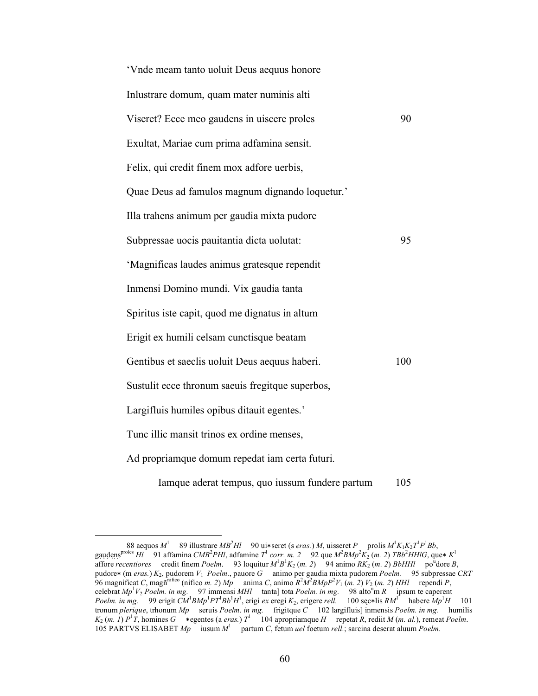| 'Vnde meam tanto uoluit Deus aequus honore       |     |
|--------------------------------------------------|-----|
| Inlustrare domum, quam mater numinis alti        |     |
| Viseret? Ecce meo gaudens in uiscere proles      | 90  |
| Exultat, Mariae cum prima adfamina sensit.       |     |
| Felix, qui credit finem mox adfore uerbis,       |     |
| Quae Deus ad famulos magnum dignando loquetur.'  |     |
| Illa trahens animum per gaudia mixta pudore      |     |
| Subpressae uocis pauitantia dicta uolutat:       | 95  |
| 'Magnificas laudes animus gratesque rependit     |     |
| Inmensi Domino mundi. Vix gaudia tanta           |     |
| Spiritus iste capit, quod me dignatus in altum   |     |
| Erigit ex humili celsam cunctisque beatam        |     |
| Gentibus et saeclis uoluit Deus aequus haberi.   | 100 |
| Sustulit ecce thronum saeuis fregitque superbos, |     |
| Largifluis humiles opibus ditauit egentes.'      |     |
| Tunc illic mansit trinos ex ordine menses,       |     |
| Ad propriamque domum repedat iam certa futuri.   |     |
|                                                  |     |

Iamque aderat tempus, quo iussum fundere partum 105

<sup>88</sup> aequos  $M^1$  89 illustrare  $MB^2Hl$  90 ui\*seret (s *eras.*) *M*, uisseret *P* prolis  $M^1K_1K_2T^1P^1Bb$ , gạụ dẹns<sup>proles</sup> Hl 91 affamina *CMB<sup>2</sup>PHI*, adfamine *T*<sup>1</sup> *corr. m. 2* 92 que  $M^2 B M p^2 K_2$  (*m. 2*) *TBb<sup>2</sup>HHIG*, que\*  $K^1$ affore *recentiores* credit finem *Poelm*. 93 loquitur  $M^1B^1K_2$  (*m. 2*) 94 animo  $RK_2$  (*m. 2*) *BbHHl* po<sup>u</sup>dore *B*, pudore∗ (m *eras.*) *K*2, pudorem *V*1 *Poelm.*, pauore *G* animo per gaudia mixta pudorem *Poelm.* 95 subpressae *CRT* 96 magnificat *C*, magn<sup>nifico</sup> (nifico *m. 2*)  $Mp$  anima *C*, animo  $R^2M^2B MpP^2V_1$  (*m. 2*)  $V_2$  (*m. 2*) *HHl* rependi *P*, celebrat *Mp*<sup>1</sup>V<sub>2</sub> *Poelm. in mg.* 97 immensi *MHl* tanta] tota *Poelm. in mg.* 98 alto<sup>u</sup>m *R* ipsum te caperent *Poelm. in mg.* 99 erigit  $CM$ <sup>1</sup> $BMp$ <sup>1</sup> $PT$ </sup> $Bb$ <sup>1</sup> $H$ <sup>1</sup>, erigi *ex* eregi  $K_2$ , erigere *rell.* 100 sęc∗lis  $RM$ <sup>1</sup> habere  $Mp$ <sup>1</sup> $H$  101 tronum *plerique*, trhonum *Mp* seruis *Poelm. in mg.* frigitque *C* 102 largifluis] inmensis *Poelm. in mg.* humilis  $K_2$  (*m. 1*)  $P^1\overline{T}$ , homines *G* \*egentes (a *eras.*)  $T^1$  104 apropriamque *H* repetat *R*, rediit *M* (*m. al.*), remeat *Poelm.* 105 PARTVS ELISABET *Mp* iusum *M*<sup>1</sup> partum *C*, fetum *uel* foetum *rell.*; sarcina deserat aluum *Poelm.*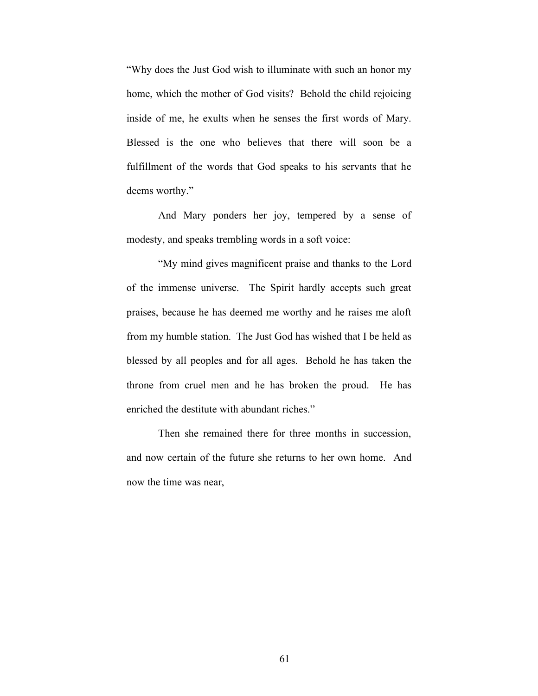"Why does the Just God wish to illuminate with such an honor my home, which the mother of God visits? Behold the child rejoicing inside of me, he exults when he senses the first words of Mary. Blessed is the one who believes that there will soon be a fulfillment of the words that God speaks to his servants that he deems worthy."

And Mary ponders her joy, tempered by a sense of modesty, and speaks trembling words in a soft voice:

"My mind gives magnificent praise and thanks to the Lord of the immense universe. The Spirit hardly accepts such great praises, because he has deemed me worthy and he raises me aloft from my humble station. The Just God has wished that I be held as blessed by all peoples and for all ages. Behold he has taken the throne from cruel men and he has broken the proud. He has enriched the destitute with abundant riches."

Then she remained there for three months in succession, and now certain of the future she returns to her own home. And now the time was near,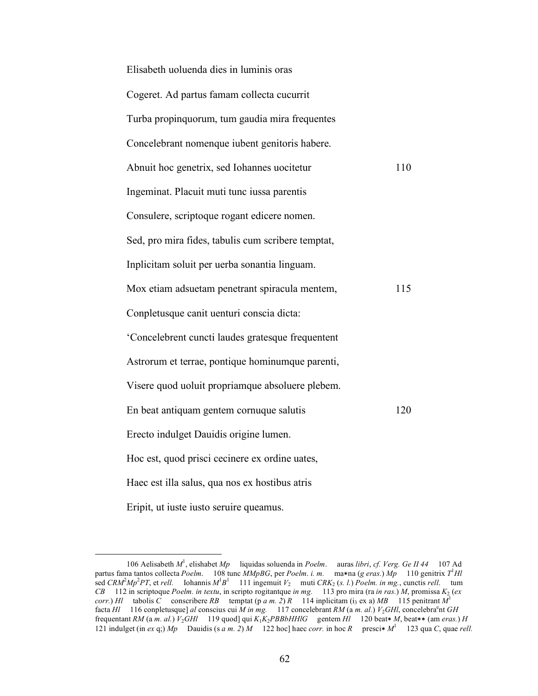| Elisabeth uoluenda dies in luminis oras            |     |
|----------------------------------------------------|-----|
| Cogeret. Ad partus famam collecta cucurrit         |     |
| Turba propinquorum, tum gaudia mira frequentes     |     |
| Concelebrant nomenque iubent genitoris habere.     |     |
| Abnuit hoc genetrix, sed Iohannes uocitetur        | 110 |
| Ingeminat. Placuit muti tunc iussa parentis        |     |
| Consulere, scriptoque rogant edicere nomen.        |     |
| Sed, pro mira fides, tabulis cum scribere temptat, |     |
| Inplicitam soluit per uerba sonantia linguam.      |     |
| Mox etiam adsuetam penetrant spiracula mentem,     | 115 |
| Conpletusque canit uenturi conscia dicta:          |     |
| 'Concelebrent cuncti laudes gratesque frequentent  |     |
| Astrorum et terrae, pontique hominumque parenti,   |     |
| Visere quod uoluit propriamque absoluere plebem.   |     |
| En beat antiquam gentem cornuque salutis           | 120 |
| Erecto indulget Dauidis origine lumen.             |     |
| Hoc est, quod prisci cecinere ex ordine uates,     |     |
| Haec est illa salus, qua nos ex hostibus atris     |     |
| Eripit, ut iuste iusto seruire queamus.            |     |

 <sup>106</sup> Aelisabeth *M*<sup>1</sup> , elishabet *Mp* liquidas soluenda in *Poelm*. auras *libri*, *cf. Verg. Ge II 44* 107 Ad partus fama tantos collecta *Poelm*. 108 tunc *MMpBG*, per *Poelm*. *i. m.* ma∗na (*g eras.*) *Mp* 110 genitrix *T*<sup>1</sup> *Hl* sed *CRM*<sup>2</sup> *Mp*<sup>2</sup> *PT*, et *rell.* Iohannis *M*<sup>1</sup> *B*1 111 ingemuit *V*2 muti *CRK*2 (*s. l.*) *Poelm. in mg.*, cunctis *rell*. tum *CB* 112 in scriptoque *Poelm. in textu*, in scripto rogitantque *in mg.* 113 pro mira (ra *in ras.*) *M*, promissa *K*2 (*ex corr.*) *Hl* tabolis *C* conscribere *RB* temptat (p *a m. 2*) *R* 114 inplicitam (i<sub>3</sub> ex a) *MB* 115 penitrant  $M<sup>1</sup>$ facta *Hl* 116 conpletusque] *al* conscius cui *M* in mg. 117 concelebrant *RM* (a *m. al.*)  $V_2$ *GHl*, concelebra<sup>e</sup>nt *GH* frequentant *RM* (a *m. al.*) *V*2*GHl* 119 quod] qui *K*1*K*2*PBBbHHlG* gentem *Hl* 120 beat∗ *M*, beat∗∗ (am *eras.*) *H* 121 indulget (in *ex* q;)  $Mp$  Dauidis (s *a m. 2*) *M* 122 hoc] haec *corr*. in hoc *R* presci<sup>\*</sup>  $M<sup>1</sup>$  123 qua *C*, quae *rell.*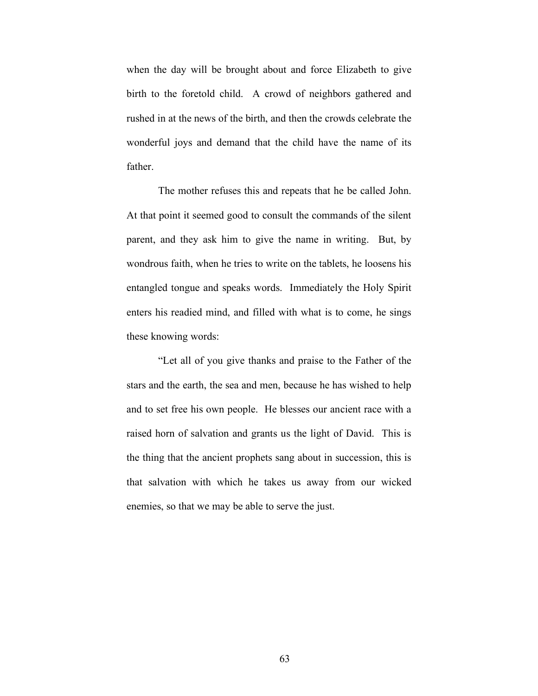when the day will be brought about and force Elizabeth to give birth to the foretold child. A crowd of neighbors gathered and rushed in at the news of the birth, and then the crowds celebrate the wonderful joys and demand that the child have the name of its father.

The mother refuses this and repeats that he be called John. At that point it seemed good to consult the commands of the silent parent, and they ask him to give the name in writing. But, by wondrous faith, when he tries to write on the tablets, he loosens his entangled tongue and speaks words. Immediately the Holy Spirit enters his readied mind, and filled with what is to come, he sings these knowing words:

"Let all of you give thanks and praise to the Father of the stars and the earth, the sea and men, because he has wished to help and to set free his own people. He blesses our ancient race with a raised horn of salvation and grants us the light of David. This is the thing that the ancient prophets sang about in succession, this is that salvation with which he takes us away from our wicked enemies, so that we may be able to serve the just.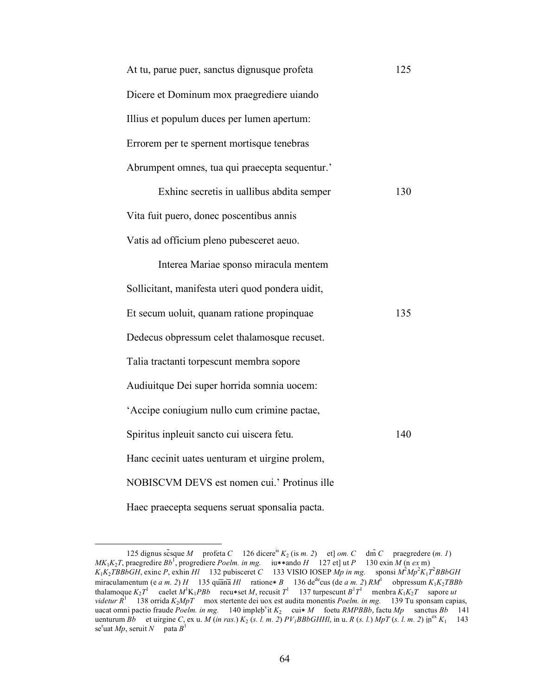| At tu, parue puer, sanctus dignusque profeta     | 125 |
|--------------------------------------------------|-----|
| Dicere et Dominum mox praegrediere uiando        |     |
| Illius et populum duces per lumen apertum:       |     |
| Errorem per te spernent mortisque tenebras       |     |
| Abrumpent omnes, tua qui praecepta sequentur.'   |     |
| Exhine secretis in uallibus abdita semper        | 130 |
| Vita fuit puero, donec poscentibus annis         |     |
| Vatis ad officium pleno pubesceret aeuo.         |     |
| Interea Mariae sponso miracula mentem            |     |
| Sollicitant, manifesta uteri quod pondera uidit, |     |
| Et secum uoluit, quanam ratione propinquae       | 135 |
| Dedecus obpressum celet thalamosque recuset.     |     |
| Talia tractanti torpescunt membra sopore         |     |
| Audiuitque Dei super horrida somnia uocem:       |     |
| 'Accipe coniugium nullo cum crimine pactae,      |     |
| Spiritus inpleuit sancto cui uiscera fetu.       | 140 |
| Hanc cecinit uates uenturam et uirgine prolem,   |     |
| NOBISCVM DEVS est nomen cui.' Protinus ille      |     |
| Haec praecepta sequens seruat sponsalia pacta.   |     |

<sup>125</sup> dignus sc̃sque *M* profeta *C* 126 dicere<sup>is</sup>  $K_2$  (is *m. 2*) et] *om. C* dm̃ *C* praegredere (*m. 1*) *MK*<sub>1</sub>*K*<sub>2</sub>*T*, praegredire *Bb*<sup>1</sup>, progrediere *Poelm. in mg.* iu∗∗ando *H* 127 et] ut *P* 130 exin *M* (n *ex* m)  $K_1K_2TBBbGH$ , exinc *P*, exhin *Hl* 132 pubisceret *C* 133 VISIO IOSEP *Mp in mg.* sponsi  $M^2Mp^2K_1T^2BBbGH$ miraculamentum (e *a m. 2) H* 135 quānā*Hl* ratione∗ *B* 136 de<sup>de</sup>cus (de *a m. 2) RM*<sup>1</sup> obpressum *K*<sub>1</sub>*K*<sub>2</sub>*TBBb* thalamoque  $K_2T^1$  caelet  $M^1K_1PBD$  recu $\ast$ set *M*, recusit  $T^1$  137 turpescunt  $B^1T^1$  menbra  $K_1K_2T$  sapore *ut videtur R*<sup>1</sup> 138 orrida *K*2*MpT* mox stertente dei uox est audita monentis *Poelm. in mg.* 139 Tu sponsam capias, uacat omni pactio fraude *Poelm. in mg.* 140 impleḅ v it *K*2 cui∗ *M* foetu *RMPBBb*, factu *Mp* sanctus *Bb* 141 uenturum  $Bb$  et uirgine *C*, ex u. *M* (*in ras.*)  $K_2$  (*s. l. m. 2*)  $PV_lBBbGHHI$ , in u. *R* (*s. l.*)  $MpT$  (*s. l. m. 2*)  $ip^{ex} K_1$  143  $se<sup>r</sup>$ uat *Mp*, seruit *N* pata  $B<sup>1</sup>$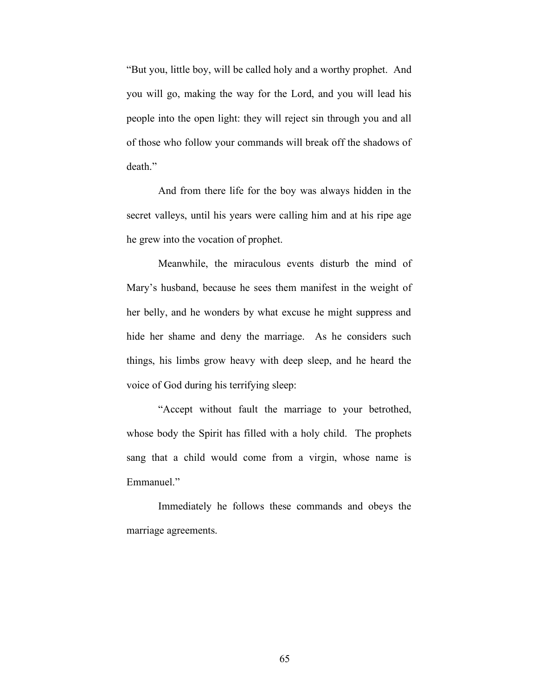"But you, little boy, will be called holy and a worthy prophet. And you will go, making the way for the Lord, and you will lead his people into the open light: they will reject sin through you and all of those who follow your commands will break off the shadows of death"

And from there life for the boy was always hidden in the secret valleys, until his years were calling him and at his ripe age he grew into the vocation of prophet.

Meanwhile, the miraculous events disturb the mind of Mary's husband, because he sees them manifest in the weight of her belly, and he wonders by what excuse he might suppress and hide her shame and deny the marriage. As he considers such things, his limbs grow heavy with deep sleep, and he heard the voice of God during his terrifying sleep:

"Accept without fault the marriage to your betrothed, whose body the Spirit has filled with a holy child. The prophets sang that a child would come from a virgin, whose name is Emmanuel."

Immediately he follows these commands and obeys the marriage agreements.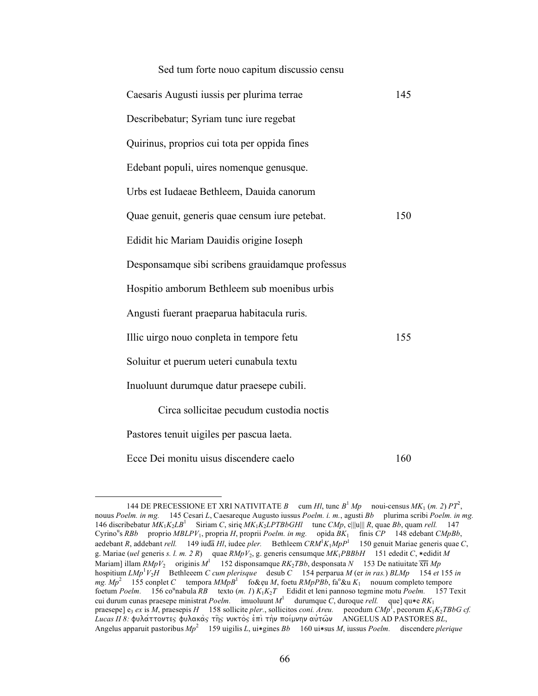| Sed tum forte nouo capitum discussio censu       |     |
|--------------------------------------------------|-----|
| Caesaris Augusti iussis per plurima terrae       | 145 |
| Describebatur; Syriam tunc iure regebat          |     |
| Quirinus, proprios cui tota per oppida fines     |     |
| Edebant populi, uires nomenque genusque.         |     |
| Urbs est Iudaeae Bethleem, Dauida canorum        |     |
| Quae genuit, generis quae censum iure petebat.   | 150 |
| Edidit hic Mariam Dauidis origine Ioseph         |     |
| Desponsamque sibi scribens grauidamque professus |     |
| Hospitio amborum Bethleem sub moenibus urbis     |     |
| Angusti fuerant praeparua habitacula ruris.      |     |
| Illic uirgo nouo conpleta in tempore fetu        | 155 |
| Soluitur et puerum ueteri cunabula textu         |     |
| Inuoluunt durumque datur praesepe cubili.        |     |
| Circa sollicitae pecudum custodia noctis         |     |
| Pastores tenuit uigiles per pascua laeta.        |     |
|                                                  |     |

Ecce Dei monitu uisus discendere caelo 160

<sup>144</sup> DE PRECESSIONE ET XRI NATIVITATE *B* cum *Hl*, tunc  $B^1 M p$  noui-census  $MK_1$  (*m. 2*)  $PT^2$ , nouus *Poelm. in mg.* 145 Cesari *L*, Caesareque Augusto iussus *Poelm. i. m.*, agusti *Bb* plurima scribi *Poelm. in mg.*  146 discribebatur *MK*1*K*2*LB*<sup>1</sup> Siriam *C*, sirię *MK*1*K*2*LPTBbGHl* tunc *CMp*, c|||u||| *R*, quae *Bb*, quam *rell.* 147 Cyrino<sup>u</sup>s *RBb* proprio *MBLPV*<sub>1</sub>, propria *H*, proprii *Poelm. in mg.* opida  $\overline{BK_1}$  finis  $\overline{CP}$  148 edebant *CMpBb*, aedebant *R*, addebant *rell.* 149 iuda̅*Hl*, iudee *pler.* Bethleem *CRM*<sup>1</sup> *K*1*MpP*<sup>1</sup> 150 genuit Mariae generis quae *C*, g. Mariae (*uel* generis *s. l. m. 2 R*) quae *RMpV*2, g. generis censumque *MK*1*PBBbH* 151 ededit *C*, ∗edidit *M* Mariam] illam *RMpV*<sub>2</sub> originis *M*<sup>1</sup> 152 disponsamque *RK*<sub>2</sub>*TBb*, desponsata *N* 153 De natiuitate  $\overline{xt}$  *Mp* hospitium *LMp*<sup>1</sup> *V*2*H* Bethleeem *C cum plerisque* desub *C* 154 perparua *M* (er *in ras.*) *BLMp* 154 *et* 155 *in mg. Mp*<sup>2</sup> 155 conplet *C* tempora *MMpB*<sup>1</sup> fo&ẹu *M*, foetu *RMpPBb*, fao &u *K*1 nouum completo tempore foetum *Poelm.* 156 co<sup>u</sup>nabula *RB* texto (*m. 1*)  $K_1K_2T$  Edidit et leni pannoso tegmine motu *Poelm.* 157 Texit cui durum cunas praesepe ministrat *Poelm.* imuoluunt *M*<sup>1</sup> durumque *C*, duroque *rell.* que] qu∗e *RK*1 praesepe] e<sub>3</sub> ex is *M*, praesepis *H* 158 sollicite *pler*., sollicitos *coni. Areu.* pecodum *CMp*<sup>1</sup>, pecorum *K*<sub>1</sub>*K*<sub>2</sub>*TBbG cf. Lucas II 8:* fula/ttontej fulaka\j th~j nukto\j e0pi\ th\n poi/mnhn au0tw~n ANGELUS AD PASTORES *BL*, Angelus apparuit pastoribus *Mp*<sup>2</sup> 159 uigilis *L*, ui∗gines *Bb* 160 ui∗sus *M*, iussus *Poelm.* discendere *plerique*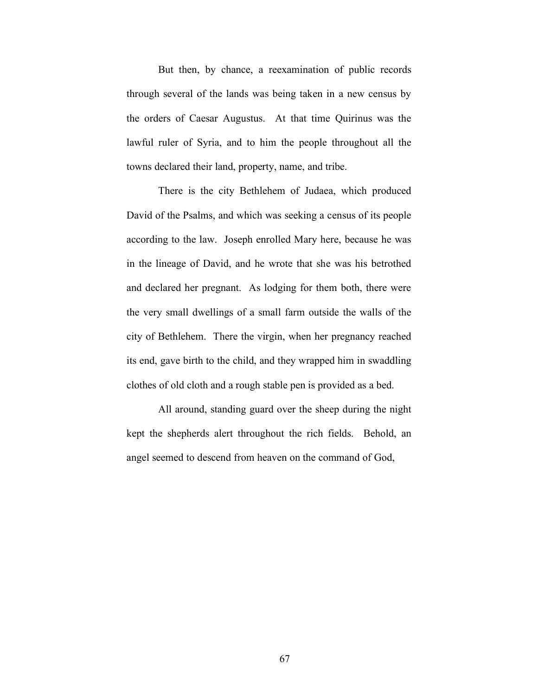But then, by chance, a reexamination of public records through several of the lands was being taken in a new census by the orders of Caesar Augustus. At that time Quirinus was the lawful ruler of Syria, and to him the people throughout all the towns declared their land, property, name, and tribe.

There is the city Bethlehem of Judaea, which produced David of the Psalms, and which was seeking a census of its people according to the law. Joseph enrolled Mary here, because he was in the lineage of David, and he wrote that she was his betrothed and declared her pregnant. As lodging for them both, there were the very small dwellings of a small farm outside the walls of the city of Bethlehem. There the virgin, when her pregnancy reached its end, gave birth to the child, and they wrapped him in swaddling clothes of old cloth and a rough stable pen is provided as a bed.

All around, standing guard over the sheep during the night kept the shepherds alert throughout the rich fields. Behold, an angel seemed to descend from heaven on the command of God,

67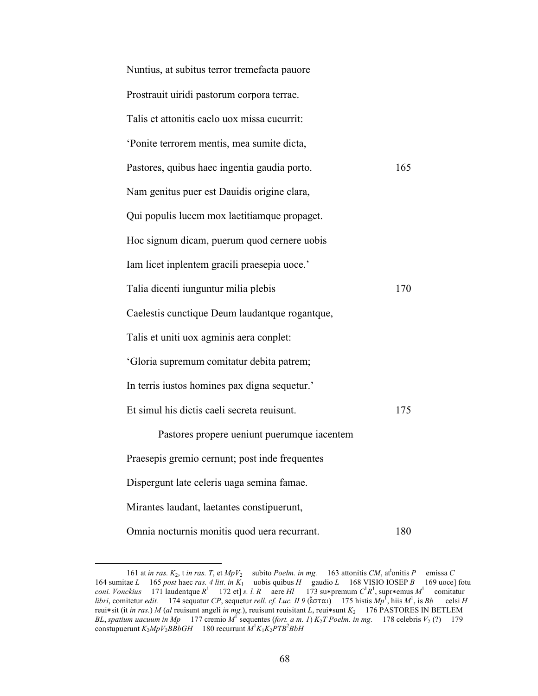| Nuntius, at subitus terror tremefacta pauore   |     |
|------------------------------------------------|-----|
| Prostrauit uiridi pastorum corpora terrae.     |     |
| Talis et attonitis caelo uox missa cucurrit:   |     |
| 'Ponite terrorem mentis, mea sumite dicta,     |     |
| Pastores, quibus haec ingentia gaudia porto.   | 165 |
| Nam genitus puer est Dauidis origine clara,    |     |
| Qui populis lucem mox laetitiamque propaget.   |     |
| Hoc signum dicam, puerum quod cernere uobis    |     |
| Iam licet inplentem gracili praesepia uoce.'   |     |
| Talia dicenti iunguntur milia plebis           | 170 |
| Caelestis cunctique Deum laudantque rogantque, |     |
| Talis et uniti uox agminis aera conplet:       |     |
| 'Gloria supremum comitatur debita patrem;      |     |
| In terris iustos homines pax digna sequetur.'  |     |
| Et simul his dictis caeli secreta reuisunt.    | 175 |
| Pastores propere ueniunt puerumque iacentem    |     |
| Praesepis gremio cernunt; post inde frequentes |     |
| Dispergunt late celeris uaga semina famae.     |     |
| Mirantes laudant, laetantes constipuerunt,     |     |
| Omnia nocturnis monitis quod uera recurrant.   | 180 |

<sup>161</sup> at *in ras.*  $K_2$ , *t in ras. T*, *et MpV*<sub>2</sub> subito *Poelm. in mg.* 163 attonitis *CM*, at<sup>t</sup>onitis *P* emissa *C* 164 sumitae *L* 165 *post* haec *ras. 4 litt. in K*1 uobis quibus *H* gaudio *L* 168 VISIO IOSEP *B* 169 uoce] fotu *coni. Vonckius* 171 laudentque *R*<sup>1</sup> 172 et] *s. l. R* aere *Hl* 173 su∗premum *C*<sup>1</sup> *R*1 , supr∗emus *M*<sup>1</sup> comitatur *libri*, comitetur *edit.* 174 sequatur *CP*, sequetur *rell. cf. Luc. II 9* (εσται) 175 histis  $Mp^1$ , hiis  $M^1$ , is  $Bb$  celsi *H* reui∗sit (it *in ras.*) *M* (*al* reuisunt angeli *in mg.*), reuisunt reuisitant *L*, reui∗sunt *K*2 176 PASTORES IN BETLEM *BL*, *spatium uacuum in Mp* 177 cremio  $M^T$  sequentes (*fort. a m. 1*)  $K_2T$  *Poelm. in mg.* 178 celebris  $V_2$  (?) 179 constupuerunt  $K_2 M p V_2 B \dot{B} b G H$  180 recurrunt  $M^1 K_1 K_2 P T B^2 B b H$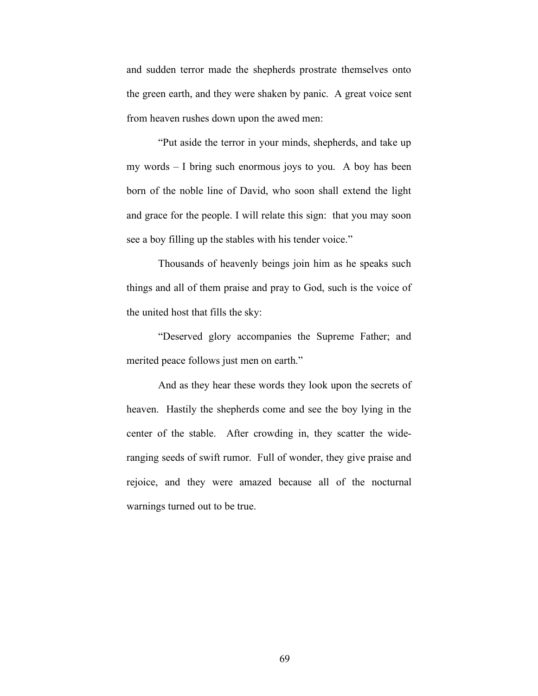and sudden terror made the shepherds prostrate themselves onto the green earth, and they were shaken by panic. A great voice sent from heaven rushes down upon the awed men:

"Put aside the terror in your minds, shepherds, and take up my words – I bring such enormous joys to you. A boy has been born of the noble line of David, who soon shall extend the light and grace for the people. I will relate this sign: that you may soon see a boy filling up the stables with his tender voice."

Thousands of heavenly beings join him as he speaks such things and all of them praise and pray to God, such is the voice of the united host that fills the sky:

"Deserved glory accompanies the Supreme Father; and merited peace follows just men on earth."

And as they hear these words they look upon the secrets of heaven. Hastily the shepherds come and see the boy lying in the center of the stable. After crowding in, they scatter the wideranging seeds of swift rumor. Full of wonder, they give praise and rejoice, and they were amazed because all of the nocturnal warnings turned out to be true.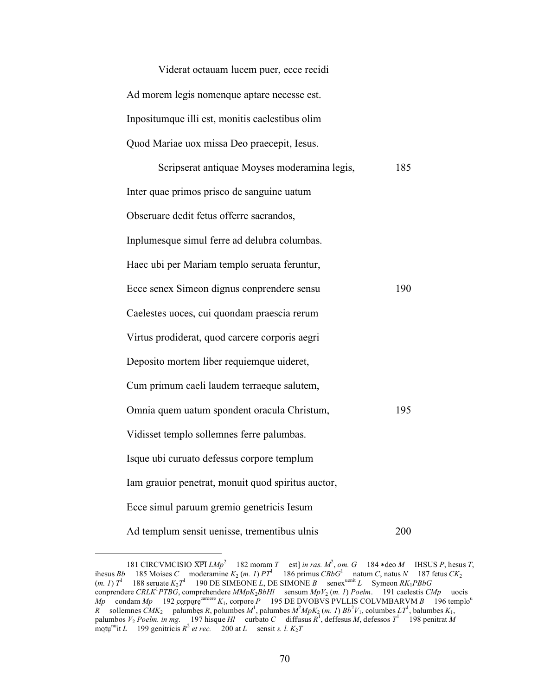| Viderat octauam lucem puer, ecce recidi         |
|-------------------------------------------------|
| Ad morem legis nomenque aptare necesse est.     |
| Inpositumque illi est, monitis caelestibus olim |
| Quod Mariae uox missa Deo praecepit, Iesus.     |

| Scripserat antiquae Moyses moderamina legis,       | 185 |
|----------------------------------------------------|-----|
| Inter quae primos prisco de sanguine uatum         |     |
| Obseruare dedit fetus offerre sacrandos,           |     |
| Inplumesque simul ferre ad delubra columbas.       |     |
| Haec ubi per Mariam templo seruata feruntur,       |     |
| Ecce senex Simeon dignus conprendere sensu         | 190 |
| Caelestes uoces, cui quondam praescia rerum        |     |
| Virtus prodiderat, quod carcere corporis aegri     |     |
| Deposito mortem liber requiemque uideret,          |     |
| Cum primum caeli laudem terraeque salutem,         |     |
| Omnia quem uatum spondent oracula Christum,        | 195 |
| Vidisset templo sollemnes ferre palumbas.          |     |
| Isque ubi curuato defessus corpore templum         |     |
| Iam grauior penetrat, monuit quod spiritus auctor, |     |
| Ecce simul paruum gremio genetricis Iesum          |     |
| Ad templum sensit uenisse, trementibus ulnis       | 200 |

<sup>181</sup> CIRCVMCISIO XPI  $LMp^2$  182 moram *T* est] *in ras.*  $M^2$ , *om.* G 184 \*deo *M* IHSUS *P*, hesus *T*, ihesus *Bb* 185 Moises *C* moderamine  $K_2$  (*m. 1*)  $PT^1$  186 primus  $CBBG^1$  natum *C*, natus *N* 187 fetus  $CK_2$  $(m. 1) T<sup>1</sup>$  188 seruate  $K_2 T<sup>1</sup>$  190 DE SIMEONE *L*, DE SIMONE *B* senex<sup>uenit</sup> *L* Symeon  $RK_1PBbG$ conprendere *CRLK*<sup>1</sup> *PTBG*, comprehendere *MMpK*2*BbHl* sensum *MpV*2 (*m. 1*) *Poelm*. 191 caelestis *CMp* uocis  $Mp$  condam  $Mp$  192 corpore<sup>carcere</sup>  $K_1$ , corpore *P* 195 DE DVOBVS PVLLIS COLVMBARVM *B* 196 templo<sup>u</sup> *R* sollemnes *CMK*<sub>2</sub> palumbęs *R*, polumbes  $M^1$ , palumbes  $M^2MpK_2$  (*m. 1*)  $Bb^2V_1$ , columbes  $LT^1$ , balumbes  $K_1$ , palumbos  $V_2$  *Poelm. in mg.* 197 hisque *Hl* curbato *C* diffusus  $R^1$ , defessos  $M$ , defessos  $T^1$  198 penitrat  $M$  $\frac{1}{2}$  motu<sup>nu</sup>it *L* 199 genitricis  $R^2$  *et rec.* 200 at *L* sensit *s. l.*  $K_2T$ 

 $\overline{a}$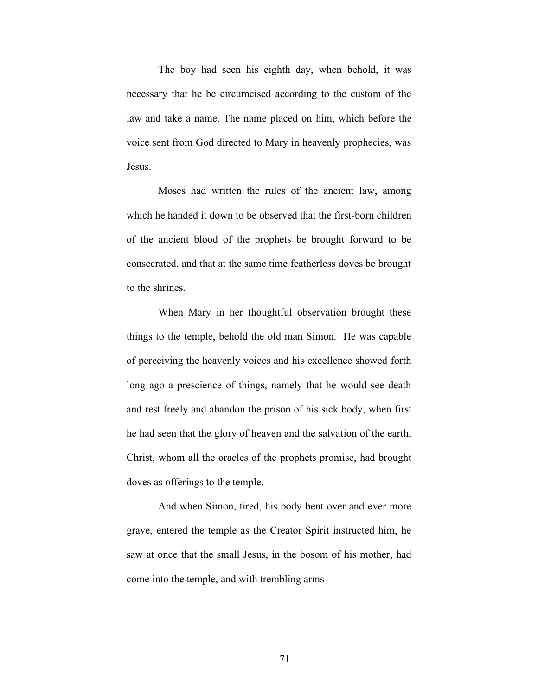The boy had seen his eighth day, when behold, it was necessary that he be circumcised according to the custom of the law and take a name. The name placed on him, which before the voice sent from God directed to Mary in heavenly prophecies, was Jesus.

Moses had written the rules of the ancient law, among which he handed it down to be observed that the first-born children of the ancient blood of the prophets be brought forward to be consecrated, and that at the same time featherless doves be brought to the shrines.

When Mary in her thoughtful observation brought these things to the temple, behold the old man Simon. He was capable of perceiving the heavenly voices and his excellence showed forth long ago a prescience of things, namely that he would see death and rest freely and abandon the prison of his sick body, when first he had seen that the glory of heaven and the salvation of the earth, Christ, whom all the oracles of the prophets promise, had brought doves as offerings to the temple.

And when Simon, tired, his body bent over and ever more grave, entered the temple as the Creator Spirit instructed him, he saw at once that the small Jesus, in the bosom of his mother, had come into the temple, and with trembling arms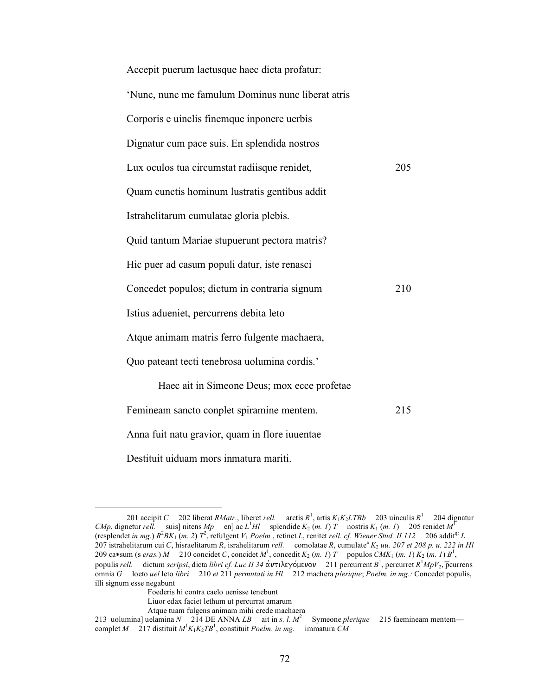| Accepit puerum laetusque haec dicta profatur:     |     |
|---------------------------------------------------|-----|
| 'Nunc, nunc me famulum Dominus nunc liberat atris |     |
| Corporis e uinclis finemque inponere uerbis       |     |
| Dignatur cum pace suis. En splendida nostros      |     |
| Lux oculos tua circumstat radiisque renidet,      | 205 |
| Quam cunctis hominum lustratis gentibus addit     |     |
| Istrahelitarum cumulatae gloria plebis.           |     |
| Quid tantum Mariae stupuerunt pectora matris?     |     |
| Hic puer ad casum populi datur, iste renasci      |     |
| Concedet populos; dictum in contraria signum      | 210 |
| Istius adueniet, percurrens debita leto           |     |
| Atque animam matris ferro fulgente machaera,      |     |
| Quo pateant tecti tenebrosa uolumina cordis.'     |     |
| Haec ait in Simeone Deus; mox ecce profetae       |     |
| Femineam sancto conplet spiramine mentem.         | 215 |
| Anna fuit natu gravior, quam in flore iuuentae    |     |
| Destituit uiduam mors inmatura mariti.            |     |

<sup>201</sup> accipit *C* 202 liberat *RMatr.*, liberet *rell.* arctis  $R^1$ , artis  $K_1K_2LTBb$  203 uinculis  $R^1$  204 dignatur *CMp*, dignetur *rell.* suis] nitens *Mp* en] ac *L*<sup>1</sup>*Hl* splendide  $K_2$  (*m. 1*) *T* nostris  $K_1$  (*m. 1*) 205 renidet  $M^1$ (resplendet *in mg.*)  $R^2BK_1(m. 2)$   $T^2$ , refulgent  $V_1$  *Poelm.*, retinet *L*, renitet *rell. cf. Wiener Stud. II 112* 206 addit<sup>q:</sup> *L* 207 istrahelitarum cui *C*, hisraelitarum *R*, israhelitarum *rell.* comolatae *R*, cumulate<sup>a</sup> K<sub>2</sub> *uu.* 207 *et* 208 p. *u.* 222 *in Hl* 209 ca\*sum (s *eras.*) *M* 210 concidet *C*, concidet *M*<sup>1</sup>, concedit *K*<sub>2</sub> (*m. 1*) *T* populos *CMK*<sub>1</sub> (*m. 1*) *K*<sub>2</sub> (*m. 1*) *B*<sup>1</sup>, populis *rell.* dictum *scripsi*, dicta *libri cf. Luc II 34* ἀντιλεγόμενον 211 percurrent *B*<sup>1</sup>, percurret *R*<sup>1</sup>*MpV*<sub>2</sub>, p̄currens omnia *G* loeto *uel* leto *libri* 210 *et* 211 *permutati in Hl* 212 machera *plerique*; *Poelm. in mg.:* Concedet populis, illi signum esse negabunt

Foederis hi contra caelo uenisse tenebunt

Liuor edax faciet lethum ut percurrat amarum

Atque tuam fulgens animam mihi crede machaera

<sup>213</sup> uolumina] uelamina *N* 214 DE ANNA *LB* ait in *s. l. M*<sup>2</sup> Symeone *plerique* 215 faemineam mentem complet *M* 217 distituit  $M^1K_1K_2TB^1$ , constituit *Poelm. in mg.* immatura *CM*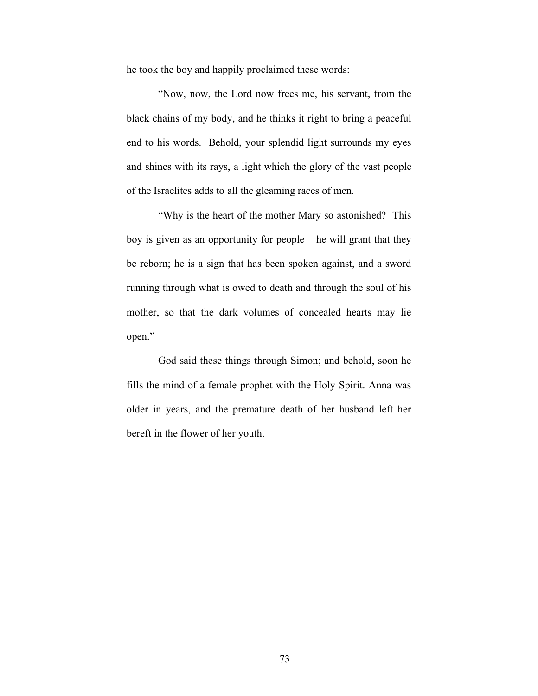he took the boy and happily proclaimed these words:

"Now, now, the Lord now frees me, his servant, from the black chains of my body, and he thinks it right to bring a peaceful end to his words. Behold, your splendid light surrounds my eyes and shines with its rays, a light which the glory of the vast people of the Israelites adds to all the gleaming races of men.

"Why is the heart of the mother Mary so astonished? This boy is given as an opportunity for people – he will grant that they be reborn; he is a sign that has been spoken against, and a sword running through what is owed to death and through the soul of his mother, so that the dark volumes of concealed hearts may lie open."

God said these things through Simon; and behold, soon he fills the mind of a female prophet with the Holy Spirit. Anna was older in years, and the premature death of her husband left her bereft in the flower of her youth.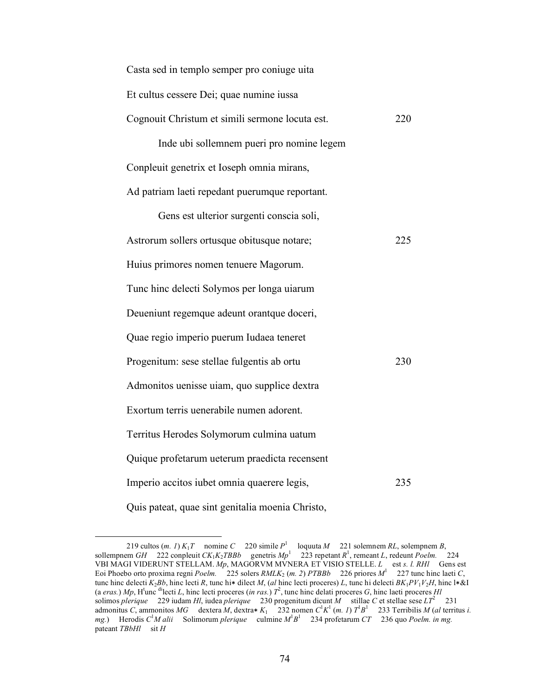| Casta sed in templo semper pro coniuge uita      |     |
|--------------------------------------------------|-----|
| Et cultus cessere Dei; quae numine iussa         |     |
| Cognouit Christum et simili sermone locuta est.  | 220 |
| Inde ubi sollemnem pueri pro nomine legem        |     |
| Conpleuit genetrix et Ioseph omnia mirans,       |     |
| Ad patriam laeti repedant puerumque reportant.   |     |
| Gens est ulterior surgenti conscia soli,         |     |
| Astrorum sollers ortusque obitusque notare;      | 225 |
| Huius primores nomen tenuere Magorum.            |     |
| Tunc hinc delecti Solymos per longa uiarum       |     |
| Deueniunt regemque adeunt orantque doceri,       |     |
| Quae regio imperio puerum Iudaea teneret         |     |
| Progenitum: sese stellae fulgentis ab ortu       | 230 |
| Admonitos uenisse uiam, quo supplice dextra      |     |
| Exortum terris uenerabile numen adorent.         |     |
| Territus Herodes Solymorum culmina uatum         |     |
| Quique profetarum ueterum praedicta recensent    |     |
| Imperio accitos iubet omnia quaerere legis,      | 235 |
| Quis pateat, quae sint genitalia moenia Christo, |     |

<sup>219</sup> cultos  $(m. 1) K_1 T$  nomine *C* 220 simile  $P^1$  loquuta *M* 221 solemnem *RL*, solempnem *B*, sollempnem *GH* 222 conpleuit *CK*<sub>1</sub>*K*<sub>2</sub>*TBBb* genetris  $Mp<sup>1</sup>$  223 repetant  $R<sup>1</sup>$ , remeant *L*, redeunt *Poelm.* 224 VBI MAGI VIDERUNT STELLAM. *Mp*, MAGORVM MVNERA ET VISIO STELLE. *L* est *s. l. RHl* Gens est Eoi Phoebo orto proxima regni *Poelm.* 225 solers  $RMLK_2$  (*m. 2*) *PTBBb* 226 priores  $M^1$  227 tunc hinc laeti *C*, tunc hinc delecti *K*2*Bb*, hinc lecti *R*, tunc hi∗ dilect *M*, (*al* hinc lecti proceres) *L*, tunc hi delecti *BK*1*PV*1*V*2*H*, hinc l∗&I (a *eras.*)  $Mp$ , H<sup>t</sup>unc <sup>di</sup>lecti *L*, hinc lecti proceres (*in ras.*)  $T^2$ , tunc hinc delati proceres *G*, hinc laeti proceres *Hl* solimos *plerique* 229 iudam *Hl*, iudea *plerique* 230 progenitum dicunt *M* stillae *C* et stellae sese *LT*<sup>2</sup> 231 admonitus *C*, ammonitos *MG* dextera *M*, dextra $* K_1$  232 nomen  $C^1 K^1$  (*m. 1*)  $T^1 B^1$  233 Terribilis *M* (*al* territus *i.*) *mg.*) Herodis *C*<sup>1</sup> *M alii* Solimorum *plerique* culmine *M*<sup>1</sup> *B*1 234 profetarum *CT* 236 quo *Poelm. in mg.* pateant *TBbHl* sit *H*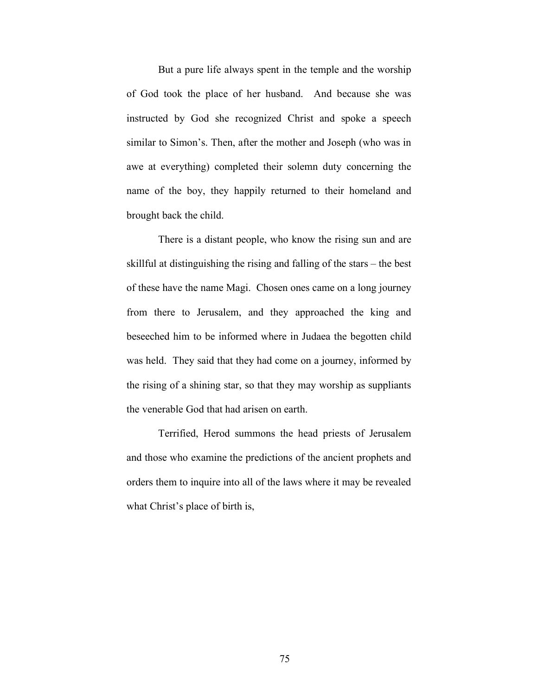But a pure life always spent in the temple and the worship of God took the place of her husband. And because she was instructed by God she recognized Christ and spoke a speech similar to Simon's. Then, after the mother and Joseph (who was in awe at everything) completed their solemn duty concerning the name of the boy, they happily returned to their homeland and brought back the child.

There is a distant people, who know the rising sun and are skillful at distinguishing the rising and falling of the stars – the best of these have the name Magi. Chosen ones came on a long journey from there to Jerusalem, and they approached the king and beseeched him to be informed where in Judaea the begotten child was held. They said that they had come on a journey, informed by the rising of a shining star, so that they may worship as suppliants the venerable God that had arisen on earth.

Terrified, Herod summons the head priests of Jerusalem and those who examine the predictions of the ancient prophets and orders them to inquire into all of the laws where it may be revealed what Christ's place of birth is,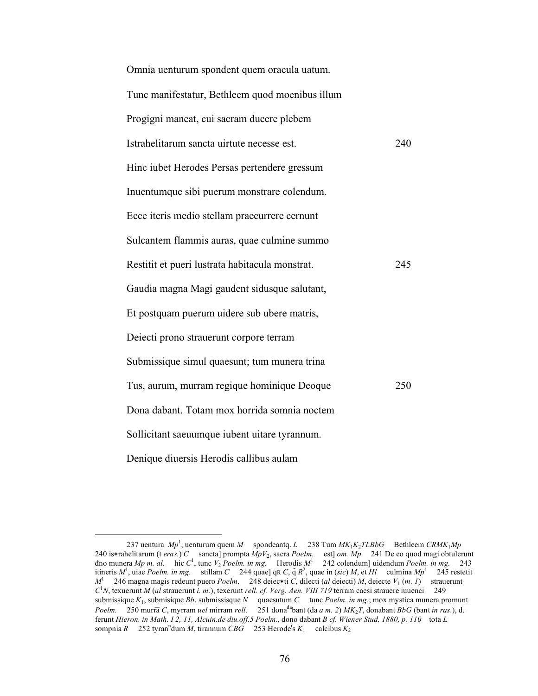| Omnia uenturum spondent quem oracula uatum.     |     |
|-------------------------------------------------|-----|
| Tunc manifestatur, Bethleem quod moenibus illum |     |
| Progigni maneat, cui sacram ducere plebem       |     |
| Istrahelitarum sancta uirtute necesse est.      | 240 |
| Hinc iubet Herodes Persas pertendere gressum    |     |
| Inuentumque sibi puerum monstrare colendum.     |     |
| Ecce iteris medio stellam praecurrere cernunt   |     |
| Sulcantem flammis auras, quae culmine summo     |     |
| Restitit et pueri lustrata habitacula monstrat. | 245 |
| Gaudia magna Magi gaudent sidusque salutant,    |     |
| Et postquam puerum uidere sub ubere matris,     |     |
| Deiecti prono strauerunt corpore terram         |     |
| Submissique simul quaesunt; tum munera trina    |     |
| Tus, aurum, murram regique hominique Deoque     | 250 |
| Dona dabant. Totam mox horrida somnia noctem    |     |
| Sollicitant saeuumque iubent uitare tyrannum.   |     |
| Denique diuersis Herodis callibus aulam         |     |

 <sup>237</sup> uentura *Mp*<sup>1</sup> , uenturum quem *M* spondeantq. *L* 238 Tum *MK*1*K*2*TLBbG* Bethleem *CRMK*1*Mp* 240 is∗rahelitarum (t *eras.*) *C* sancta] prompta *MpV*2, sacra *Poelm.* est] *om. Mp* 241 De eo quod magi obtulerunt đno munera *Mp m. al.* hic *C*<sup>1</sup> , tunc *V*<sup>2</sup> *Poelm. in mg.* Herodis *M*<sup>1</sup> 242 colendum] uidendum *Poelm. in mg.* 243 itineris *M*<sup>1</sup> , uiae *Poelm. in mg.* stillam *C* 244 quae] qR *C*, q̃*R*<sup>2</sup> , quae in (*sic*) *M*, et *Hl* culmina *Mp*<sup>1</sup> 245 restetit *M*<sup>1</sup> 246 magna magis redeunt puero *Poelm*. 248 deiec∗ti *C*, dilecti (*al* deiecti) *M*, deiecte *V*<sub>1</sub> (*m. 1*) strauerunt *C*1 *N*, texuerunt *M* (*al* strauerunt *i. m.*), texerunt *rell. cf. Verg. Aen. VIII 719* terram caesi strauere iuuenci 249 submissique *K*1, submisique *Bb*, submissisque *N* quaesutum *C* tunc *Poelm. in mg.*; mox mystica munera promunt *Poelm.* 250 murra̅*C*, myrram *uel* mirram *rell.* 251 donadabant (da *a m. 2*) *MK*2*T*, donabant *BbG* (bant *in ras.*), d. ferunt *Hieron. in Math. I 2, 11, Alcuin.de diu.off.5 Poelm.*, dono dabant *B cf. Wiener Stud. 1880, p. 110* tota *L* sompnia  $R = 252$  tyran<sup>n</sup>dum *M*, tirannum  $CBG^2 = 253$  Herode's  $K_1 = \text{caloibus } K_2$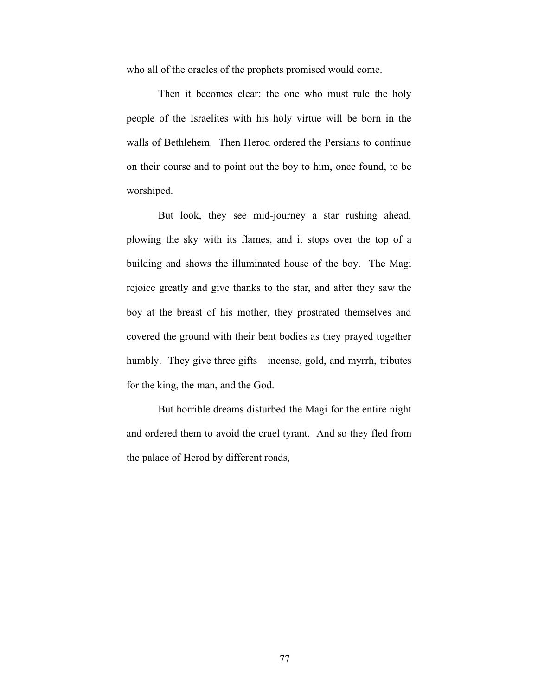who all of the oracles of the prophets promised would come.

Then it becomes clear: the one who must rule the holy people of the Israelites with his holy virtue will be born in the walls of Bethlehem. Then Herod ordered the Persians to continue on their course and to point out the boy to him, once found, to be worshiped.

But look, they see mid-journey a star rushing ahead, plowing the sky with its flames, and it stops over the top of a building and shows the illuminated house of the boy. The Magi rejoice greatly and give thanks to the star, and after they saw the boy at the breast of his mother, they prostrated themselves and covered the ground with their bent bodies as they prayed together humbly. They give three gifts—incense, gold, and myrrh, tributes for the king, the man, and the God.

But horrible dreams disturbed the Magi for the entire night and ordered them to avoid the cruel tyrant. And so they fled from the palace of Herod by different roads,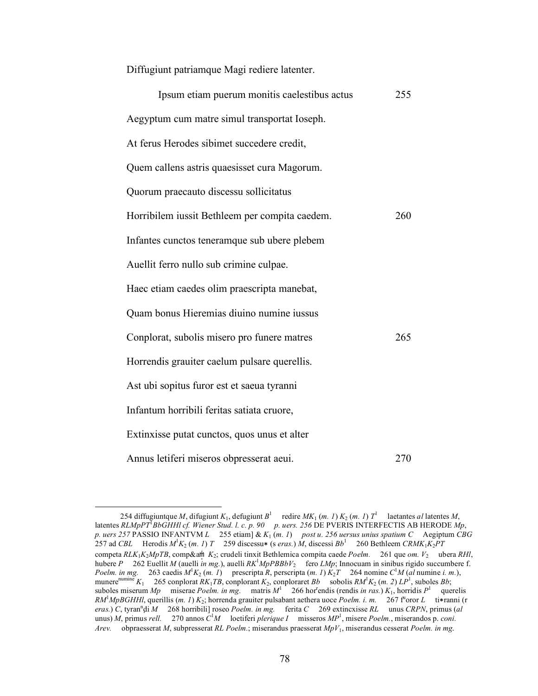Diffugiunt patriamque Magi rediere latenter.

| Ipsum etiam puerum monitis caelestibus actus   | 255 |
|------------------------------------------------|-----|
| Aegyptum cum matre simul transportat Ioseph.   |     |
| At ferus Herodes sibimet succedere credit,     |     |
| Quem callens astris quaesisset cura Magorum.   |     |
| Quorum praecauto discessu sollicitatus         |     |
| Horribilem iussit Bethleem per compita caedem. | 260 |
| Infantes cunctos teneramque sub ubere plebem   |     |
| Auellit ferro nullo sub crimine culpae.        |     |
| Haec etiam caedes olim praescripta manebat,    |     |
| Quam bonus Hieremias diuino numine iussus      |     |
| Conplorat, subolis misero pro funere matres    | 265 |
| Horrendis grauiter caelum pulsare querellis.   |     |
| Ast ubi sopitus furor est et saeua tyranni     |     |
| Infantum horribili feritas satiata cruore,     |     |
| Extinxisse putat cunctos, quos unus et alter   |     |
| Annus letiferi miseros obpresserat aeui.       | 270 |

<sup>254</sup> diffugiuntque *M*, difugiunt *K*<sub>1</sub>, defugiunt *B*<sup>1</sup> redire *MK*<sub>1</sub> (*m. 1*) *K*<sub>2</sub> (*m. 1*) *T*<sup>1</sup> laetantes *al* latentes *M*, latentes *RLMpPT*<sup>1</sup> *BbGHHl cf. Wiener Stud. l. c. p. 90 p. uers. 256* DE PVERIS INTERFECTIS AB HERODE *Mp*, *p. uers 257* PASSIO INFANTVM *L* 255 etiam] & *K*1 (*m. 1*) *post u. 256 uersus unius spatium C* Aegiptum *CBG* 257 ad *CBL* Herodis *M*<sup>1</sup> *K*2 (*m. 1*) *T* 259 discessu∗ (s *eras.*) *M*, discessi *Bb*<sup>1</sup> 260 Bethleem *CRMK*1*K*2*PT* competa *RLK*1*K*2*MpTB*, comp&aṃ̇ *K*2; crudeli tinxit Bethlemica compita caede *Poelm.* 261 que *om. V*2 ubera *RHl*, hubere *P* 262 Euellit *M* (auelli *in mg.*), auelli *RK*<sup>1</sup> *MpPBBbV*2 fero *LMp*; Innocuam in sinibus rigido succumbere f. *Poelm. in mg.* 263 caedis  $M^1K_2$  (*m. 1*) prescripta *R*, perscripta (*m. 1*)  $K_2T$  264 nomine *C*<sup>1</sup>M (*al* numine *i. m.*), munere<sup>numine</sup>  $K_1$  265 conplorat  $RK_1TB$ , conplorant  $K_2$ , conploraret  $Bb$  sobolis  $RM^1K_2$  (*m. 2*)  $LP^1$ , suboles  $Bb$ ; suboles miserum *Mp* miserae *Poelm. in mg.* matris  $M^1$  266 hor endis (rendis *in ras.*)  $K_1$ , horridis  $P^1$  querelis *RM<sup>1</sup>MpBGHHl*, querillis (*m. 1*) *K*<sub>2</sub>; horrenda grauiter pulsabant aethera uoce *Poelm. i. m.* 267 f<sup>u</sup>oror *L* ti∗ranni (r  $e$ *eras.*) *C*, tyran<sup>n</sup>di *M* 268 horribili] roseo *Poelm. in mg.* ferita *C* 269 extincxisse *RL* unus *CRPN*, primus (*al*  $u$ unus) *M*, primus *rell.* 270 annos  $C^1M$  loetiferi *plerique I* misseros  $MP^1$ , misere *Poelm.*, miserandos p. *coni. Arev.* obpraesserat *M*, subpresserat *RL Poelm.*; miserandus praesserat *MpV*1, miserandus cesserat *Poelm. in mg.*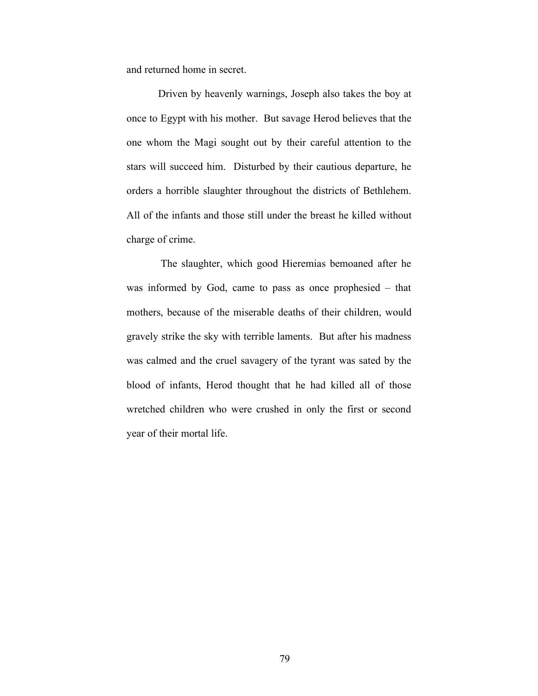and returned home in secret.

Driven by heavenly warnings, Joseph also takes the boy at once to Egypt with his mother. But savage Herod believes that the one whom the Magi sought out by their careful attention to the stars will succeed him. Disturbed by their cautious departure, he orders a horrible slaughter throughout the districts of Bethlehem. All of the infants and those still under the breast he killed without charge of crime.

 The slaughter, which good Hieremias bemoaned after he was informed by God, came to pass as once prophesied – that mothers, because of the miserable deaths of their children, would gravely strike the sky with terrible laments. But after his madness was calmed and the cruel savagery of the tyrant was sated by the blood of infants, Herod thought that he had killed all of those wretched children who were crushed in only the first or second year of their mortal life.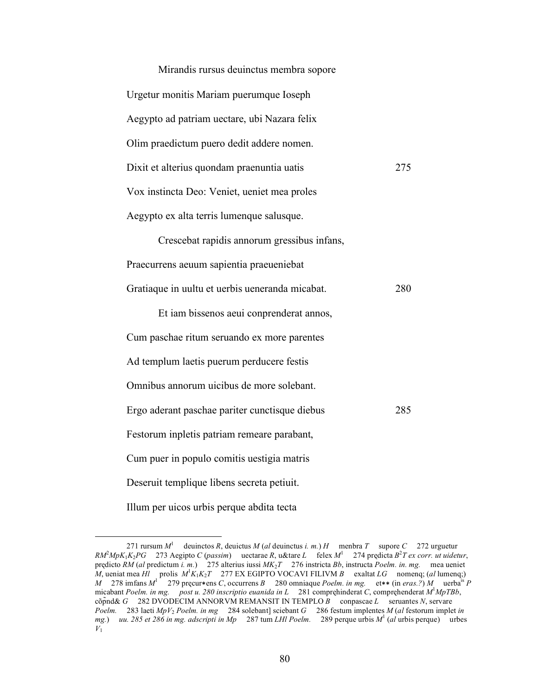| Mirandis rursus deuinctus membra sopore                |  |
|--------------------------------------------------------|--|
| Urgetur monitis Mariam puerumque Ioseph                |  |
| Aegypto ad patriam uectare, ubi Nazara felix           |  |
| Olim praedictum puero dedit addere nomen.              |  |
| Dixit et alterius quondam praenuntia uatis<br>275      |  |
| Vox instincta Deo: Veniet, ueniet mea proles           |  |
| Aegypto ex alta terris lumenque salusque.              |  |
| Crescebat rapidis annorum gressibus infans,            |  |
| Praecurrens aeuum sapientia praeueniebat               |  |
| Gratiaque in uultu et uerbis ueneranda micabat.<br>280 |  |
| Et iam bissenos aeui conprenderat annos,               |  |
| Cum paschae ritum seruando ex more parentes            |  |
| Ad templum laetis puerum perducere festis              |  |
| Omnibus annorum uicibus de more solebant.              |  |
| Ergo aderant paschae pariter cunctisque diebus<br>285  |  |
| Festorum inpletis patriam remeare parabant,            |  |
| Cum puer in populo comitis uestigia matris             |  |
| Deseruit templique libens secreta petiuit.             |  |
| Illum per uicos urbis perque abdita tecta              |  |

<sup>271</sup> rursum  $M<sup>1</sup>$  deuinctos *R*, deuictus *M* (*al* deuinctus *i. m.*) *H* menbra *T* supore *C* 272 urguetur  $RM^2MPK_1K_2PG$  273 Aegipto *C* (*passim*) uectarae *R*, u&tare *L* felex  $M^1$  274 prędicta  $B^2T$  *ex corr. ut uidetur*, prędicto *RM* (*al* predictum *i. m.*) 275 alterius iussi *MK*2*T* 276 instricta *Bb*, instructa *Poelm. in. mg.* mea ueniet *M*, ueniat mea *Hl* prolis  $M^1K_1K_2T$  277 EX EGIPTO VOCAVI FILIVM *B* exaltat *LG* nomenq; (*al* lumenq;) *M* 278 imfans *M*<sup>1</sup> 279 pręcur∗ens *C*, occurrens *B* 280 omniaque *Poelm. in mg.* et∗∗ (in *eras.?*) *M* uerbais *P* micabant *Poelm. in mg. post u. 280 inscriptio euanida in L* 281 compręhinderat *C*, compręhenderat *M*<sup>1</sup> *MpTBb*, cõp̃nd& *G* 282 DVODECIM ANNORVM REMANSIT IN TEMPLO *B* conpascae *L* seruantes *N*, servare *Poelm.* 283 laeti *MpV*<sup>2</sup> *Poelm. in mg* 284 solebant] sciebant *G* 286 festum implentes *M* (*al* festorum implet *in mg.*) *uu. 285 et 286 in mg. adscripti in Mp* 287 tum *LHl Poelm.* 289 perque urbis *M*<sup>1</sup> (*al* urbis perque) urbes  $V_1$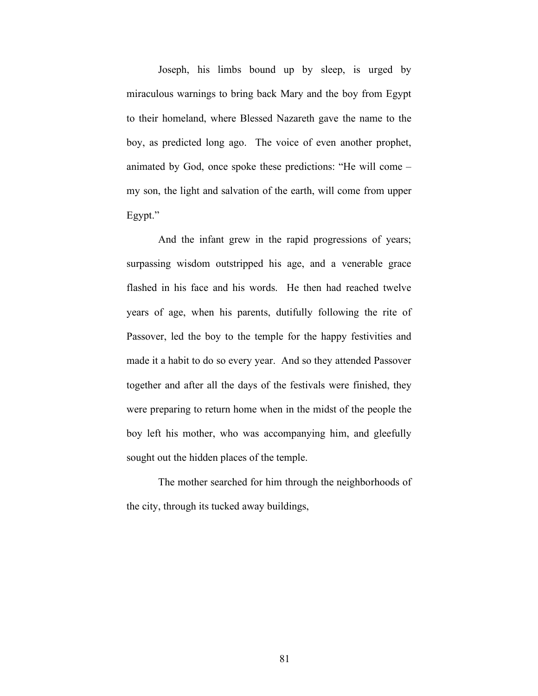Joseph, his limbs bound up by sleep, is urged by miraculous warnings to bring back Mary and the boy from Egypt to their homeland, where Blessed Nazareth gave the name to the boy, as predicted long ago. The voice of even another prophet, animated by God, once spoke these predictions: "He will come – my son, the light and salvation of the earth, will come from upper Egypt."

And the infant grew in the rapid progressions of years; surpassing wisdom outstripped his age, and a venerable grace flashed in his face and his words. He then had reached twelve years of age, when his parents, dutifully following the rite of Passover, led the boy to the temple for the happy festivities and made it a habit to do so every year. And so they attended Passover together and after all the days of the festivals were finished, they were preparing to return home when in the midst of the people the boy left his mother, who was accompanying him, and gleefully sought out the hidden places of the temple.

The mother searched for him through the neighborhoods of the city, through its tucked away buildings,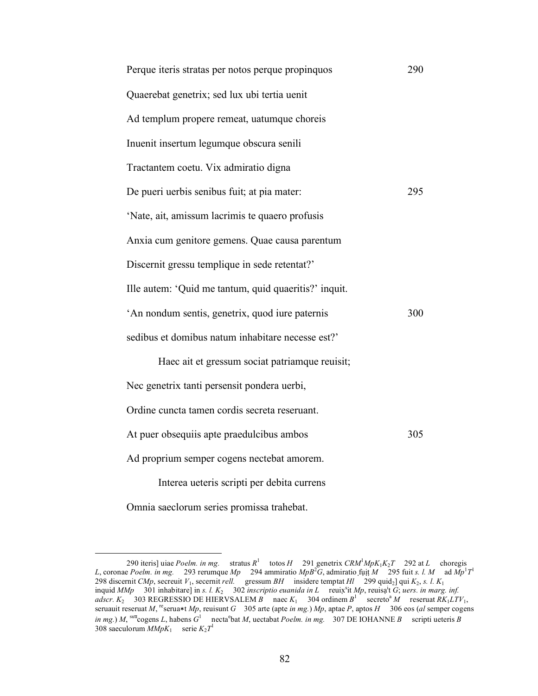| Perque iteris stratas per notos perque propinquos     | 290 |
|-------------------------------------------------------|-----|
| Quaerebat genetrix; sed lux ubi tertia uenit          |     |
| Ad templum propere remeat, uatumque choreis           |     |
| Inuenit insertum legumque obscura senili              |     |
| Tractantem coetu. Vix admiratio digna                 |     |
| De pueri uerbis senibus fuit; at pia mater:           | 295 |
| 'Nate, ait, amissum lacrimis te quaero profusis       |     |
| Anxia cum genitore gemens. Quae causa parentum        |     |
| Discernit gressu templique in sede retentat?'         |     |
| Ille autem: 'Quid me tantum, quid quaeritis?' inquit. |     |
| 'An nondum sentis, genetrix, quod iure paternis       | 300 |
| sedibus et domibus natum inhabitare necesse est?'     |     |
| Haec ait et gressum sociat patriamque reuisit;        |     |
| Nec genetrix tanti persensit pondera uerbi,           |     |
| Ordine cuncta tamen cordis secreta reseruant.         |     |
| At puer obsequiis apte praedulcibus ambos             | 305 |
| Ad proprium semper cogens nectebat amorem.            |     |
| Interea ueteris scripti per debita currens            |     |

Omnia saeclorum series promissa trahebat.

 <sup>290</sup> iteris] uiae *Poelm. in mg.* stratus *R*<sup>1</sup> totos *H* 291 genetrix *CRM*<sup>1</sup> *MpK*1*K*2*T* 292 at *L* choregis *L*, coronae *Poelm. in mg.* 293 rerumque *Mp* 294 ammiratio *MpB*<sup>2</sup>G, admiratio fuit *M* 295 fuit *s. l. M* ad  $Mp$ <sup>1</sup>T<sup>1</sup> 298 discernit *CMp*, secreuit *V*1, secernit *rell.* gressum *BH* insidere temptat *Hl* 299 quid2] qui *K*2, *s. l. K*1 inquid *MMp* 301 inhabitare] in *s. l. K*<sub>2</sub> 302 *inscriptio euanida in L* reuix<sup>s</sup>it *Mp*, reuisa<sup>i</sup>t *G*; *uers. in marg. inf.*  $adscr$ ,  $K_2$  303 REGRESSIO DE HIERVSALEM *B* naec  $K_1$  304 ordinem  $B^1$  secreto<sup>a</sup> *M* reseruat  $RK_1LTV_1$ , seruauit reseruat *M*, reserua∗t *Mp*, reuisunt *G* 305 arte (apte *in mg.*) *Mp*, aptae *P*, aptos *H* 306 eos (*al* semper cogens *in mg.*) *M*, <sup>sutt</sup>cogens *L*, habens  $G^1$  necta<sup>e</sup>bat *M*, uectabat *Poelm. in mg.* 307 DE IOHANNE *B* scripti ueteris *B* 308 saeculorum  $M M p K_1$  serie  $K_2 T^1$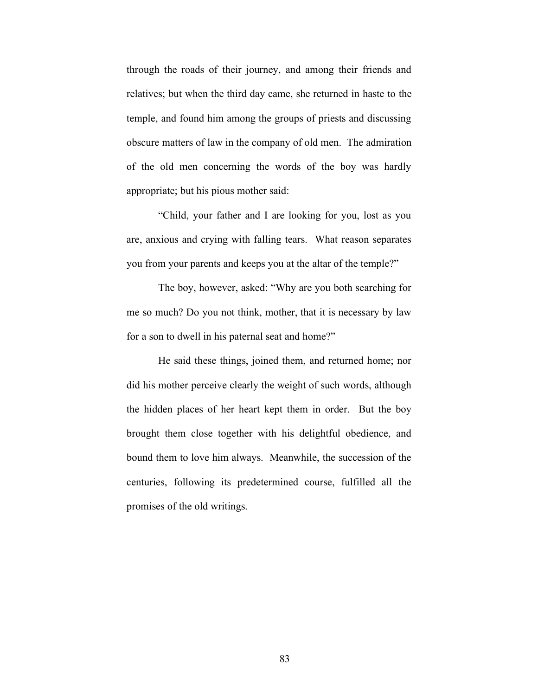through the roads of their journey, and among their friends and relatives; but when the third day came, she returned in haste to the temple, and found him among the groups of priests and discussing obscure matters of law in the company of old men. The admiration of the old men concerning the words of the boy was hardly appropriate; but his pious mother said:

"Child, your father and I are looking for you, lost as you are, anxious and crying with falling tears. What reason separates you from your parents and keeps you at the altar of the temple?"

The boy, however, asked: "Why are you both searching for me so much? Do you not think, mother, that it is necessary by law for a son to dwell in his paternal seat and home?"

He said these things, joined them, and returned home; nor did his mother perceive clearly the weight of such words, although the hidden places of her heart kept them in order. But the boy brought them close together with his delightful obedience, and bound them to love him always. Meanwhile, the succession of the centuries, following its predetermined course, fulfilled all the promises of the old writings.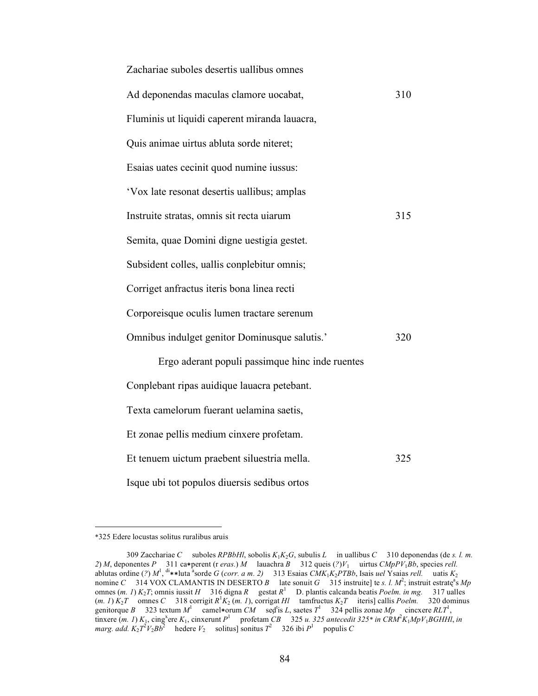| Zachariae suboles desertis uallibus omnes       |     |
|-------------------------------------------------|-----|
| Ad deponendas maculas clamore uocabat,          | 310 |
| Fluminis ut liquidi caperent miranda lauacra,   |     |
| Quis animae uirtus abluta sorde niteret;        |     |
| Esaias uates cecinit quod numine iussus:        |     |
| 'Vox late resonat desertis uallibus; amplas     |     |
| Instruite stratas, omnis sit recta uiarum       | 315 |
| Semita, quae Domini digne uestigia gestet.      |     |
| Subsident colles, uallis conplebitur omnis;     |     |
| Corriget anfractus iteris bona linea recti      |     |
| Corporeisque oculis lumen tractare serenum      |     |
| Omnibus indulget genitor Dominusque salutis.'   | 320 |
| Ergo aderant populi passimque hinc inde ruentes |     |
| Conplebant ripas auidique lauacra petebant.     |     |
| Texta camelorum fuerant uelamina saetis,        |     |
| Et zonae pellis medium cinxere profetam.        |     |
| Et tenuem uictum praebent siluestria mella.     | 325 |
| Isque ubi tot populos diuersis sedibus ortos    |     |

 <sup>\*325</sup> Edere locustas solitus ruralibus aruis

<sup>309</sup> Zacchariae *C* suboles *RPBbHl*, sobolis *K*1*K*2*G*, subulis *L* in uallibus *C* 310 deponendas (de *s. l. m. 2*) *M*, deponentes *P* 311 ca∗perent (r *eras.*) *M* lauachra *B* 312 queis (*?*)*V*1 uirtus *CMpPV*1*Bb*, species *rell.* ablutas ordine (?) *M*<sup>1</sup>, <sup>di</sup>∗\*luta <sup>a</sup>sorde *G* (*corr. a m. 2*) 313 Esaias *CMK*<sub>1</sub>K<sub>2</sub>PTBb, Isais *uel* Ysaias *rell.* uatis *K*<sub>2</sub> nomine *C* 314 VOX CLAMANTIS IN DESERTO *B* late sonuit *G* 315 instruite] te *s. l. M*<sup>2</sup>; instruit estrate<sup>a</sup>s *Mp* omnes (*m. 1*) *K*2*T*; omnis iussit *H* 316 digna *R* gestat *R*<sup>1</sup> D. plantis calcanda beatis *Poelm. in mg.* 317 ualles  $(m. 1)$   $K_2T$  omnes *C* 318 corrigit  $R^1K_2(m. 1)$ , corrigat *Hl* tamfructus  $K_2T$  iteris] callis *Poelm.* 320 dominus genitorque *B* 323 textum  $M^1$  camel\*orum *CM* sed<sup>t</sup>is *L*, saetes  $T^1$  324 pellis zonae  $Mp$  cincxere  $RLT^1$ , tinxere  $(m. 1) K_1$ , cing<sup>x</sup>ere  $K_1$ , cinxerunt  $P^1$  profetam *CB* 325 *u.* 325 antecedit 325\* in CRM<sup>2</sup>K<sub>1</sub>MpV<sub>1</sub>BGHHl, in *marg. add.*  $K_2 T^2 V_2 B b^2$  hedere  $V_2$  solitus] sonitus  $T^2$  326 ibi  $P^1$  populis *C*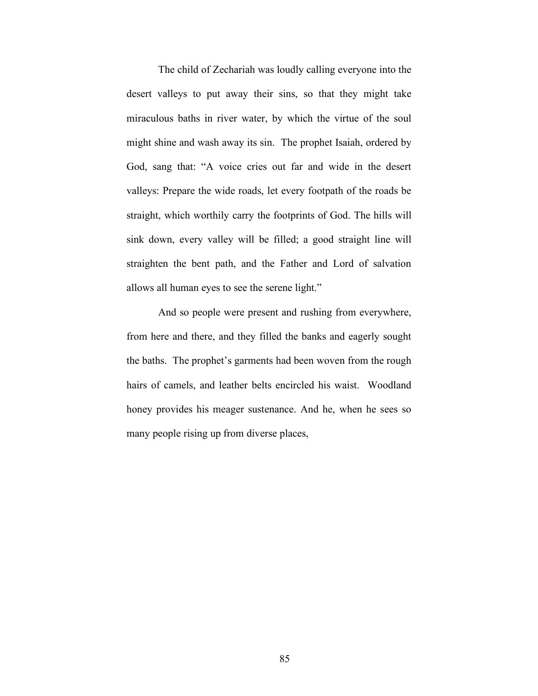The child of Zechariah was loudly calling everyone into the desert valleys to put away their sins, so that they might take miraculous baths in river water, by which the virtue of the soul might shine and wash away its sin. The prophet Isaiah, ordered by God, sang that: "A voice cries out far and wide in the desert valleys: Prepare the wide roads, let every footpath of the roads be straight, which worthily carry the footprints of God. The hills will sink down, every valley will be filled; a good straight line will straighten the bent path, and the Father and Lord of salvation allows all human eyes to see the serene light."

And so people were present and rushing from everywhere, from here and there, and they filled the banks and eagerly sought the baths. The prophet's garments had been woven from the rough hairs of camels, and leather belts encircled his waist. Woodland honey provides his meager sustenance. And he, when he sees so many people rising up from diverse places,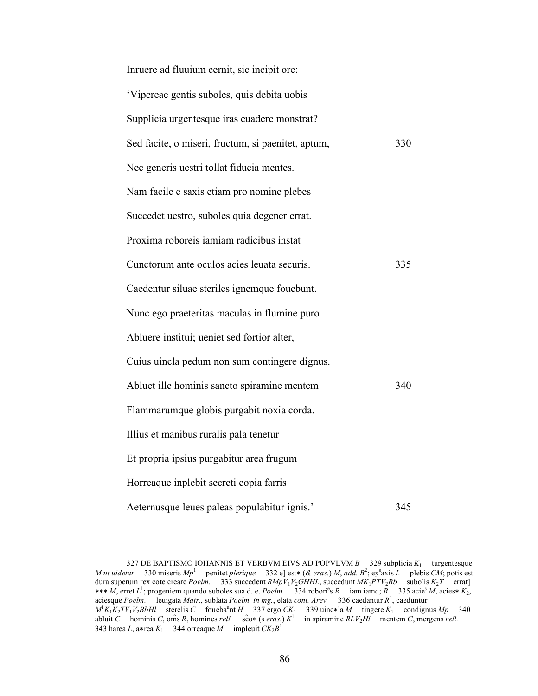| Inruere ad fluuium cernit, sic incipit ore:        |     |
|----------------------------------------------------|-----|
| 'Vipereae gentis suboles, quis debita uobis        |     |
| Supplicia urgentesque iras euadere monstrat?       |     |
| Sed facite, o miseri, fructum, si paenitet, aptum, | 330 |
| Nec generis uestri tollat fiducia mentes.          |     |
| Nam facile e saxis etiam pro nomine plebes         |     |
| Succedet uestro, suboles quia degener errat.       |     |
| Proxima roboreis iamiam radicibus instat           |     |
| Cunctorum ante oculos acies leuata securis.        | 335 |
| Caedentur siluae steriles ignemque fouebunt.       |     |
| Nunc ego praeteritas maculas in flumine puro       |     |
| Abluere institui; ueniet sed fortior alter,        |     |
| Cuius uincla pedum non sum contingere dignus.      |     |
| Abluet ille hominis sancto spiramine mentem        | 340 |
| Flammarumque globis purgabit noxia corda.          |     |
| Illius et manibus ruralis pala tenetur             |     |
| Et propria ipsius purgabitur area frugum           |     |
| Horreaque inplebit secreti copia farris            |     |
| Aeternusque leues paleas populabitur ignis.'       | 345 |

<sup>327</sup> DE BAPTISMO IOHANNIS ET VERBVM EIVS AD POPVLVM  $B = 329$  subplicia  $K_1$  turgentesque *M ut uidetur* 330 miseris *Mp*<sup>1</sup> penitet *plerique* 332 e] est∗ (*& eras.*) *M*, *add.*  $B^2$ ; ex<sup>s</sup>axis *L* plebis *CM*; potis est dura superum rex cote creare *Poelm.* 333 succedent *RMpV*1*V*2*GHHL*, succedunt *MK*1*PTV*2*Bb* subolis *K*2*T* errat] ∗∗∗ *M*, erret *L*<sup>1</sup> ; progeniem quando suboles sua d. e. *Poelm.* 334 roborie s *R* iam iamq; *R* 335 acies *M*, acies<sup>∗</sup> *K*2, aciesque *Poelm.* leuigata *Matr.*, sublata *Poelm. in mg.*, elata *coni. Arev.* 336 caedantur *R*<sup>1</sup> , caeduntur  $M^1K_1K_2TV_1V_2BbHl$  sterelis *C* foueba<sup>u</sup>nt *H* 337 ergo *CK*<sub>1</sub> 339 uinc∗la *M* tingere *K*<sub>1</sub> condignus *Mp* 340 abluit *C* hominis *C*, om̃s *R*, homines *rell.* sc̃o\* (s *eras.*)  $K^1$  in spiramine  $RLV_2H\ell$  mentem *C*, mergens *rell.* 343 harea *L*, a\*rea  $K_1$  344 orreaque *M* impleuit  $CK_2B^1$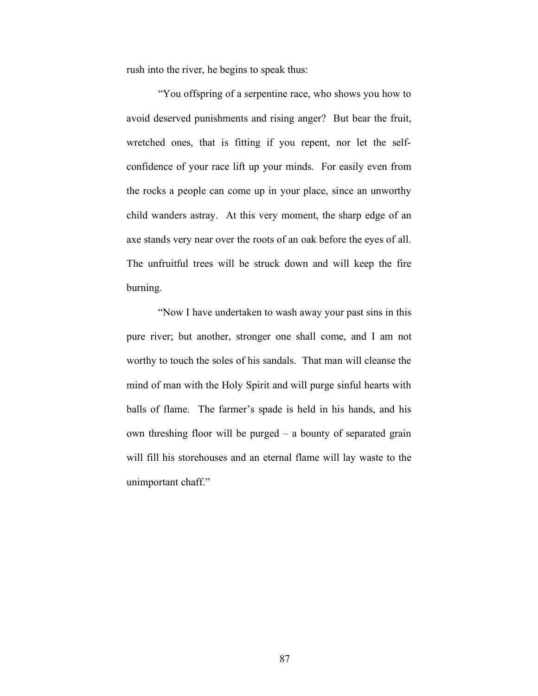rush into the river, he begins to speak thus:

"You offspring of a serpentine race, who shows you how to avoid deserved punishments and rising anger? But bear the fruit, wretched ones, that is fitting if you repent, nor let the selfconfidence of your race lift up your minds. For easily even from the rocks a people can come up in your place, since an unworthy child wanders astray. At this very moment, the sharp edge of an axe stands very near over the roots of an oak before the eyes of all. The unfruitful trees will be struck down and will keep the fire burning.

"Now I have undertaken to wash away your past sins in this pure river; but another, stronger one shall come, and I am not worthy to touch the soles of his sandals. That man will cleanse the mind of man with the Holy Spirit and will purge sinful hearts with balls of flame. The farmer's spade is held in his hands, and his own threshing floor will be purged – a bounty of separated grain will fill his storehouses and an eternal flame will lay waste to the unimportant chaff."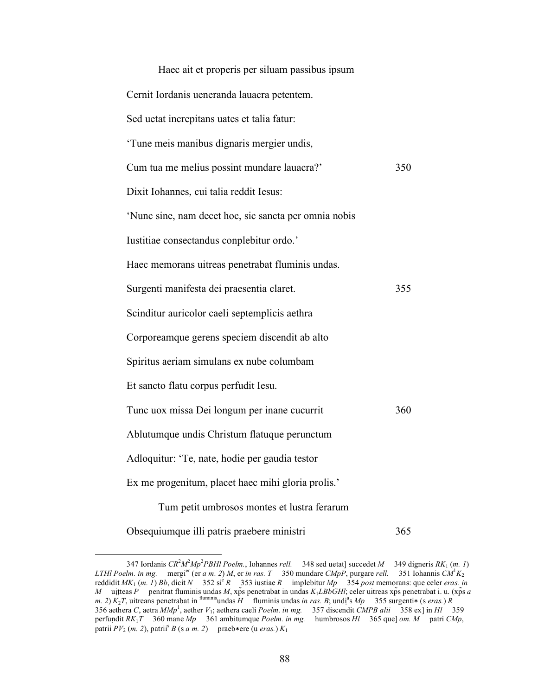| Haec ait et properis per siluam passibus ipsum        |     |
|-------------------------------------------------------|-----|
| Cernit Iordanis ueneranda lauacra petentem.           |     |
| Sed uetat increpitans uates et talia fatur:           |     |
| 'Tune meis manibus dignaris mergier undis,            |     |
| Cum tua me melius possint mundare lauacra?'           | 350 |
| Dixit Iohannes, cui talia reddit Iesus:               |     |
| 'Nunc sine, nam decet hoc, sic sancta per omnia nobis |     |
| Iustitiae consectandus conplebitur ordo.'             |     |
| Haec memorans uitreas penetrabat fluminis undas.      |     |
| Surgenti manifesta dei praesentia claret.             | 355 |
| Scinditur auricolor caeli septemplicis aethra         |     |
| Corporeamque gerens speciem discendit ab alto         |     |
| Spiritus aeriam simulans ex nube columbam             |     |
| Et sancto flatu corpus perfudit Iesu.                 |     |
| Tunc uox missa Dei longum per inane cucurrit          | 360 |
| Ablutumque undis Christum flatuque perunctum          |     |
| Adloquitur: 'Te, nate, hodie per gaudia testor        |     |
| Ex me progenitum, placet haec mihi gloria prolis.'    |     |
| Tum petit umbrosos montes et lustra ferarum           |     |
| Obsequiumque illi patris praebere ministri            | 365 |

 <sup>347</sup> Iordanis *CR*<sup>2</sup> *M*2 *Mp*<sup>2</sup> *PBHl Poelm.*, Iohannes *rell.* 348 sed uetat] succedet *M* 349 digneris *RK*1 (*m. 1*) *LTHI Poelm. in mg.* mergi<sup>er</sup> (er *a m. 2) M, er in ras. T* 350 mundare *CMpP*, purgare *rell.* 351 Iohannis  $CM<sup>1</sup>K<sub>2</sub>$ reddidit  $MK_1$  (*m. 1*) *Bb*, dicit *N* 352 si<sup>c</sup> *R* 353 iustiae *R* implebitur  $Mp$  354 *post* memorans: que celer *eras. in M* uitteas *P* penitrat fluminis undas *M*, xp̃s penetrabat in undas *K*<sub>1</sub>*LBbGHl*; celer uitreas xp̃s penetrabat i. u. (xp̃s *a m.* 2)  $K_2T$ , uitreans penetrabat in fluminis undas *H* fluminis undas *in ras. B*; undi<sup>a</sup>s *Mp* 355 surgenti $\ast$  (s *eras.*) *R* 356 aethera *C*, aetra *MMp*<sup>1</sup>, aether *V*<sub>1</sub>; aethera caeli *Poelm. in mg.* 357 discendit *CMPB alii* 358 ex] in *Hl* 359 perfuṇdit *RK*1*T* 360 mane *Mp* 361 ambitumque *Poelm. in mg.* humbrosos *Hl* 365 que] *om. M* patri *CMp*, patrii  $PV_2$  (*m. 2*), patrii<sup>s</sup> *B* (*s a m. 2*) praeb∗ere (u *eras.*)  $K_1$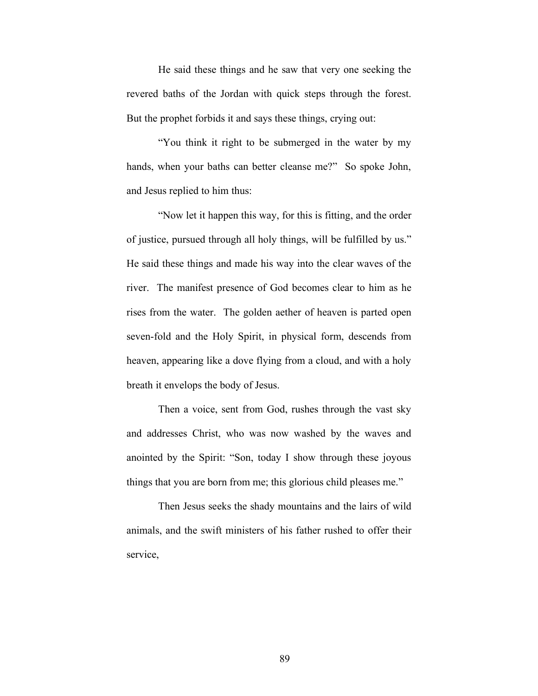He said these things and he saw that very one seeking the revered baths of the Jordan with quick steps through the forest. But the prophet forbids it and says these things, crying out:

"You think it right to be submerged in the water by my hands, when your baths can better cleanse me?" So spoke John, and Jesus replied to him thus:

"Now let it happen this way, for this is fitting, and the order of justice, pursued through all holy things, will be fulfilled by us." He said these things and made his way into the clear waves of the river. The manifest presence of God becomes clear to him as he rises from the water. The golden aether of heaven is parted open seven-fold and the Holy Spirit, in physical form, descends from heaven, appearing like a dove flying from a cloud, and with a holy breath it envelops the body of Jesus.

Then a voice, sent from God, rushes through the vast sky and addresses Christ, who was now washed by the waves and anointed by the Spirit: "Son, today I show through these joyous things that you are born from me; this glorious child pleases me."

Then Jesus seeks the shady mountains and the lairs of wild animals, and the swift ministers of his father rushed to offer their service,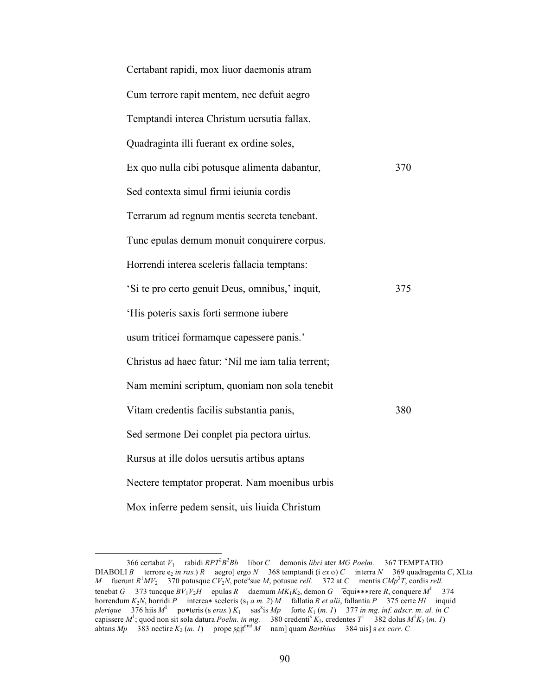| Certabant rapidi, mox liuor daemonis atram         |     |
|----------------------------------------------------|-----|
| Cum terrore rapit mentem, nec defuit aegro         |     |
| Temptandi interea Christum uersutia fallax.        |     |
| Quadraginta illi fuerant ex ordine soles,          |     |
| Ex quo nulla cibi potusque alimenta dabantur,      | 370 |
| Sed contexta simul firmi ieiunia cordis            |     |
| Terrarum ad regnum mentis secreta tenebant.        |     |
| Tunc epulas demum monuit conquirere corpus.        |     |
| Horrendi interea sceleris fallacia temptans:       |     |
| 'Si te pro certo genuit Deus, omnibus,' inquit,    | 375 |
| 'His poteris saxis forti sermone iubere            |     |
| usum triticei formamque capessere panis.'          |     |
| Christus ad haec fatur: 'Nil me iam talia terrent; |     |
| Nam memini scriptum, quoniam non sola tenebit      |     |
| Vitam credentis facilis substantia panis,          | 380 |
| Sed sermone Dei conplet pia pectora uirtus.        |     |
| Rursus at ille dolos uersutis artibus aptans       |     |
| Nectere temptator properat. Nam moenibus urbis     |     |
| Mox inferre pedem sensit, uis liuida Christum      |     |

<sup>366</sup> certabat *V*<sub>1</sub> rabidi *RPT*<sup>2</sup> $B^2Bb$  libor *C* demonis *libri* ater *MG Poelm.* 367 TEMPTATIO DIABOLI *B* terrore  $e_2$  *in ras.*) *R* aegro] ergo *N* 368 temptandi (i *ex* o) *C* interra *N* 369 quadragenta *C*, XLta *M* fuerunt  $R^1MV_2$  370 potusque  $CV_2N$ , pote<sup>u</sup>sue *M*, potusue *rell.* 372 at *C* mentis  $CMp^2T$ , cordis *rell.* tenebat *G* 373 tuncque  $BV_1V_2H$  epulas *R* daemum  $MK_1K_2$ , demon *G* equi∗∗∗rere *R*, conquere  $M^1$  374 horrendum *K*2*N*, horridi *P* interea∗ sceleris (s1 *a m. 2*) *M* fallatia *R et alii*, fallantia *P* 375 certe *Hl* inquid  $p$ lerique 376 hiis  $M^1$  po∗teris (s *eras.*)  $K_1$  sas<sup>x</sup>is  $Mp$  forte  $K_1$  (*m. 1*) 377 *in mg. inf. adscr. m. al. in* C capissere  $M^1$ ; quod non sit sola datura *Poelm. in mg.* 380 credenti<sup>s</sup>  $K_2$ , credentes  $T^1$  382 dolus  $M^1 K_2$  (*m. 1*) abtans *Mp* 383 nectire  $K_2$  (*m. 1*) prope sciterat *M* nam] quam *Barthius* 384 uis] s *ex corr.* C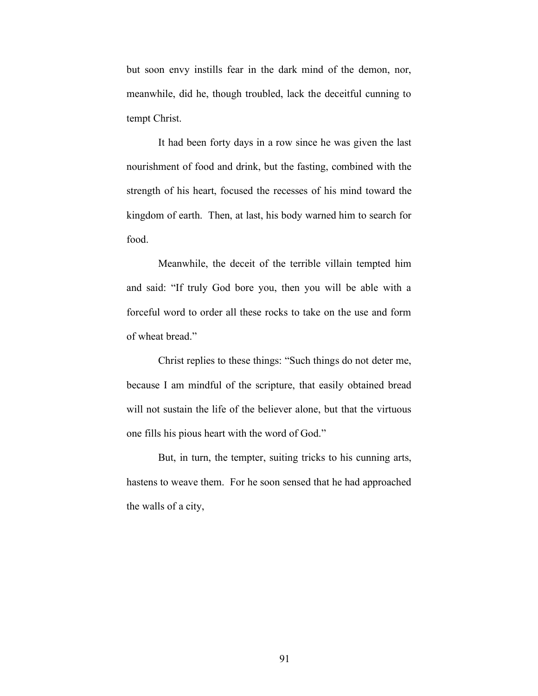but soon envy instills fear in the dark mind of the demon, nor, meanwhile, did he, though troubled, lack the deceitful cunning to tempt Christ.

It had been forty days in a row since he was given the last nourishment of food and drink, but the fasting, combined with the strength of his heart, focused the recesses of his mind toward the kingdom of earth. Then, at last, his body warned him to search for food.

Meanwhile, the deceit of the terrible villain tempted him and said: "If truly God bore you, then you will be able with a forceful word to order all these rocks to take on the use and form of wheat bread."

Christ replies to these things: "Such things do not deter me, because I am mindful of the scripture, that easily obtained bread will not sustain the life of the believer alone, but that the virtuous one fills his pious heart with the word of God."

But, in turn, the tempter, suiting tricks to his cunning arts, hastens to weave them. For he soon sensed that he had approached the walls of a city,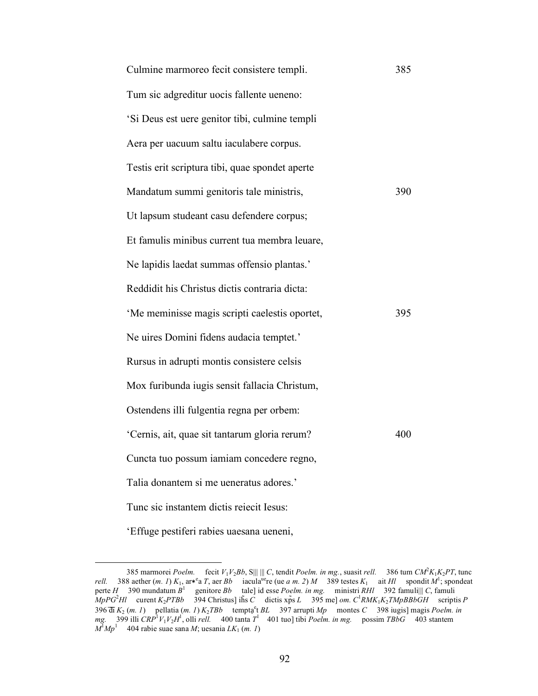| Culmine marmoreo fecit consistere templi.       | 385 |
|-------------------------------------------------|-----|
| Tum sic adgreditur uocis fallente ueneno:       |     |
| 'Si Deus est uere genitor tibi, culmine templi  |     |
| Aera per uacuum saltu iaculabere corpus.        |     |
| Testis erit scriptura tibi, quae spondet aperte |     |
| Mandatum summi genitoris tale ministris,        | 390 |
| Ut lapsum studeant casu defendere corpus;       |     |
| Et famulis minibus current tua membra leuare,   |     |
| Ne lapidis laedat summas offensio plantas.'     |     |
| Reddidit his Christus dictis contraria dicta:   |     |
| 'Me meminisse magis scripti caelestis oportet,  | 395 |
| Ne uires Domini fidens audacia temptet.'        |     |
| Rursus in adrupti montis consistere celsis      |     |
| Mox furibunda iugis sensit fallacia Christum,   |     |
| Ostendens illi fulgentia regna per orbem:       |     |
| 'Cernis, ait, quae sit tantarum gloria rerum?   | 400 |
| Cuncta tuo possum iamiam concedere regno,       |     |
| Talia donantem si me ueneratus adores.'         |     |
| Tunc sic instantem dictis reiecit Iesus:        |     |
|                                                 |     |

'Effuge pestiferi rabies uaesana ueneni,

 <sup>385</sup> marmorei *Poelm.* fecit *V*1*V*2*Bb*, S||| ||| *C*, tendit *Poelm. in mg.*, suasit *rell.* 386 tum *CM*<sup>2</sup> *K*1*K*2*PT*, tunc *rell.* 388 aether (*m. 1*)  $K_1$ , ar<sup>\*</sup>e *T*, aer *Bb* iacula<sup>ue</sup>re (ue *a m. 2*) *M* 389 testes  $K_1$  ait *Hl* spondit  $M^1$ ; spondeat perte *H* 390 mundatum *B*<sup>1</sup> genitore *Bb* tale] id esse *Poelm. in mg.* ministri *RHl* 392 famuli||| *C*, famuli  $M_pPG^2HI$  curent *K*<sub>2</sub>*PTBb* 394 Christus] ih̄s *C* dictis xp̄s *L* 395 me] *om.* C<sup>1</sup>*RMK*<sub>1</sub>*K*<sub>2</sub>*TMpBBbGH* scriptis *P* 396 d̄i  $K_2$  (*m. 1*) pellatia (*m. 1*)  $K_2TBb$  temptą<sup>e</sup>t BL 397 arrupti *Mp* montes *C* 398 iugis] magis *Poelm. in mg.* 399 illi *CRP*<sup>1</sup> *V*1*V*2*H*<sup>1</sup> , olli *rell.* 400 tanta *T*<sup>1</sup> 401 tuo] tibi *Poelm. in mg.* possim *TBbG* 403 stantem  $M^{\text{I}}Mp^{\text{I}}$  404 rabie suae sana *M*; uesania *LK*<sub>1</sub> (*m. 1*)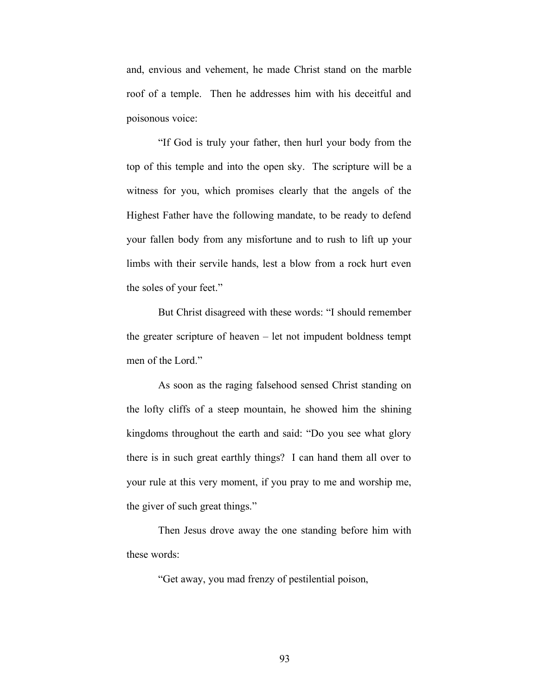and, envious and vehement, he made Christ stand on the marble roof of a temple. Then he addresses him with his deceitful and poisonous voice:

"If God is truly your father, then hurl your body from the top of this temple and into the open sky. The scripture will be a witness for you, which promises clearly that the angels of the Highest Father have the following mandate, to be ready to defend your fallen body from any misfortune and to rush to lift up your limbs with their servile hands, lest a blow from a rock hurt even the soles of your feet."

But Christ disagreed with these words: "I should remember the greater scripture of heaven – let not impudent boldness tempt men of the Lord."

As soon as the raging falsehood sensed Christ standing on the lofty cliffs of a steep mountain, he showed him the shining kingdoms throughout the earth and said: "Do you see what glory there is in such great earthly things? I can hand them all over to your rule at this very moment, if you pray to me and worship me, the giver of such great things."

Then Jesus drove away the one standing before him with these words:

"Get away, you mad frenzy of pestilential poison,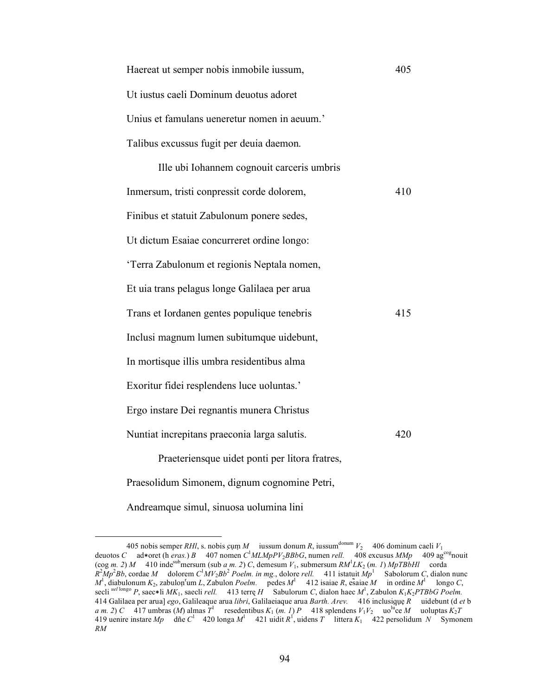| Haereat ut semper nobis inmobile iussum,     | 405 |
|----------------------------------------------|-----|
| Ut iustus caeli Dominum deuotus adoret       |     |
| Unius et famulans ueneretur nomen in aeuum.' |     |
| Talibus excussus fugit per deuia daemon.     |     |
| Ille ubi Iohannem cognouit carceris umbris   |     |
| Inmersum, tristi conpressit corde dolorem,   | 410 |
| Finibus et statuit Zabulonum ponere sedes,   |     |
| Ut dictum Esaiae concurreret ordine longo:   |     |
| 'Terra Zabulonum et regionis Neptala nomen,  |     |
| Et uia trans pelagus longe Galilaea per arua |     |
| Trans et Iordanen gentes populique tenebris  | 415 |
| Inclusi magnum lumen subitumque uidebunt,    |     |
| In mortisque illis umbra residentibus alma   |     |
|                                              |     |

Exoritur fidei resplendens luce uoluntas.'

Ergo instare Dei regnantis munera Christus

Nuntiat increpitans praeconia larga salutis. 420

Praeteriensque uidet ponti per litora fratres,

Praesolidum Simonem, dignum cognomine Petri,

Andreamque simul, sinuosa uolumina lini

<sup>405</sup> nobis semper *RHl*, s. nobis cụm *M* iussum donum *R*, iussum<sup>donum</sup>  $V_2$  406 dominum caeli  $V_1$ deuotos *C* ad∗oret (h *eras.*) *B* 407 nomen *C*<sup>1</sup>MLMpPV<sub>2</sub>BBbG, numen *rell.* 408 excusus *MMp* 409 ag<sup>cog</sup>nouit  $(\cos m. 2) M$  410 indes<sup>sub</sup>mersum (sub *a m. 2*) *C*, demesum  $V_1$ , submersum  $RM<sup>1</sup> LK<sub>2</sub>$  (*m. 1*)  $MpTBbHl$  corda  $R^2Mp^2Bb$ , cordae *M* dolorem  $C^1MV_2Bb^2$  *Poelm. in mg.*, dolore *rell.* 411 istatuit  $Mp^1$  Sabolorum *C*, dialon nunc  $M^1$ , diabulonum  $K_2$ , zabulon<sup>r</sup>um *L*, Zabulon *Poelm.* pedes  $M^1$  412 isaiae *R*, esãiae  $M$  in ordine  $M^1$  longo *C*, secli *uel* longo *P*, saec∗li *MK*1, saecli *rell.* 413 terrę *H* Sabulorum *C*, dialon haec *M*<sup>1</sup> , Zabulon *K*1*K*2*PTBbG Poelm.* 414 Galilaea per arua] *ego*, Galileaque arua *libri*, Galilaeiaque arua *Barth. Arev.* 416 inclusiq̣ụẹ *R* uidebunt (d *et* b *a m.* 2) *C* 417 umbras (*M*) almas  $T^1$  resedentibus  $K_1$  (*m. 1*) *P* 418 splendens  $V_1V_2$  uo<sup>lu</sup>ce *M* uoluptas  $K_2T$ 419 uenire instare  $Mp$  dñe  $C^1$  420 longa  $M^1$  421 uidit  $R^1$ , uidens  $T$  littera  $K_1$  422 persolidum  $N$  Symonem *RM*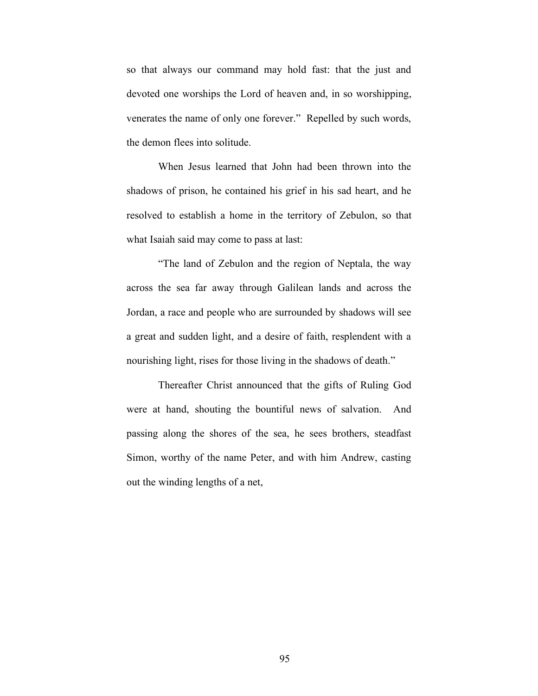so that always our command may hold fast: that the just and devoted one worships the Lord of heaven and, in so worshipping, venerates the name of only one forever." Repelled by such words, the demon flees into solitude.

When Jesus learned that John had been thrown into the shadows of prison, he contained his grief in his sad heart, and he resolved to establish a home in the territory of Zebulon, so that what Isaiah said may come to pass at last:

"The land of Zebulon and the region of Neptala, the way across the sea far away through Galilean lands and across the Jordan, a race and people who are surrounded by shadows will see a great and sudden light, and a desire of faith, resplendent with a nourishing light, rises for those living in the shadows of death."

Thereafter Christ announced that the gifts of Ruling God were at hand, shouting the bountiful news of salvation. And passing along the shores of the sea, he sees brothers, steadfast Simon, worthy of the name Peter, and with him Andrew, casting out the winding lengths of a net,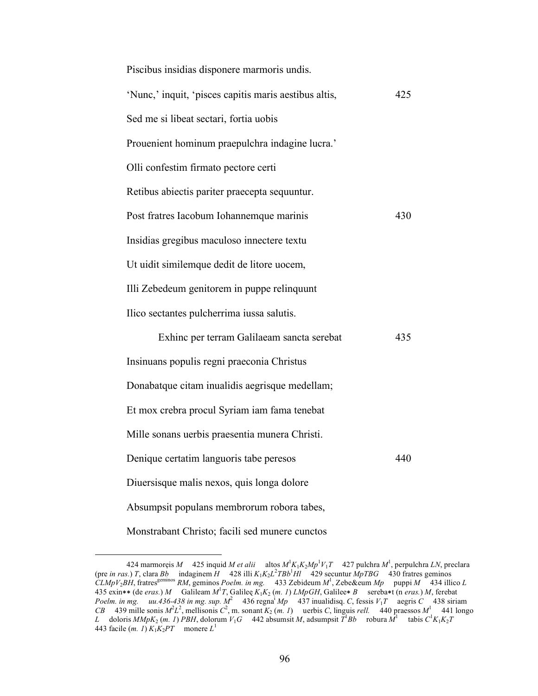| Piscibus insidias disponere marmoris undis.           |     |
|-------------------------------------------------------|-----|
| 'Nunc,' inquit, 'pisces capitis maris aestibus altis, | 425 |
| Sed me si libeat sectari, fortia uobis                |     |
| Prouenient hominum praepulchra indagine lucra.'       |     |
| Olli confestim firmato pectore certi                  |     |
| Retibus abiectis pariter praecepta sequuntur.         |     |
| Post fratres Iacobum Iohannemque marinis              | 430 |
| Insidias gregibus maculoso innectere textu            |     |
| Ut uidit similemque dedit de litore uocem,            |     |
| Illi Zebedeum genitorem in puppe relinquunt           |     |
| Ilico sectantes pulcherrima iussa salutis.            |     |
| Exhinc per terram Galilaeam sancta serebat            | 435 |
| Insinuans populis regni praeconia Christus            |     |
| Donabatque citam inualidis aegrisque medellam;        |     |
| Et mox crebra procul Syriam iam fama tenebat          |     |
| Mille sonans uerbis praesentia munera Christi.        |     |
| Denique certatim languoris tabe peresos               | 440 |
| Diuersisque malis nexos, quis longa dolore            |     |
| Absumpsit populans membrorum robora tabes,            |     |
| Monstrabant Christo; facili sed munere cunctos        |     |

 <sup>424</sup> marmorẹis *M* 425 inquid *M et alii* altos *M*<sup>1</sup> *K*1*K*2*Mp*<sup>1</sup> *V*1*T* 427 pulchra *M*<sup>1</sup> , perpulchra *LN*, preclara (pre *in ras.*) *T*, clara *Bb* indaginem *H* 428 illi  $K_1K_2L^2TBB^1HI$  429 secuntur  $MpTBG$  430 fratres geminos  $\tilde{CL}MpV_2BH$ , fratres<sup>geminos</sup> *RM*, geminos *Poelm. in mg.* 433 Zebideum  $M^1$ , Zebe&eum  $Mp$  puppi  $M$  434 illico *L* 435 exin∗∗ (de *eras.*) *M* Galileam *M*<sup>1</sup> *T*, Galileę *K*1*K*2 (*m. 1*) *LMpGH*, Galilee∗ *B* sereba∗t (n *eras.*) *M*, ferebat *Poelm. in mg. uu.436-438 in mg. sup.*  $M^2$  436 regna<sup>i</sup>  $Mp$  437 inualidisq. *C*, fessis  $V_1T$  aegris *C* 438 siriam *CB* 439 mille sonis  $M^2L^2$ , mellisonis  $C^2$ , m. sonant  $K_2$  (*m. 1*) uerbis *C*, linguis *rell.* 440 praessos  $M^1$  441 longo *L* doloris  $MMpK_2$  (*m. 1*) *PBH*, dolorum  $V_1G$  442 absumsit *M*, adsumpsit  $T^1Bb$  robura  $M^1$  tabis  $C^1K_1K_2T$ 443 facile  $(m. 1)$   $K_1K_2PT$  monere  $L^1$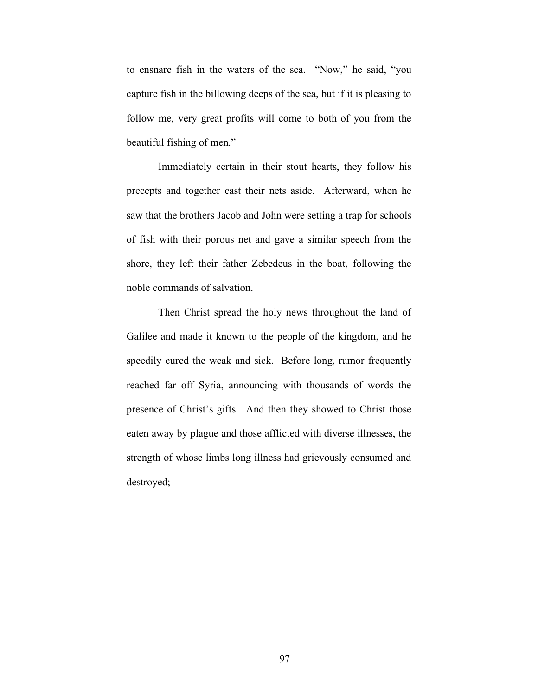to ensnare fish in the waters of the sea. "Now," he said, "you capture fish in the billowing deeps of the sea, but if it is pleasing to follow me, very great profits will come to both of you from the beautiful fishing of men."

Immediately certain in their stout hearts, they follow his precepts and together cast their nets aside. Afterward, when he saw that the brothers Jacob and John were setting a trap for schools of fish with their porous net and gave a similar speech from the shore, they left their father Zebedeus in the boat, following the noble commands of salvation.

Then Christ spread the holy news throughout the land of Galilee and made it known to the people of the kingdom, and he speedily cured the weak and sick. Before long, rumor frequently reached far off Syria, announcing with thousands of words the presence of Christ's gifts. And then they showed to Christ those eaten away by plague and those afflicted with diverse illnesses, the strength of whose limbs long illness had grievously consumed and destroyed;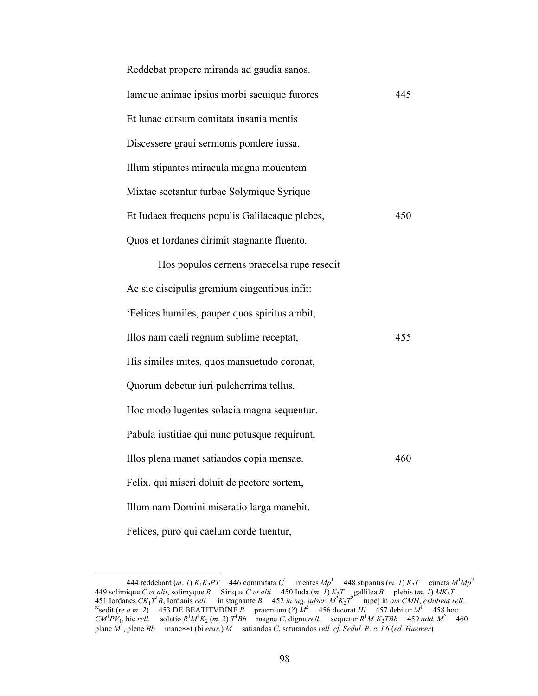| Reddebat propere miranda ad gaudia sanos.      |     |
|------------------------------------------------|-----|
| Iamque animae ipsius morbi saeuique furores    | 445 |
| Et lunae cursum comitata insania mentis        |     |
| Discessere graui sermonis pondere iussa.       |     |
| Illum stipantes miracula magna mouentem        |     |
| Mixtae sectantur turbae Solymique Syrique      |     |
| Et Iudaea frequens populis Galilaeaque plebes, | 450 |
| Quos et Iordanes dirimit stagnante fluento.    |     |
| Hos populos cernens praecelsa rupe resedit     |     |
| Ac sic discipulis gremium cingentibus infit:   |     |
| 'Felices humiles, pauper quos spiritus ambit,  |     |
| Illos nam caeli regnum sublime receptat,       | 455 |
| His similes mites, quos mansuetudo coronat,    |     |
| Quorum debetur iuri pulcherrima tellus.        |     |
| Hoc modo lugentes solacia magna sequentur.     |     |
| Pabula iustitiae qui nunc potusque requirunt,  |     |
| Illos plena manet satiandos copia mensae.      | 460 |
| Felix, qui miseri doluit de pectore sortem,    |     |
| Illum nam Domini miseratio larga manebit.      |     |
| Felices, puro qui caelum corde tuentur,        |     |

<sup>444</sup> reddebant  $(m. 1) K_1K_2PT$  446 commitata  $C^1$  mentes  $Mp^1$  448 stipantis  $(m. 1) K_2T$  cuncta  $M^1Mp^2$ 449 solimique *C et alii*, solimyque *R* Sirique *C et alii* 450 Iuda (*m. 1*) *K*2*T* gallilea *B* plebis (*m. 1*) *MK*2*T* 451 Iordanes  $CK_1T^1B$ , Iordanis *rell.* in stagnante B 452 in mg. adscr.  $M^2K_2T^2$  rupe] in om CMH, exhibent rell.<br><sup>re</sup>sedit (re a m. 2) 453 DE BEATITVDINE B praemium (?)  $M^2$  456 decorat HI 457 debitur M<sup>1</sup> 458 hoc *CM*<sup>1</sup> $PV_1$ , hic *rell.* solatio  $R^1M^1K_2$  (*m. 2*)  $T^1Bb$  magna *C*, digna *rell.* sequetur  $R^1M^1K_2TBb$  459 *add.*  $M^2$  460 plane *M*<sup>1</sup>, plene *Bb* mane∗∗t (bi *eras.*) *M* satiandos *C*, saturandos *rell. cf. Sedul. P. c. I 6 (ed. Huemer*)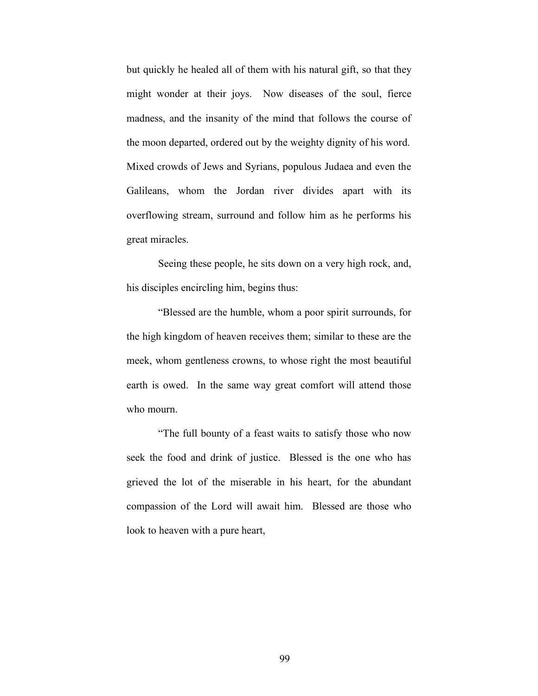but quickly he healed all of them with his natural gift, so that they might wonder at their joys. Now diseases of the soul, fierce madness, and the insanity of the mind that follows the course of the moon departed, ordered out by the weighty dignity of his word. Mixed crowds of Jews and Syrians, populous Judaea and even the Galileans, whom the Jordan river divides apart with its overflowing stream, surround and follow him as he performs his great miracles.

Seeing these people, he sits down on a very high rock, and, his disciples encircling him, begins thus:

"Blessed are the humble, whom a poor spirit surrounds, for the high kingdom of heaven receives them; similar to these are the meek, whom gentleness crowns, to whose right the most beautiful earth is owed. In the same way great comfort will attend those who mourn.

"The full bounty of a feast waits to satisfy those who now seek the food and drink of justice. Blessed is the one who has grieved the lot of the miserable in his heart, for the abundant compassion of the Lord will await him. Blessed are those who look to heaven with a pure heart,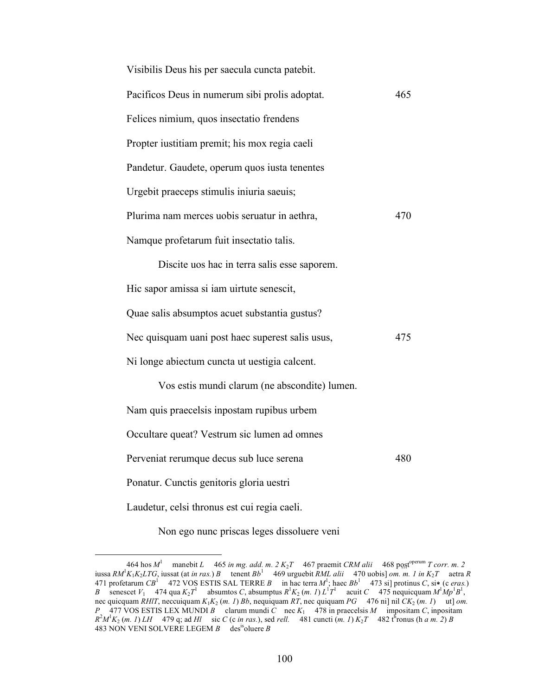| Visibilis Deus his per saecula cuncta patebit.   |     |
|--------------------------------------------------|-----|
| Pacificos Deus in numerum sibi prolis adoptat.   | 465 |
| Felices nimium, quos insectatio frendens         |     |
| Propter iustitiam premit; his mox regia caeli    |     |
| Pandetur. Gaudete, operum quos iusta tenentes    |     |
| Urgebit praeceps stimulis iniuria saeuis;        |     |
| Plurima nam merces uobis seruatur in aethra,     | 470 |
| Namque profetarum fuit insectatio talis.         |     |
| Discite uos hac in terra salis esse saporem.     |     |
| Hic sapor amissa si iam uirtute senescit,        |     |
| Quae salis absumptos acuet substantia gustus?    |     |
| Nec quisquam uani post haec superest salis usus, | 475 |
| Ni longe abiectum cuncta ut uestigia calcent.    |     |
| Vos estis mundi clarum (ne abscondite) lumen.    |     |
| Nam quis praecelsis inpostam rupibus urbem       |     |
| Occultare queat? Vestrum sic lumen ad omnes      |     |
| Perveniat rerumque decus sub luce serena         | 480 |
| Ponatur. Cunctis genitoris gloria uestri         |     |
| Laudetur, celsi thronus est cui regia caeli.     |     |

Non ego nunc priscas leges dissoluere veni

 $\frac{464 \text{ hos } M^1 \quad \text{manebit } L}{465 \text{ in } mg. \text{ add. m. 2 K}_2 T}$  467 praemit *CRM alii* 468 post<sup>operum</sup> *T corr. m. 2* iussa *RM*<sup>1</sup> *K*1*K*2*LTG*, iussat (at *in ras.*) *B* tenent *Bb*<sup>1</sup> 469 urguebit *RML alii* 470 uobis] *om. m. 1 in K*2*T* aetra *R* 471 profetarum  $CB^1$  472 VOS ESTIS SAL TERRE *B* in hac terra  $M^1$ ; haec  $Bb^1$  473 si] protinus *C*, si $\star$  (c *eras.*) *B* senescet *V*<sub>1</sub> 474 qua  $K_2T^1$  absumtos *C*, absumptus  $R^1K_2$  (*m. 1*)  $L^1T^1$  acuit *C* 475 nequicquam  $M^1Mp^1B^1$ , nec quicquam *RHlT*, neccuiquam *K*1*K*2 (*m. 1*) *Bb*, nequiquam *RT*, nec quiquam *PG* 476 ni] nil *CK*2 (*m. 1*) ut] *om. P* 477 VOS ESTIS LEX MUNDI *B* clarum mundi *C* nec  $K_1$  478 in praecelsis *M* impositam *C*, inpositam  $R^2 M^1 K_2$  (*m. 1*) *LH* 479 q; ad *Hl* sic *C* (*c in ras.*), sed *rell.* 481 cuncti (*m. 1*)  $K_2 T$  482 th ronus (*h a m. 2*) *B* 483 NON VENI SOLVERE LEGEM *B* desisoluere *B*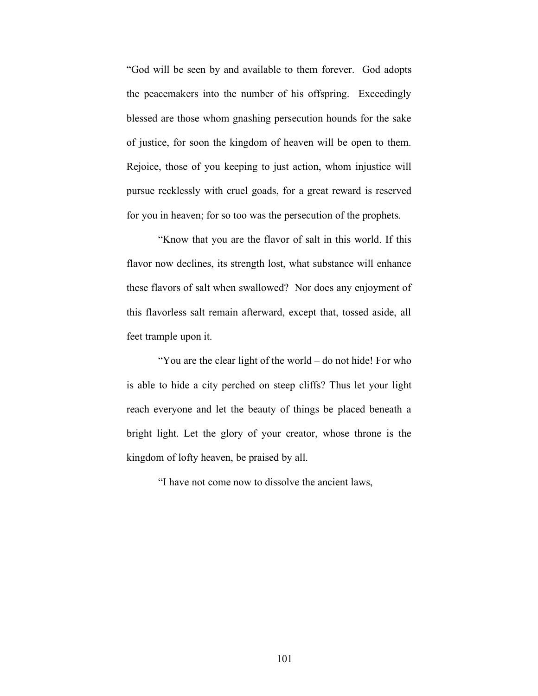"God will be seen by and available to them forever. God adopts the peacemakers into the number of his offspring. Exceedingly blessed are those whom gnashing persecution hounds for the sake of justice, for soon the kingdom of heaven will be open to them. Rejoice, those of you keeping to just action, whom injustice will pursue recklessly with cruel goads, for a great reward is reserved for you in heaven; for so too was the persecution of the prophets.

"Know that you are the flavor of salt in this world. If this flavor now declines, its strength lost, what substance will enhance these flavors of salt when swallowed? Nor does any enjoyment of this flavorless salt remain afterward, except that, tossed aside, all feet trample upon it.

"You are the clear light of the world – do not hide! For who is able to hide a city perched on steep cliffs? Thus let your light reach everyone and let the beauty of things be placed beneath a bright light. Let the glory of your creator, whose throne is the kingdom of lofty heaven, be praised by all.

"I have not come now to dissolve the ancient laws,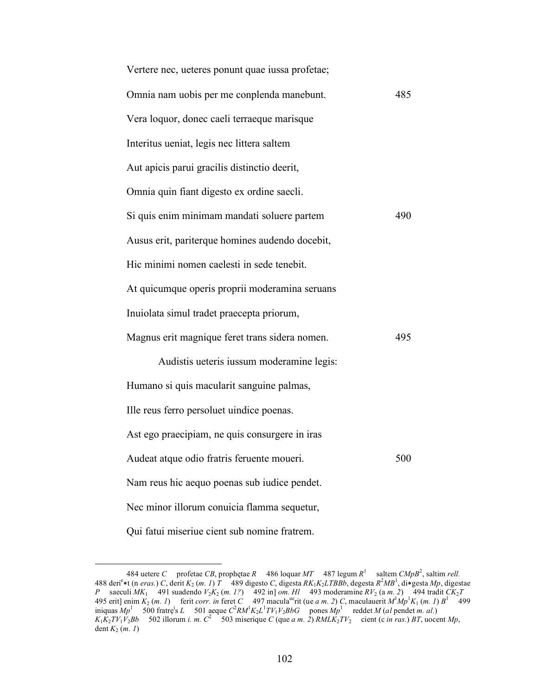| Vertere nec, ueteres ponunt quae iussa profetae; |     |
|--------------------------------------------------|-----|
| Omnia nam uobis per me conplenda manebunt.       | 485 |
| Vera loquor, donec caeli terraeque marisque      |     |
| Interitus ueniat, legis nec littera saltem       |     |
| Aut apicis parui gracilis distinctio deerit,     |     |
| Omnia quin fiant digesto ex ordine saecli.       |     |
| Si quis enim minimam mandati soluere partem      | 490 |
| Ausus erit, pariterque homines audendo docebit,  |     |
| Hic minimi nomen caelesti in sede tenebit.       |     |
| At quicumque operis proprii moderamina seruans   |     |
| Inuiolata simul tradet praecepta priorum,        |     |
| Magnus erit magnique feret trans sidera nomen.   | 495 |
| Audistis ueteris iussum moderamine legis:        |     |
| Humano si quis macularit sanguine palmas,        |     |
| Ille reus ferro persoluet uindice poenas.        |     |
| Ast ego praecipiam, ne quis consurgere in iras   |     |
| Audeat atque odio fratris feruente moueri.       | 500 |
| Nam reus hic aequo poenas sub iudice pendet.     |     |
| Nec minor illorum conuicia flamma sequetur,      |     |
| Qui fatui miseriue cient sub nomine fratrem.     |     |

 <sup>484</sup> uetere *C* profetae *CB*, prophętae *R* 486 loquar *MT* 487 legum *R*<sup>1</sup> saltem *CMpB*<sup>2</sup> , saltim *rell.* 488 derie <sup>∗</sup>t (n *eras.*) *C*, derit *K*2 (*m. 1*) *T* 489 digesto *C*, digesta *RK*1*K*2*LTBBb*, degesta *R*<sup>2</sup> *MB*<sup>1</sup> , di∗gesta *Mp*, digestae *P* saeculi  $MK_1$  491 suadendo  $V_2K_2$  (*m. 1?*) 492 in] *om. Hl* 493 moderamine  $RV_2$  (*a m. 2*) 494 tradit  $CK_2T$ 495 erit] enim  $K_2$  (*m. 1*) ferit *corr. in* feret *C* 497 macula<sup>ue</sup>rit (ue *a m. 2*) *C*, maculauerit  $M^1Mp^1K_1$  (*m. 1*)  $B^1$  499 iniquas  $Mp<sup>1</sup>$  500 fratre<sup>i</sup>s *L* 501 aeque  $C<sup>2</sup>RM<sup>1</sup>K<sub>2</sub>L<sup>1</sup>TV<sub>1</sub>V<sub>2</sub>BbG$  pones  $Mp<sup>1</sup>$  reddet *M* (*al* pendet *m. al.*)  $K_1K_2TV_1V_2Bb$  502 illorum *i. m.*  $C^2$  503 miserique *C* (que *a m. 2*) *RMLK<sub>2</sub>TV*<sub>2</sub> cient (c *in ras.*) *BT*, uocent *Mp*, dent  $K_2$   $(m. 1)$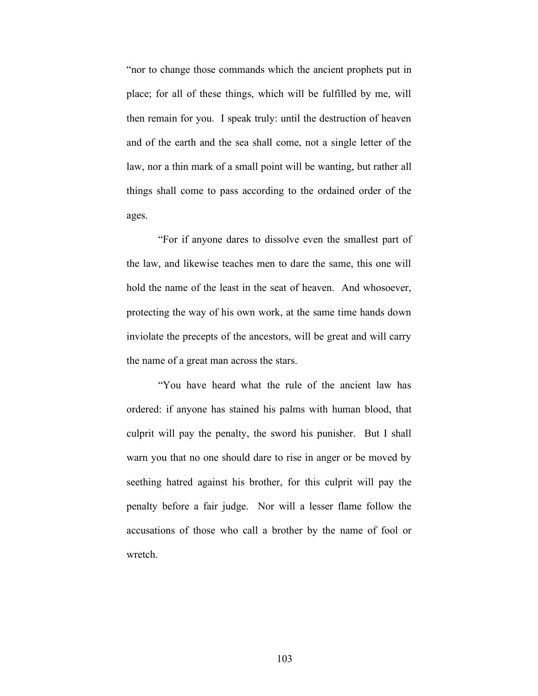"nor to change those commands which the ancient prophets put in place; for all of these things, which will be fulfilled by me, will then remain for you. I speak truly: until the destruction of heaven and of the earth and the sea shall come, not a single letter of the law, nor a thin mark of a small point will be wanting, but rather all things shall come to pass according to the ordained order of the ages.

"For if anyone dares to dissolve even the smallest part of the law, and likewise teaches men to dare the same, this one will hold the name of the least in the seat of heaven. And whosoever, protecting the way of his own work, at the same time hands down inviolate the precepts of the ancestors, will be great and will carry the name of a great man across the stars.

"You have heard what the rule of the ancient law has ordered: if anyone has stained his palms with human blood, that culprit will pay the penalty, the sword his punisher. But I shall warn you that no one should dare to rise in anger or be moved by seething hatred against his brother, for this culprit will pay the penalty before a fair judge. Nor will a lesser flame follow the accusations of those who call a brother by the name of fool or wretch.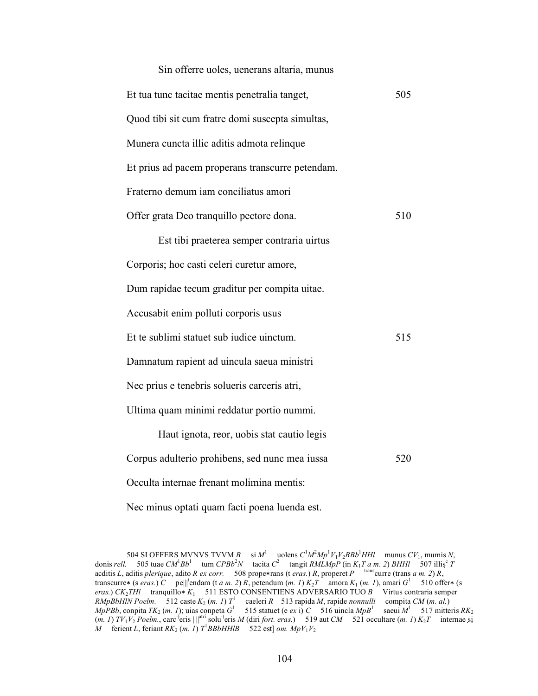| Sin offerre uoles, uenerans altaria, munus       |     |
|--------------------------------------------------|-----|
| Et tua tunc tacitae mentis penetralia tanget,    | 505 |
| Quod tibi sit cum fratre domi suscepta simultas, |     |
| Munera cuncta illic aditis admota relinque       |     |
| Et prius ad pacem properans transcurre petendam. |     |
| Fraterno demum iam conciliatus amori             |     |
| Offer grata Deo tranquillo pectore dona.         | 510 |
| Est tibi praeterea semper contraria uirtus       |     |
| Corporis; hoc casti celeri curetur amore,        |     |
| Dum rapidae tecum graditur per compita uitae.    |     |
| Accusabit enim polluti corporis usus             |     |
| Et te sublimi statuet sub iudice uinctum.        | 515 |
| Damnatum rapient ad uincula saeua ministri       |     |
| Nec prius e tenebris solueris carceris atri,     |     |
| Ultima quam minimi reddatur portio nummi.        |     |
| Haut ignota, reor, uobis stat cautio legis       |     |
| Corpus adulterio prohibens, sed nunc mea iussa   | 520 |
| Occulta internae frenant molimina mentis:        |     |
| Nec minus optati quam facti poena luenda est.    |     |

<sup>504</sup> SI OFFERS MVNVS TVVM *B* si  $M^1$  uolens  $C^1M^2Mp^1V_1V_2BBb^1HH$  munus  $CV_1$ , mumis *N*, donis *rell.* 505 tuae  $CM^1Bb^1$  tum  $CPBb^2N$  tacita  $C^2$  tangit  $RMLMpP$  (in  $K_1T a m.$  2)  $BHHI$  507 illis<sup>c</sup> T acditis *L*, aditis *plerique*, adito *R ex corr.* 508 prope∗rans (t *eras.*) *R*, properet *P* transcurre (trans *a m. 2*) *R*, transcurre\* (s *eras.*) *C* pe||<sup>t</sup>endam (t *a m. 2*) *R*, petendum (*m. 1*)  $K_2T$  amora  $K_1$  (*m. 1*), amari  $G^1$  510 offer\* (s *eras.*) *CK*<sub>2</sub>*THl* tranquillo∗ *K*<sub>1</sub> 511 ESTO CONSENTIENS ADVERSARIO TUO *B* Virtus contraria semper *RMpBbHlN Poelm.* 512 caste  $K_2$  (*m. 1*)  $T^1$  caeleri *R* 513 rapida *M*, rapide *nonnulli* compita *CM* (*m. al.*) *MpPBb*, conpita *TK*<sub>2</sub> (*m. 1*); uias conpeta *G*<sup>1</sup> 515 statuet (e *ex* i) *C* 516 uincla *MpB*<sup>1</sup> saeui *M*<sup>1</sup> 517 mitteris *RK*<sub>2</sub> (*m. 1*)  $TV_1V_2$  *Poelm.*, carc<sup>-</sup>)eris  $\|\|^{\text{atri}}$  solu<sup>-</sup>)eris *M* (diri *fort. eras.*) 519 aut *CM* 521 occultare (*m. 1*)  $K_2T$  internae si *M* ferient *L*, feriant *RK*<sub>2</sub> (*m. 1*)  $T$ <sup>1</sup> *BBbHHlB* 522 est] *om.*  $MpV_1V_2$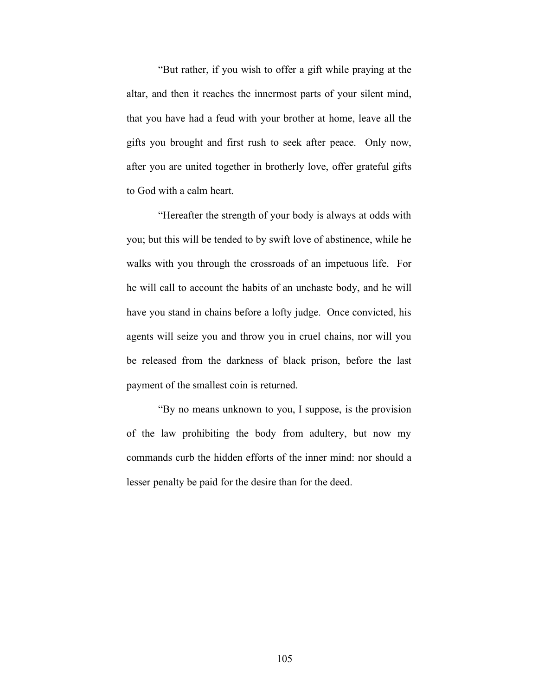"But rather, if you wish to offer a gift while praying at the altar, and then it reaches the innermost parts of your silent mind, that you have had a feud with your brother at home, leave all the gifts you brought and first rush to seek after peace. Only now, after you are united together in brotherly love, offer grateful gifts to God with a calm heart.

"Hereafter the strength of your body is always at odds with you; but this will be tended to by swift love of abstinence, while he walks with you through the crossroads of an impetuous life. For he will call to account the habits of an unchaste body, and he will have you stand in chains before a lofty judge. Once convicted, his agents will seize you and throw you in cruel chains, nor will you be released from the darkness of black prison, before the last payment of the smallest coin is returned.

"By no means unknown to you, I suppose, is the provision of the law prohibiting the body from adultery, but now my commands curb the hidden efforts of the inner mind: nor should a lesser penalty be paid for the desire than for the deed.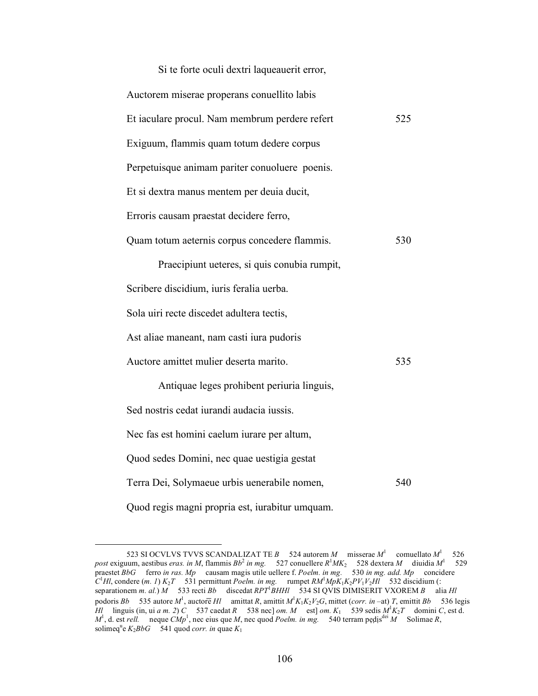| Si te forte oculi dextri laqueauerit error,     |     |
|-------------------------------------------------|-----|
| Auctorem miserae properans conuellito labis     |     |
| Et iaculare procul. Nam membrum perdere refert  | 525 |
| Exiguum, flammis quam totum dedere corpus       |     |
| Perpetuisque animam pariter conuoluere poenis.  |     |
| Et si dextra manus mentem per deuia ducit,      |     |
| Erroris causam praestat decidere ferro,         |     |
| Quam totum aeternis corpus concedere flammis.   | 530 |
| Praecipiunt ueteres, si quis conubia rumpit,    |     |
| Scribere discidium, iuris feralia uerba.        |     |
| Sola uiri recte discedet adultera tectis,       |     |
| Ast aliae maneant, nam casti iura pudoris       |     |
| Auctore amittet mulier deserta marito.          | 535 |
| Antiquae leges prohibent periuria linguis,      |     |
| Sed nostris cedat iurandi audacia iussis.       |     |
| Nec fas est homini caelum iurare per altum,     |     |
| Quod sedes Domini, nec quae uestigia gestat     |     |
| Terra Dei, Solymaeue urbis uenerabile nomen,    | 540 |
| Quod regis magni propria est, iurabitur umquam. |     |

 <sup>523</sup> SI OCVLVS TVVS SCANDALIZAT TE *B* 524 autorem *M* misserae *M*<sup>1</sup> comuellato *M*<sup>1</sup> 526  $\omega$  post exiguum, aestibus *eras. in M*, flammis  $Bb^2$  *in mg.* 527 conuellere  $R^1MK_2$  528 dextera *M* diuidia  $M^1$  529 praestet *BbG* ferro *in ras. Mp* causam magis utile uellere f. *Poelm. in mg.* 530 *in mg. add. Mp* concidere  $C<sup>1</sup>H$ , condere (*m. 1*)  $K_2T$  531 permittunt *Poelm. in mg.* rumpet  $RM<sup>1</sup>MpK_1K_2PV_1V_2H\tilde{I}$  532 discidium (: separationem *m. al.*) *M* 533 recti *Bb* discedat *RPT*<sup>1</sup>*BHHl* 534 SI QVIS DIMISERIT VXOREM *B* alia *Hl* podoris *Bb* 535 autore  $M^1$ , auctore *Hl* amittat *R*, amittit  $M^1K_1K_2V_2G$ , mittet (*corr. in* –at) *T*, emittit *Bb* 536 legis *Hl* linguis (in, ui *a m. 2*) *C* 537 caedat *R* 538 nec] *om. M* est] *om. K*<sub>1</sub> 539 sedis  $M<sup>1</sup>K<sub>2</sub>T$  domini *C*, est d.  $M^1$ , d. est *rell.* neque  $CMp^1$ , nec eius que *M*, nec quod *Poelm. in mg.* 540 terram pedis<sup>dei</sup> M Solimae *R*, solimeq<sup>u</sup>e  $K_2BbG$  541 quod *corr. in* quae  $K_1$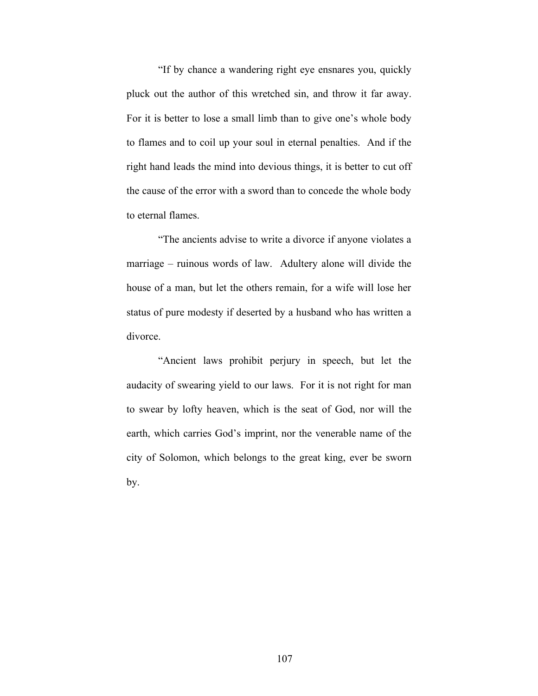"If by chance a wandering right eye ensnares you, quickly pluck out the author of this wretched sin, and throw it far away. For it is better to lose a small limb than to give one's whole body to flames and to coil up your soul in eternal penalties. And if the right hand leads the mind into devious things, it is better to cut off the cause of the error with a sword than to concede the whole body to eternal flames.

"The ancients advise to write a divorce if anyone violates a marriage – ruinous words of law. Adultery alone will divide the house of a man, but let the others remain, for a wife will lose her status of pure modesty if deserted by a husband who has written a divorce.

"Ancient laws prohibit perjury in speech, but let the audacity of swearing yield to our laws. For it is not right for man to swear by lofty heaven, which is the seat of God, nor will the earth, which carries God's imprint, nor the venerable name of the city of Solomon, which belongs to the great king, ever be sworn by.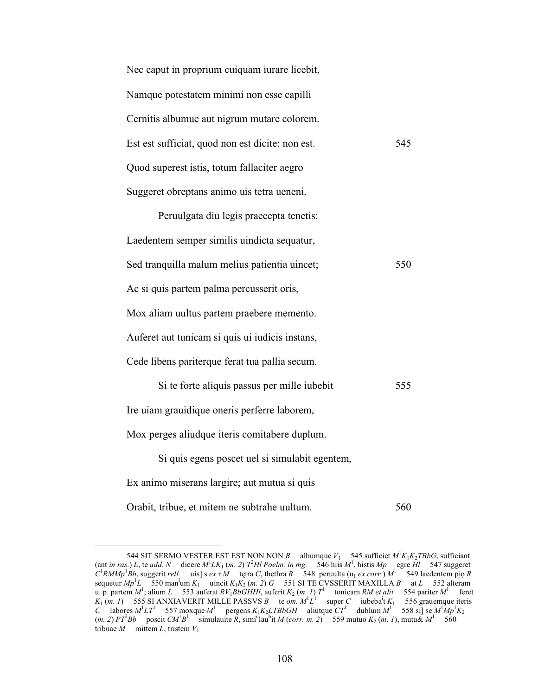| Nec caput in proprium cuiquam iurare licebit,    |     |
|--------------------------------------------------|-----|
| Namque potestatem minimi non esse capilli        |     |
| Cernitis albumue aut nigrum mutare colorem.      |     |
| Est est sufficiat, quod non est dicite: non est. | 545 |
| Quod superest istis, totum fallaciter aegro      |     |
| Suggeret obreptans animo uis tetra ueneni.       |     |
| Peruulgata diu legis praecepta tenetis:          |     |
| Laedentem semper similis uindicta sequatur,      |     |
| Sed tranquilla malum melius patientia uincet;    | 550 |
| Ac si quis partem palma percusserit oris,        |     |
| Mox aliam uultus partem praebere memento.        |     |
| Auferet aut tunicam si quis ui iudicis instans,  |     |
| Cede libens pariterque ferat tua pallia secum.   |     |
| Si te forte aliquis passus per mille iubebit     | 555 |
| Ire uiam grauidique oneris perferre laborem,     |     |
| Mox perges aliudque iteris comitabere duplum.    |     |
| Si quis egens poscet uel si simulabit egentem,   |     |
| Ex animo miserans largire; aut mutua si quis     |     |
| Orabit, tribue, et mitem ne subtrahe uultum.     | 560 |

<sup>544</sup> SIT SERMO VESTER EST EST NON NON *B* albumque  $V_1$  545 sufficiet  $M^1K_1K_2TBbG$ , sufficiant (ant *in ras.*) *L*, te *add.* N dicere  $M^1LK_1$  (*m. 2*)  $T^2H$ *l* Poelm. *in mg.* 546 hiis  $M^1$ , histis  $Mp$  egre  $H$ l 547 suggeret  $C^1$ *RMMp*<sup>1</sup>*Bb*, suggerit *rell.* uis] s *ex* r *M* tętra *C*, thethra *R* 548 peruulta (u<sub>1</sub> *ex corr.*)  $M^1$  549 laedentem pio *R* sequetur  $Mp^1L$  550 man<sup>1</sup>um  $K_1$  uincit  $K_1K_2$  (*m. 2*) *G* 551 SI TE CVSSERIT MAXILLA *B* at *L* 552 alteram u. p. partem  $M^1$ ; alium *L* 553 auferat  $RV_1BbGHHI$ , auferit  $K_2$  (*m. 1*)  $T^1$  tonicam  $RM$  *et alii* 554 pariter  $M^1$  feret  $K_1$  (*m. 1*) 555 SI ANXIAVERIT MILLE PASSVS *B* te *om.*  $M^1L^1$  super *C* iubeba<sup>i</sup>t  $K_1$  556 grauemque iteris *C* labores  $M^1LT^1$  557 moxque  $M^1$  pergens  $K_1K_2LTBB6GH$  aliutque  $CT^1$  dublum  $M^1$  558 si] se  $M^1Mp^1K_2$  $(m. 2) PT<sup>2</sup> Bb$  poscit  $CM<sup>1</sup>B<sup>1</sup>$  simulauite *R*, simi<sup>u</sup>lau<sup>b</sup>it *M* (*corr. m. 2*) 559 mutuo  $K_2(m. 1)$ , mutu&  $M<sup>1</sup>$  560 tribuae  $M$  mittem  $L$ , tristem  $V_1$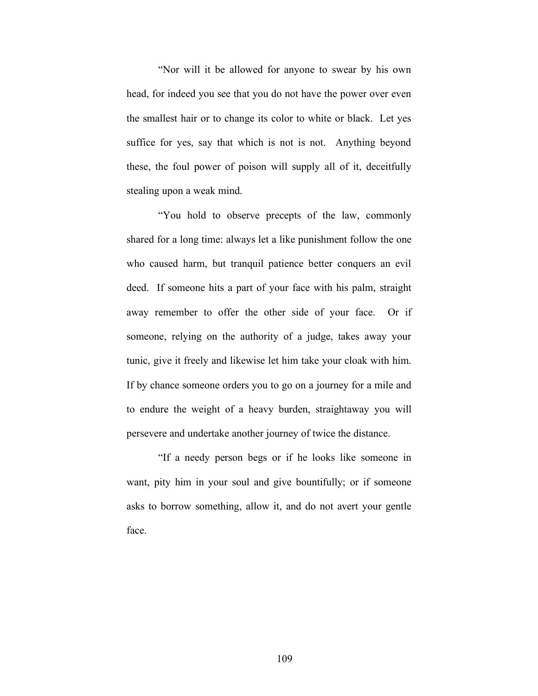"Nor will it be allowed for anyone to swear by his own head, for indeed you see that you do not have the power over even the smallest hair or to change its color to white or black. Let yes suffice for yes, say that which is not is not. Anything beyond these, the foul power of poison will supply all of it, deceitfully stealing upon a weak mind.

"You hold to observe precepts of the law, commonly shared for a long time: always let a like punishment follow the one who caused harm, but tranquil patience better conquers an evil deed. If someone hits a part of your face with his palm, straight away remember to offer the other side of your face. Or if someone, relying on the authority of a judge, takes away your tunic, give it freely and likewise let him take your cloak with him. If by chance someone orders you to go on a journey for a mile and to endure the weight of a heavy burden, straightaway you will persevere and undertake another journey of twice the distance.

"If a needy person begs or if he looks like someone in want, pity him in your soul and give bountifully; or if someone asks to borrow something, allow it, and do not avert your gentle face.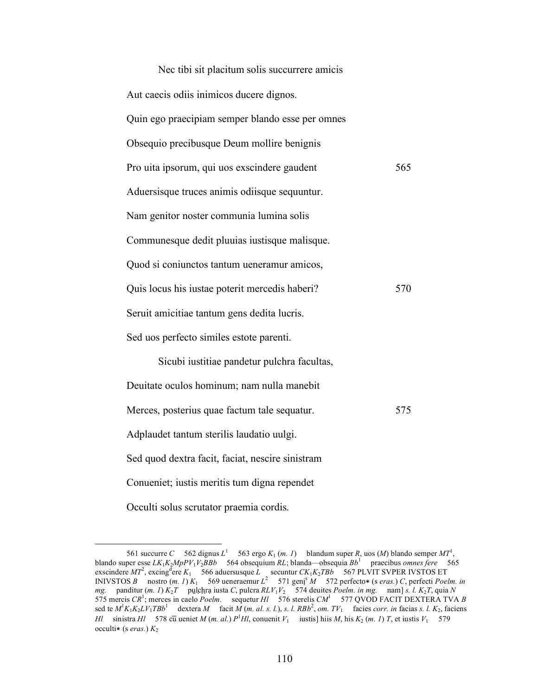| Nec tibi sit placitum solis succurrere amicis    |     |
|--------------------------------------------------|-----|
| Aut caecis odiis inimicos ducere dignos.         |     |
| Quin ego praecipiam semper blando esse per omnes |     |
| Obsequio precibusque Deum mollire benignis       |     |
| Pro uita ipsorum, qui uos exscindere gaudent     | 565 |
| Aduersisque truces animis odiisque sequuntur.    |     |
| Nam genitor noster communia lumina solis         |     |
| Communesque dedit pluuias iustisque malisque.    |     |
| Quod si coniunctos tantum ueneramur amicos,      |     |
| Quis locus his iustae poterit mercedis haberi?   | 570 |
| Seruit amicitiae tantum gens dedita lucris.      |     |
| Sed uos perfecto similes estote parenti.         |     |
| Sicubi iustitiae pandetur pulchra facultas,      |     |
| Deuitate oculos hominum; nam nulla manebit       |     |
| Merces, posterius quae factum tale sequatur.     | 575 |
| Adplaudet tantum sterilis laudatio uulgi.        |     |
| Sed quod dextra facit, faciat, nescire sinistram |     |
| Conueniet; iustis meritis tum digna rependet     |     |
| Occulti solus scrutator praemia cordis.          |     |

<sup>561</sup> succurre *C* 562 dignus  $L^1$  563 ergo  $K_1$  (*m. 1*) blandum super *R*, uos (*M*) blando semper  $MT^1$ , blando super esse *LK*1*K*2*MpPV*1*V*2*BBb* 564 obsequium *RL*; blanda—obsequia *Bb*<sup>1</sup> praecibus *omnes fere* 565  $\epsilon$  exscindere  $MT^2$ , excing <sup>d</sup>ere  $K_1$  566 aduersusque  $\overline{L}$  secuntur  $CK_1K_2TBD$  567 PLVIT SVPER IVSTOS ET INIVSTOS *B* nostro  $(m. 1) K_1$  569 ueneraemur  $L^2$  571 geni<sup>s</sup> *M* 572 perfecto\* (s *eras.*) *C*, perfecti *Poelm. in mg.* panditur (*m. 1*) *K*2*T* pụḷc̣ḥṛạ iusta *C*, pulcra *RLV*1*V*2 574 deuites *Poelm. in mg.* nam] *s. l. K*2*T*, quia *N* 575 mercis *CR*<sup>1</sup> ; merces in caelo *Poelm.* sequetur *Hl* 576 sterelis *CM*<sup>1</sup> 577 QVOD FACIT DEXTERA TVA *B* sed te  $M^1K_1K_2LV_1TBB^1$  dextera M facit  $\hat{M}(m. \text{ al. s. l.}), s. l. RBB^2, om. TV_1$  facies *corr. in* facias *s. l. K*<sub>2</sub>, faciens *Hl* sinistra *Hl* 578 cū ueniet *M* (*m. al.*)  $P$ <sup>1</sup>*Hl*, conuenit  $V_1$  iustis] hiis *M*, his  $K_2$  (*m. 1*) *T*, et iustis  $V_1$  579 occulti∗ (s *eras.*) *K*2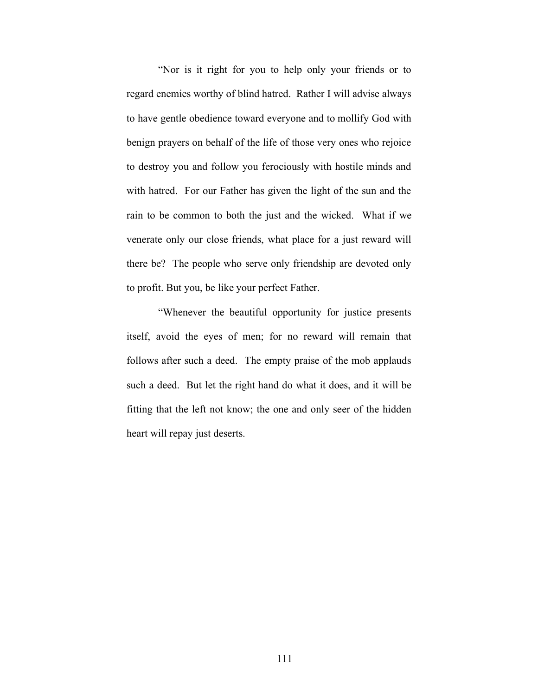"Nor is it right for you to help only your friends or to regard enemies worthy of blind hatred. Rather I will advise always to have gentle obedience toward everyone and to mollify God with benign prayers on behalf of the life of those very ones who rejoice to destroy you and follow you ferociously with hostile minds and with hatred. For our Father has given the light of the sun and the rain to be common to both the just and the wicked. What if we venerate only our close friends, what place for a just reward will there be? The people who serve only friendship are devoted only to profit. But you, be like your perfect Father.

"Whenever the beautiful opportunity for justice presents itself, avoid the eyes of men; for no reward will remain that follows after such a deed. The empty praise of the mob applauds such a deed. But let the right hand do what it does, and it will be fitting that the left not know; the one and only seer of the hidden heart will repay just deserts.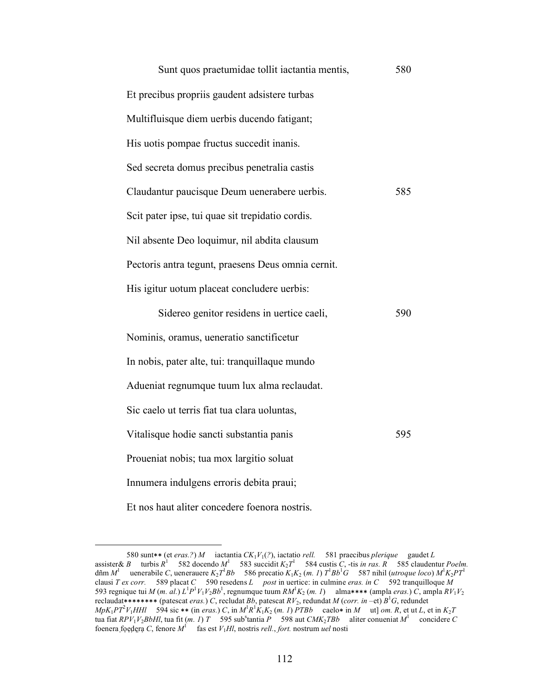| Sunt quos praetumidae tollit iactantia mentis,     | 580 |
|----------------------------------------------------|-----|
| Et precibus propriis gaudent adsistere turbas      |     |
| Multifluisque diem uerbis ducendo fatigant;        |     |
| His uotis pompae fructus succedit inanis.          |     |
| Sed secreta domus precibus penetralia castis       |     |
| Claudantur paucisque Deum uenerabere uerbis.       | 585 |
| Scit pater ipse, tui quae sit trepidatio cordis.   |     |
| Nil absente Deo loquimur, nil abdita clausum       |     |
| Pectoris antra tegunt, praesens Deus omnia cernit. |     |
| His igitur uotum placeat concludere uerbis:        |     |
| Sidereo genitor residens in uertice caeli,         | 590 |
| Nominis, oramus, ueneratio sanctificetur           |     |
| In nobis, pater alte, tui: tranquillaque mundo     |     |
| Adueniat regnumque tuum lux alma reclaudat.        |     |
| Sic caelo ut terris fiat tua clara uoluntas,       |     |
| Vitalisque hodie sancti substantia panis           | 595 |
| Proueniat nobis; tua mox largitio soluat           |     |
| Innumera indulgens erroris debita praui;           |     |
| Et nos haut aliter concedere foenora nostris.      |     |

 <sup>580</sup> sunt∗∗ (et *eras.?*) *M* iactantia *CK*1*V*1(*?*), iactatio *rell.* 581 praecibus *plerique* gaudet *<sup>L</sup>* assister & *B* turbis  $R^1$  582 docendo  $M^1$  583 succidit  $K_2T^1$  584 custis *C*, -tis *in ras.*  $R^1$  585 claudentur *Poelm.* dñm  $M^1$  uenerabile *C*, uenerauere  $K_2T^1Bb$  586 precatio  $K_1K_2$  (*m. 1*)  $T^1Bb^1G$  587 nihil (*utroque loco*)  $M^1K_2PT^1$ clausi *T ex corr.* 589 placat *C* 590 resedens *L post* in uertice: in culmine *eras. in C* 592 tranquilloque *M* 593 regnique tui *M* (*m. al.*)  $L^1P^1V_1V_2Bb^1$ , regnumque tuum  $RM^1K_2$  (*m. 1*) alma\*\*\*\* (ampla *eras.*) *C*, ampla  $RV_1V_2$ reclaudat∗∗∗∗∗∗∗∗ (patescat *eras.*) *C*, recludat *Bb*, patescat *RV*2, redundat *M* (*corr. in* –et) *B*<sup>1</sup> *G*, redundet  $MpK_1PT^2V_1HHI$  594 sic \*\* (in eras.) C, in  $M^1R^1K_1K_2$  (m. 1) PTBb caelo\* in M ut] om. R, et ut L, et in  $K_2T$ tua fiat  $RPV_1V_2BbHl$ , tua fit (*m. 1*) *T* 595 sub<sup>s</sup>tantia *P* 598 aut  $CMK_2TBb$  aliter conueniat  $M^1$  concidere *C* foenera foedera *C*, fenore  $M<sup>1</sup>$  fas est  $V<sub>1</sub>Hl$ , nostris *rell., fort.* nostrum *uel* nosti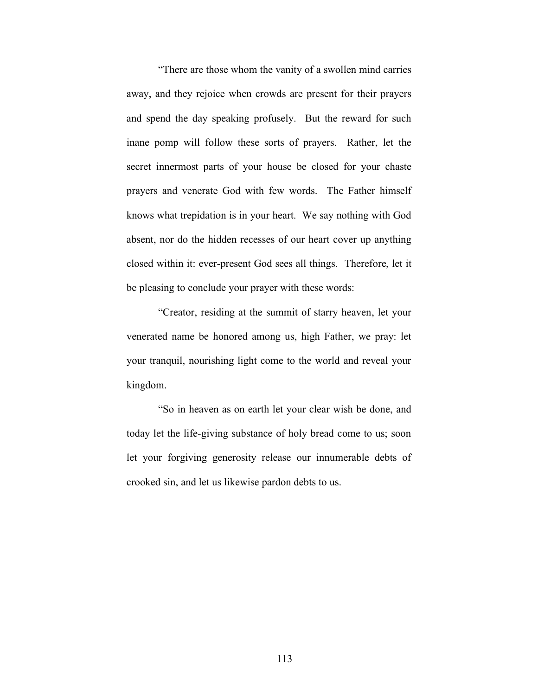"There are those whom the vanity of a swollen mind carries away, and they rejoice when crowds are present for their prayers and spend the day speaking profusely. But the reward for such inane pomp will follow these sorts of prayers. Rather, let the secret innermost parts of your house be closed for your chaste prayers and venerate God with few words. The Father himself knows what trepidation is in your heart. We say nothing with God absent, nor do the hidden recesses of our heart cover up anything closed within it: ever-present God sees all things. Therefore, let it be pleasing to conclude your prayer with these words:

"Creator, residing at the summit of starry heaven, let your venerated name be honored among us, high Father, we pray: let your tranquil, nourishing light come to the world and reveal your kingdom.

"So in heaven as on earth let your clear wish be done, and today let the life-giving substance of holy bread come to us; soon let your forgiving generosity release our innumerable debts of crooked sin, and let us likewise pardon debts to us.

113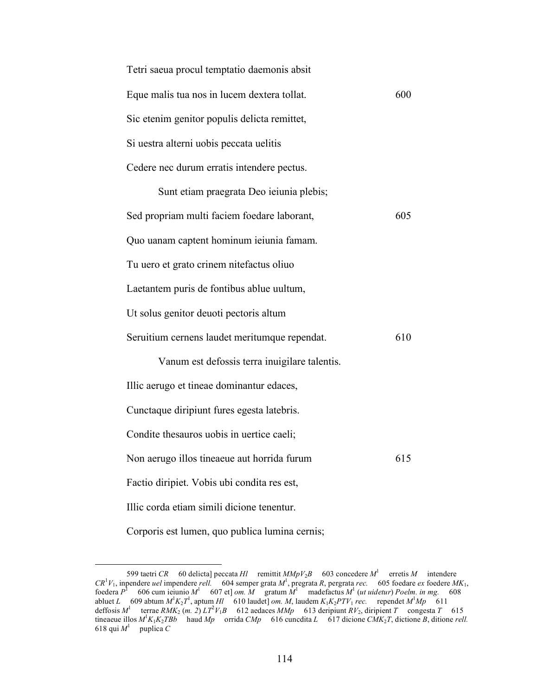| Tetri saeua procul temptatio daemonis absit  |     |
|----------------------------------------------|-----|
| Eque malis tua nos in lucem dextera tollat.  | 600 |
| Sic etenim genitor populis delicta remittet, |     |
| Si uestra alterni uobis peccata uelitis      |     |
| Cedere nec durum erratis intendere pectus.   |     |
|                                              |     |

| Sunt etiam praegrata Deo ieiunia plebis;      |     |
|-----------------------------------------------|-----|
| Sed propriam multi faciem foedare laborant,   | 605 |
| Quo uanam captent hominum ieiunia famam.      |     |
| Tu uero et grato crinem nitefactus oliuo      |     |
| Laetantem puris de fontibus ablue uultum,     |     |
| Ut solus genitor deuoti pectoris altum        |     |
| Seruitium cernens laudet meritumque rependat. | 610 |
| Vanum est defossis terra inuigilare talentis. |     |
| Illic aerugo et tineae dominantur edaces,     |     |
| Cunctaque diripiunt fures egesta latebris.    |     |
| Condite thesauros uobis in uertice caeli;     |     |
| Non aerugo illos tineaeue aut horrida furum   | 615 |
| Factio diripiet. Vobis ubi condita res est,   |     |
| Illic corda etiam simili dicione tenentur.    |     |
|                                               |     |

Corporis est lumen, quo publica lumina cernis;

 <sup>599</sup> taetri *CR* 60 delicta] peccata *Hl* remittit *MMpV*2*B* 603 concedere *M*<sup>1</sup> erretis *M* intendere  $CR^1V_1$ , inpendere *uel* impendere *rell.* 604 semper grata  $M^1$ , pregrata R, pergrata *rec.* 605 foedare *ex* foedere  $MK_1$ , foedera  $P^1$  606 cum ieiunio  $M^1$  607 et] *om.*  $M$  gratum  $M^1$  madefactus  $M^1$  (*ut uidetur*) *Poelm. in mg.* 608 abluet *L* 609 abtum  $M^1K_2T^1$ , aptum *Hl* 610 laudet] *om. M*, laudem  $K_1K_2PTV_1$  *rec.* rependet  $M^1Mp = 611$ deffosis  $M^1$  terrae  $RMK_2$  (*m. 2*)  $LT^2V_1B$  612 aedaces  $MMp$  613 deripiunt  $RV_2$ , diripient *T* congesta *T* 615 tineaeue illos  $M^1K_1K_2TBb$  haud  $Mp$  orrida  $Chp$  616 cuncdita *L* 617 dicione *CMK*<sub>2</sub>*T*, dictione *B*, ditione *rell.* 618 qui  $M^1$  puplica C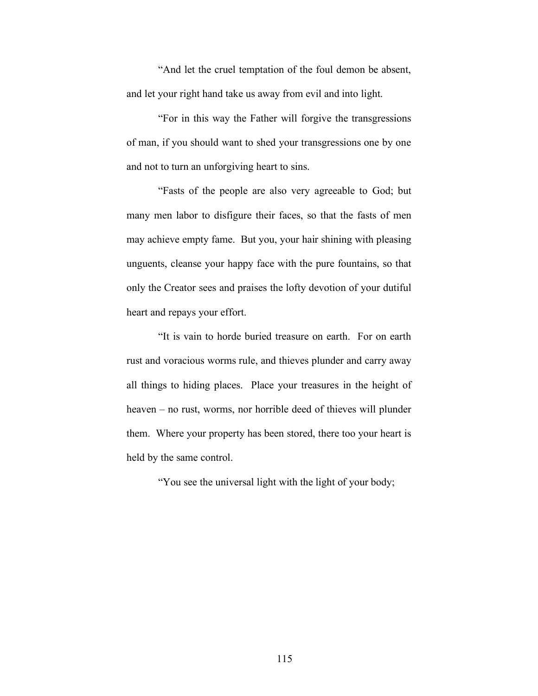"And let the cruel temptation of the foul demon be absent, and let your right hand take us away from evil and into light.

"For in this way the Father will forgive the transgressions of man, if you should want to shed your transgressions one by one and not to turn an unforgiving heart to sins.

"Fasts of the people are also very agreeable to God; but many men labor to disfigure their faces, so that the fasts of men may achieve empty fame. But you, your hair shining with pleasing unguents, cleanse your happy face with the pure fountains, so that only the Creator sees and praises the lofty devotion of your dutiful heart and repays your effort.

"It is vain to horde buried treasure on earth. For on earth rust and voracious worms rule, and thieves plunder and carry away all things to hiding places. Place your treasures in the height of heaven – no rust, worms, nor horrible deed of thieves will plunder them. Where your property has been stored, there too your heart is held by the same control.

"You see the universal light with the light of your body;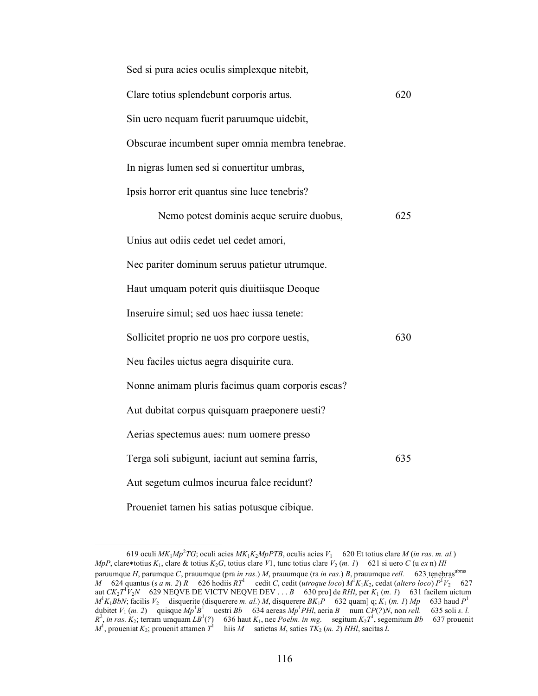| Sed si pura acies oculis simplexque nitebit,     |     |
|--------------------------------------------------|-----|
| Clare totius splendebunt corporis artus.         | 620 |
| Sin uero nequam fuerit paruumque uidebit,        |     |
| Obscurae incumbent super omnia membra tenebrae.  |     |
| In nigras lumen sed si conuertitur umbras,       |     |
| Ipsis horror erit quantus sine luce tenebris?    |     |
| Nemo potest dominis aeque seruire duobus,        | 625 |
| Unius aut odiis cedet uel cedet amori,           |     |
| Nec pariter dominum seruus patietur utrumque.    |     |
| Haut umquam poterit quis diuitiisque Deoque      |     |
| Inseruire simul; sed uos haec iussa tenete:      |     |
| Sollicitet proprio ne uos pro corpore uestis,    | 630 |
| Neu faciles uictus aegra disquirite cura.        |     |
| Nonne animam pluris facimus quam corporis escas? |     |
| Aut dubitat corpus quisquam praeponere uesti?    |     |
| Aerias spectemus aues: num uomere presso         |     |
| Terga soli subigunt, iaciunt aut semina farris,  | 635 |
| Aut segetum culmos incurua falce recidunt?       |     |
| Proueniet tamen his satias potusque cibique.     |     |

<sup>619</sup> oculi  $MK_1Mp^2TG$ ; oculi acies  $MK_1K_2MPPTB$ , oculis acies  $V_1$  620 Et totius clare *M* (*in ras. m. al.*) *MpP*, clare∗totius  $K_1$ , clare & totius  $K_2G$ , totius clare *V*1, tunc totius clare  $V_2(m, l)$  621 si uero *C* (u *ex* n) *Hl* paruumque *H*, parumque *C*, prauumque (pra *in ras.*) *M*, prauumque (ra *in ras.*) *B*, prauumque *rell.* 623 tenebras<sup>tionas</sup> *M* 624 quantus (s *a m.* 2)  $\overline{R}$  626 hodiis  $RT^1$  cedit *C*, cedit (*utroque loco*)  $M^1K_1K_2$ , cedat (*altero loco*)  $P^1V_2$  627 aut  $CK_2T^1V_2N$  629 NEQVE DE VICTV NEQVE DEV . . . *B* 630 pro] de *RHl*, per  $K_1(m. 1)$  631 facilem uictum  $M^1K_1BbN$ ; facilis  $V_2$  disquerite (disquerere *m. al.*) *M*, disquerere  $BK_1P$  632 quam] q;  $K_1$  (*m. 1*)  $Mp$  633 haud  $P^1$ dubitet  $V_1$  (*m. 2*) quisque  $Mp^1B^1$  uestri *Bb* 634 aereas  $Mp^1PHl$ , aeria *B* num  $CP(?)N$ , non *rell.* 635 soli *s. l.*  $R^2$ , *in ras.*  $K_2$ ; terram umquam  $LB^1(?)$  636 haut  $K_1$ , nec *Poelm. in mg.* segitum  $K_2T^1$ , segemitum  $Bb$  637 prouenit  $M^1$ , proueniat  $K_2$ ; prouenit attamen  $T^1$  hiis  $M$  satietas  $M$ , saties  $TK_2$  (*m. 2*) *HHl*, sacitas  $L$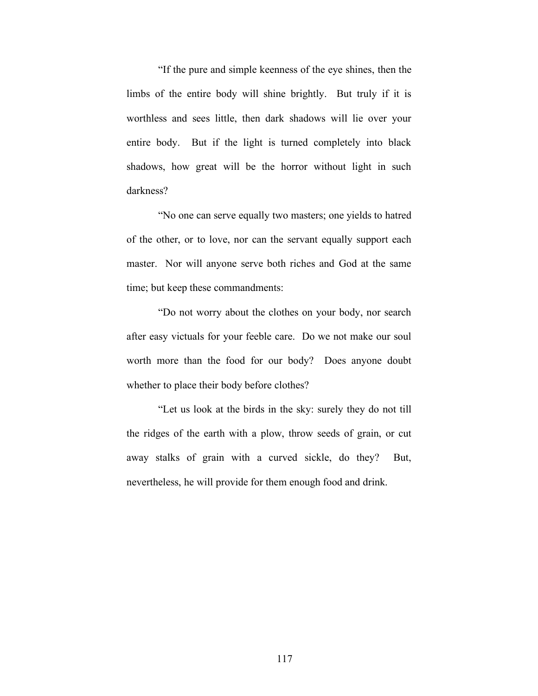"If the pure and simple keenness of the eye shines, then the limbs of the entire body will shine brightly. But truly if it is worthless and sees little, then dark shadows will lie over your entire body. But if the light is turned completely into black shadows, how great will be the horror without light in such darkness?

"No one can serve equally two masters; one yields to hatred of the other, or to love, nor can the servant equally support each master. Nor will anyone serve both riches and God at the same time; but keep these commandments:

"Do not worry about the clothes on your body, nor search after easy victuals for your feeble care. Do we not make our soul worth more than the food for our body? Does anyone doubt whether to place their body before clothes?

"Let us look at the birds in the sky: surely they do not till the ridges of the earth with a plow, throw seeds of grain, or cut away stalks of grain with a curved sickle, do they? But, nevertheless, he will provide for them enough food and drink.

117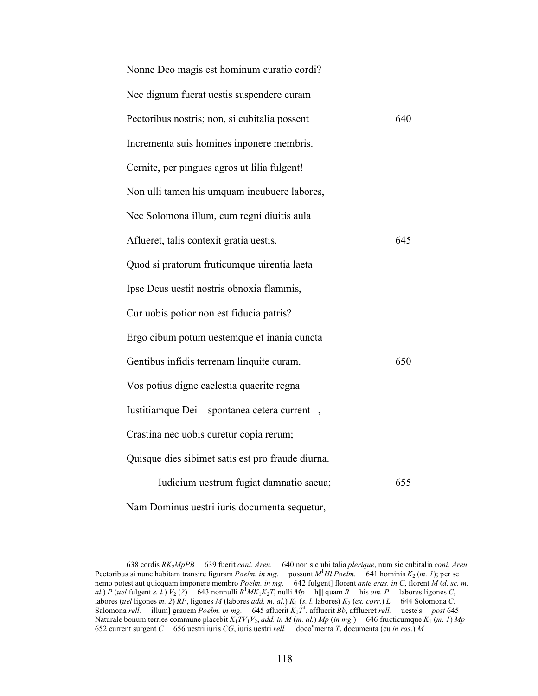| Nonne Deo magis est hominum curatio cordi?        |     |
|---------------------------------------------------|-----|
| Nec dignum fuerat uestis suspendere curam         |     |
| Pectoribus nostris; non, si cubitalia possent     | 640 |
| Incrementa suis homines inponere membris.         |     |
| Cernite, per pingues agros ut lilia fulgent!      |     |
| Non ulli tamen his umquam incubuere labores,      |     |
| Nec Solomona illum, cum regni diuitis aula        |     |
| Aflueret, talis contexit gratia uestis.           | 645 |
| Quod si pratorum fruticumque uirentia laeta       |     |
| Ipse Deus uestit nostris obnoxia flammis,         |     |
| Cur uobis potior non est fiducia patris?          |     |
| Ergo cibum potum uestemque et inania cuncta       |     |
| Gentibus infidis terrenam linquite curam.         | 650 |
| Vos potius digne caelestia quaerite regna         |     |
| Iustitiamque Dei – spontanea cetera current –,    |     |
| Crastina nec uobis curetur copia rerum;           |     |
| Quisque dies sibimet satis est pro fraude diurna. |     |
| Iudicium uestrum fugiat damnatio saeua;           | 655 |
| Nam Dominus uestri iuris documenta sequetur,      |     |

 <sup>638</sup> cordis *RK*2*MpPB* 639 fuerit *coni. Areu.* 640 non sic ubi talia *plerique*, num sic cubitalia *coni. Areu.* Pectoribus si nunc habitam transire figuram *Poelm. in mg.* possunt *M*<sup>1</sup> *Hl Poelm.* 641 hominis *K*2 (*m. 1*); per se nemo potest aut quicquam imponere membro *Poelm. in mg.* 642 fulgent] florent *ante eras. in C*, florent *M* (*d. sc. m. al.*) *P* (*uel* fulgent *s. l.*)  $V_2$  (?) 643 nonnulli  $R^1MK_1K_2T$ , nulli  $Mp$  h|| quam  $R$  his *om. P* labores ligones *C*, labores (*uel* ligones *m.* 2) *RP*, ligones *M* (labores *add. m. al.*)  $K_1$  (*s. l.* labores)  $K_2$  (*ex. corr.*) *L* 644 Solomona *C*, Salomona *rell.* illum] grauem *Poelm. in mg.* 645 afluerit *K*1*T*<sup>1</sup> , affluerit *Bb*, afflueret *rell.* uestei s *post* 645 Naturale bonum terries commune placebit *K*1*TV*1*V*2, *add. in M* (*m. al.*) *Mp* (*in mg.*) 646 fructicumque *K*1 (*m. 1*) *Mp* 652 current surgent *C* 656 uestri iuris *CG*, iuris uestri *rell.* doco<sup>u</sup> menta *T*, documenta (cu *in ras.*) *M*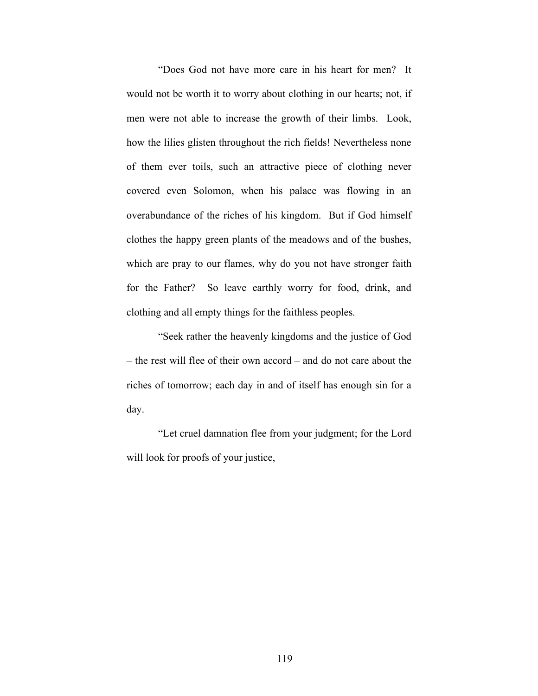"Does God not have more care in his heart for men? It would not be worth it to worry about clothing in our hearts; not, if men were not able to increase the growth of their limbs. Look, how the lilies glisten throughout the rich fields! Nevertheless none of them ever toils, such an attractive piece of clothing never covered even Solomon, when his palace was flowing in an overabundance of the riches of his kingdom. But if God himself clothes the happy green plants of the meadows and of the bushes, which are pray to our flames, why do you not have stronger faith for the Father? So leave earthly worry for food, drink, and clothing and all empty things for the faithless peoples.

"Seek rather the heavenly kingdoms and the justice of God – the rest will flee of their own accord – and do not care about the riches of tomorrow; each day in and of itself has enough sin for a day.

"Let cruel damnation flee from your judgment; for the Lord will look for proofs of your justice,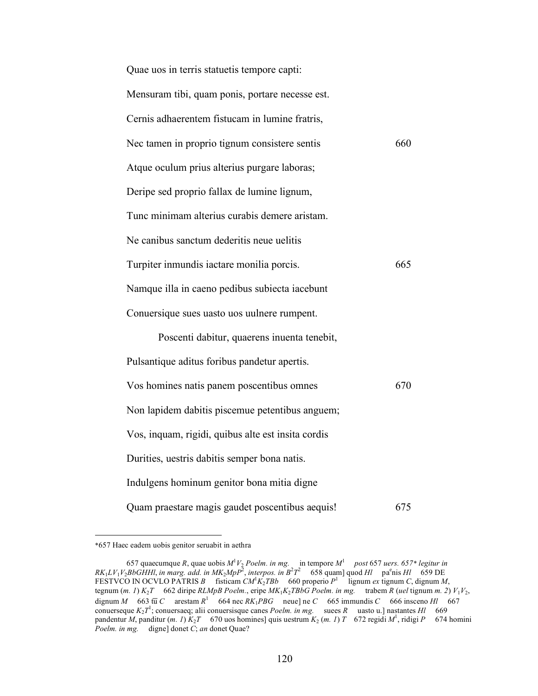| Quae uos in terris statuetis tempore capti:        |     |
|----------------------------------------------------|-----|
| Mensuram tibi, quam ponis, portare necesse est.    |     |
| Cernis adhaerentem fistucam in lumine fratris,     |     |
| Nec tamen in proprio tignum consistere sentis      | 660 |
| Atque oculum prius alterius purgare laboras;       |     |
| Deripe sed proprio fallax de lumine lignum,        |     |
| Tunc minimam alterius curabis demere aristam.      |     |
| Ne canibus sanctum dederitis neue uelitis          |     |
| Turpiter inmundis iactare monilia porcis.          | 665 |
| Namque illa in caeno pedibus subiecta iacebunt     |     |
| Conuersique sues uasto uos uulnere rumpent.        |     |
| Poscenti dabitur, quaerens inuenta tenebit,        |     |
| Pulsantique aditus foribus pandetur apertis.       |     |
| Vos homines natis panem poscentibus omnes          | 670 |
| Non lapidem dabitis piscemue petentibus anguem;    |     |
| Vos, inquam, rigidi, quibus alte est insita cordis |     |
| Durities, uestris dabitis semper bona natis.       |     |
| Indulgens hominum genitor bona mitia digne         |     |
| Quam praestare magis gaudet poscentibus aequis!    | 675 |

 <sup>\*657</sup> Haec eadem uobis genitor seruabit in aethra

<sup>657</sup> quaecumque *R*, quae uobis  $M^1V_2$  *Poelm. in mg.* in tempore  $M^1$  post 657 *uers. 657\* legitur in*  $RK_1 LV_1 V_2 BbGHHI$ , *in marg. add. in*  $MK_2 MpP^2$ *, interpos. in*  $B^2 T^2$  658 quam] quod *Hl* pa<sup>e</sup>nis *Hl* 659 DE FESTVCO IN OCVLO PATRIS *B* fisticam  $CM^1K_2TBb$  660 properio  $P^1$  lignum *ex* tignum *C*, dignum *M*, tegnum  $(m, 1)$   $K_2T$  662 diripe *RLMpB Poelm.*, eripe  $MK_1K_2TBbG$  *Poelm.* in mg. trabem *R* (*uel* tignum *m.* 2)  $V_1V_2$ , dignum *M* 663  $\overline{u}$  *C* arestam *R*<sup>1</sup> 664 nec *RK*<sub>1</sub>*PBG* neue] ne *C* 665 immundis *C* 666 insceno *Hl* 667 conuerseque *K*2*T*<sup>1</sup> ; conuersaeq; alii conuersisque canes *Poelm. in mg.* suees *R* uasto u.] nastantes *Hl* 669 pandentur *M*, panditur (*m. 1*)  $K_2T$  670 uos homines] quis uestrum  $K_2$  (*m. 1*) *T* 672 regidi  $M^1$ , ridigi *P* 674 homini *Poelm. in mg.* digne] donet *C*; *an* donet Quae?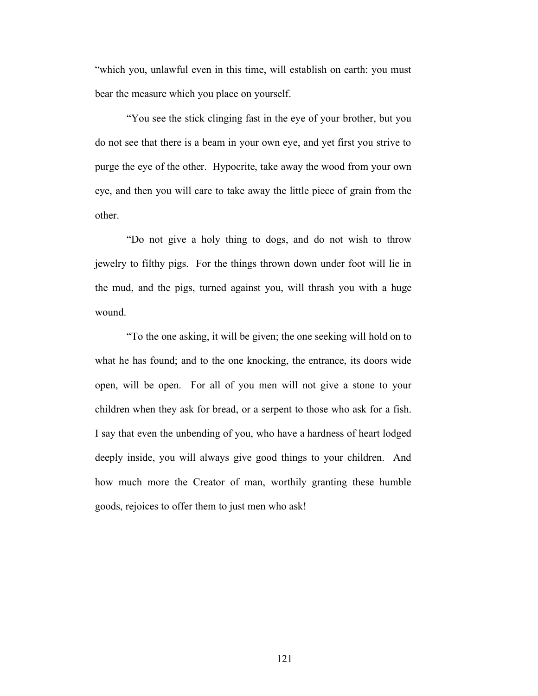"which you, unlawful even in this time, will establish on earth: you must bear the measure which you place on yourself.

"You see the stick clinging fast in the eye of your brother, but you do not see that there is a beam in your own eye, and yet first you strive to purge the eye of the other. Hypocrite, take away the wood from your own eye, and then you will care to take away the little piece of grain from the other.

"Do not give a holy thing to dogs, and do not wish to throw jewelry to filthy pigs. For the things thrown down under foot will lie in the mud, and the pigs, turned against you, will thrash you with a huge wound.

"To the one asking, it will be given; the one seeking will hold on to what he has found; and to the one knocking, the entrance, its doors wide open, will be open. For all of you men will not give a stone to your children when they ask for bread, or a serpent to those who ask for a fish. I say that even the unbending of you, who have a hardness of heart lodged deeply inside, you will always give good things to your children. And how much more the Creator of man, worthily granting these humble goods, rejoices to offer them to just men who ask!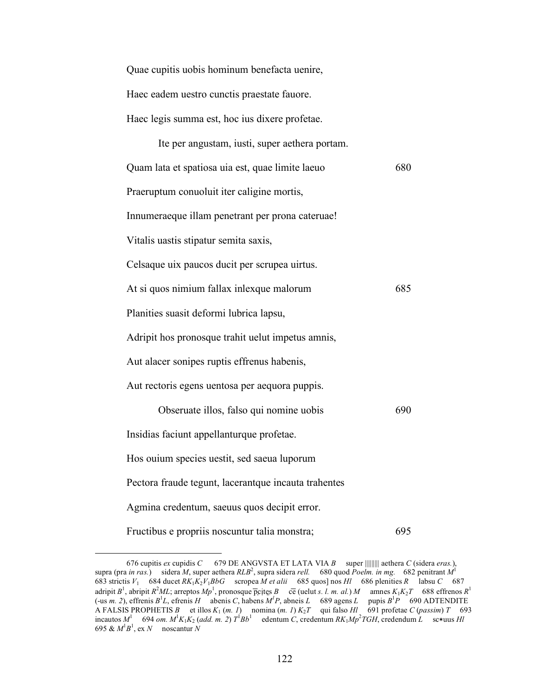Quae cupitis uobis hominum benefacta uenire, Haec eadem uestro cunctis praestate fauore. Haec legis summa est, hoc ius dixere profetae.

| Ite per angustam, iusti, super aethera portam.       |     |
|------------------------------------------------------|-----|
| Quam lata et spatiosa uia est, quae limite laeuo     | 680 |
| Praeruptum conuoluit iter caligine mortis,           |     |
| Innumeraeque illam penetrant per prona cateruae!     |     |
| Vitalis uastis stipatur semita saxis,                |     |
| Celsaque uix paucos ducit per scrupea uirtus.        |     |
| At si quos nimium fallax inlexque malorum            | 685 |
| Planities suasit deformi lubrica lapsu,              |     |
| Adripit hos pronosque trahit uelut impetus amnis,    |     |
| Aut alacer sonipes ruptis effrenus habenis,          |     |
| Aut rectoris egens uentosa per aequora puppis.       |     |
| Obseruate illos, falso qui nomine uobis              | 690 |
| Insidias faciunt appellanturque profetae.            |     |
| Hos ouium species uestit, sed saeua luporum          |     |
| Pectora fraude tegunt, lacerantque incauta trahentes |     |
| Agmina credentum, saeuus quos decipit error.         |     |
| Fructibus e propriis noscuntur talia monstra;        | 695 |

 <sup>676</sup> cupitis *ex* cupidis *C* 679 DE ANGVSTA ET LATA VIA *B* super ||||||||| aethera *C* (sidera *eras.*), supra (pra *in ras.*) sidera *M*, super aethera *RLB*<sup>2</sup> , supra sidera *rell.* 680 quod *Poelm. in mg.* 682 penitrant *M*<sup>1</sup> 683 strictis  $V_1$  684 ducet  $RK_1K_2V_1BbG$  scropea  $\dot{M}$  et alii 685 quos] nos  $Hl$  686 plenities  $R$  labsu  $C$  687 adripit  $B^1$ , abripit  $R^2ML$ ; arreptos  $Mp^1$ , pronosque p̄cites  $B$  cē (uelut *s. l. m. al.*)  $M$  amnes  $K_1K_2T$  688 effrenos  $R^1$  $(-\text{us } m, 2)$ , effrenis  $B^1L$ , efrenis *H* abenis *C*, habens  $M^1P$ , abneis *L* 689 agens *L* pupis  $B^1P$  690 ADTENDITE A FALSIS PROPHETIS *B* et illos *K*1 (*m. 1*) nomina (*m. 1*) *K*2*T* qui falso *Hl* 691 profetae *C* (*passim*) *T* 693  $\int_{0}^{1}$  694 *om.*  $M^{1}K_{1}K_{2}$  (*add. m. 2*)  $T^{1}Bb^{1}$  edentum *C*, credentum  $RK_{1}Mp^{2}TGH$ , credendum *L* sc\*uus *Hl* 695 &  $M^1B^1$ , ex *N* noscantur *N*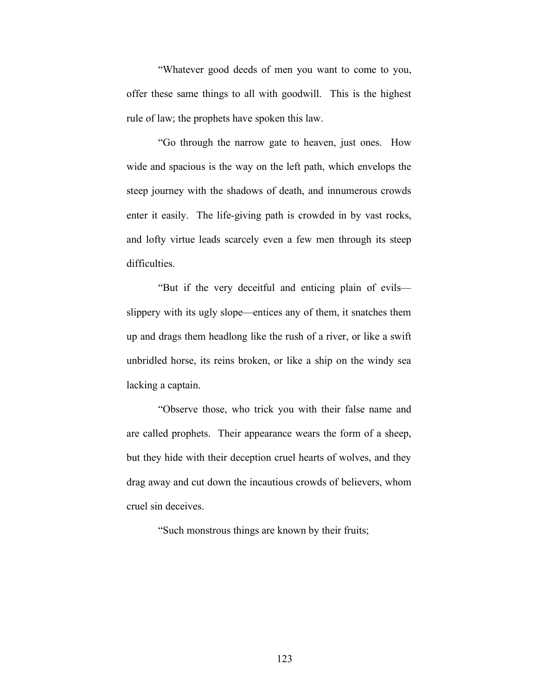"Whatever good deeds of men you want to come to you, offer these same things to all with goodwill. This is the highest rule of law; the prophets have spoken this law.

"Go through the narrow gate to heaven, just ones. How wide and spacious is the way on the left path, which envelops the steep journey with the shadows of death, and innumerous crowds enter it easily. The life-giving path is crowded in by vast rocks, and lofty virtue leads scarcely even a few men through its steep difficulties.

"But if the very deceitful and enticing plain of evils slippery with its ugly slope—entices any of them, it snatches them up and drags them headlong like the rush of a river, or like a swift unbridled horse, its reins broken, or like a ship on the windy sea lacking a captain.

"Observe those, who trick you with their false name and are called prophets. Their appearance wears the form of a sheep, but they hide with their deception cruel hearts of wolves, and they drag away and cut down the incautious crowds of believers, whom cruel sin deceives.

"Such monstrous things are known by their fruits;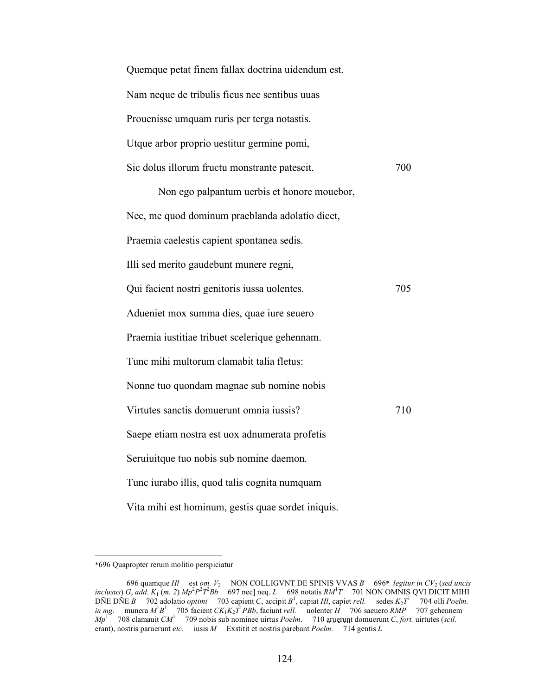| Quemque petat finem fallax doctrina uidendum est.    |
|------------------------------------------------------|
| Nam neque de tribulis ficus nec sentibus uuas        |
| Prouenisse umquam ruris per terga notastis.          |
| Utque arbor proprio uestitur germine pomi,           |
| Sic dolus illorum fructu monstrante patescit.<br>700 |
| Non ego palpantum uerbis et honore mouebor,          |
| Nec, me quod dominum praeblanda adolatio dicet,      |
| Praemia caelestis capient spontanea sedis.           |
| Illi sed merito gaudebunt munere regni,              |
| Qui facient nostri genitoris iussa uolentes.<br>705  |
| Adueniet mox summa dies, quae iure seuero            |
| Praemia iustitiae tribuet scelerique gehennam.       |
| Tunc mihi multorum clamabit talia fletus:            |
| Nonne tuo quondam magnae sub nomine nobis            |
| Virtutes sanctis domuerunt omnia iussis?<br>710      |
| Saepe etiam nostra est uox adnumerata profetis       |
| Seruiuitque tuo nobis sub nomine daemon.             |
| Tunc iurabo illis, quod talis cognita numquam        |
| Vita mihi est hominum, gestis quae sordet iniquis.   |

 <sup>\*696</sup> Quapropter rerum molitio perspiciatur

<sup>696</sup> quamque *Hl* est *om. V*2 NON COLLIGVNT DE SPINIS VVAS *B* 696\* *legitur in CV*2 (*sed uncis inclusus*) *G*, *add.*  $K_1(m. 2) Mp^2p^2T^2Bb$  697 nec] neq. *L* 698 notatis  $RM^1T$  701 NON OMNIS QVI DICIT MIHI DÑE DÑE *B* 702 adolatio *optimi* 703 capient *C*, accipit *B*<sup>1</sup> , capiat *Hl*, capiet *rell.* sedes *K*2*T*<sup>1</sup> 704 olli *Poelm. in mg.* munera  $M^1B^1$  705 facient  $CK_1K_2T^1PBb$ , faciunt *rell.* uolenter *H* 706 saeuero *RMP* 707 gehennem  $Mp<sup>1</sup>$  708 clamauit *CM*<sup>1</sup> 709 nobis sub nominee uirtus *Poelm*. 710 aruerunt *C*lorusting *C*, *fort.* uirtutes (*scil.* erant), nostris paruerunt *etc.* iusis *M* Exstitit et nostris parebant *Poelm.* 714 gentis *L*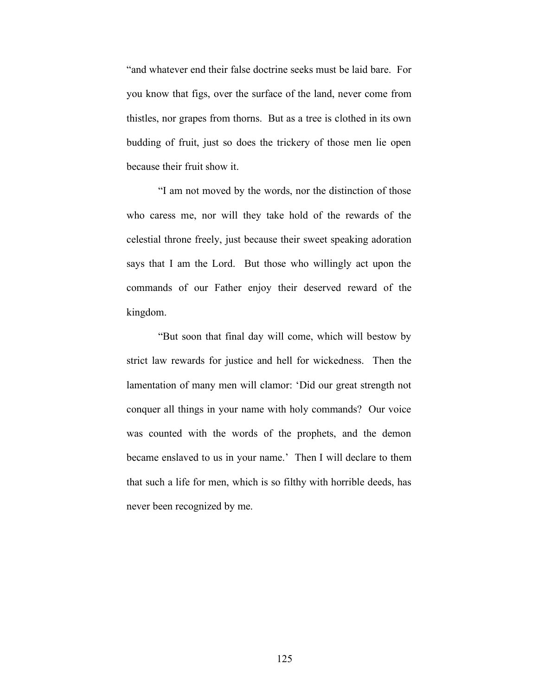"and whatever end their false doctrine seeks must be laid bare. For you know that figs, over the surface of the land, never come from thistles, nor grapes from thorns. But as a tree is clothed in its own budding of fruit, just so does the trickery of those men lie open because their fruit show it.

"I am not moved by the words, nor the distinction of those who caress me, nor will they take hold of the rewards of the celestial throne freely, just because their sweet speaking adoration says that I am the Lord. But those who willingly act upon the commands of our Father enjoy their deserved reward of the kingdom.

"But soon that final day will come, which will bestow by strict law rewards for justice and hell for wickedness. Then the lamentation of many men will clamor: 'Did our great strength not conquer all things in your name with holy commands? Our voice was counted with the words of the prophets, and the demon became enslaved to us in your name.' Then I will declare to them that such a life for men, which is so filthy with horrible deeds, has never been recognized by me.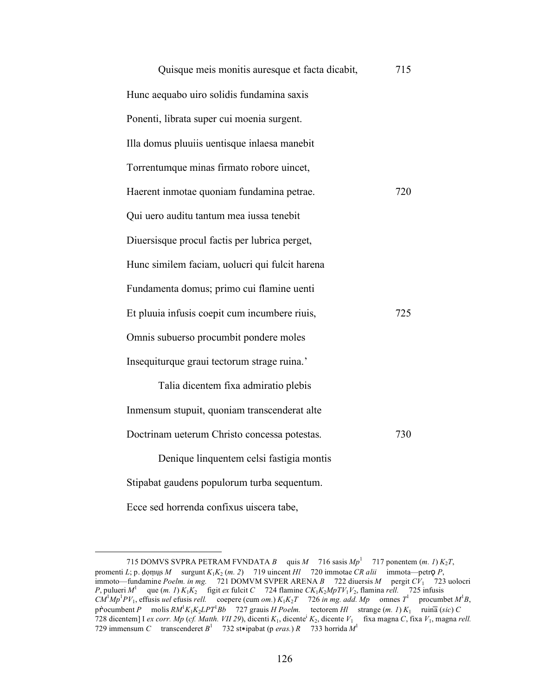| Quisque meis monitis auresque et facta dicabit, | 715 |
|-------------------------------------------------|-----|
| Hunc aequabo uiro solidis fundamina saxis       |     |
| Ponenti, librata super cui moenia surgent.      |     |
| Illa domus pluuiis uentisque inlaesa manebit    |     |
| Torrentumque minas firmato robore uincet,       |     |
| Haerent inmotae quoniam fundamina petrae.       | 720 |
| Qui uero auditu tantum mea iussa tenebit        |     |
| Diuersisque procul factis per lubrica perget,   |     |
| Hunc similem faciam, uolucri qui fulcit harena  |     |
| Fundamenta domus; primo cui flamine uenti       |     |
| Et pluuia infusis coepit cum incumbere riuis,   | 725 |
| Omnis subuerso procumbit pondere moles          |     |
| Insequiturque graui tectorum strage ruina.'     |     |
| Talia dicentem fixa admiratio plebis            |     |
| Inmensum stupuit, quoniam transcenderat alte    |     |
| Doctrinam ueterum Christo concessa potestas.    | 730 |
| Denique linquentem celsi fastigia montis        |     |
| Stipabat gaudens populorum turba sequentum.     |     |
| Ecce sed horrenda confixus uiscera tabe,        |     |

<sup>715</sup> DOMVS SVPRA PETRAM FVNDATA *B* quis *M* 716 sasis  $Mp<sup>1</sup>$  717 ponentem (*m. 1*)  $K_2T$ , promenti *L*; p. domus *M* surgunt  $K_1K_2$  (*m. 2*) 719 uincent *Hl* 720 immotae *CR alii* immota—petro *P*, immoto—fundamine *Poelm. in mg.* 721 DOMVM SVPER ARENA *B* 722 diuersis *M* pergit *CV*1 723 uolocri *P*, pulueri *M*<sup>1</sup> que (*m. 1*)  $K_1K_2$  figit *ex* fulcit *C* 724 flamine  $CK_1K_2MpTV_1V_2$ , flamina *rell.* 725 infusis  $C\hat{M}^1Mp^1PV_1$ , effusis *uel* efusis *rell.* coepere (cum *om.*)  $K_1K_2T$  726 *in mg. add. Mp* omnes  $T^1$  procumbet  $M^1B$ , pṙocumbent *P* molis *RM*<sup>1</sup> *K*1*K*2*LPT*<sup>1</sup> *Bb* 727 grauis *H Poelm.* tectorem *Hl* strange (*m. 1*) *K*1 ruina̅ (*sic*) *C* 728 dicentem] I *ex corr. Mp* (*cf. Matth. VII 29*), dicenti *K*1, dicentei *K*2, dicente *V*1 fixa magna *C*, fixa *V*1, magna *rell.* 729 immensum *C* transcenderet  $B^1$  732 st $*$ ipabat (p *eras.*) *R* 733 horrida  $M^1$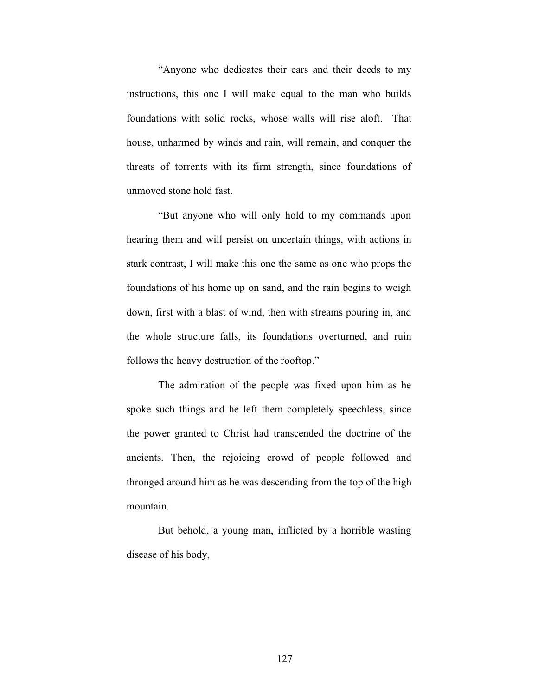"Anyone who dedicates their ears and their deeds to my instructions, this one I will make equal to the man who builds foundations with solid rocks, whose walls will rise aloft. That house, unharmed by winds and rain, will remain, and conquer the threats of torrents with its firm strength, since foundations of unmoved stone hold fast.

"But anyone who will only hold to my commands upon hearing them and will persist on uncertain things, with actions in stark contrast, I will make this one the same as one who props the foundations of his home up on sand, and the rain begins to weigh down, first with a blast of wind, then with streams pouring in, and the whole structure falls, its foundations overturned, and ruin follows the heavy destruction of the rooftop."

The admiration of the people was fixed upon him as he spoke such things and he left them completely speechless, since the power granted to Christ had transcended the doctrine of the ancients. Then, the rejoicing crowd of people followed and thronged around him as he was descending from the top of the high mountain.

But behold, a young man, inflicted by a horrible wasting disease of his body,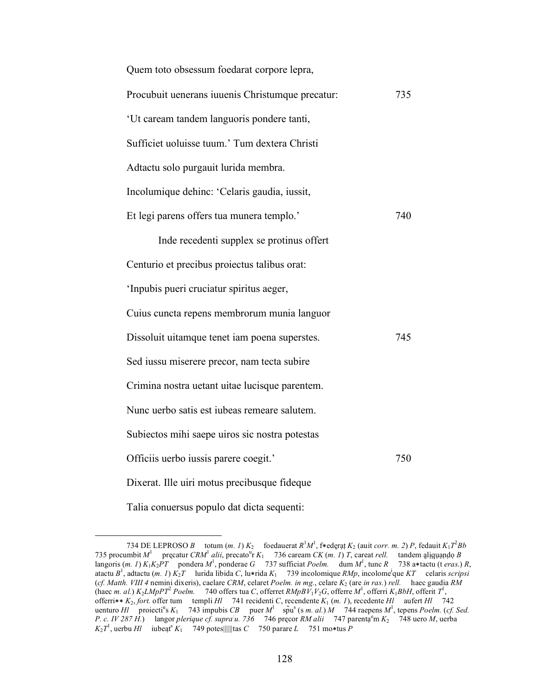| Quem toto obsessum foedarat corpore lepra,       |     |  |
|--------------------------------------------------|-----|--|
| Procubuit uenerans iuuenis Christumque precatur: | 735 |  |
| 'Ut caream tandem languoris pondere tanti,       |     |  |
| Sufficiet uoluisse tuum.' Tum dextera Christi    |     |  |
| Adtactu solo purgauit lurida membra.             |     |  |
| Incolumique dehinc: 'Celaris gaudia, iussit,     |     |  |
| Et legi parens offers tua munera templo.'        | 740 |  |
| Inde recedenti supplex se protinus offert        |     |  |
| Centurio et precibus proiectus talibus orat:     |     |  |
| 'Inpubis pueri cruciatur spiritus aeger,         |     |  |
| Cuius cuncta repens membrorum munia languor      |     |  |
| Dissoluit uitamque tenet iam poena superstes.    | 745 |  |
| Sed iussu miserere precor, nam tecta subire      |     |  |
| Crimina nostra uetant uitae lucisque parentem.   |     |  |
| Nunc uerbo satis est iubeas remeare salutem.     |     |  |
| Subiectos mihi saepe uiros sic nostra potestas   |     |  |
| Officiis uerbo iussis parere coegit.'            | 750 |  |
| Dixerat. Ille uiri motus precibusque fideque     |     |  |
| Talia conuersus populo dat dicta sequenti:       |     |  |

<sup>734</sup> DE LEPROSO *B* totum  $(m. 1) K_2$  foedauerat  $R^1 M^1$ , f $*$ ederat  $K_2$  (auit *corr. m. 2*) *P*, fedauit  $K_1 T^2 Bb$ 735 procumbit  $M^1$  precatur *CRM*<sup>1</sup> alii, precato<sup>u</sup>r  $K_1$  736 caream *CK* (*m. 1*) *T*, careat *rell.* tandem aliguando *B* langoris (*m. 1*)  $K_1K_2PT$  pondera  $M^1$ , ponderae  $G$  737 sufficiat *Poelm.* dum  $M^1$ , tunc  $R$  738 a\*tactu (t *eras*.)  $R$ , atactu *B*<sup>1</sup> , adtactu (*m. 1*) *K*2*T* lurida libida *C*, lu∗rida *K*1 739 incolomique *RMp*, incolomei que *KT* celaris *scripsi*  (*cf. Matth. VIII 4* nemini dixeris), caelare *CRM*, celaret *Poelm. in mg.*, celare *K*2 (are *in ras.*) *rell.* haec gaudia *RM* (haec *m. al.*)  $K_2 L M p P T^2$  *Poelm.* 740 offers tua *C*, offerret  $R M p B V_1 V_2 G$ , offerre  $M^1$ , offerri  $K_1 B b H$ , offerit  $T^1$ , offerri∗∗ *K*2, *fort.* offer tum templi *Hl* 741 recidenti *C*, recendente *K*1 (*m. 1*), recedente *Hl* aufert *Hl* 742 uenturo *Hl* proiecti<sup>u</sup>s  $K_1$  743 impubis *CB* puer  $M^1$  sp̃u<sup>s</sup> (s *m. al.*)  $M$  744 raepens  $M^1$ , tepens *Poelm.* (*cf. Sed.*) *P. c. IV 287 H.*) langor *plerique cf. supra: u. 736* 746 pręcor *RM alii* 747 parentạ e m *K*2 748 uero *M*, uerba  $K_2 T^1$ , uerbu *Hl* iubeat<sup>s</sup>  $K_1$  749 potes||||||tas *C* 750 parare *L* 751 mo\*tus *P*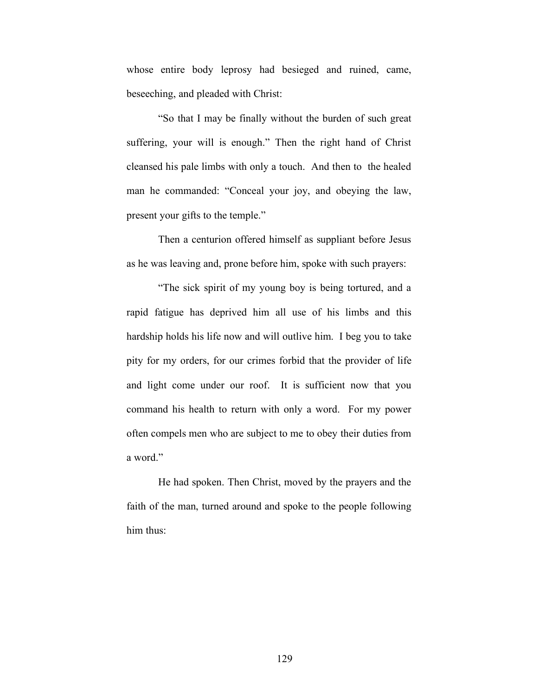whose entire body leprosy had besieged and ruined, came, beseeching, and pleaded with Christ:

"So that I may be finally without the burden of such great suffering, your will is enough." Then the right hand of Christ cleansed his pale limbs with only a touch. And then to the healed man he commanded: "Conceal your joy, and obeying the law, present your gifts to the temple."

Then a centurion offered himself as suppliant before Jesus as he was leaving and, prone before him, spoke with such prayers:

"The sick spirit of my young boy is being tortured, and a rapid fatigue has deprived him all use of his limbs and this hardship holds his life now and will outlive him. I beg you to take pity for my orders, for our crimes forbid that the provider of life and light come under our roof. It is sufficient now that you command his health to return with only a word. For my power often compels men who are subject to me to obey their duties from a word."

He had spoken. Then Christ, moved by the prayers and the faith of the man, turned around and spoke to the people following him thus: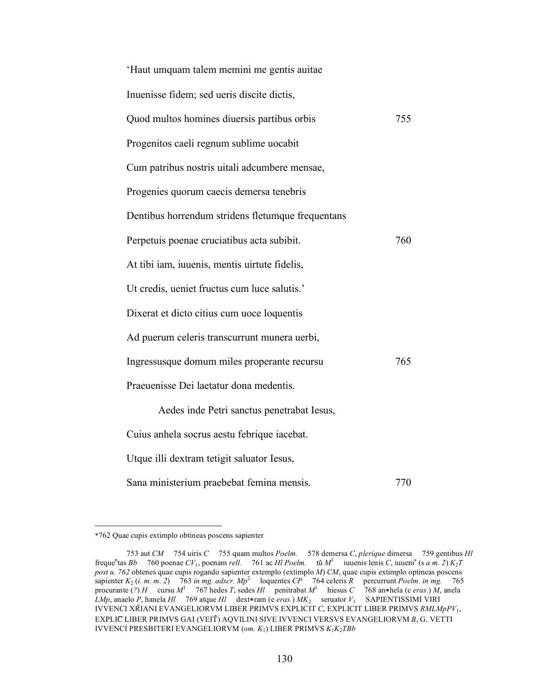| 'Haut umquam talem memini me gentis auitae        |     |
|---------------------------------------------------|-----|
| Inuenisse fidem; sed ueris discite dictis,        |     |
| Quod multos homines diuersis partibus orbis       | 755 |
| Progenitos caeli regnum sublime uocabit           |     |
| Cum patribus nostris uitali adcumbere mensae,     |     |
| Progenies quorum caecis demersa tenebris          |     |
| Dentibus horrendum stridens fletumque frequentans |     |
| Perpetuis poenae cruciatibus acta subibit.        | 760 |
| At tibi iam, iuuenis, mentis uirtute fidelis,     |     |
| Ut credis, ueniet fructus cum luce salutis.'      |     |
| Dixerat et dicto citius cum uoce loquentis        |     |
| Ad puerum celeris transcurrunt munera uerbi,      |     |
| Ingressusque domum miles properante recursu       | 765 |
| Praeuenisse Dei laetatur dona medentis.           |     |
| Aedes inde Petri sanctus penetrabat Iesus,        |     |
| Cuius anhela socrus aestu febrique iacebat.       |     |
| Utque illi dextram tetigit saluator Iesus,        |     |
| Sana ministerium praebebat femina mensis.         | 770 |

 <sup>\*762</sup> Quae cupis extimplo obtineas poscens sapienter

<sup>753</sup> aut *CM* 754 uiris *C* 755 quam multos *Poelm.* 578 demersa *C*, *plerique* dimersa 759 gentibus *Hl* frequen tas *Bb* 760 poenae *CV*1, poenam *rell.* 761 ac *Hl Poelm.* tũ *M*<sup>1</sup> iuuenis lenis *C*, iuuenis (s *a m. 2*) *K*2*T post u. 762* obtenes quae cupis rogando sapienter extemplo (extimplo *M*) *CM*, quae cupis extimplo optineas poscens sapienter *K*2 (*i. m. m. 2*) 763 *in mg. adscr. Mp*<sup>2</sup> loquentes *CP* 764 celeris *R* percurrunt *Poelm. in mg.* 765 procurante (?) *H* cursu  $M^1$  767 hedes *T*, sedes *Hl* penitrabat  $M^1$ 768 an∗hela (c *eras.*) *M*, anela *LMp*, anaelo *P*, hanela *Hl* 769 atque *Hl* dext∗ram (e *eras.*) *MK*2 seruator *V*1 SAPIENTISSIMI VIRI IVVENCI XR̃IANI EVANGELIORVM LIBER PRIMVS EXPLICIT *C*, EXPLICIT LIBER PRIMVS *RMLMpPV*1, EXPLIC LIBER PRIMVS GAI (VEIT̃) AQVILINI SIVE IVVENCI VERSVS EVANGELIORVM *B*, G. VETTI IVVENCI PRESBITERI EVANGELIORVM (*om. K*1) LIBER PRIMVS *K*1*K*2*TBb*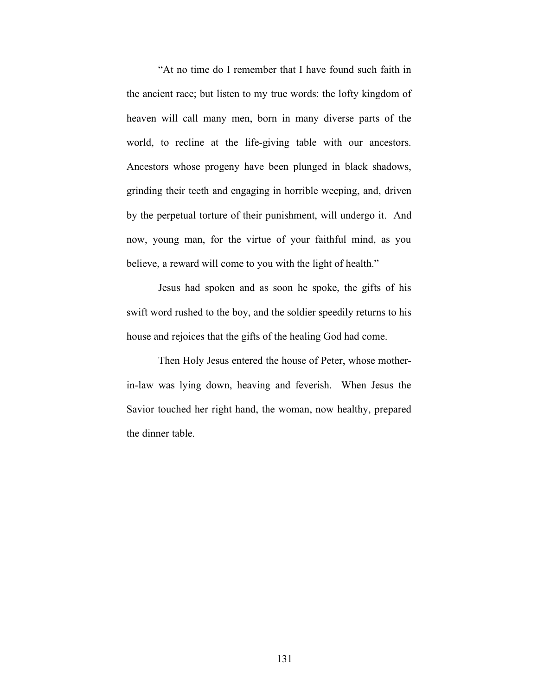"At no time do I remember that I have found such faith in the ancient race; but listen to my true words: the lofty kingdom of heaven will call many men, born in many diverse parts of the world, to recline at the life-giving table with our ancestors. Ancestors whose progeny have been plunged in black shadows, grinding their teeth and engaging in horrible weeping, and, driven by the perpetual torture of their punishment, will undergo it. And now, young man, for the virtue of your faithful mind, as you believe, a reward will come to you with the light of health."

Jesus had spoken and as soon he spoke, the gifts of his swift word rushed to the boy, and the soldier speedily returns to his house and rejoices that the gifts of the healing God had come.

Then Holy Jesus entered the house of Peter, whose motherin-law was lying down, heaving and feverish. When Jesus the Savior touched her right hand, the woman, now healthy, prepared the dinner table.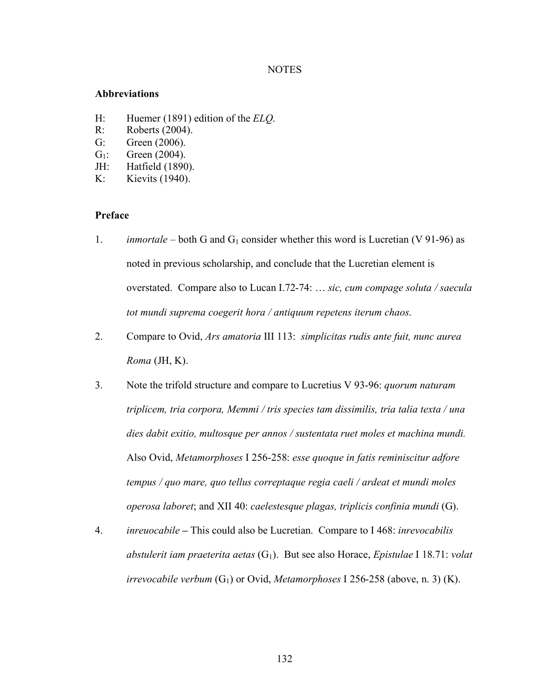## NOTES

## **Abbreviations**

- H: Huemer (1891) edition of the *ELQ*.
- R: Roberts (2004).
- G: Green (2006).
- $G_1$ : Green (2004).
- JH: Hatfield (1890).
- K: Kievits (1940).

## **Preface**

- 1. *inmortale* both G and  $G_1$  consider whether this word is Lucretian (V 91-96) as noted in previous scholarship, and conclude that the Lucretian element is overstated. Compare also to Lucan I.72-74: … *sic, cum compage soluta / saecula tot mundi suprema coegerit hora / antiquum repetens iterum chaos*.
- 2. Compare to Ovid, *Ars amatoria* III 113: *simplicitas rudis ante fuit, nunc aurea Roma* (JH, K).
- 3. Note the trifold structure and compare to Lucretius V 93-96: *quorum naturam triplicem, tria corpora, Memmi / tris species tam dissimilis, tria talia texta / una dies dabit exitio, multosque per annos / sustentata ruet moles et machina mundi.* Also Ovid, *Metamorphoses* I 256-258: *esse quoque in fatis reminiscitur adfore tempus / quo mare, quo tellus correptaque regia caeli / ardeat et mundi moles operosa laboret*; and XII 40: *caelestesque plagas, triplicis confinia mundi* (G).
- 4. *inreuocabile* **–** This could also be Lucretian. Compare to I 468: *inrevocabilis abstulerit iam praeterita aetas* (G1). But see also Horace, *Epistulae* I 18.71: *volat irrevocabile verbum* (G<sub>1</sub>) or Ovid, *Metamorphoses* I 256-258 (above, n. 3) (K).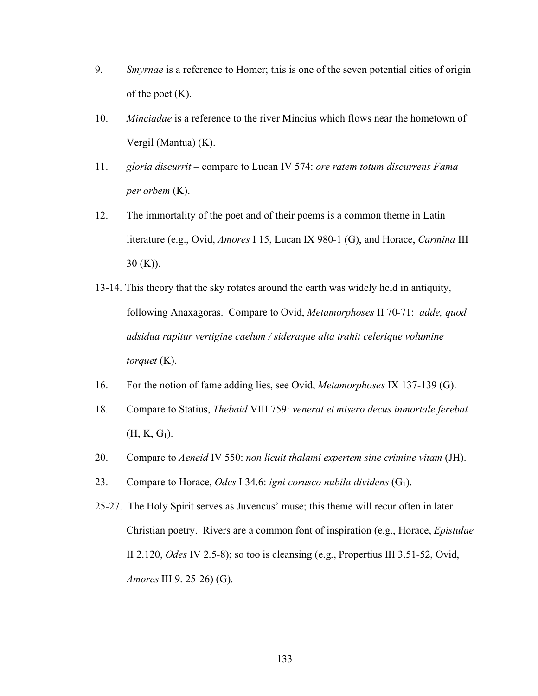- 9. *Smyrnae* is a reference to Homer; this is one of the seven potential cities of origin of the poet  $(K)$ .
- 10. *Minciadae* is a reference to the river Mincius which flows near the hometown of Vergil (Mantua) (K).
- 11. *gloria discurrit* compare to Lucan IV 574: *ore ratem totum discurrens Fama per orbem* (K).
- 12.The immortality of the poet and of their poems is a common theme in Latin literature (e.g., Ovid, *Amores* I 15, Lucan IX 980-1 (G), and Horace, *Carmina* III  $30 (K)$ ).
- 13-14. This theory that the sky rotates around the earth was widely held in antiquity, following Anaxagoras. Compare to Ovid, *Metamorphoses* II 70-71: *adde, quod adsidua rapitur vertigine caelum / sideraque alta trahit celerique volumine torquet* (K).
- 16. For the notion of fame adding lies, see Ovid, *Metamorphoses* IX 137-139 (G).
- 18. Compare to Statius, *Thebaid* VIII 759: *venerat et misero decus inmortale ferebat*  $(H, K, G_1)$ .
- 20. Compare to *Aeneid* IV 550: *non licuit thalami expertem sine crimine vitam* (JH).
- 23. Compare to Horace, *Odes* I 34.6: *igni corusco nubila dividens* (G<sub>1</sub>).
- 25-27. The Holy Spirit serves as Juvencus' muse; this theme will recur often in later Christian poetry. Rivers are a common font of inspiration (e.g., Horace, *Epistulae* II 2.120, *Odes* IV 2.5-8); so too is cleansing (e.g., Propertius III 3.51-52, Ovid, *Amores* III 9. 25-26) (G).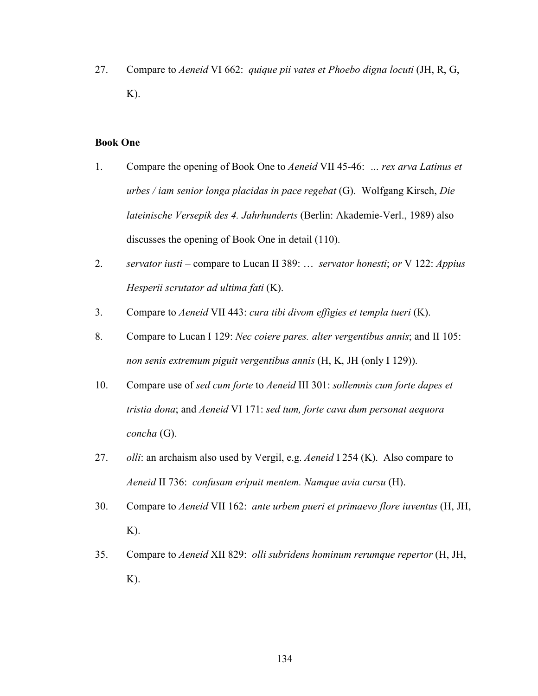27. Compare to *Aeneid* VI 662: *quique pii vates et Phoebo digna locuti* (JH, R, G, K).

## **Book One**

- 1. Compare the opening of Book One to *Aeneid* VII 45-46: *… rex arva Latinus et urbes / iam senior longa placidas in pace regebat* (G). Wolfgang Kirsch, *Die lateinische Versepik des 4. Jahrhunderts* (Berlin: Akademie-Verl., 1989) also discusses the opening of Book One in detail (110).
- 2. *servator iusti* compare to Lucan II 389: … *servator honesti*; *or* V 122: *Appius Hesperii scrutator ad ultima fati* (K).
- 3. Compare to *Aeneid* VII 443: *cura tibi divom effigies et templa tueri* (K).
- 8. Compare to Lucan I 129: *Nec coiere pares. alter vergentibus annis*; and II 105: *non senis extremum piguit vergentibus annis* (H, K, JH (only I 129)).
- 10. Compare use of *sed cum forte* to *Aeneid* III 301: *sollemnis cum forte dapes et tristia dona*; and *Aeneid* VI 171: *sed tum, forte cava dum personat aequora concha* (G).
- 27. *olli*: an archaism also used by Vergil, e.g. *Aeneid* I 254 (K). Also compare to *Aeneid* II 736: *confusam eripuit mentem. Namque avia cursu* (H).
- 30. Compare to *Aeneid* VII 162: *ante urbem pueri et primaevo flore iuventus* (H, JH,  $K$ ).
- 35. Compare to *Aeneid* XII 829: *olli subridens hominum rerumque repertor* (H, JH, K).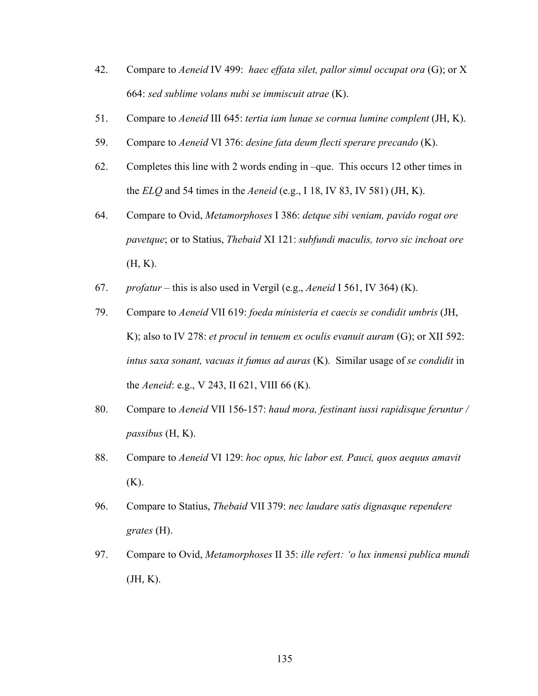- 42. Compare to *Aeneid* IV 499: *haec effata silet, pallor simul occupat ora* (G); or X 664: *sed sublime volans nubi se immiscuit atrae* (K).
- 51. Compare to *Aeneid* III 645: *tertia iam lunae se cornua lumine complent* (JH, K).
- 59. Compare to *Aeneid* VI 376: *desine fata deum flecti sperare precando* (K).
- 62. Completes this line with 2 words ending in –que. This occurs 12 other times in the *ELQ* and 54 times in the *Aeneid* (e.g., I 18, IV 83, IV 581) (JH, K).
- 64. Compare to Ovid, *Metamorphoses* I 386: *detque sibi veniam, pavido rogat ore pavetque*; or to Statius, *Thebaid* XI 121: *subfundi maculis, torvo sic inchoat ore* (H, K).
- 67. *profatur* this is also used in Vergil (e.g., *Aeneid* I 561, IV 364) (K).
- 79. Compare to *Aeneid* VII 619: *foeda ministeria et caecis se condidit umbris* (JH, K); also to IV 278: *et procul in tenuem ex oculis evanuit auram* (G); or XII 592: *intus saxa sonant, vacuas it fumus ad auras* (K). Similar usage of *se condidit* in the *Aeneid*: e.g., V 243, II 621, VIII 66 (K).
- 80. Compare to *Aeneid* VII 156-157: *haud mora, festinant iussi rapidisque feruntur / passibus* (H, K).
- 88. Compare to *Aeneid* VI 129: *hoc opus, hic labor est. Pauci, quos aequus amavit*  $(K)$ .
- 96. Compare to Statius, *Thebaid* VII 379: *nec laudare satis dignasque rependere grates* (H).
- 97. Compare to Ovid, *Metamorphoses* II 35: *ille refert: 'o lux inmensi publica mundi*  (JH, K).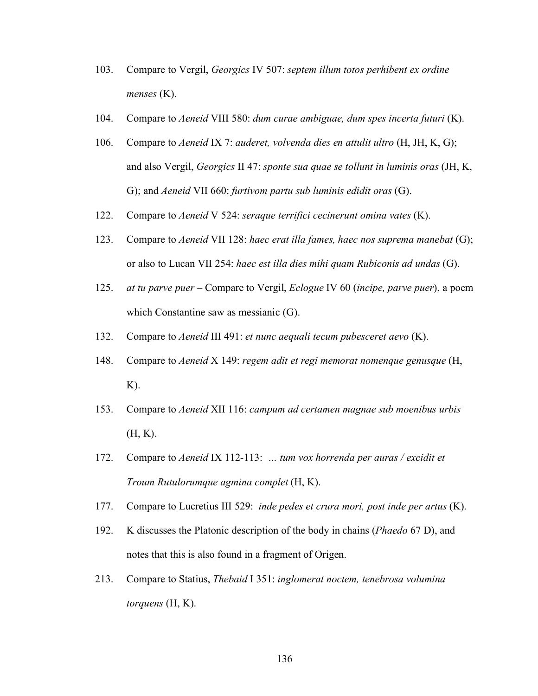- 103. Compare to Vergil, *Georgics* IV 507: *septem illum totos perhibent ex ordine menses* (K).
- 104. Compare to *Aeneid* VIII 580: *dum curae ambiguae, dum spes incerta futuri* (K).
- 106. Compare to *Aeneid* IX 7: *auderet, volvenda dies en attulit ultro* (H, JH, K, G); and also Vergil, *Georgics* II 47: *sponte sua quae se tollunt in luminis oras* (JH, K, G); and *Aeneid* VII 660: *furtivom partu sub luminis edidit oras* (G).
- 122. Compare to *Aeneid* V 524: *seraque terrifici cecinerunt omina vates* (K).
- 123. Compare to *Aeneid* VII 128: *haec erat illa fames, haec nos suprema manebat* (G); or also to Lucan VII 254: *haec est illa dies mihi quam Rubiconis ad undas* (G).
- 125. *at tu parve puer* Compare to Vergil, *Eclogue* IV 60 (*incipe, parve puer*), a poem which Constantine saw as messianic (G).
- 132. Compare to *Aeneid* III 491: *et nunc aequali tecum pubesceret aevo* (K).
- 148. Compare to *Aeneid* X 149: *regem adit et regi memorat nomenque genusque* (H,  $K$ ).
- 153. Compare to *Aeneid* XII 116: *campum ad certamen magnae sub moenibus urbis* (H, K).
- 172. Compare to *Aeneid* IX 112-113: *… tum vox horrenda per auras / excidit et Troum Rutulorumque agmina complet* (H, K).
- 177. Compare to Lucretius III 529: *inde pedes et crura mori, post inde per artus* (K).
- 192. K discusses the Platonic description of the body in chains (*Phaedo* 67 D), and notes that this is also found in a fragment of Origen.
- 213. Compare to Statius, *Thebaid* I 351: *inglomerat noctem, tenebrosa volumina torquens* (H, K).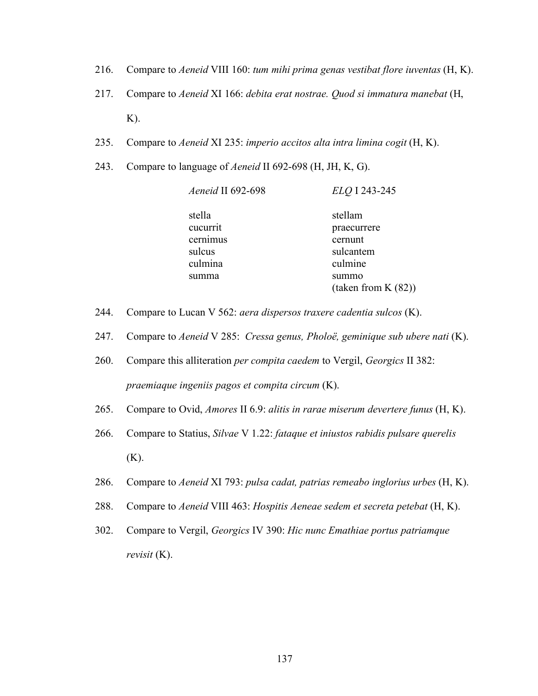- 216. Compare to *Aeneid* VIII 160: *tum mihi prima genas vestibat flore iuventas* (H, K).
- 217. Compare to *Aeneid* XI 166: *debita erat nostrae. Quod si immatura manebat* (H, K).
- 235. Compare to *Aeneid* XI 235: *imperio accitos alta intra limina cogit* (H, K).
- 243. Compare to language of *Aeneid* II 692-698 (H, JH, K, G).

| Aeneid II 692-698 | ELQ I 243-245          |
|-------------------|------------------------|
| stella            | stellam                |
| cucurrit          | praecurrere            |
| cernimus          | cernunt                |
| sulcus            | sulcantem              |
| culmina           | culmine                |
| summa             | summo                  |
|                   | (taken from K $(82)$ ) |

- 244. Compare to Lucan V 562: *aera dispersos traxere cadentia sulcos* (K).
- 247. Compare to *Aeneid* V 285: *Cressa genus, Pholoë, geminique sub ubere nati* (K).
- 260. Compare this alliteration *per compita caedem* to Vergil, *Georgics* II 382: *praemiaque ingeniis pagos et compita circum* (K).
- 265. Compare to Ovid, *Amores* II 6.9: *alitis in rarae miserum devertere funus* (H, K).
- 266. Compare to Statius, *Silvae* V 1.22: *fataque et iniustos rabidis pulsare querelis* (K).
- 286. Compare to *Aeneid* XI 793: *pulsa cadat, patrias remeabo inglorius urbes* (H, K).
- 288. Compare to *Aeneid* VIII 463: *Hospitis Aeneae sedem et secreta petebat* (H, K).
- 302. Compare to Vergil, *Georgics* IV 390: *Hic nunc Emathiae portus patriamque revisit* (K).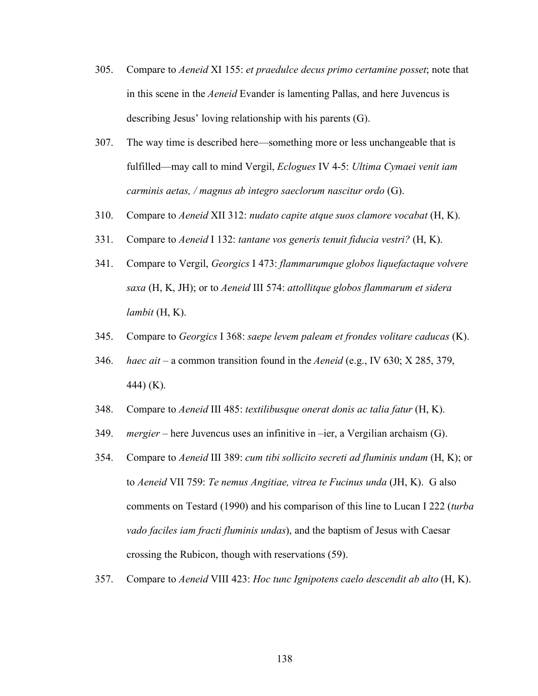- 305. Compare to *Aeneid* XI 155: *et praedulce decus primo certamine posset*; note that in this scene in the *Aeneid* Evander is lamenting Pallas, and here Juvencus is describing Jesus' loving relationship with his parents (G).
- 307. The way time is described here—something more or less unchangeable that is fulfilled—may call to mind Vergil, *Eclogues* IV 4-5: *Ultima Cymaei venit iam carminis aetas, / magnus ab integro saeclorum nascitur ordo* (G).
- 310. Compare to *Aeneid* XII 312: *nudato capite atque suos clamore vocabat* (H, K).
- 331. Compare to *Aeneid* I 132: *tantane vos generis tenuit fiducia vestri?* (H, K).
- 341. Compare to Vergil, *Georgics* I 473: *flammarumque globos liquefactaque volvere saxa* (H, K, JH); or to *Aeneid* III 574: *attollitque globos flammarum et sidera lambit* (H, K).
- 345. Compare to *Georgics* I 368: *saepe levem paleam et frondes volitare caducas* (K).
- 346. *haec ait*  a common transition found in the *Aeneid* (e.g., IV 630; X 285, 379, 444) (K).
- 348. Compare to *Aeneid* III 485: *textilibusque onerat donis ac talia fatur* (H, K).
- 349. *mergier* here Juvencus uses an infinitive in –ier, a Vergilian archaism (G).
- 354. Compare to *Aeneid* III 389: *cum tibi sollicito secreti ad fluminis undam* (H, K); or to *Aeneid* VII 759: *Te nemus Angitiae, vitrea te Fucinus unda* (JH, K). G also comments on Testard (1990) and his comparison of this line to Lucan I 222 (*turba vado faciles iam fracti fluminis undas*), and the baptism of Jesus with Caesar crossing the Rubicon, though with reservations (59).
- 357. Compare to *Aeneid* VIII 423: *Hoc tunc Ignipotens caelo descendit ab alto* (H, K).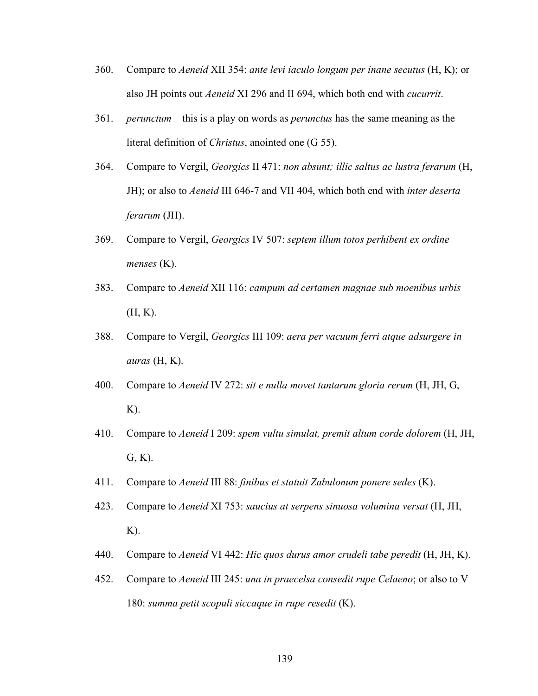- 360. Compare to *Aeneid* XII 354: *ante levi iaculo longum per inane secutus* (H, K); or also JH points out *Aeneid* XI 296 and II 694, which both end with *cucurrit*.
- 361. *perunctum* this is a play on words as *perunctus* has the same meaning as the literal definition of *Christus*, anointed one (G 55).
- 364. Compare to Vergil, *Georgics* II 471: *non absunt; illic saltus ac lustra ferarum* (H, JH); or also to *Aeneid* III 646-7 and VII 404, which both end with *inter deserta ferarum* (JH).
- 369. Compare to Vergil, *Georgics* IV 507: *septem illum totos perhibent ex ordine menses* (K).
- 383. Compare to *Aeneid* XII 116: *campum ad certamen magnae sub moenibus urbis* (H, K).
- 388. Compare to Vergil, *Georgics* III 109: *aera per vacuum ferri atque adsurgere in auras* (H, K).
- 400. Compare to *Aeneid* IV 272: *sit e nulla movet tantarum gloria rerum* (H, JH, G, K).
- 410. Compare to *Aeneid* I 209: *spem vultu simulat, premit altum corde dolorem* (H, JH,  $G, K$ ).
- 411. Compare to *Aeneid* III 88: *finibus et statuit Zabulonum ponere sedes* (K).
- 423. Compare to *Aeneid* XI 753: *saucius at serpens sinuosa volumina versat* (H, JH,  $K$ ).
- 440. Compare to *Aeneid* VI 442: *Hic quos durus amor crudeli tabe peredit* (H, JH, K).
- 452. Compare to *Aeneid* III 245: *una in praecelsa consedit rupe Celaeno*; or also to V 180: *summa petit scopuli siccaque in rupe resedit* (K).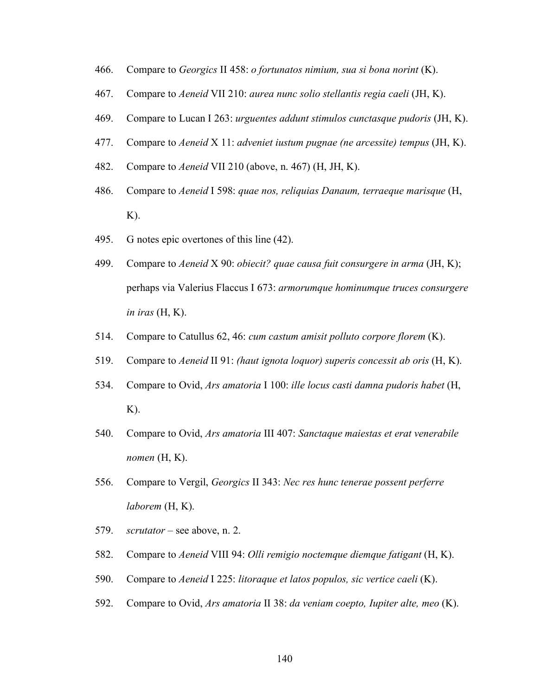- 466. Compare to *Georgics* II 458: *o fortunatos nimium, sua si bona norint* (K).
- 467. Compare to *Aeneid* VII 210: *aurea nunc solio stellantis regia caeli* (JH, K).
- 469. Compare to Lucan I 263: *urguentes addunt stimulos cunctasque pudoris* (JH, K).
- 477. Compare to *Aeneid* X 11: *adveniet iustum pugnae (ne arcessite) tempus* (JH, K).
- 482. Compare to *Aeneid* VII 210 (above, n. 467) (H, JH, K).
- 486. Compare to *Aeneid* I 598: *quae nos, reliquias Danaum, terraeque marisque* (H,  $K$ ).
- 495. G notes epic overtones of this line (42).
- 499. Compare to *Aeneid* X 90: *obiecit? quae causa fuit consurgere in arma* (JH, K); perhaps via Valerius Flaccus I 673: *armorumque hominumque truces consurgere in iras* (H, K).
- 514. Compare to Catullus 62, 46: *cum castum amisit polluto corpore florem* (K).
- 519. Compare to *Aeneid* II 91: *(haut ignota loquor) superis concessit ab oris* (H, K).
- 534. Compare to Ovid, *Ars amatoria* I 100: *ille locus casti damna pudoris habet* (H, K).
- 540. Compare to Ovid, *Ars amatoria* III 407: *Sanctaque maiestas et erat venerabile nomen*  $(H, K)$ .
- 556. Compare to Vergil, *Georgics* II 343: *Nec res hunc tenerae possent perferre laborem* (H, K).
- 579. *scrutator* see above, n. 2.
- 582. Compare to *Aeneid* VIII 94: *Olli remigio noctemque diemque fatigant* (H, K).
- 590. Compare to *Aeneid* I 225: *litoraque et latos populos, sic vertice caeli* (K).
- 592. Compare to Ovid, *Ars amatoria* II 38: *da veniam coepto, Iupiter alte, meo* (K).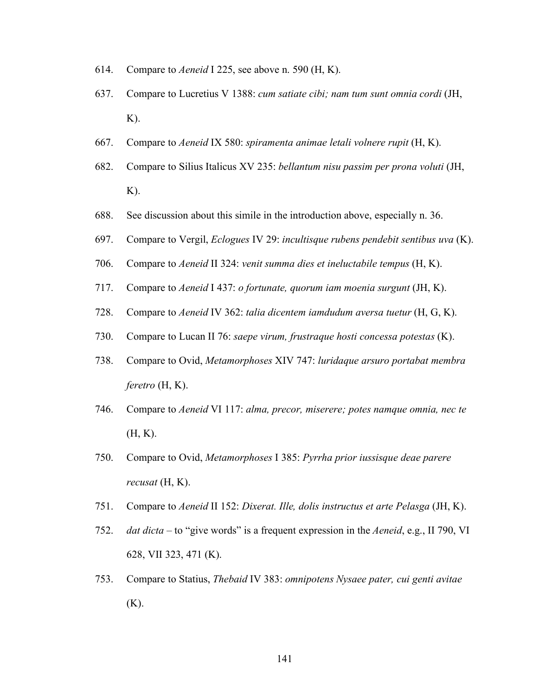- 614. Compare to *Aeneid* I 225, see above n. 590 (H, K).
- 637. Compare to Lucretius V 1388: *cum satiate cibi; nam tum sunt omnia cordi* (JH,  $K$ ).
- 667. Compare to *Aeneid* IX 580: *spiramenta animae letali volnere rupit* (H, K).
- 682. Compare to Silius Italicus XV 235: *bellantum nisu passim per prona voluti* (JH, K).
- 688. See discussion about this simile in the introduction above, especially n. 36.
- 697. Compare to Vergil, *Eclogues* IV 29: *incultisque rubens pendebit sentibus uva* (K).
- 706. Compare to *Aeneid* II 324: *venit summa dies et ineluctabile tempus* (H, K).
- 717. Compare to *Aeneid* I 437: *o fortunate, quorum iam moenia surgunt* (JH, K).
- 728. Compare to *Aeneid* IV 362: *talia dicentem iamdudum aversa tuetur* (H, G, K).
- 730. Compare to Lucan II 76: *saepe virum, frustraque hosti concessa potestas* (K).
- 738. Compare to Ovid, *Metamorphoses* XIV 747: *luridaque arsuro portabat membra feretro* (H, K).
- 746. Compare to *Aeneid* VI 117: *alma, precor, miserere; potes namque omnia, nec te*  (H, K).
- 750. Compare to Ovid, *Metamorphoses* I 385: *Pyrrha prior iussisque deae parere recusat* (H, K).
- 751. Compare to *Aeneid* II 152: *Dixerat. Ille, dolis instructus et arte Pelasga* (JH, K).
- 752. *dat dicta* to "give words" is a frequent expression in the *Aeneid*, e.g., II 790, VI 628, VII 323, 471 (K).
- 753. Compare to Statius, *Thebaid* IV 383: *omnipotens Nysaee pater, cui genti avitae* (K).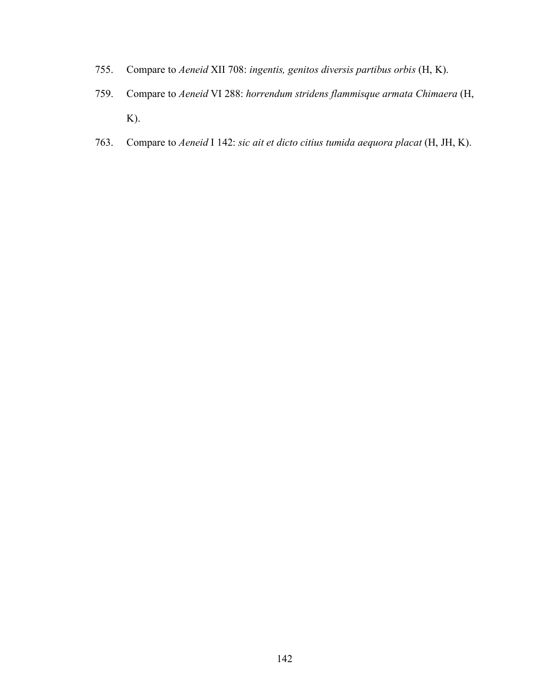- 755. Compare to *Aeneid* XII 708: *ingentis, genitos diversis partibus orbis* (H, K).
- 759. Compare to *Aeneid* VI 288: *horrendum stridens flammisque armata Chimaera* (H, K).
- 763. Compare to *Aeneid* I 142: *sic ait et dicto citius tumida aequora placat* (H, JH, K).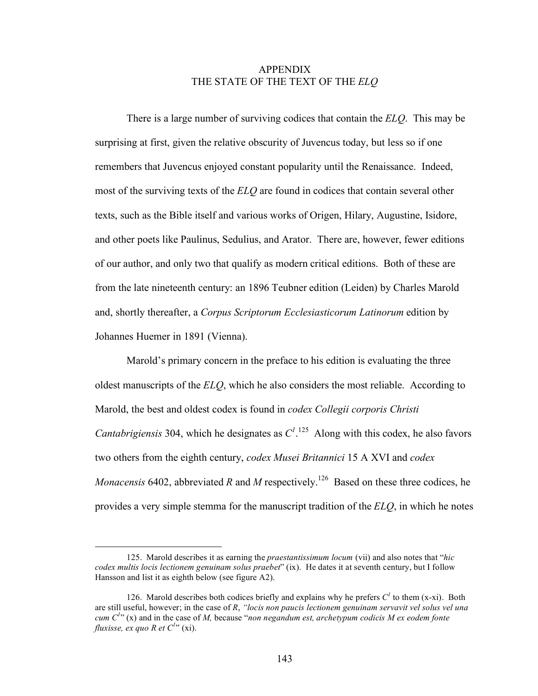## APPENDIX THE STATE OF THE TEXT OF THE *ELQ*

There is a large number of surviving codices that contain the *ELQ*. This may be surprising at first, given the relative obscurity of Juvencus today, but less so if one remembers that Juvencus enjoyed constant popularity until the Renaissance. Indeed, most of the surviving texts of the *ELQ* are found in codices that contain several other texts, such as the Bible itself and various works of Origen, Hilary, Augustine, Isidore, and other poets like Paulinus, Sedulius, and Arator. There are, however, fewer editions of our author, and only two that qualify as modern critical editions. Both of these are from the late nineteenth century: an 1896 Teubner edition (Leiden) by Charles Marold and, shortly thereafter, a *Corpus Scriptorum Ecclesiasticorum Latinorum* edition by Johannes Huemer in 1891 (Vienna).

Marold's primary concern in the preface to his edition is evaluating the three oldest manuscripts of the *ELQ*, which he also considers the most reliable. According to Marold, the best and oldest codex is found in *codex Collegii corporis Christi Cantabrigiensis* 304, which he designates as  $C^{1,125}$  Along with this codex, he also favors two others from the eighth century, *codex Musei Britannici* 15 A XVI and *codex Monacensis* 6402, abbreviated *R* and *M* respectively.<sup>126</sup> Based on these three codices, he provides a very simple stemma for the manuscript tradition of the *ELQ*, in which he notes

 $\overline{a}$ 

<sup>125.</sup> Marold describes it as earning the *praestantissimum locum* (vii) and also notes that "*hic codex multis locis lectionem genuinam solus praebet*" (ix). He dates it at seventh century, but I follow Hansson and list it as eighth below (see figure A2).

<sup>126.</sup> Marold describes both codices briefly and explains why he prefers  $C<sup>t</sup>$  to them (x-xi). Both are still useful, however; in the case of *R*, *"locis non paucis lectionem genuinam servavit vel solus vel una cum*  $C^{1,1}$  (x) and in the case of *M*, because "*non negandum est, archetypum codicis M ex eodem fonte fluxisse, ex quo R et C<sup>l</sup>*" (xi).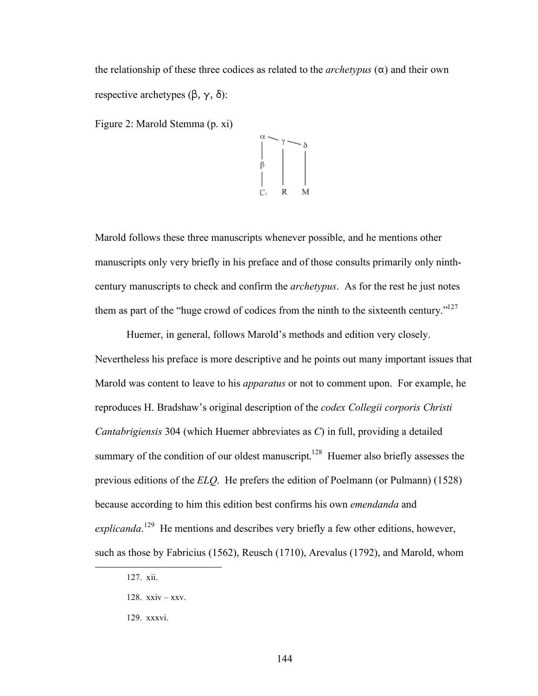the relationship of these three codices as related to the *archetypus*  $(\alpha)$  and their own respective archetypes  $(\beta, \gamma, \delta)$ :

Figure 2: Marold Stemma (p. xi)



Marold follows these three manuscripts whenever possible, and he mentions other manuscripts only very briefly in his preface and of those consults primarily only ninthcentury manuscripts to check and confirm the *archetypus*. As for the rest he just notes them as part of the "huge crowd of codices from the ninth to the sixteenth century."<sup>127</sup>

Huemer, in general, follows Marold's methods and edition very closely. Nevertheless his preface is more descriptive and he points out many important issues that Marold was content to leave to his *apparatus* or not to comment upon. For example, he reproduces H. Bradshaw's original description of the *codex Collegii corporis Christi Cantabrigiensis* 304 (which Huemer abbreviates as *C*) in full, providing a detailed summary of the condition of our oldest manuscript.<sup>128</sup> Huemer also briefly assesses the previous editions of the *ELQ*. He prefers the edition of Poelmann (or Pulmann) (1528) because according to him this edition best confirms his own *emendanda* and explicanda.<sup>129</sup> He mentions and describes very briefly a few other editions, however, such as those by Fabricius (1562), Reusch (1710), Arevalus (1792), and Marold, whom

 <sup>127.</sup> xii.

<sup>128.</sup> xxiv – xxv.

<sup>129.</sup> xxxvi.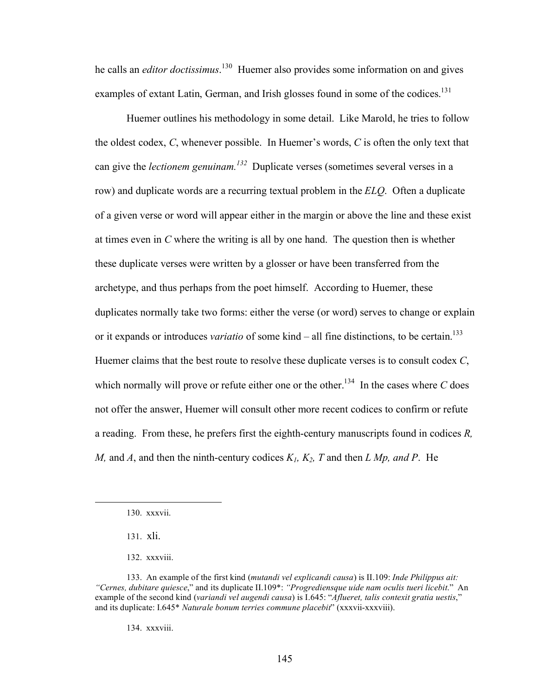he calls an *editor doctissimus*.<sup>130</sup> Huemer also provides some information on and gives examples of extant Latin, German, and Irish glosses found in some of the codices.<sup>131</sup>

Huemer outlines his methodology in some detail. Like Marold, he tries to follow the oldest codex, *C*, whenever possible. In Huemer's words, *C* is often the only text that can give the *lectionem genuinam.132* Duplicate verses (sometimes several verses in a row) and duplicate words are a recurring textual problem in the *ELQ*. Often a duplicate of a given verse or word will appear either in the margin or above the line and these exist at times even in *C* where the writing is all by one hand. The question then is whether these duplicate verses were written by a glosser or have been transferred from the archetype, and thus perhaps from the poet himself. According to Huemer, these duplicates normally take two forms: either the verse (or word) serves to change or explain or it expands or introduces *variatio* of some kind – all fine distinctions, to be certain.<sup>133</sup> Huemer claims that the best route to resolve these duplicate verses is to consult codex *C*, which normally will prove or refute either one or the other.<sup>134</sup> In the cases where  $C$  does not offer the answer, Huemer will consult other more recent codices to confirm or refute a reading. From these, he prefers first the eighth-century manuscripts found in codices *R, M,* and *A*, and then the ninth-century codices *K1, K2, T* and then *L Mp, and P*. He

134. xxxviii.

 <sup>130.</sup> xxxvii.

<sup>131.</sup> xli.

<sup>132.</sup> xxxviii.

<sup>133.</sup> An example of the first kind (*mutandi vel explicandi causa*) is II.109: *Inde Philippus ait: "Cernes, dubitare quiesce*," and its duplicate II.109\*: *"Progrediensque uide nam oculis tueri licebit*." An example of the second kind (*variandi vel augendi causa*) is I.645: "*Aflueret, talis contexit gratia uestis*," and its duplicate: I.645\* *Naturale bonum terries commune placebit*" (xxxvii-xxxviii).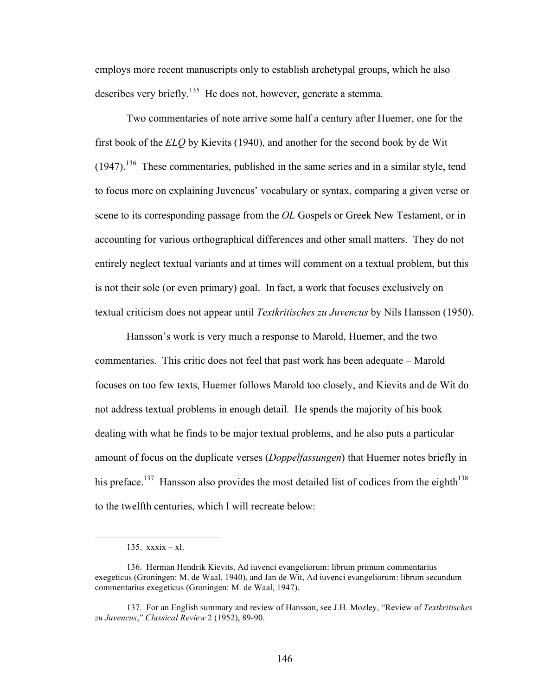employs more recent manuscripts only to establish archetypal groups, which he also describes very briefly.<sup>135</sup> He does not, however, generate a stemma.

Two commentaries of note arrive some half a century after Huemer, one for the first book of the *ELQ* by Kievits (1940), and another for the second book by de Wit  $(1947).$ <sup>136</sup> These commentaries, published in the same series and in a similar style, tend to focus more on explaining Juvencus' vocabulary or syntax, comparing a given verse or scene to its corresponding passage from the *OL* Gospels or Greek New Testament, or in accounting for various orthographical differences and other small matters. They do not entirely neglect textual variants and at times will comment on a textual problem, but this is not their sole (or even primary) goal. In fact, a work that focuses exclusively on textual criticism does not appear until *Textkritisches zu Juvencus* by Nils Hansson (1950).

Hansson's work is very much a response to Marold, Huemer, and the two commentaries. This critic does not feel that past work has been adequate – Marold focuses on too few texts, Huemer follows Marold too closely, and Kievits and de Wit do not address textual problems in enough detail. He spends the majority of his book dealing with what he finds to be major textual problems, and he also puts a particular amount of focus on the duplicate verses (*Doppelfassungen*) that Huemer notes briefly in his preface.<sup>137</sup> Hansson also provides the most detailed list of codices from the eighth<sup>138</sup> to the twelfth centuries, which I will recreate below:

 $\overline{a}$ 

<sup>135.</sup> xxxix – xl.

<sup>136.</sup> Herman Hendrik Kievits, Ad iuvenci evangeliorum: librum primum commentarius exegeticus (Groningen: M. de Waal, 1940), and Jan de Wit, Ad iuvenci evangeliorum: librum secundum commentarius exegeticus (Groningen: M. de Waal, 1947).

<sup>137.</sup> For an English summary and review of Hansson, see J.H. Mozley, "Review of *Textkritisches zu Juvencus*," *Classical Review* 2 (1952), 89-90.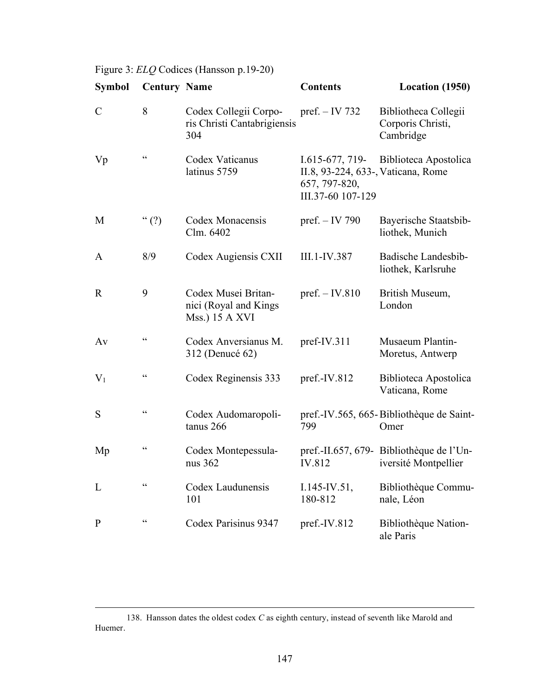Figure 3: *ELQ* Codices (Hansson p.19-20)

| <b>Symbol</b> | <b>Century Name</b>                               |                                                                | <b>Contents</b>                                                                             | Location (1950)                                                  |
|---------------|---------------------------------------------------|----------------------------------------------------------------|---------------------------------------------------------------------------------------------|------------------------------------------------------------------|
| $\mathcal{C}$ | 8                                                 | Codex Collegii Corpo-<br>ris Christi Cantabrigiensis<br>304    | pref. $-$ IV 732                                                                            | Bibliotheca Collegii<br>Corporis Christi,<br>Cambridge           |
| Vp            | $\epsilon$                                        | Codex Vaticanus<br>latinus 5759                                | I.615-677, 719-<br>II.8, 93-224, 633-, Vaticana, Rome<br>657, 797-820,<br>III.37-60 107-129 | Biblioteca Apostolica                                            |
| M             | $\lq\lq$ (?)                                      | Codex Monacensis<br>Clm. 6402                                  | pref. - IV 790                                                                              | Bayerische Staatsbib-<br>liothek, Munich                         |
| A             | 8/9                                               | Codex Augiensis CXII                                           | III.1-IV.387                                                                                | Badische Landesbib-<br>liothek, Karlsruhe                        |
| $\mathbf R$   | 9                                                 | Codex Musei Britan-<br>nici (Royal and Kings<br>Mss.) 15 A XVI | pref. $-$ IV.810                                                                            | British Museum,<br>London                                        |
| Av            | $\boldsymbol{\varsigma}$ $\boldsymbol{\varsigma}$ | Codex Anversianus M.<br>312 (Denucé 62)                        | pref-IV.311                                                                                 | Musaeum Plantin-<br>Moretus, Antwerp                             |
| $V_1$         | $\zeta$ $\zeta$                                   | Codex Reginensis 333                                           | pref.-IV.812                                                                                | Biblioteca Apostolica<br>Vaticana, Rome                          |
| S             | $\zeta$ $\zeta$                                   | Codex Audomaropoli-<br>tanus 266                               | 799                                                                                         | pref.-IV.565, 665-Bibliothèque de Saint-<br>Omer                 |
| Mp            | $\zeta \, \zeta$                                  | Codex Montepessula-<br>nus 362                                 | IV.812                                                                                      | pref.-II.657, 679- Bibliothèque de l'Un-<br>iversité Montpellier |
| L             | $\zeta\,\zeta$                                    | Codex Laudunensis<br>101                                       | $I.145$ -IV.51,<br>180-812                                                                  | Bibliothèque Commu-<br>nale, Léon                                |
| $\mathbf{P}$  | $\zeta$ $\zeta$                                   | Codex Parisinus 9347                                           | pref.-IV.812                                                                                | Bibliothèque Nation-<br>ale Paris                                |

 <sup>138.</sup> Hansson dates the oldest codex *C* as eighth century, instead of seventh like Marold and Huemer.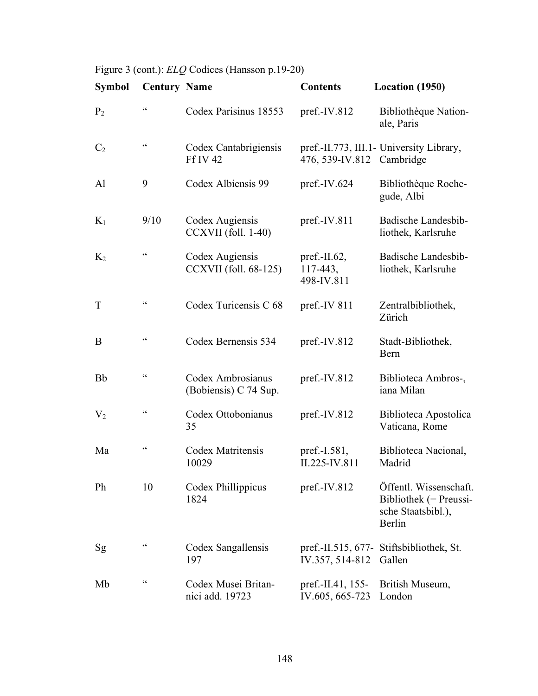Figure 3 (cont.): *ELQ* Codices (Hansson p.19-20)

| <b>Symbol</b>  | <b>Century Name</b>                               |                                            | <b>Contents</b>                            | Location (1950)                                                                  |
|----------------|---------------------------------------------------|--------------------------------------------|--------------------------------------------|----------------------------------------------------------------------------------|
| P <sub>2</sub> | $\zeta\,\zeta$                                    | Codex Parisinus 18553                      | $pref.-IV.812$                             | Bibliothèque Nation-<br>ale, Paris                                               |
| C <sub>2</sub> | $\zeta$ $\zeta$                                   | Codex Cantabrigiensis<br><b>Ff IV 42</b>   | 476, 539-IV.812 Cambridge                  | pref.-II.773, III.1- University Library,                                         |
| Al             | 9                                                 | Codex Albiensis 99                         | pref.-IV.624                               | Bibliothèque Roche-<br>gude, Albi                                                |
| $K_1$          | 9/10                                              | Codex Augiensis<br>CCXVII (foll. 1-40)     | pref.-IV.811                               | Badische Landesbib-<br>liothek, Karlsruhe                                        |
| $K_2$          | $\boldsymbol{\varsigma}$ $\boldsymbol{\varsigma}$ | Codex Augiensis<br>CCXVII (foll. 68-125)   | pref.- $II.62$ ,<br>117-443,<br>498-IV.811 | Badische Landesbib-<br>liothek, Karlsruhe                                        |
| T              | $\boldsymbol{\varsigma}$ $\boldsymbol{\varsigma}$ | Codex Turicensis C 68                      | pref.-IV 811                               | Zentralbibliothek,<br>Zürich                                                     |
| B              | $\zeta$ $\zeta$                                   | Codex Bernensis 534                        | pref.-IV.812                               | Stadt-Bibliothek,<br>Bern                                                        |
| <b>Bb</b>      | $\boldsymbol{\varsigma}$ $\boldsymbol{\varsigma}$ | Codex Ambrosianus<br>(Bobiensis) C 74 Sup. | $pref.-IV.812$                             | Biblioteca Ambros-,<br>iana Milan                                                |
| $\rm V_2$      | $\zeta$ $\zeta$                                   | Codex Ottobonianus<br>35                   | $pref.-IV.812$                             | Biblioteca Apostolica<br>Vaticana, Rome                                          |
| Ma             | $\zeta$ $\zeta$                                   | Codex Matritensis<br>10029                 | pref.-I.581,<br>II.225-IV.811              | Biblioteca Nacional,<br>Madrid                                                   |
| Ph             | 10                                                | Codex Phillippicus<br>1824                 | pref.-IV.812                               | Öffentl. Wissenschaft.<br>Bibliothek (= Preussi-<br>sche Staatsbibl.),<br>Berlin |
| <sub>Sg</sub>  | $\subset$                                         | Codex Sangallensis<br>197                  | IV.357, 514-812                            | pref.-II.515, 677- Stiftsbibliothek, St.<br>Gallen                               |
| Mb             | $\zeta$ $\zeta$                                   | Codex Musei Britan-<br>nici add. 19723     | pref.-II.41, 155-<br>IV.605, 665-723       | British Museum,<br>London                                                        |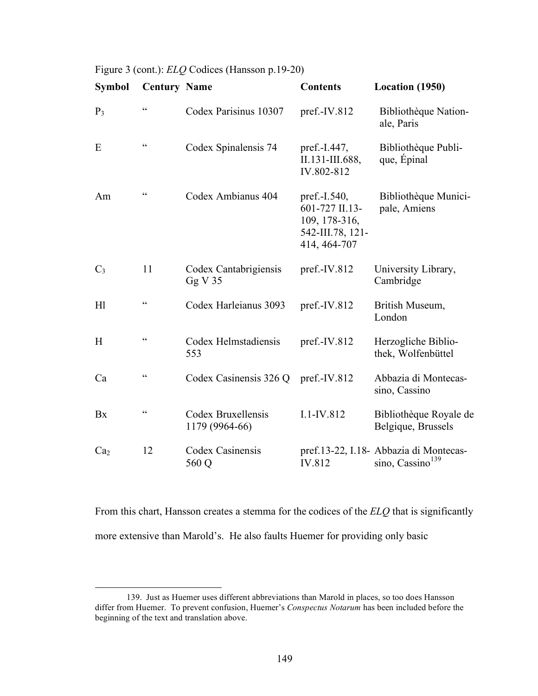|  | Figure 3 (cont.): <i>ELQ</i> Codices (Hansson p.19-20) |  |  |
|--|--------------------------------------------------------|--|--|
|--|--------------------------------------------------------|--|--|

| <b>Symbol</b>   | <b>Century Name</b>                               |                                      | <b>Contents</b>                                                                     | Location (1950)                                                        |
|-----------------|---------------------------------------------------|--------------------------------------|-------------------------------------------------------------------------------------|------------------------------------------------------------------------|
| $P_3$           | $\boldsymbol{\varsigma}$ $\boldsymbol{\varsigma}$ | Codex Parisinus 10307                | pref.-IV.812                                                                        | Bibliothèque Nation-<br>ale, Paris                                     |
| E               | $\zeta$ $\zeta$                                   | Codex Spinalensis 74                 | pref.-I.447,<br>II.131-III.688,<br>IV.802-812                                       | Bibliothèque Publi-<br>que, Épinal                                     |
| Am              | $\zeta$ $\zeta$                                   | Codex Ambianus 404                   | pref.-I.540,<br>601-727 II.13-<br>109, 178-316,<br>542-III.78, 121-<br>414, 464-707 | Bibliothèque Munici-<br>pale, Amiens                                   |
| $C_3$           | 11                                                | Codex Cantabrigiensis<br>GgV35       | $pref.-IV.812$                                                                      | University Library,<br>Cambridge                                       |
| H1              | $\epsilon$                                        | Codex Harleianus 3093                | pref.-IV.812                                                                        | British Museum,<br>London                                              |
| H               | $\epsilon$                                        | Codex Helmstadiensis<br>553          | pref.-IV.812                                                                        | Herzogliche Biblio-<br>thek, Wolfenbüttel                              |
| Ca              | $\zeta \, \zeta$                                  | Codex Casinensis 326 Q               | pref.-IV.812                                                                        | Abbazia di Montecas-<br>sino, Cassino                                  |
| Bx              | $\boldsymbol{\varsigma}$ $\boldsymbol{\varsigma}$ | Codex Bruxellensis<br>1179 (9964-66) | $I.1$ -IV.812                                                                       | Bibliothèque Royale de<br>Belgique, Brussels                           |
| Ca <sub>2</sub> | 12                                                | Codex Casinensis<br>560 Q            | IV.812                                                                              | pref.13-22, I.18- Abbazia di Montecas-<br>sino, Cassino <sup>139</sup> |

From this chart, Hansson creates a stemma for the codices of the *ELQ* that is significantly more extensive than Marold's. He also faults Huemer for providing only basic

 <sup>139.</sup> Just as Huemer uses different abbreviations than Marold in places, so too does Hansson differ from Huemer. To prevent confusion, Huemer's *Conspectus Notarum* has been included before the beginning of the text and translation above.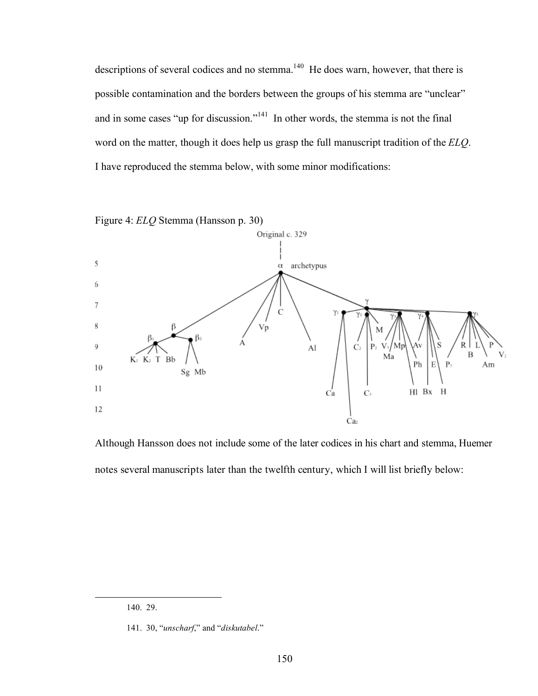descriptions of several codices and no stemma.<sup>140</sup> He does warn, however, that there is possible contamination and the borders between the groups of his stemma are "unclear" and in some cases "up for discussion."<sup>141</sup> In other words, the stemma is not the final word on the matter, though it does help us grasp the full manuscript tradition of the *ELQ*. I have reproduced the stemma below, with some minor modifications:



Although Hansson does not include some of the later codices in his chart and stemma, Huemer notes several manuscripts later than the twelfth century, which I will list briefly below:

 <sup>140. 29.</sup>

<sup>141. 30, &</sup>quot;*unscharf*," and "*diskutabel*."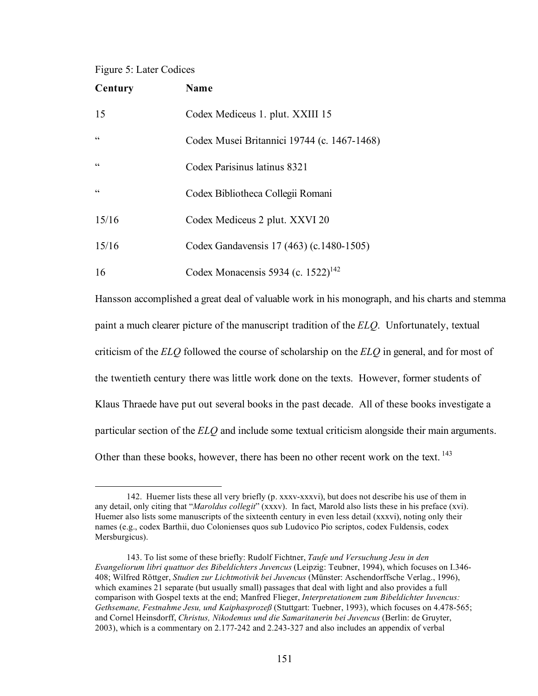## Figure 5: Later Codices

| Century    | <b>Name</b>                                    |
|------------|------------------------------------------------|
| 15         | Codex Mediceus 1. plut. XXIII 15               |
| $\epsilon$ | Codex Musei Britannici 19744 (c. 1467-1468)    |
| cc         | Codex Parisinus latinus 8321                   |
| C          | Codex Bibliotheca Collegii Romani              |
| 15/16      | Codex Mediceus 2 plut. XXVI 20                 |
| 15/16      | Codex Gandavensis 17 (463) (c.1480-1505)       |
| 16         | Codex Monacensis 5934 (c. 1522) <sup>142</sup> |

Hansson accomplished a great deal of valuable work in his monograph, and his charts and stemma paint a much clearer picture of the manuscript tradition of the *ELQ*. Unfortunately, textual criticism of the *ELQ* followed the course of scholarship on the *ELQ* in general, and for most of the twentieth century there was little work done on the texts. However, former students of Klaus Thraede have put out several books in the past decade. All of these books investigate a particular section of the *ELQ* and include some textual criticism alongside their main arguments. Other than these books, however, there has been no other recent work on the text. <sup>143</sup>

 <sup>142.</sup> Huemer lists these all very briefly (p. xxxv-xxxvi), but does not describe his use of them in any detail, only citing that "*Maroldus collegit*" (xxxv). In fact, Marold also lists these in his preface (xvi). Huemer also lists some manuscripts of the sixteenth century in even less detail (xxxvi), noting only their names (e.g., codex Barthii, duo Colonienses quos sub Ludovico Pio scriptos, codex Fuldensis, codex Mersburgicus).

<sup>143.</sup> To list some of these briefly: Rudolf Fichtner, *Taufe und Versuchung Jesu in den Evangeliorum libri quattuor des Bibeldichters Juvencus* (Leipzig: Teubner, 1994), which focuses on I.346- 408; Wilfred Röttger, *Studien zur Lichtmotivik bei Juvencus* (Münster: Aschendorffsche Verlag., 1996), which examines 21 separate (but usually small) passages that deal with light and also provides a full comparison with Gospel texts at the end; Manfred Flieger, *Interpretationem zum Bibeldichter Iuvencus: Gethsemane, Festnahme Jesu, und Kaiphasprozeß* (Stuttgart: Tuebner, 1993), which focuses on 4.478-565; and Cornel Heinsdorff, *Christus, Nikodemus und die Samaritanerin bei Juvencus* (Berlin: de Gruyter, 2003), which is a commentary on 2.177-242 and 2.243-327 and also includes an appendix of verbal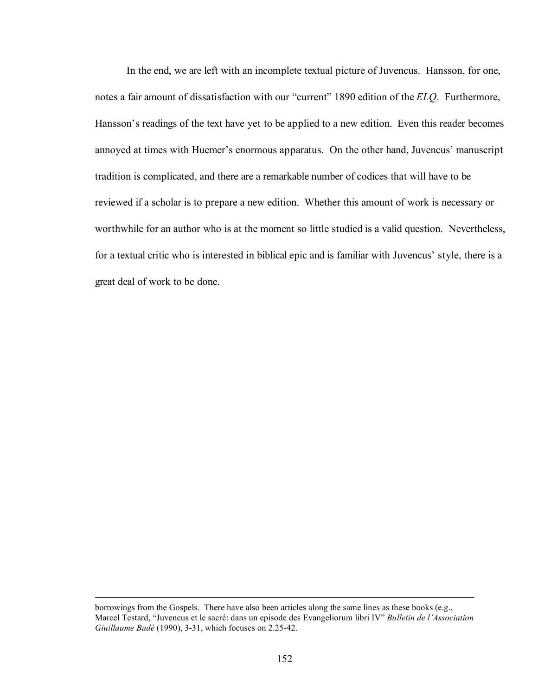In the end, we are left with an incomplete textual picture of Juvencus. Hansson, for one, notes a fair amount of dissatisfaction with our "current" 1890 edition of the *ELQ*. Furthermore, Hansson's readings of the text have yet to be applied to a new edition. Even this reader becomes annoyed at times with Huemer's enormous apparatus. On the other hand, Juvencus' manuscript tradition is complicated, and there are a remarkable number of codices that will have to be reviewed if a scholar is to prepare a new edition. Whether this amount of work is necessary or worthwhile for an author who is at the moment so little studied is a valid question. Nevertheless, for a textual critic who is interested in biblical epic and is familiar with Juvencus' style, there is a great deal of work to be done.

borrowings from the Gospels. There have also been articles along the same lines as these books (e.g., Marcel Testard, "Juvencus et le sacré: dans un episode des Evangeliorum libri IV" *Bulletin de l'Association Giuillaume Budé* (1990), 3-31, which focuses on 2.25-42.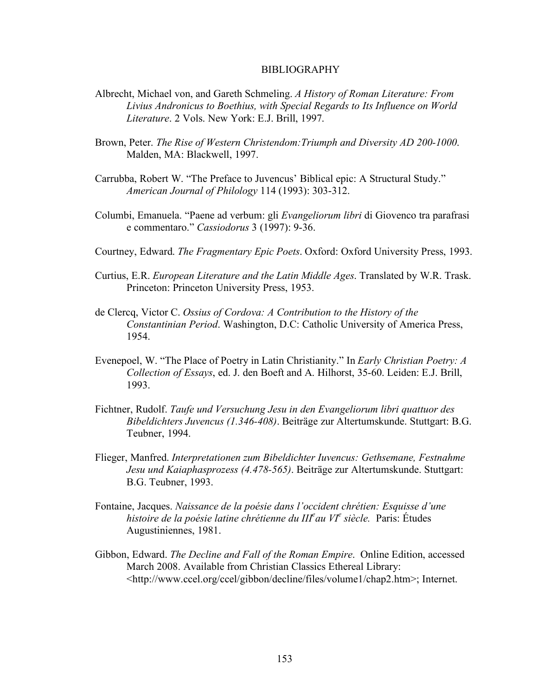## BIBLIOGRAPHY

- Albrecht, Michael von, and Gareth Schmeling. *A History of Roman Literature: From Livius Andronicus to Boethius, with Special Regards to Its Influence on World Literature*. 2 Vols. New York: E.J. Brill, 1997.
- Brown, Peter. *The Rise of Western Christendom:Triumph and Diversity AD 200-1000*. Malden, MA: Blackwell, 1997.
- Carrubba, Robert W. "The Preface to Juvencus' Biblical epic: A Structural Study." *American Journal of Philology* 114 (1993): 303-312.
- Columbi, Emanuela. "Paene ad verbum: gli *Evangeliorum libri* di Giovenco tra parafrasi e commentaro." *Cassiodorus* 3 (1997): 9-36.
- Courtney, Edward. *The Fragmentary Epic Poets*. Oxford: Oxford University Press, 1993.
- Curtius, E.R. *European Literature and the Latin Middle Ages*. Translated by W.R. Trask. Princeton: Princeton University Press, 1953.
- de Clercq, Victor C. *Ossius of Cordova: A Contribution to the History of the Constantinian Period*. Washington, D.C: Catholic University of America Press, 1954.
- Evenepoel, W. "The Place of Poetry in Latin Christianity." In *Early Christian Poetry: A Collection of Essays*, ed. J. den Boeft and A. Hilhorst, 35-60. Leiden: E.J. Brill, 1993.
- Fichtner, Rudolf. *Taufe und Versuchung Jesu in den Evangeliorum libri quattuor des Bibeldichters Juvencus (1.346-408)*. Beiträge zur Altertumskunde. Stuttgart: B.G. Teubner, 1994.
- Flieger, Manfred. *Interpretationen zum Bibeldichter Iuvencus: Gethsemane, Festnahme Jesu und Kaiaphasprozess (4.478-565)*. Beiträge zur Altertumskunde. Stuttgart: B.G. Teubner, 1993.
- Fontaine, Jacques. *Naissance de la poésie dans l'occident chrétien: Esquisse d'une histoire de la poésie latine chrétienne du IIIe au VI<sup>e</sup> siècle.* Paris: Études Augustiniennes, 1981.
- Gibbon, Edward. *The Decline and Fall of the Roman Empire*. Online Edition, accessed March 2008. Available from Christian Classics Ethereal Library: <http://www.ccel.org/ccel/gibbon/decline/files/volume1/chap2.htm>; Internet.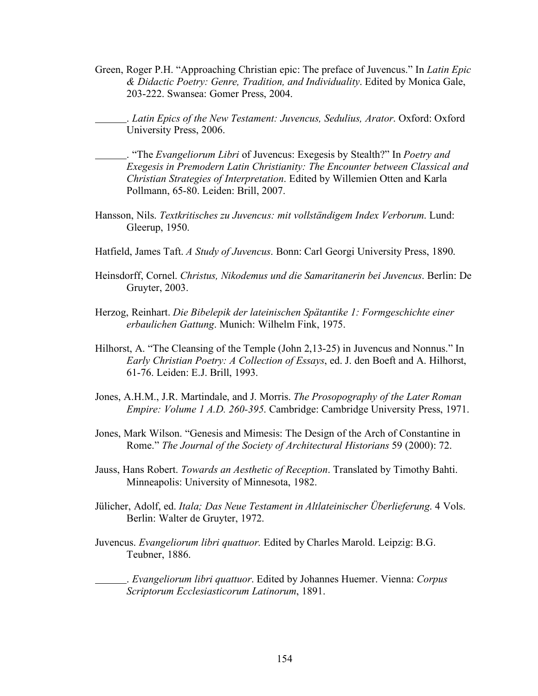Green, Roger P.H. "Approaching Christian epic: The preface of Juvencus." In *Latin Epic & Didactic Poetry: Genre, Tradition, and Individuality*. Edited by Monica Gale, 203-222. Swansea: Gomer Press, 2004.

. *Latin Epics of the New Testament: Juvencus, Sedulius, Arator*. Oxford: Oxford University Press, 2006.

. "The *Evangeliorum Libri* of Juvencus: Exegesis by Stealth?" In *Poetry and Exegesis in Premodern Latin Christianity: The Encounter between Classical and Christian Strategies of Interpretation*. Edited by Willemien Otten and Karla Pollmann, 65-80. Leiden: Brill, 2007.

- Hansson, Nils. *Textkritisches zu Juvencus: mit vollständigem Index Verborum*. Lund: Gleerup, 1950.
- Hatfield, James Taft. *A Study of Juvencus*. Bonn: Carl Georgi University Press, 1890.
- Heinsdorff, Cornel. *Christus, Nikodemus und die Samaritanerin bei Juvencus*. Berlin: De Gruyter, 2003.
- Herzog, Reinhart. *Die Bibelepik der lateinischen Spätantike 1: Formgeschichte einer erbaulichen Gattung*. Munich: Wilhelm Fink, 1975.
- Hilhorst, A. "The Cleansing of the Temple (John 2,13-25) in Juvencus and Nonnus." In *Early Christian Poetry: A Collection of Essays*, ed. J. den Boeft and A. Hilhorst, 61-76. Leiden: E.J. Brill, 1993.
- Jones, A.H.M., J.R. Martindale, and J. Morris. *The Prosopography of the Later Roman Empire: Volume 1 A.D. 260-395*. Cambridge: Cambridge University Press, 1971.
- Jones, Mark Wilson. "Genesis and Mimesis: The Design of the Arch of Constantine in Rome." *The Journal of the Society of Architectural Historians* 59 (2000): 72.
- Jauss, Hans Robert. *Towards an Aesthetic of Reception*. Translated by Timothy Bahti. Minneapolis: University of Minnesota, 1982.
- Jülicher, Adolf, ed. *Itala; Das Neue Testament in Altlateinischer Überlieferung*. 4 Vols. Berlin: Walter de Gruyter, 1972.
- Juvencus. *Evangeliorum libri quattuor.* Edited by Charles Marold. Leipzig: B.G. Teubner, 1886.

. *Evangeliorum libri quattuor*. Edited by Johannes Huemer. Vienna: *Corpus Scriptorum Ecclesiasticorum Latinorum*, 1891.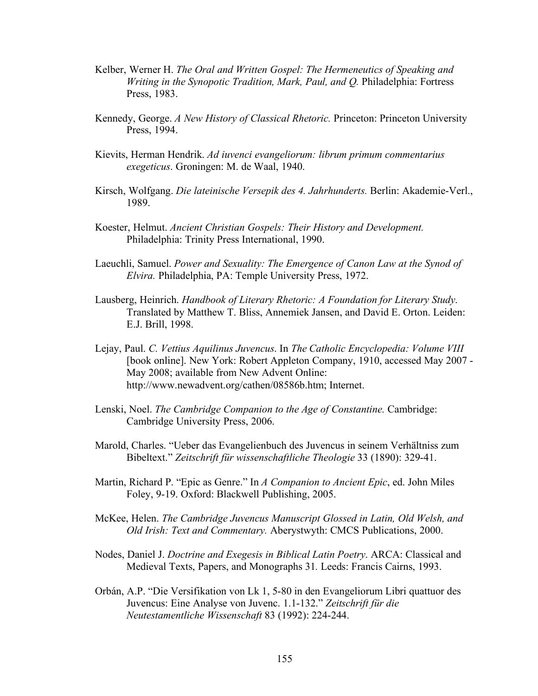- Kelber, Werner H. *The Oral and Written Gospel: The Hermeneutics of Speaking and Writing in the Synopotic Tradition, Mark, Paul, and Q.* Philadelphia: Fortress Press, 1983.
- Kennedy, George. *A New History of Classical Rhetoric.* Princeton: Princeton University Press, 1994.
- Kievits, Herman Hendrik. *Ad iuvenci evangeliorum: librum primum commentarius exegeticus*. Groningen: M. de Waal, 1940.
- Kirsch, Wolfgang. *Die lateinische Versepik des 4. Jahrhunderts.* Berlin: Akademie-Verl., 1989.
- Koester, Helmut. *Ancient Christian Gospels: Their History and Development.* Philadelphia: Trinity Press International, 1990.
- Laeuchli, Samuel. *Power and Sexuality: The Emergence of Canon Law at the Synod of Elvira.* Philadelphia, PA: Temple University Press, 1972.
- Lausberg, Heinrich. *Handbook of Literary Rhetoric: A Foundation for Literary Study*. Translated by Matthew T. Bliss, Annemiek Jansen, and David E. Orton. Leiden: E.J. Brill, 1998.
- Lejay, Paul. *C. Vettius Aquilinus Juvencus*. In *The Catholic Encyclopedia: Volume VIII* [book online]. New York: Robert Appleton Company, 1910, accessed May 2007 - May 2008; available from New Advent Online: http://www.newadvent.org/cathen/08586b.htm; Internet.
- Lenski, Noel. *The Cambridge Companion to the Age of Constantine*. Cambridge: Cambridge University Press, 2006.
- Marold, Charles. "Ueber das Evangelienbuch des Juvencus in seinem Verhältniss zum Bibeltext." *Zeitschrift für wissenschaftliche Theologie* 33 (1890): 329-41.
- Martin, Richard P. "Epic as Genre." In *A Companion to Ancient Epic*, ed. John Miles Foley, 9-19. Oxford: Blackwell Publishing, 2005.
- McKee, Helen. *The Cambridge Juvencus Manuscript Glossed in Latin, Old Welsh, and Old Irish: Text and Commentary.* Aberystwyth: CMCS Publications, 2000.
- Nodes, Daniel J. *Doctrine and Exegesis in Biblical Latin Poetry*. ARCA: Classical and Medieval Texts, Papers, and Monographs 31*.* Leeds: Francis Cairns, 1993.
- Orbán, A.P. "Die Versifikation von Lk 1, 5-80 in den Evangeliorum Libri quattuor des Juvencus: Eine Analyse von Juvenc. 1.1-132." *Zeitschrift für die Neutestamentliche Wissenschaft* 83 (1992): 224-244.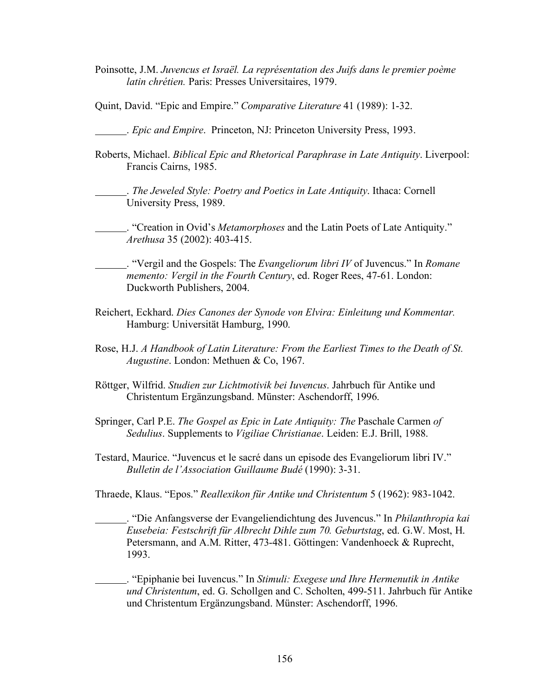- Poinsotte, J.M. *Juvencus et Israël. La représentation des Juifs dans le premier poème latin chrétien.* Paris: Presses Universitaires, 1979.
- Quint, David. "Epic and Empire." *Comparative Literature* 41 (1989): 1-32.

. *Epic and Empire*. Princeton, NJ: Princeton University Press, 1993.

Roberts, Michael. *Biblical Epic and Rhetorical Paraphrase in Late Antiquity*. Liverpool: Francis Cairns, 1985.

. *The Jeweled Style: Poetry and Poetics in Late Antiquity*. Ithaca: Cornell University Press, 1989.

. "Creation in Ovid's *Metamorphoses* and the Latin Poets of Late Antiquity." *Arethusa* 35 (2002): 403-415.

. "Vergil and the Gospels: The *Evangeliorum libri IV* of Juvencus." In *Romane memento: Vergil in the Fourth Century*, ed. Roger Rees, 47-61. London: Duckworth Publishers, 2004.

- Reichert, Eckhard. *Dies Canones der Synode von Elvira: Einleitung und Kommentar.*  Hamburg: Universität Hamburg, 1990.
- Rose, H.J. *A Handbook of Latin Literature: From the Earliest Times to the Death of St. Augustine*. London: Methuen & Co, 1967.
- Röttger, Wilfrid. *Studien zur Lichtmotivik bei Iuvencus*. Jahrbuch für Antike und Christentum Ergänzungsband. Münster: Aschendorff, 1996.
- Springer, Carl P.E. *The Gospel as Epic in Late Antiquity: The* Paschale Carmen *of Sedulius*. Supplements to *Vigiliae Christianae*. Leiden: E.J. Brill, 1988.
- Testard, Maurice. "Juvencus et le sacré dans un episode des Evangeliorum libri IV." *Bulletin de l'Association Guillaume Budé* (1990): 3-31.

Thraede, Klaus. "Epos." *Reallexikon für Antike und Christentum* 5 (1962): 983-1042.

. "Die Anfangsverse der Evangeliendichtung des Juvencus." In *Philanthropia kai Eusebeia: Festschrift für Albrecht Dihle zum 70. Geburtstag*, ed. G.W. Most, H. Petersmann, and A.M. Ritter, 473-481. Göttingen: Vandenhoeck & Ruprecht, 1993.

. "Epiphanie bei Iuvencus." In *Stimuli: Exegese und Ihre Hermenutik in Antike und Christentum*, ed. G. Schollgen and C. Scholten, 499-511. Jahrbuch für Antike und Christentum Ergänzungsband. Münster: Aschendorff, 1996.